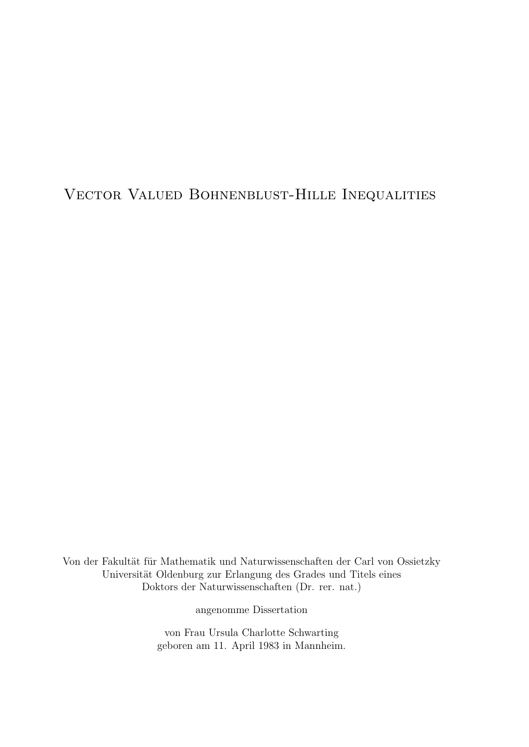Vector Valued Bohnenblust-Hille Inequalities

Von der Fakultät für Mathematik und Naturwissenschaften der Carl von Ossietzky Universität Oldenburg zur Erlangung des Grades und Titels eines Doktors der Naturwissenschaften (Dr. rer. nat.)

angenomme Dissertation

von Frau Ursula Charlotte Schwarting geboren am 11. April 1983 in Mannheim.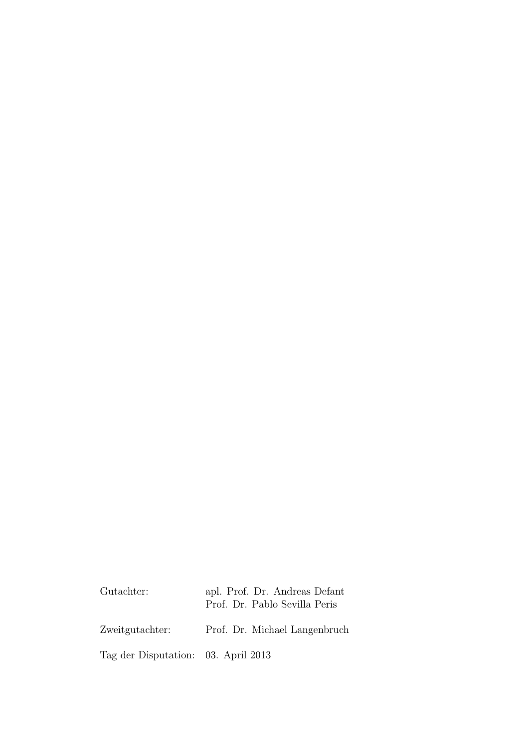| apl. Prof. Dr. Andreas Defant<br>Prof. Dr. Pablo Sevilla Peris |
|----------------------------------------------------------------|
| Prof. Dr. Michael Langenbruch                                  |
| Tag der Disputation: 03. April 2013                            |
|                                                                |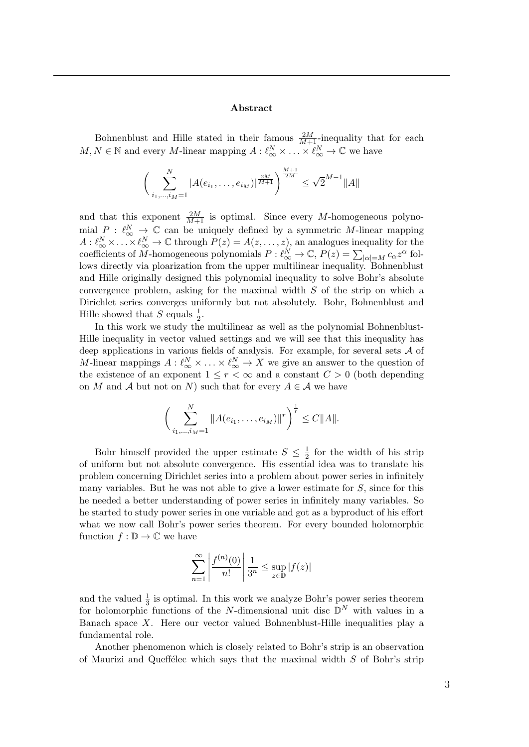#### Abstract

Bohnenblust and Hille stated in their famous  $\frac{2M}{M+1}$ -inequality that for each  $M, N \in \mathbb{N}$  and every M-linear mapping  $A: \ell_{\infty}^N \times \ldots \times \ell_{\infty}^N \to \mathbb{C}$  we have

$$
\left(\sum_{i_1,\dots,i_M=1}^N |A(e_{i_1},\dots,e_{i_M})|^{\frac{2M}{M+1}}\right)^{\frac{M+1}{2M}} \leq \sqrt{2}^{M-1} ||A||
$$

and that this exponent  $\frac{2M}{M+1}$  is optimal. Since every M-homogeneous polynomial  $P : \ell_{\infty}^N \to \mathbb{C}$  can be uniquely defined by a symmetric M-linear mapping  $A: \ell_{\infty}^N \times \ldots \times \ell_{\infty}^N \to \mathbb{C}$  through  $P(z) = A(z, \ldots, z)$ , an analogues inequality for the coefficients of M-homogeneous polynomials  $P: \ell_{\infty}^N \to \mathbb{C}, P(z) = \sum_{|\alpha|=M} c_{\alpha} z^{\alpha}$  follows directly via ploarization from the upper multilinear inequality. Bohnenblust and Hille originally designed this polynomial inequality to solve Bohr's absolute convergence problem, asking for the maximal width  $S$  of the strip on which a Dirichlet series converges uniformly but not absolutely. Bohr, Bohnenblust and Hille showed that S equals  $\frac{1}{2}$ .

In this work we study the multilinear as well as the polynomial Bohnenblust-Hille inequality in vector valued settings and we will see that this inequality has deep applications in various fields of analysis. For example, for several sets  $A$  of M-linear mappings  $A: \ell_{\infty}^N \times \ldots \times \ell_{\infty}^N \to X$  we give an answer to the question of the existence of an exponent  $1 \leq r < \infty$  and a constant  $C > 0$  (both depending on M and A but not on N) such that for every  $A \in \mathcal{A}$  we have

$$
\bigg(\sum_{i_1,\dots,i_M=1}^N \|A(e_{i_1},\dots,e_{i_M})\|^r\bigg)^{\frac{1}{r}} \leq C \|A\|.
$$

Bohr himself provided the upper estimate  $S \leq \frac{1}{2}$  $\frac{1}{2}$  for the width of his strip of uniform but not absolute convergence. His essential idea was to translate his problem concerning Dirichlet series into a problem about power series in infinitely many variables. But he was not able to give a lower estimate for  $S$ , since for this he needed a better understanding of power series in infinitely many variables. So he started to study power series in one variable and got as a byproduct of his effort what we now call Bohr's power series theorem. For every bounded holomorphic function  $f : \mathbb{D} \to \mathbb{C}$  we have

$$
\sum_{n=1}^{\infty} \left| \frac{f^{(n)}(0)}{n!} \right| \frac{1}{3^n} \le \sup_{z \in \mathbb{D}} |f(z)|
$$

and the valued  $\frac{1}{3}$  is optimal. In this work we analyze Bohr's power series theorem for holomorphic functions of the N-dimensional unit disc  $\mathbb{D}^{N}$  with values in a Banach space  $X$ . Here our vector valued Bohnenblust-Hille inequalities play a fundamental role.

Another phenomenon which is closely related to Bohr's strip is an observation of Maurizi and Queffélec which says that the maximal width  $S$  of Bohr's strip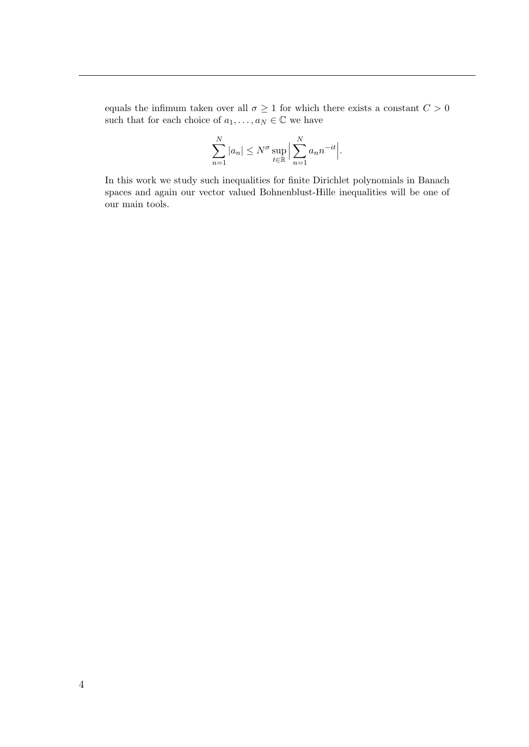equals the infimum taken over all  $\sigma \geq 1$  for which there exists a constant  $C > 0$ such that for each choice of  $a_1, \ldots, a_N \in \mathbb{C}$  we have

$$
\sum_{n=1}^{N} |a_n| \le N^{\sigma} \sup_{t \in \mathbb{R}} \Big| \sum_{n=1}^{N} a_n n^{-it} \Big|.
$$

In this work we study such inequalities for finite Dirichlet polynomials in Banach spaces and again our vector valued Bohnenblust-Hille inequalities will be one of our main tools.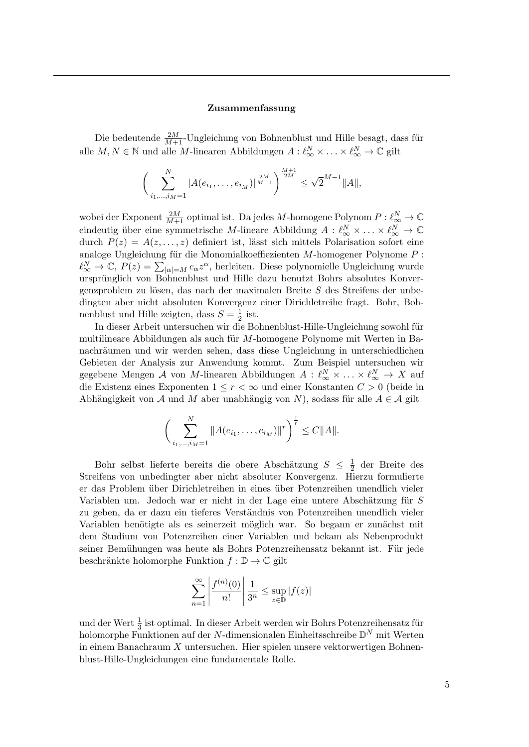#### Zusammenfassung

Die bedeutende  $\frac{2M}{M+1}$ -Ungleichung von Bohnenblust und Hille besagt, dass für alle  $M, N \in \mathbb{N}$  und alle M-linearen Abbildungen  $A: \ell_\infty^N \times \ldots \times \ell_\infty^N \to \mathbb{C}$  gilt

$$
\left(\sum_{i_1,\dots,i_M=1}^N |A(e_{i_1},\dots,e_{i_M})|^{\frac{2M}{M+1}}\right)^{\frac{M+1}{2M}} \leq \sqrt{2}^{M-1} ||A||,
$$

wobei der Exponent  $\frac{2M}{M+1}$  optimal ist. Da jedes M-homogene Polynom  $P: \ell_\infty^N \to \mathbb{C}$ eindeutig über eine symmetrische M-lineare Abbildung  $A: \ell_{\infty}^N \times \ldots \times \ell_{\infty}^N \to \mathbb{C}$ durch  $P(z) = A(z, \ldots, z)$  definiert ist, lässt sich mittels Polarisation sofort eine analoge Ungleichung für die Monomialkoeffiezienten  $M$ -homogener Polynome  $P$ :  $\ell_{\infty}^{N} \to \mathbb{C}, P(z) = \sum_{|\alpha|=M} c_{\alpha} z^{\alpha}$ , herleiten. Diese polynomielle Ungleichung wurde ursprünglich von Bohnenblust und Hille dazu benutzt Bohrs absolutes Konvergenzproblem zu lösen, das nach der maximalen Breite  $S$  des Streifens der unbedingten aber nicht absoluten Konvergenz einer Dirichletreihe fragt. Bohr, Bohnenblust und Hille zeigten, dass  $S=\frac{1}{2}$  $rac{1}{2}$  ist.

In dieser Arbeit untersuchen wir die Bohnenblust-Hille-Ungleichung sowohl für multilineare Abbildungen als auch für M-homogene Polynome mit Werten in Banachräumen und wir werden sehen, dass diese Ungleichung in unterschiedlichen Gebieten der Analysis zur Anwendung kommt. Zum Beispiel untersuchen wir gegebene Mengen A von M-linearen Abbildungen  $A: \ell_\infty^N \times \ldots \times \ell_\infty^N \to X$  auf die Existenz eines Exponenten  $1 \leq r < \infty$  und einer Konstanten  $C > 0$  (beide in Abhängigkeit von A und M aber unabhängig von N), sodass für alle  $A \in \mathcal{A}$  gilt

$$
\bigg(\sum_{i_1,\dots,i_M=1}^N \|A(e_{i_1},\dots,e_{i_M})\|^r\bigg)^{\frac{1}{r}} \leq C \|A\|.
$$

Bohr selbst lieferte bereits die obere Abschätzung  $S \leq \frac{1}{2}$  $\frac{1}{2}$  der Breite des Streifens von unbedingter aber nicht absoluter Konvergenz. Hierzu formulierte er das Problem über Dirichletreihen in eines über Potenzreihen unendlich vieler Variablen um. Jedoch war er nicht in der Lage eine untere Abschätzung für  $S$ zu geben, da er dazu ein tieferes Verständnis von Potenzreihen unendlich vieler Variablen benötigte als es seinerzeit möglich war. So begann er zunächst mit dem Studium von Potenzreihen einer Variablen und bekam als Nebenprodukt seiner Bemühungen was heute als Bohrs Potenzreihensatz bekannt ist. Für jede beschränkte holomorphe Funktion  $f : \mathbb{D} \to \mathbb{C}$  gilt

$$
\sum_{n=1}^{\infty} \left| \frac{f^{(n)}(0)}{n!} \right| \frac{1}{3^n} \le \sup_{z \in \mathbb{D}} |f(z)|
$$

und der Wert  $\frac{1}{3}$  ist optimal. In dieser Arbeit werden wir Bohrs Potenzreihensatz für holomorphe Funktionen auf der N-dimensionalen Einheitsschreibe  $\mathbb{D}^N$  mit Werten in einem Banachraum  $X$  untersuchen. Hier spielen unsere vektorwertigen Bohnenblust-Hille-Ungleichungen eine fundamentale Rolle.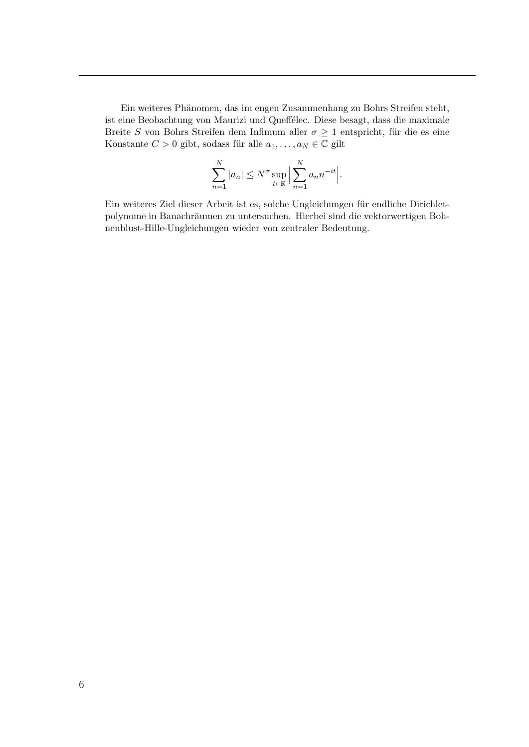Ein weiteres Phänomen, das im engen Zusammenhang zu Bohrs Streifen steht, ist eine Beobachtung von Maurizi und Queffélec. Diese besagt, dass die maximale Breite S von Bohrs Streifen dem Infimum aller  $\sigma \geq 1$  entspricht, für die es eine Konstante $C>0$ gibt, sodass für alle $a_1,\ldots,a_N\in\mathbb{C}$ gilt

$$
\sum_{n=1}^{N} |a_n| \le N^{\sigma} \sup_{t \in \mathbb{R}} \left| \sum_{n=1}^{N} a_n n^{-it} \right|.
$$

Ein weiteres Ziel dieser Arbeit ist es, solche Ungleichungen für endliche Dirichletpolynome in Banachräumen zu untersuchen. Hierbei sind die vektorwertigen Bohnenblust-Hille-Ungleichungen wieder von zentraler Bedeutung.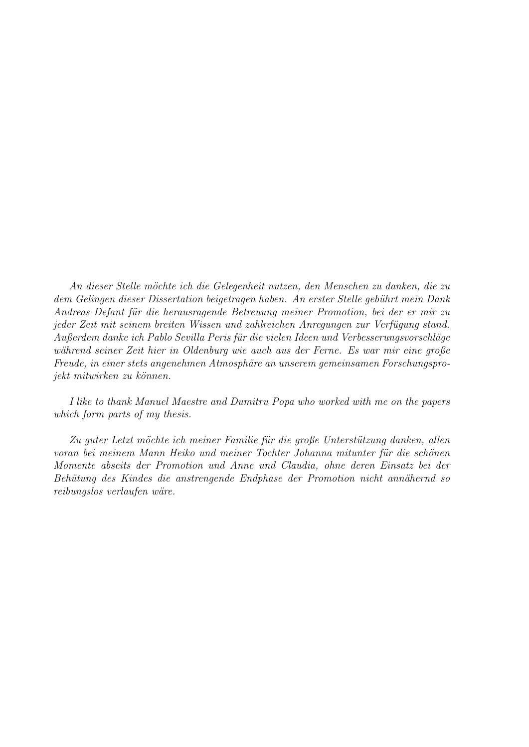An dieser Stelle möchte ich die Gelegenheit nutzen, den Menschen zu danken, die zu dem Gelingen dieser Dissertation beigetragen haben. An erster Stelle gebührt mein Dank Andreas Defant für die herausragende Betreuung meiner Promotion, bei der er mir zu jeder Zeit mit seinem breiten Wissen und zahlreichen Anregungen zur Verfügung stand. Außerdem danke ich Pablo Sevilla Peris für die vielen Ideen und Verbesserungsvorschläge während seiner Zeit hier in Oldenburg wie auch aus der Ferne. Es war mir eine große Freude, in einer stets angenehmen Atmosphäre an unserem gemeinsamen Forschungsprojekt mitwirken zu können.

I like to thank Manuel Maestre and Dumitru Popa who worked with me on the papers which form parts of my thesis.

Zu guter Letzt möchte ich meiner Familie für die große Unterstützung danken, allen voran bei meinem Mann Heiko und meiner Tochter Johanna mitunter für die schönen Momente abseits der Promotion und Anne und Claudia, ohne deren Einsatz bei der Behütung des Kindes die anstrengende Endphase der Promotion nicht annähernd so reibungslos verlaufen wäre.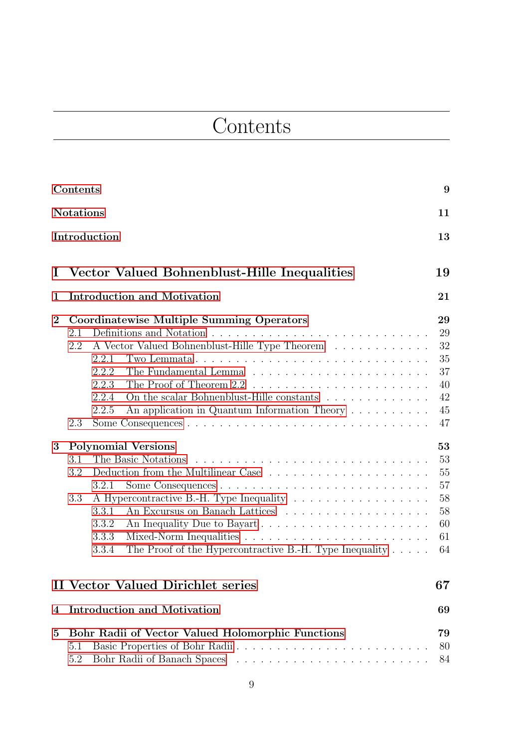## **Contents**

<span id="page-8-0"></span>

|                | Contents                                                                                                                                                                                                                                                                  |                                                    |  |  |  |  |
|----------------|---------------------------------------------------------------------------------------------------------------------------------------------------------------------------------------------------------------------------------------------------------------------------|----------------------------------------------------|--|--|--|--|
|                | <b>Notations</b><br>11                                                                                                                                                                                                                                                    |                                                    |  |  |  |  |
|                | Introduction<br>13                                                                                                                                                                                                                                                        |                                                    |  |  |  |  |
| Ι              | Vector Valued Bohnenblust-Hille Inequalities                                                                                                                                                                                                                              | 19                                                 |  |  |  |  |
| 1              | <b>Introduction and Motivation</b>                                                                                                                                                                                                                                        | 21                                                 |  |  |  |  |
| $\overline{2}$ | Coordinatewise Multiple Summing Operators<br>2.1<br>A Vector Valued Bohnenblust-Hille Type Theorem<br>2.2<br>2.2.1<br>Two Lemmata<br>2.2.2<br>2.2.3<br>2.2.4<br>On the scalar Bohnenblust-Hille constants<br>An application in Quantum Information Theory<br>2.2.5<br>2.3 | 29<br>29<br>32<br>35<br>37<br>40<br>42<br>45<br>47 |  |  |  |  |
| 3              | <b>Polynomial Versions</b>                                                                                                                                                                                                                                                | 53                                                 |  |  |  |  |
|                | The Basic Notations<br>3.1<br>Deduction from the Multilinear Case<br>3.2<br>3.2.1<br>3.3<br>An Excursus on Banach Lattices<br>3.3.1<br>An Inequality Due to Bayart<br>3.3.2<br>3.3.3<br>The Proof of the Hypercontractive B.-H. Type Inequality $\ldots$ .<br>3.3.4       | 53<br>55<br>57<br>58<br>58<br>60<br>61<br>64       |  |  |  |  |
|                | II Vector Valued Dirichlet series                                                                                                                                                                                                                                         | 67                                                 |  |  |  |  |
| 4              | <b>Introduction and Motivation</b>                                                                                                                                                                                                                                        | 69                                                 |  |  |  |  |
| 5              | Bohr Radii of Vector Valued Holomorphic Functions<br>5.1<br>5.2                                                                                                                                                                                                           | 79<br>80<br>84                                     |  |  |  |  |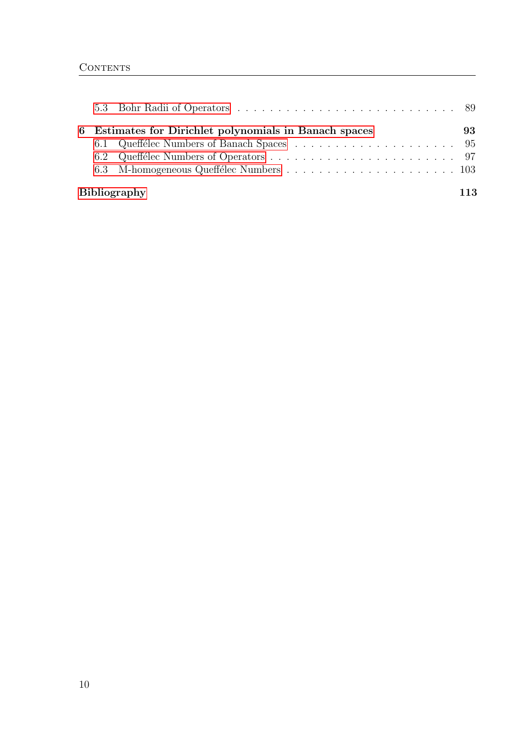|                            | 6 Estimates for Dirichlet polynomials in Banach spaces | 93. |
|----------------------------|--------------------------------------------------------|-----|
|                            |                                                        |     |
|                            |                                                        |     |
|                            |                                                        |     |
| <b>Bibliography</b><br>113 |                                                        |     |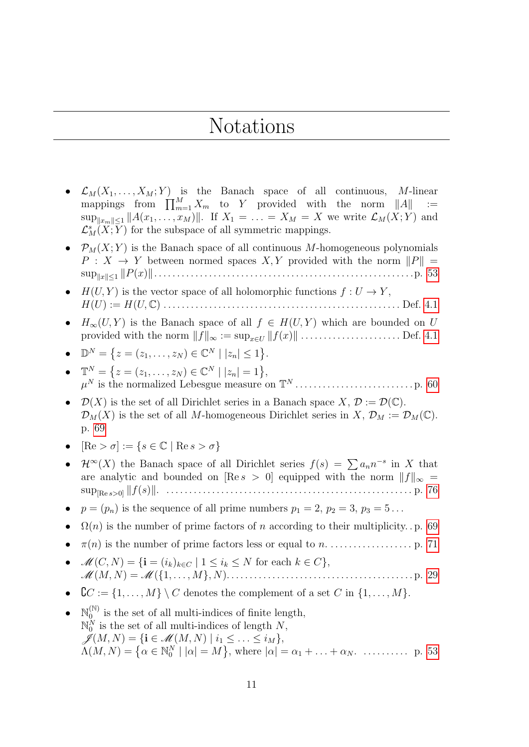### Notations

- <span id="page-10-0"></span>•  $\mathcal{L}_M(X_1, \ldots, X_M; Y)$  is the Banach space of all continuous, M-linear mappings from  $\prod_{m=1}^{M} X_m$  to Y provided with the norm  $||A||$  :=  $\sup_{\Vert x_m \Vert \leq 1} \Vert A(x_1, \ldots, x_M) \Vert$ . If  $X_1 = \ldots = X_M = X$  we write  $\mathcal{L}_M(X; Y)$  and  $\mathcal{L}_{M}^{s}(X;\overline{Y})$  for the subspace of all symmetric mappings.
- $\mathcal{P}_M(X; Y)$  is the Banach space of all continuous M-homogeneous polynomials  $P: X \to Y$  between normed spaces X, Y provided with the norm  $||P|| =$ sup<sup>k</sup>xk≤<sup>1</sup> kP(x)k. . . . . . . . . . . . . . . . . . . . . . . . . . . . . . . . . . . . . . . . . . . . . . . . . . . . . . . . .p. [53](#page-52-0)
- $H(U, Y)$  is the vector space of all holomorphic functions  $f: U \to Y$ , H(U) := H(U, C) . . . . . . . . . . . . . . . . . . . . . . . . . . . . . . . . . . . . . . . . . . . . . . . . . . . . Def. [4.1](#page-70-0)
- $H_{\infty}(U, Y)$  is the Banach space of all  $f \in H(U, Y)$  which are bounded on U provided with the norm kfk<sup>∞</sup> := supx∈<sup>U</sup> kf(x)k . . . . . . . . . . . . . . . . . . . . . . Def. [4.1](#page-70-0)
- $\mathbb{D}^N = \{ z = (z_1, \ldots, z_N) \in \mathbb{C}^N \mid |z_n| \leq 1 \}.$
- $\mathbb{T}^N = \{ z = (z_1, \ldots, z_N) \in \mathbb{C}^N \mid |z_n| = 1 \},\$ µ <sup>N</sup> is the normalized Lebesgue measure on T <sup>N</sup> . . . . . . . . . . . . . . . . . . . . . . . . . . p. [60](#page-59-0)
- $\mathcal{D}(X)$  is the set of all Dirichlet series in a Banach space  $X, \mathcal{D} := \mathcal{D}(\mathbb{C})$ .  $\mathcal{D}_M(X)$  is the set of all M-homogeneous Dirichlet series in  $X, \mathcal{D}_M := \mathcal{D}_M(\mathbb{C})$ . p. [69](#page-68-0)
- $[Re > \sigma] := \{s \in \mathbb{C} \mid \text{Re } s > \sigma\}$
- $\mathcal{H}^{\infty}(X)$  the Banach space of all Dirichlet series  $f(s) = \sum a_n n^{-s}$  in X that are analytic and bounded on [Re s > 0] equipped with the norm  $||f||_{\infty}$  = sup[Re s>0] kf(s)k. . . . . . . . . . . . . . . . . . . . . . . . . . . . . . . . . . . . . . . . . . . . . . . . . . . . . . . p. [76](#page-75-0)
- $p = (p_n)$  is the sequence of all prime numbers  $p_1 = 2$ ,  $p_2 = 3$ ,  $p_3 = 5$ ...
- $\Omega(n)$  is the number of prime factors of n according to their multiplicity. p. [69](#page-68-0)
- π(n) is the number of prime factors less or equal to n. . . . . . . . . . . . . . . . . . . p. [71](#page-70-1)
- $\mathcal{M}(C, N) = \{ \mathbf{i} = (i_k)_{k \in C} \mid 1 \leq i_k \leq N \text{ for each } k \in C \},\$ M(M, N) = M({1, . . . , M}, N). . . . . . . . . . . . . . . . . . . . . . . . . . . . . . . . . . . . . . . . . p. [29](#page-28-1)
- ${\mathbb C} C := \{1, \ldots, M\} \setminus C$  denotes the complement of a set C in  $\{1, \ldots, M\}$ .
- $\bullet\quad\mathbb{N}_0^{(\mathbb{N})}$  $\int_0^{(\mathbb{N})}$  is the set of all multi-indices of finite length,  $\mathbb{N}_0^N$  is the set of all multi-indices of length N,  $\mathscr{J}(M,N) = \{ \mathbf{i} \in \mathscr{M}(M,N) \mid i_1 \leq \ldots \leq i_M \},\$  $\Lambda(M,N) = \{ \alpha \in \mathbb{N}_0^N \mid |\alpha| = M \},$  where  $|\alpha| = \alpha_1 + \ldots + \alpha_N$ . ............. p. [53](#page-52-1)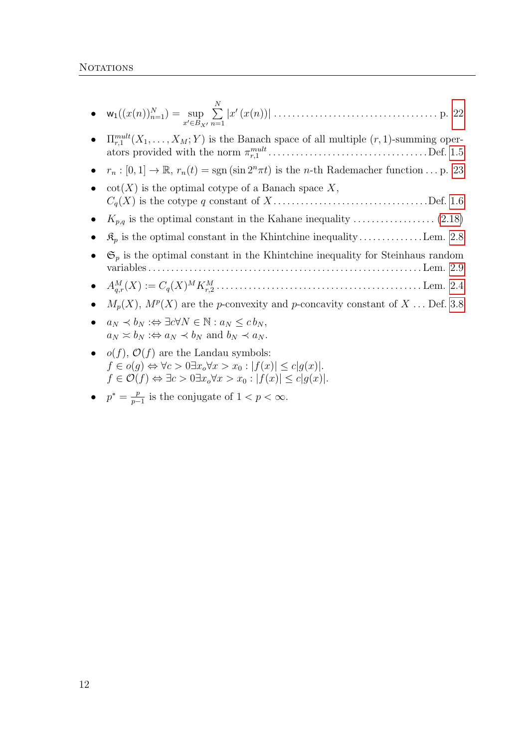| $x'\in B_{X'}$ n=1 |  |
|--------------------|--|

• 
$$
\Pi_{r,1}^{mult}(X_1,\ldots,X_M;Y)
$$
 is the Banach space of all multiple  $(r,1)$ -summing operators provided with the norm  $\pi_{r,1}^{mult}$ .\dots.\n $\ldots$ .\n $\ldots$ .\n $\ldots$ .\n $\ldots$ .\n $\ldots$ .\n $\ldots$ .\n $\ldots$ .\n $\ldots$ .\n $\ldots$ .\n $\ldots$ .\n $\ldots$ .\n $\ldots$ .\n $\ldots$ .\n $\ldots$ .\n $\ldots$ .\n $\ldots$ .\n $\ldots$ .\n $\ldots$ .\n $\ldots$ .\n $\ldots$ .\n $\ldots$ .\n $\ldots$ .\n $\ldots$ .\n $\ldots$ .\n $\ldots$ .\n $\ldots$ .\n $\ldots$ .\n $\ldots$ .\n $\ldots$ .\n $\ldots$ .\n $\ldots$ .\n $\ldots$ .\n $\ldots$ .\n $\ldots$ .\n $\ldots$ .\n $\ldots$ .\n $\ldots$ .\n $\ldots$ .\n $\ldots$ .\n $\ldots$ .\n $\ldots$ .\n $\ldots$ .\n $\ldots$ .\n $\ldots$ .\n $\ldots$ .\n $\ldots$ .\n $\ldots$ .\n $\ldots$ .\n $\ldots$ .\n $\ldots$ .\n $\ldots$ .\n $\ldots$ .\n $\ldots$ .\n $\ldots$ .\n $\ldots$ .\n $\ldots$ .\n $\ldots$ .\n $\ldots$ .\n $\ldots$ .\n $\ldots$ .\n $\ldots$ .\n $\ldots$ .\n $\ldots$ .\n $\ldots$ .\n $\ldots$ .\n $\ldots$ .\n $\ldots$ .\n $\ldots$ .\n $\ldots$ .\n $\ld$ 

- $r_n : [0, 1] \to \mathbb{R}, r_n(t) = \text{sgn}(\sin 2^n \pi t)$  is the *n*-th Rademacher function ... p. [23](#page-22-1)
- $\cot(X)$  is the optimal cotype of a Banach space X, Cq(X) is the cotype q constant of X . . . . . . . . . . . . . . . . . . . . . . . . . . . . . . . . . .Def. [1.6](#page-23-0)
- Kp,q is the optimal constant in the Kahane inequality . . . . . . . . . . . . . . . . . . [\(2.18\)](#page-35-0)
- $\mathcal{R}_p$  is the optimal constant in the Khintchine inequality............... Lem. [2.8](#page-41-1)
- $\mathfrak{S}_p$  is the optimal constant in the Khintchine inequality for Steinhaus random variables . . . . . . . . . . . . . . . . . . . . . . . . . . . . . . . . . . . . . . . . . . . . . . . . . . . . . . . . . . . . Lem. [2.9](#page-42-0)
- A<sup>M</sup> q,r(X) := Cq(X) <sup>M</sup>K<sup>M</sup> r,2 . . . . . . . . . . . . . . . . . . . . . . . . . . . . . . . . . . . . . . . . . . . . . Lem. [2.4](#page-36-1)
- $M_p(X)$ ,  $M^p(X)$  are the *p*-convexity and *p*-concavity constant of X ... Def. [3.8](#page-58-0)
- $a_N \prec b_N : \Leftrightarrow \exists c \forall N \in \mathbb{N} : a_N \leq c b_N,$  $a_N \simeq b_N : \Leftrightarrow a_N \prec b_N$  and  $b_N \prec a_N$ .
- $o(f)$ ,  $\mathcal{O}(f)$  are the Landau symbols:  $f \in o(g) \Leftrightarrow \forall c > 0 \exists x_o \forall x > x_0 : |f(x)| \le c|g(x)|.$  $f \in \mathcal{O}(f) \Leftrightarrow \exists c > 0 \exists x_o \forall x > x_0 : |f(x)| \leq c|g(x)|.$
- $p^* = \frac{p}{n}$  $\frac{p}{p-1}$  is the conjugate of  $1 < p < \infty$ .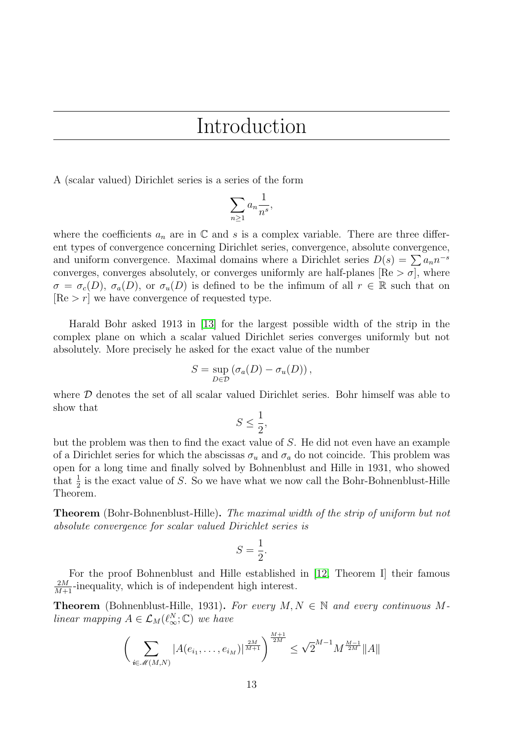### Introduction

<span id="page-12-0"></span>A (scalar valued) Dirichlet series is a series of the form

$$
\sum_{n\geq 1} a_n \frac{1}{n^s},
$$

where the coefficients  $a_n$  are in  $\mathbb C$  and s is a complex variable. There are three different types of convergence concerning Dirichlet series, convergence, absolute convergence, and uniform convergence. Maximal domains where a Dirichlet series  $D(s) = \sum a_n n^{-s}$ converges, converges absolutely, or converges uniformly are half-planes  $\text{[Re} > \sigma$ , where  $\sigma = \sigma_c(D)$ ,  $\sigma_a(D)$ , or  $\sigma_u(D)$  is defined to be the infimum of all  $r \in \mathbb{R}$  such that on  $[Re > r]$  we have convergence of requested type.

Harald Bohr asked 1913 in [\[13\]](#page-112-1) for the largest possible width of the strip in the complex plane on which a scalar valued Dirichlet series converges uniformly but not absolutely. More precisely he asked for the exact value of the number

$$
S = \sup_{D \in \mathcal{D}} (\sigma_a(D) - \sigma_u(D)),
$$

where  $\mathcal D$  denotes the set of all scalar valued Dirichlet series. Bohr himself was able to show that

$$
S \le \frac{1}{2},
$$

but the problem was then to find the exact value of S. He did not even have an example of a Dirichlet series for which the abscissas  $\sigma_u$  and  $\sigma_a$  do not coincide. This problem was open for a long time and finally solved by Bohnenblust and Hille in 1931, who showed that  $\frac{1}{2}$  is the exact value of S. So we have what we now call the Bohr-Bohnenblust-Hille Theorem.

Theorem (Bohr-Bohnenblust-Hille). The maximal width of the strip of uniform but not absolute convergence for scalar valued Dirichlet series is

$$
S = \frac{1}{2}.
$$

For the proof Bohnenblust and Hille established in [\[12,](#page-112-2) Theorem I] their famous  $\frac{2M}{M+1}$ -inequality, which is of independent high interest.

**Theorem** (Bohnenblust-Hille, 1931). For every  $M, N \in \mathbb{N}$  and every continuous Mlinear mapping  $A \in \mathcal{L}_M(\ell_\infty^N;\mathbb{C})$  we have

$$
\left(\sum_{i \in \mathcal{M}(M,N)} |A(e_{i_1}, \dots, e_{i_M})|^{\frac{2M}{M+1}}\right)^{\frac{M+1}{2M}} \leq \sqrt{2}^{M-1} M^{\frac{M-1}{2M}} \|A\|
$$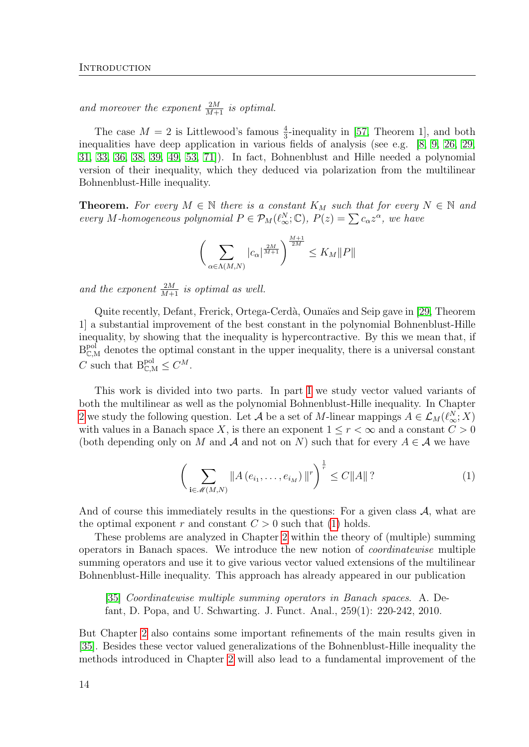and moreover the exponent  $\frac{2M}{M+1}$  is optimal.

The case  $M = 2$  is Littlewood's famous  $\frac{4}{3}$ -inequality in [\[57,](#page-115-0) Theorem 1], and both inequalities have deep application in various fields of analysis (see e.g. [\[8,](#page-112-3) [9,](#page-112-4) [26,](#page-113-0) [29,](#page-113-1) [31,](#page-114-0) [33,](#page-114-1) [36,](#page-114-2) [38,](#page-114-3) [39,](#page-114-4) [49,](#page-115-1) [53,](#page-115-2) [71\]](#page-116-0)). In fact, Bohnenblust and Hille needed a polynomial version of their inequality, which they deduced via polarization from the multilinear Bohnenblust-Hille inequality.

**Theorem.** For every  $M \in \mathbb{N}$  there is a constant  $K_M$  such that for every  $N \in \mathbb{N}$  and every M-homogeneous polynomial  $P \in \mathcal{P}_M(\ell_\infty^N;\mathbb{C}), P(z) = \sum c_\alpha z^\alpha$ , we have

$$
\bigg(\sum_{\alpha\in\Lambda(M,N)}|c_\alpha|^{\frac{2M}{M+1}}\bigg)^{\frac{M+1}{2M}}\leq K_M\|P\|
$$

and the exponent  $\frac{2M}{M+1}$  is optimal as well.

Quite recently, Defant, Frerick, Ortega-Cerdà, Ounaïes and Seip gave in [\[29,](#page-113-1) Theorem 1] a substantial improvement of the best constant in the polynomial Bohnenblust-Hille inequality, by showing that the inequality is hypercontractive. By this we mean that, if  $B_{\mathbb{C},M}^{pol}$  denotes the optimal constant in the upper inequality, there is a universal constant C such that  $B_{\mathbb{C},M}^{pol} \leq C^M$ .

This work is divided into two parts. In part [I](#page-18-0) we study vector valued variants of both the multilinear as well as the polynomial Bohnenblust-Hille inequality. In Chapter [2](#page-28-0) we study the following question. Let A be a set of M-linear mappings  $A \in \mathcal{L}_M(\ell^N_\infty;X)$ with values in a Banach space X, is there an exponent  $1 \leq r < \infty$  and a constant  $C > 0$ (both depending only on M and A and not on N) such that for every  $A \in \mathcal{A}$  we have

<span id="page-13-0"></span>
$$
\left(\sum_{\mathbf{i}\in\mathscr{M}(M,N)}\|A\left(e_{i_1},\ldots,e_{i_M}\right)\|^r\right)^{\frac{1}{r}} \leq C\|A\|?
$$
\n(1)

And of course this immediately results in the questions: For a given class  $A$ , what are the optimal exponent r and constant  $C > 0$  such that [\(1\)](#page-13-0) holds.

These problems are analyzed in Chapter [2](#page-28-0) within the theory of (multiple) summing operators in Banach spaces. We introduce the new notion of coordinatewise multiple summing operators and use it to give various vector valued extensions of the multilinear Bohnenblust-Hille inequality. This approach has already appeared in our publication

[\[35\]](#page-114-5) Coordinatewise multiple summing operators in Banach spaces. A. Defant, D. Popa, and U. Schwarting. J. Funct. Anal., 259(1): 220-242, 2010.

But Chapter [2](#page-28-0) also contains some important refinements of the main results given in [\[35\]](#page-114-5). Besides these vector valued generalizations of the Bohnenblust-Hille inequality the methods introduced in Chapter [2](#page-28-0) will also lead to a fundamental improvement of the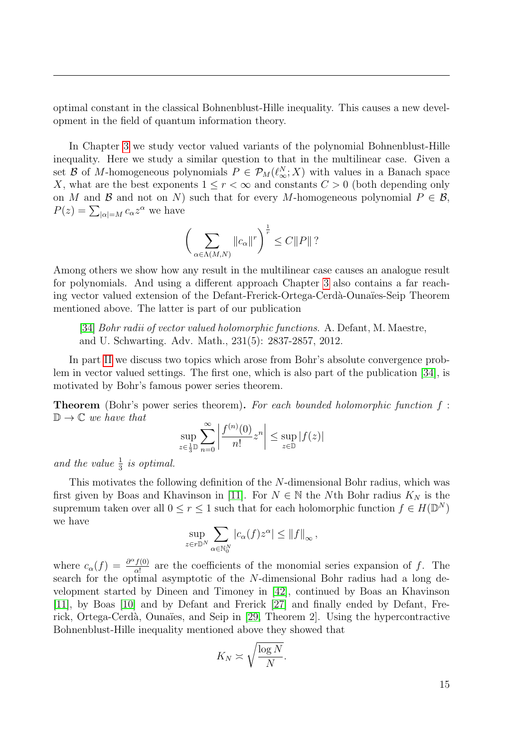optimal constant in the classical Bohnenblust-Hille inequality. This causes a new development in the field of quantum information theory.

In Chapter [3](#page-52-0) we study vector valued variants of the polynomial Bohnenblust-Hille inequality. Here we study a similar question to that in the multilinear case. Given a set B of M-homogeneous polynomials  $P \in \mathcal{P}_M(\ell_\infty^N;X)$  with values in a Banach space X, what are the best exponents  $1 \leq r < \infty$  and constants  $C > 0$  (both depending only on M and B and not on N) such that for every M-homogeneous polynomial  $P \in \mathcal{B}$ ,  $P(z) = \sum_{|\alpha|=M} c_{\alpha} z^{\alpha}$  we have

$$
\bigg(\sum_{\alpha\in\Lambda(M,N)}\|c_{\alpha}\|^{r}\bigg)^{\frac{1}{r}}\leq C\|P\|?
$$

Among others we show how any result in the multilinear case causes an analogue result for polynomials. And using a different approach Chapter [3](#page-52-0) also contains a far reaching vector valued extension of the Defant-Frerick-Ortega-Cerdà-Ounaïes-Seip Theorem mentioned above. The latter is part of our publication

[\[34\]](#page-114-6) Bohr radii of vector valued holomorphic functions. A. Defant, M. Maestre, and U. Schwarting. Adv. Math., 231(5): 2837-2857, 2012.

In part [II](#page-66-0) we discuss two topics which arose from Bohr's absolute convergence problem in vector valued settings. The first one, which is also part of the publication [\[34\]](#page-114-6), is motivated by Bohr's famous power series theorem.

**Theorem** (Bohr's power series theorem). For each bounded holomorphic function  $f$ :  $\mathbb{D} \to \mathbb{C}$  we have that

$$
\sup_{z\in\frac{1}{3}\mathbb{D}}\sum_{n=0}^\infty\left|\frac{f^{(n)}(0)}{n!}z^n\right|\leq\sup_{z\in\mathbb{D}}|f(z)|
$$

and the value  $\frac{1}{3}$  is optimal.

This motivates the following definition of the N-dimensional Bohr radius, which was first given by Boas and Khavinson in [\[11\]](#page-112-5). For  $N \in \mathbb{N}$  the Nth Bohr radius  $K_N$  is the supremum taken over all  $0 \le r \le 1$  such that for each holomorphic function  $f \in H(\mathbb{D}^N)$ we have

$$
\sup_{z \in r\mathbb{D}^N} \sum_{\alpha \in \mathbb{N}_0^N} |c_\alpha(f) z^\alpha| \leq ||f||_{\infty},
$$

where  $c_{\alpha}(f) = \frac{\partial^{\alpha} f(0)}{\partial x^{i}}$  $\frac{f(0)}{\alpha!}$  are the coefficients of the monomial series expansion of f. The search for the optimal asymptotic of the N-dimensional Bohr radius had a long development started by Dineen and Timoney in [\[42\]](#page-114-7), continued by Boas an Khavinson [\[11\]](#page-112-5), by Boas [\[10\]](#page-112-6) and by Defant and Frerick [\[27\]](#page-113-2) and finally ended by Defant, Fre-rick, Ortega-Cerdà, Ounaïes, and Seip in [\[29,](#page-113-1) Theorem 2]. Using the hypercontractive Bohnenblust-Hille inequality mentioned above they showed that

$$
K_N \asymp \sqrt{\frac{\log N}{N}}.
$$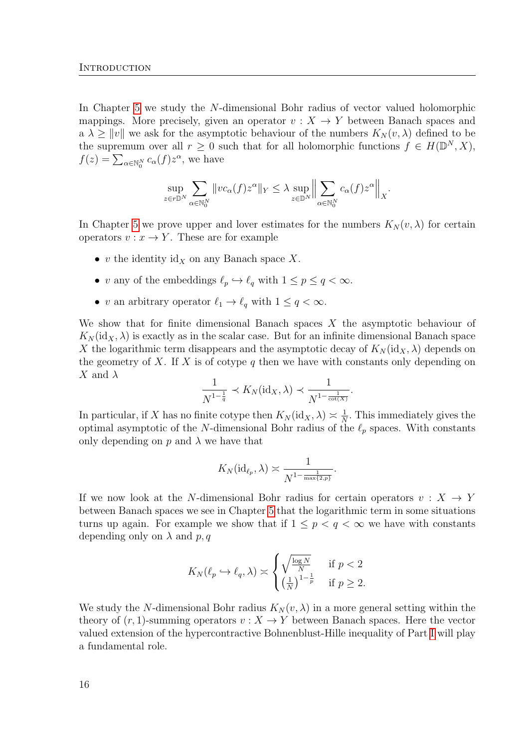In Chapter [5](#page-78-0) we study the N-dimensional Bohr radius of vector valued holomorphic mappings. More precisely, given an operator  $v : X \to Y$  between Banach spaces and a  $\lambda \geq ||v||$  we ask for the asymptotic behaviour of the numbers  $K_N(v, \lambda)$  defined to be the supremum over all  $r \geq 0$  such that for all holomorphic functions  $f \in H(\mathbb{D}^N, X)$ ,  $f(z) = \sum_{\alpha \in \mathbb{N}_0^N} c_{\alpha}(f) z^{\alpha}$ , we have

$$
\sup_{z \in r\mathbb{D}^N} \sum_{\alpha \in \mathbb{N}_0^N} \|vc_{\alpha}(f)z^{\alpha}\|_{Y} \leq \lambda \sup_{z \in \mathbb{D}^N} \Big\| \sum_{\alpha \in \mathbb{N}_0^N} c_{\alpha}(f)z^{\alpha} \Big\|_{X}.
$$

In Chapter [5](#page-78-0) we prove upper and lover estimates for the numbers  $K_N(v, \lambda)$  for certain operators  $v : x \to Y$ . These are for example

- v the identity  $\mathrm{id}_X$  on any Banach space X.
- v any of the embeddings  $\ell_p \hookrightarrow \ell_q$  with  $1 \leq p \leq q < \infty.$
- v an arbitrary operator  $\ell_1 \to \ell_q$  with  $1 \le q < \infty$ .

We show that for finite dimensional Banach spaces  $X$  the asymptotic behaviour of  $K_N(\mathrm{id}_X, \lambda)$  is exactly as in the scalar case. But for an infinite dimensional Banach space X the logarithmic term disappears and the asymptotic decay of  $K_N(\mathrm{id}_X, \lambda)$  depends on the geometry of X. If X is of cotype  $q$  then we have with constants only depending on X and  $\lambda$ 

$$
\frac{1}{N^{1-\frac{1}{q}}} \prec K_N(\mathrm{id}_X, \lambda) \prec \frac{1}{N^{1-\frac{1}{\cot(X)}}}.
$$

In particular, if X has no finite cotype then  $K_N(\mathrm{id}_X, \lambda) \geq \frac{1}{N}$  $\frac{1}{N}$ . This immediately gives the optimal asymptotic of the N-dimensional Bohr radius of the  $\ell_p$  spaces. With constants only depending on  $p$  and  $\lambda$  we have that

$$
K_N(\mathrm{id}_{\ell_p}, \lambda) \asymp \frac{1}{N^{1-\frac{1}{\max\{2,p\}}}}.
$$

If we now look at the N-dimensional Bohr radius for certain operators  $v : X \to Y$ between Banach spaces we see in Chapter [5](#page-78-0) that the logarithmic term in some situations turns up again. For example we show that if  $1 \leq p < q < \infty$  we have with constants depending only on  $\lambda$  and  $p, q$ 

$$
K_N(\ell_p \hookrightarrow \ell_q, \lambda) \asymp \begin{cases} \sqrt{\frac{\log N}{N}} & \text{if } p < 2\\ \left(\frac{1}{N}\right)^{1-\frac{1}{p}} & \text{if } p \ge 2. \end{cases}
$$

We study the N-dimensional Bohr radius  $K_N(v, \lambda)$  in a more general setting within the theory of  $(r, 1)$ -summing operators  $v : X \to Y$  between Banach spaces. Here the vector valued extension of the hypercontractive Bohnenblust-Hille inequality of Part [I](#page-18-0) will play a fundamental role.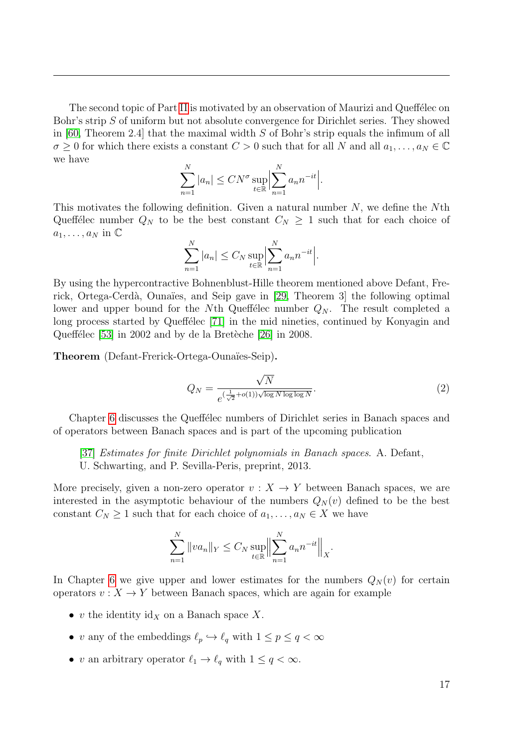The second topic of Part [II](#page-66-0) is motivated by an observation of Maurizi and Queffélec on Bohr's strip S of uniform but not absolute convergence for Dirichlet series. They showed in [\[60,](#page-115-3) Theorem 2.4] that the maximal width S of Bohr's strip equals the infimum of all  $\sigma \geq 0$  for which there exists a constant  $C > 0$  such that for all N and all  $a_1, \ldots, a_N \in \mathbb{C}$ we have

$$
\sum_{n=1}^{N} |a_n| \leq C N^{\sigma} \sup_{t \in \mathbb{R}} \Big| \sum_{n=1}^{N} a_n n^{-it} \Big|.
$$

This motivates the following definition. Given a natural number  $N$ , we define the  $N$ th Queffélec number  $Q_N$  to be the best constant  $C_N \geq 1$  such that for each choice of  $a_1, \ldots, a_N$  in  $\mathbb C$ 

$$
\sum_{n=1}^{N} |a_n| \le C_N \sup_{t \in \mathbb{R}} \Big| \sum_{n=1}^{N} a_n n^{-it} \Big|.
$$

By using the hypercontractive Bohnenblust-Hille theorem mentioned above Defant, Frerick, Ortega-Cerdà, Ounaïes, and Seip gave in  $[29,$  Theorem 3 the following optimal lower and upper bound for the Nth Queffelec number  $Q_N$ . The result completed a long process started by Queffélec [\[71\]](#page-116-0) in the mid nineties, continued by Konyagin and Queffélec  $[53]$  in 2002 and by de la Bretèche  $[26]$  in 2008.

Theorem (Defant-Frerick-Ortega-Ounaïes-Seip).

$$
Q_N = \frac{\sqrt{N}}{e^{\left(\frac{1}{\sqrt{2}} + o(1)\right)\sqrt{\log N \log \log N}}}. \tag{2}
$$

Chapter [6](#page-92-0) discusses the Queffelec numbers of Dirichlet series in Banach spaces and of operators between Banach spaces and is part of the upcoming publication

[\[37\]](#page-114-8) Estimates for finite Dirichlet polynomials in Banach spaces. A. Defant,

U. Schwarting, and P. Sevilla-Peris, preprint, 2013.

More precisely, given a non-zero operator  $v : X \to Y$  between Banach spaces, we are interested in the asymptotic behaviour of the numbers  $Q_N(v)$  defined to be the best constant  $C_N \geq 1$  such that for each choice of  $a_1, \ldots, a_N \in X$  we have

$$
\sum_{n=1}^{N} ||va_n||_Y \leq C_N \sup_{t \in \mathbb{R}} \Big\| \sum_{n=1}^{N} a_n n^{-it} \Big\|_X.
$$

In Chapter [6](#page-92-0) we give upper and lower estimates for the numbers  $Q_N(v)$  for certain operators  $v: X \to Y$  between Banach spaces, which are again for example

- v the identity  $\mathrm{id}_X$  on a Banach space X.
- v any of the embeddings  $\ell_p \hookrightarrow \ell_q$  with  $1 \leq p \leq q < \infty$
- v an arbitrary operator  $\ell_1 \to \ell_q$  with  $1 \le q < \infty$ .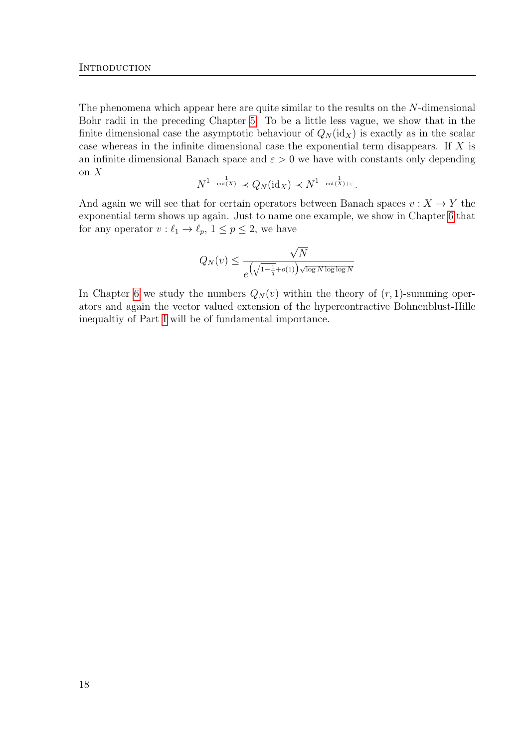The phenomena which appear here are quite similar to the results on the N-dimensional Bohr radii in the preceding Chapter [5.](#page-78-0) To be a little less vague, we show that in the finite dimensional case the asymptotic behaviour of  $Q_N(\mathrm{id}_X)$  is exactly as in the scalar case whereas in the infinite dimensional case the exponential term disappears. If X is an infinite dimensional Banach space and  $\varepsilon > 0$  we have with constants only depending on X

$$
N^{1-\frac{1}{\cot(X)}} \prec Q_N(\mathrm{id}_X) \prec N^{1-\frac{1}{\cot(X)+\varepsilon}}.
$$

And again we will see that for certain operators between Banach spaces  $v : X \to Y$  the exponential term shows up again. Just to name one example, we show in Chapter [6](#page-92-0) that for any operator  $v : \ell_1 \to \ell_p, \, 1 \le p \le 2$ , we have

$$
Q_N(v) \le \frac{\sqrt{N}}{e^{\left(\sqrt{1-\frac{1}{q}}+o(1)\right)\sqrt{\log N \log \log N}}}
$$

In Chapter [6](#page-92-0) we study the numbers  $Q_N(v)$  within the theory of  $(r, 1)$ -summing operators and again the vector valued extension of the hypercontractive Bohnenblust-Hille inequaltiy of Part [I](#page-18-0) will be of fundamental importance.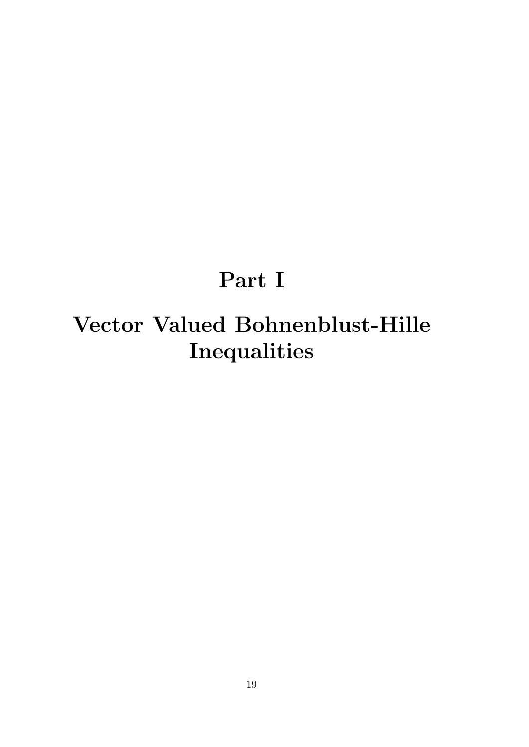## Part I

# <span id="page-18-0"></span>Vector Valued Bohnenblust-Hille Inequalities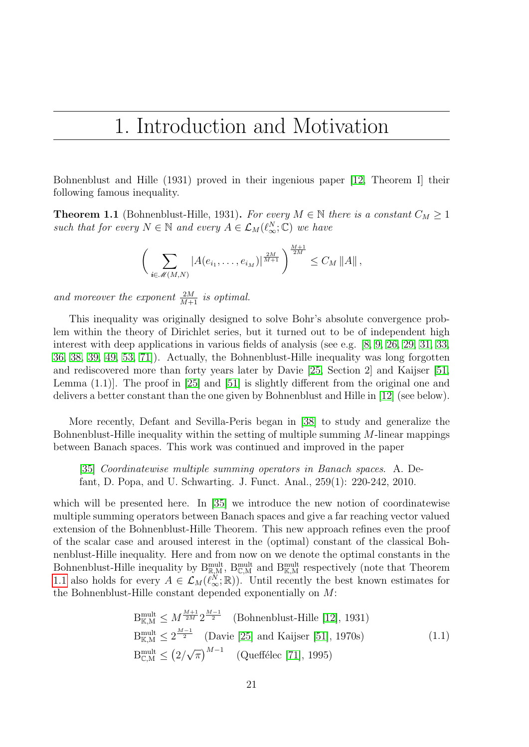## <span id="page-20-0"></span>1. Introduction and Motivation

Bohnenblust and Hille (1931) proved in their ingenious paper [\[12,](#page-112-2) Theorem I] their following famous inequality.

<span id="page-20-1"></span>**Theorem 1.1** (Bohnenblust-Hille, 1931). For every  $M \in \mathbb{N}$  there is a constant  $C_M \geq 1$ such that for every  $N \in \mathbb{N}$  and every  $A \in \mathcal{L}_M(\ell^N_\infty; \mathbb{C})$  we have

$$
\bigg(\sum_{i\in\mathscr{M}(M,N)}|A(e_{i_1},\ldots,e_{i_M})|^{\frac{2M}{M+1}}\bigg)^{\frac{M+1}{2M}}\leq C_M \|A\|,
$$

and moreover the exponent  $\frac{2M}{M+1}$  is optimal.

This inequality was originally designed to solve Bohr's absolute convergence problem within the theory of Dirichlet series, but it turned out to be of independent high interest with deep applications in various fields of analysis (see e.g. [\[8,](#page-112-3) [9,](#page-112-4) [26,](#page-113-0) [29,](#page-113-1) [31,](#page-114-0) [33,](#page-114-1) [36,](#page-114-2) [38,](#page-114-3) [39,](#page-114-4) [49,](#page-115-1) [53,](#page-115-2) [71\]](#page-116-0)). Actually, the Bohnenblust-Hille inequality was long forgotten and rediscovered more than forty years later by Davie [\[25,](#page-113-3) Section 2] and Kaijser [\[51,](#page-115-4) Lemma  $(1.1)$ ]. The proof in [\[25\]](#page-113-3) and [\[51\]](#page-115-4) is slightly different from the original one and delivers a better constant than the one given by Bohnenblust and Hille in [\[12\]](#page-112-2) (see below).

More recently, Defant and Sevilla-Peris began in [\[38\]](#page-114-3) to study and generalize the Bohnenblust-Hille inequality within the setting of multiple summing M-linear mappings between Banach spaces. This work was continued and improved in the paper

[\[35\]](#page-114-5) Coordinatewise multiple summing operators in Banach spaces. A. Defant, D. Popa, and U. Schwarting. J. Funct. Anal., 259(1): 220-242, 2010.

which will be presented here. In [\[35\]](#page-114-5) we introduce the new notion of coordinatewise multiple summing operators between Banach spaces and give a far reaching vector valued extension of the Bohnenblust-Hille Theorem. This new approach refines even the proof of the scalar case and aroused interest in the (optimal) constant of the classical Bohnenblust-Hille inequality. Here and from now on we denote the optimal constants in the Bohnenblust-Hille inequality by  $B_{\mathbb{R},M}^{\text{mult}}$ ,  $B_{\mathbb{C},M}^{\text{mult}}$  and  $B_{\mathbb{K},M}^{\text{mult}}$  respectively (note that Theorem [1.1](#page-20-1) also holds for every  $A \in \mathcal{L}_M(\tilde{\ell}_{\infty}^N;\mathbb{R})$ . Until recently the best known estimates for the Bohnenblust-Hille constant depended exponentially on M:

$$
B_{\mathbb{K},M}^{\text{mult}} \le M^{\frac{M+1}{2M}} 2^{\frac{M-1}{2}}
$$
 (Bohnenblust-Hille [12], 1931)  
\n
$$
B_{\mathbb{K},M}^{\text{mult}} \le 2^{\frac{M-1}{2}}
$$
 (Davie [25] and Kaijser [51], 1970s) (1.1)  
\n
$$
B_{\mathbb{C},M}^{\text{mult}} \le (2/\sqrt{\pi})^{M-1}
$$
 (Queffélec [71], 1995)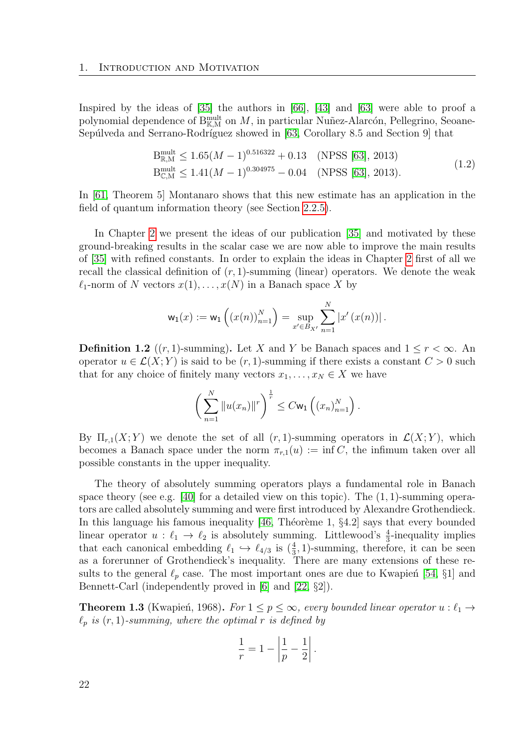Inspired by the ideas of [\[35\]](#page-114-5) the authors in [\[66\]](#page-116-1), [\[43\]](#page-114-9) and [\[63\]](#page-116-2) were able to proof a polynomial dependence of  $B_{\mathbb{K},M}^{\text{mult}}$  on  $M$ , in particular Nuñez-Alarcón, Pellegrino, Seoane-Sepúlveda and Serrano-Rodríguez showed in [\[63,](#page-116-2) Corollary 8.5 and Section 9] that

$$
B_{\mathbb{R},M}^{\text{mult}} \le 1.65(M-1)^{0.516322} + 0.13 \quad \text{(NPSS [63], 2013)}
$$
\n
$$
B_{\mathbb{C},M}^{\text{mult}} \le 1.41(M-1)^{0.304975} - 0.04 \quad \text{(NPSS [63], 2013)}.
$$
\n
$$
(1.2)
$$

<span id="page-21-0"></span>In [\[61,](#page-116-3) Theorem 5] Montanaro shows that this new estimate has an application in the field of quantum information theory (see Section [2.2.5\)](#page-44-0).

In Chapter [2](#page-28-0) we present the ideas of our publication [\[35\]](#page-114-5) and motivated by these ground-breaking results in the scalar case we are now able to improve the main results of [\[35\]](#page-114-5) with refined constants. In order to explain the ideas in Chapter [2](#page-28-0) first of all we recall the classical definition of  $(r, 1)$ -summing (linear) operators. We denote the weak  $\ell_1$ -norm of N vectors  $x(1), \ldots, x(N)$  in a Banach space X by

$$
\mathsf{w}_1(x) := \mathsf{w}_1\left( (x(n))_{n=1}^N \right) = \sup_{x' \in B_{X'}} \sum_{n=1}^N |x'(x(n))|.
$$

<span id="page-21-2"></span>**Definition 1.2** ((r, 1)-summing). Let X and Y be Banach spaces and  $1 \leq r \leq \infty$ . An operator  $u \in \mathcal{L}(X;Y)$  is said to be  $(r,1)$ -summing if there exists a constant  $C > 0$  such that for any choice of finitely many vectors  $x_1, \ldots, x_N \in X$  we have

$$
\left(\sum_{n=1}^N \|u(x_n)\|^r\right)^{\frac{1}{r}} \leq C \mathsf{w}_1\left((x_n)_{n=1}^N\right).
$$

By  $\Pi_{r,1}(X;Y)$  we denote the set of all  $(r,1)$ -summing operators in  $\mathcal{L}(X;Y)$ , which becomes a Banach space under the norm  $\pi_{r,1}(u) := \inf C$ , the infimum taken over all possible constants in the upper inequality.

The theory of absolutely summing operators plays a fundamental role in Banach space theory (see e.g. [\[40\]](#page-114-10) for a detailed view on this topic). The  $(1, 1)$ -summing operators are called absolutely summing and were first introduced by Alexandre Grothendieck. In this language his famous inequality  $[46,$  Théorème 1,  $\S4.2$ ] says that every bounded linear operator  $u : \ell_1 \to \ell_2$  is absolutely summing. Littlewood's  $\frac{4}{3}$ -inequality implies that each canonical embedding  $\ell_1 \hookrightarrow \ell_{4/3}$  is  $(\frac{4}{3}, 1)$ -summing, therefore, it can be seen as a forerunner of Grothendieck's inequality. There are many extensions of these results to the general  $\ell_p$  case. The most important ones are due to Kwapien<sup> [\[54,](#page-115-6) §1]</sup> and Bennett-Carl (independently proved in [\[6\]](#page-112-7) and [\[22,](#page-113-4) §2]).

<span id="page-21-1"></span>**Theorem 1.3** (Kwapień, 1968). For  $1 \leq p \leq \infty$ , every bounded linear operator  $u : \ell_1 \rightarrow$  $\ell_p$  is  $(r, 1)$ -summing, where the optimal r is defined by

$$
\frac{1}{r} = 1 - \left| \frac{1}{p} - \frac{1}{2} \right|.
$$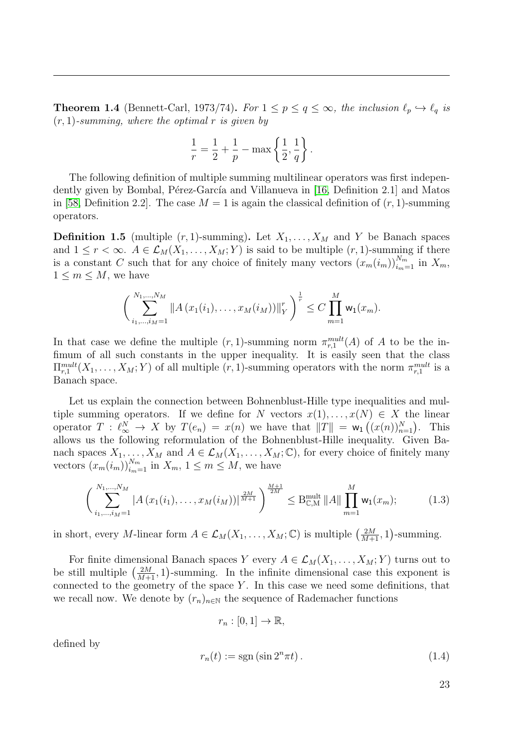<span id="page-22-2"></span>**Theorem 1.4** (Bennett-Carl, 1973/74). For  $1 \leq p \leq q \leq \infty$ , the inclusion  $\ell_p \hookrightarrow \ell_q$  is  $(r, 1)$ -summing, where the optimal r is given by

$$
\frac{1}{r} = \frac{1}{2} + \frac{1}{p} - \max\left\{\frac{1}{2}, \frac{1}{q}\right\}.
$$

The following definition of multiple summing multilinear operators was first indepen-dently given by Bombal, Pérez-García and Villanueva in [\[16,](#page-113-5) Definition 2.1] and Matos in [\[58,](#page-115-7) Definition 2.2]. The case  $M = 1$  is again the classical definition of  $(r, 1)$ -summing operators.

<span id="page-22-0"></span>**Definition 1.5** (multiple  $(r, 1)$ -summing). Let  $X_1, \ldots, X_M$  and Y be Banach spaces and  $1 \leq r < \infty$ .  $A \in \mathcal{L}_M(X_1, \ldots, X_M; Y)$  is said to be multiple  $(r, 1)$ -summing if there is a constant C such that for any choice of finitely many vectors  $(x_m(i_m))_{i_m=1}^{N_m}$  in  $X_m$ ,  $1 \leq m \leq M$ , we have

$$
\left(\sum_{i_1,\dots,i_M=1}^{N_1,\dots,N_M} \|A(x_1(i_1),\dots,x_M(i_M))\|_Y^r\right)^{\frac{1}{r}} \leq C \prod_{m=1}^M w_1(x_m).
$$

In that case we define the multiple  $(r, 1)$ -summing norm  $\pi_{r,1}^{mult}(A)$  of A to be the infimum of all such constants in the upper inequality. It is easily seen that the class  $\Pi_{r,1}^{mult}(X_1,\ldots,X_M;Y)$  of all multiple  $(r,1)$ -summing operators with the norm  $\pi_{r,1}^{mult}$  is a Banach space.

Let us explain the connection between Bohnenblust-Hille type inequalities and multiple summing operators. If we define for N vectors  $x(1), \ldots, x(N) \in X$  the linear operator  $T : \ell_{\infty}^N \to X$  by  $T(e_n) = x(n)$  we have that  $||T|| = w_1((x(n))_{n=1}^N)$ . This allows us the following reformulation of the Bohnenblust-Hille inequality. Given Banach spaces  $X_1, \ldots, X_M$  and  $A \in \mathcal{L}_M(X_1, \ldots, X_M; \mathbb{C})$ , for every choice of finitely many vectors  $(x_m(i_m))_{i_m=1}^{N_m}$  in  $X_m$ ,  $1 \leq m \leq M$ , we have

$$
\left(\sum_{i_1,\dots,i_M=1}^{N_1,\dots,N_M} |A(x_1(i_1),\dots,x_M(i_M))|^{\frac{2M}{M+1}}\right)^{\frac{M+1}{2M}} \leq B_{\mathbb{C},M}^{\text{mult}} \|A\| \prod_{m=1}^M w_1(x_m); \tag{1.3}
$$

in short, every M-linear form  $A \in \mathcal{L}_M(X_1, \ldots, X_M; \mathbb{C})$  is multiple  $\left(\frac{2M}{M+1}, 1\right)$ -summing.

For finite dimensional Banach spaces Y every  $A \in \mathcal{L}_M(X_1, \ldots, X_M; Y)$  turns out to be still multiple  $\left(\frac{2M}{M+1}, 1\right)$ -summing. In the infinite dimensional case this exponent is connected to the geometry of the space  $Y$ . In this case we need some definitions, that we recall now. We denote by  $(r_n)_{n\in\mathbb{N}}$  the sequence of Rademacher functions

$$
r_n : [0,1] \to \mathbb{R},
$$

defined by

<span id="page-22-1"></span>
$$
r_n(t) := \operatorname{sgn}\left(\sin 2^n \pi t\right). \tag{1.4}
$$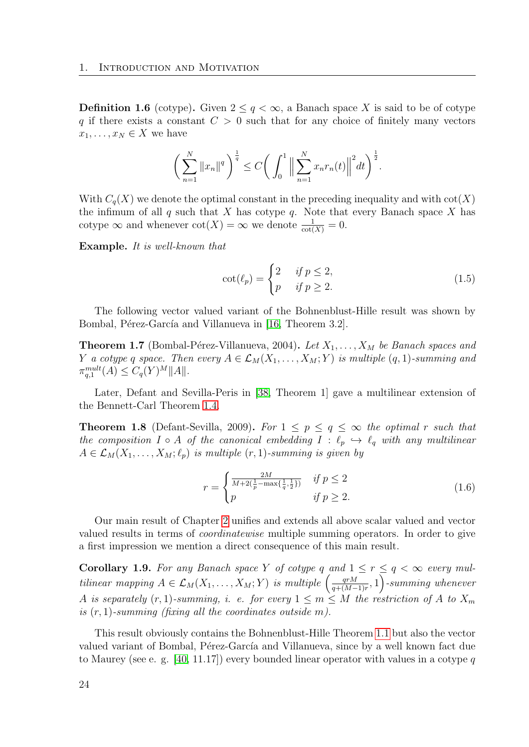<span id="page-23-0"></span>**Definition 1.6** (cotype). Given  $2 \leq q < \infty$ , a Banach space X is said to be of cotype q if there exists a constant  $C > 0$  such that for any choice of finitely many vectors  $x_1, \ldots, x_N \in X$  we have

$$
\bigg(\sum_{n=1}^N \|x_n\|^q\bigg)^{\frac{1}{q}} \le C\bigg(\int_0^1 \Big\|\sum_{n=1}^N x_n r_n(t)\Big\|^2 dt\bigg)^{\frac{1}{2}}.
$$

With  $C_q(X)$  we denote the optimal constant in the preceding inequality and with  $cot(X)$ the infimum of all  $q$  such that  $X$  has cotype  $q$ . Note that every Banach space  $X$  has cotype  $\infty$  and whenever  $\cot(X) = \infty$  we denote  $\frac{1}{\cot(X)} = 0$ .

Example. It is well-known that

$$
\cot(\ell_p) = \begin{cases} 2 & \text{if } p \le 2, \\ p & \text{if } p \ge 2. \end{cases}
$$
 (1.5)

The following vector valued variant of the Bohnenblust-Hille result was shown by Bombal, Pérez-García and Villanueva in [\[16,](#page-113-5) Theorem 3.2].

<span id="page-23-3"></span>**Theorem 1.7** (Bombal-Pérez-Villanueva, 2004). Let  $X_1, \ldots, X_M$  be Banach spaces and Y a cotype q space. Then every  $A \in \mathcal{L}_M(X_1, \ldots, X_M; Y)$  is multiple  $(q, 1)$ -summing and  $\pi_{q,1}^{mult}(A) \leq C_q(Y)^M ||A||.$ 

Later, Defant and Sevilla-Peris in [\[38,](#page-114-3) Theorem 1] gave a multilinear extension of the Bennett-Carl Theorem [1.4.](#page-22-2)

<span id="page-23-1"></span>**Theorem 1.8** (Defant-Sevilla, 2009). For  $1 \leq p \leq q \leq \infty$  the optimal r such that the composition  $I \circ A$  of the canonical embedding  $I : \ell_p \hookrightarrow \ell_q$  with any multilinear  $A \in \mathcal{L}_M(X_1, \ldots, X_M; \ell_p)$  is multiple  $(r, 1)$ -summing is given by

<span id="page-23-2"></span>
$$
r = \begin{cases} \frac{2M}{M + 2(\frac{1}{p} - \max\{\frac{1}{q}, \frac{1}{2}\})} & \text{if } p \le 2\\ p & \text{if } p \ge 2. \end{cases}
$$
 (1.6)

Our main result of Chapter [2](#page-28-0) unifies and extends all above scalar valued and vector valued results in terms of coordinatewise multiple summing operators. In order to give a first impression we mention a direct consequence of this main result.

**Corollary 1.9.** For any Banach space Y of cotype q and  $1 \leq r \leq q < \infty$  every multilinear mapping  $A \in \mathcal{L}_M(X_1, \ldots, X_M; Y)$  is multiple  $\left( \frac{qrM}{q + (M - 1)} \right)$  $\frac{qrM}{q + (M-1)r}$ , 1) -summing whenever A is separately  $(r, 1)$ -summing, i. e. for every  $1 \le m \le M$  the restriction of A to  $X_m$ is  $(r, 1)$ -summing (fixing all the coordinates outside m).

This result obviously contains the Bohnenblust-Hille Theorem [1.1](#page-20-1) but also the vector valued variant of Bombal, Pérez-García and Villanueva, since by a well known fact due to Maurey (see e. g. [\[40,](#page-114-10) 11.17]) every bounded linear operator with values in a cotype q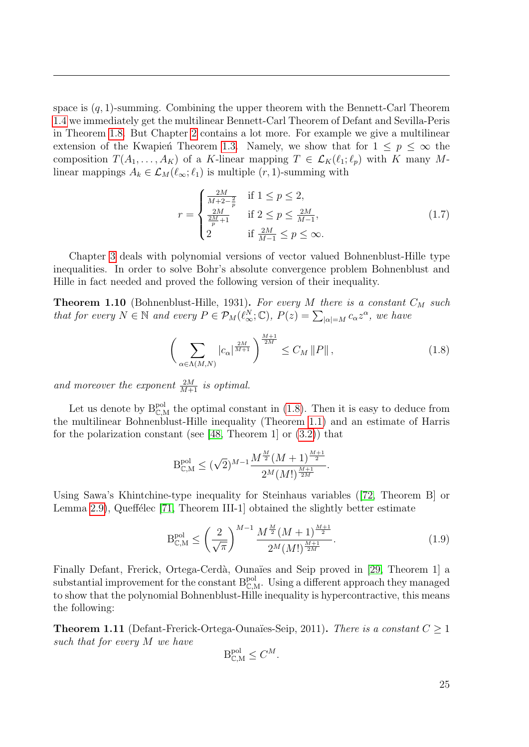space is  $(q, 1)$ -summing. Combining the upper theorem with the Bennett-Carl Theorem [1.4](#page-22-2) we immediately get the multilinear Bennett-Carl Theorem of Defant and Sevilla-Peris in Theorem [1.8.](#page-23-1) But Chapter [2](#page-28-0) contains a lot more. For example we give a multilinear extension of the Kwapien<sup>ch</sup> Theorem [1.3.](#page-21-1) Namely, we show that for  $1 \leq p \leq \infty$  the composition  $T(A_1, \ldots, A_K)$  of a K-linear mapping  $T \in \mathcal{L}_K(\ell_1; \ell_p)$  with K many Mlinear mappings  $A_k \in \mathcal{L}_M(\ell_\infty; \ell_1)$  is multiple  $(r, 1)$ -summing with

<span id="page-24-1"></span>
$$
r = \begin{cases} \frac{2M}{M+2-\frac{2}{p}} & \text{if } 1 \le p \le 2, \\ \frac{2M}{\frac{2M}{p}+1} & \text{if } 2 \le p \le \frac{2M}{M-1}, \\ 2 & \text{if } \frac{2M}{M-1} \le p \le \infty. \end{cases}
$$
(1.7)

Chapter [3](#page-52-0) deals with polynomial versions of vector valued Bohnenblust-Hille type inequalities. In order to solve Bohr's absolute convergence problem Bohnenblust and Hille in fact needed and proved the following version of their inequality.

**Theorem 1.10** (Bohnenblust-Hille, 1931). For every M there is a constant  $C_M$  such that for every  $N \in \mathbb{N}$  and every  $P \in \mathcal{P}_M(\ell_\infty^N;\mathbb{C}), P(z) = \sum_{|\alpha|=M} c_\alpha z^\alpha$ , we have

<span id="page-24-0"></span>
$$
\left(\sum_{\alpha \in \Lambda(M,N)} |c_{\alpha}|^{\frac{2M}{M+1}}\right)^{\frac{M+1}{2M}} \le C_M \|P\|,
$$
\n(1.8)

and moreover the exponent  $\frac{2M}{M+1}$  is optimal.

Let us denote by  $B_{\mathbb{C},M}^{pol}$  the optimal constant in [\(1.8\)](#page-24-0). Then it is easy to deduce from the multilinear Bohnenblust-Hille inequality (Theorem [1.1\)](#page-20-1) and an estimate of Harris for the polarization constant (see [\[48,](#page-115-8) Theorem 1] or  $(3.2)$ ) that

$$
B_{\mathbb{C},M}^{\text{pol}} \le (\sqrt{2})^{M-1} \frac{M^{\frac{M}{2}} (M+1)^{\frac{M+1}{2}}}{2^M (M!)^{\frac{M+1}{2M}}}
$$

Using Sawa's Khintchine-type inequality for Steinhaus variables([\[72,](#page-116-4) Theorem B] or Lemma [2.9\)](#page-42-0), Queffélec  $[71,$  Theorem III-1] obtained the slightly better estimate

$$
B_{\mathbb{C},M}^{\text{pol}} \le \left(\frac{2}{\sqrt{\pi}}\right)^{M-1} \frac{M^{\frac{M}{2}}(M+1)^{\frac{M+1}{2}}}{2^M (M!)^{\frac{M+1}{2M}}}.\tag{1.9}
$$

.

Finally Defant, Frerick, Ortega-Cerdà, Ounaïes and Seip proved in [\[29,](#page-113-1) Theorem 1] a substantial improvement for the constant  $B_{\mathbb{C},M}^{pol}$ . Using a different approach they managed to show that the polynomial Bohnenblust-Hille inequality is hypercontractive, this means the following:

**Theorem 1.11** (Defant-Frerick-Ortega-Ounaïes-Seip, 2011). There is a constant  $C \geq 1$ such that for every M we have

$$
\mathcal{B}_{\mathbb{C},\mathcal{M}}^{\text{pol}} \leq C^M.
$$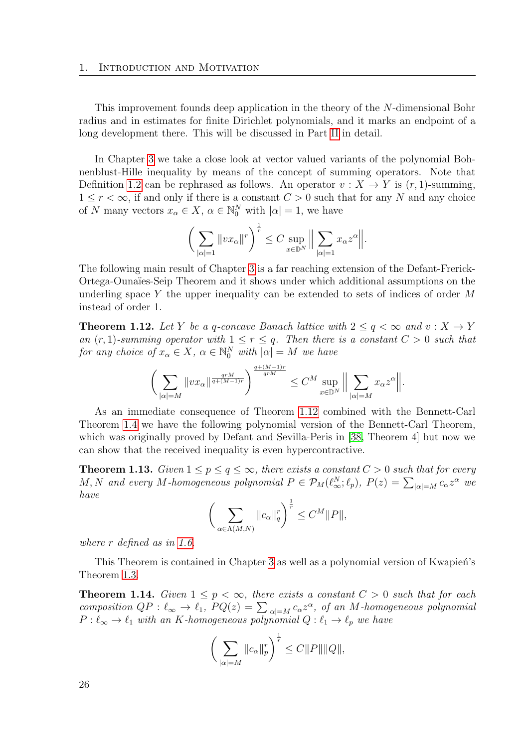This improvement founds deep application in the theory of the N-dimensional Bohr radius and in estimates for finite Dirichlet polynomials, and it marks an endpoint of a long development there. This will be discussed in Part [II](#page-66-0) in detail.

In Chapter [3](#page-52-0) we take a close look at vector valued variants of the polynomial Bohnenblust-Hille inequality by means of the concept of summing operators. Note that Definition [1.2](#page-21-2) can be rephrased as follows. An operator  $v : X \to Y$  is  $(r, 1)$ -summing,  $1 \leq r < \infty$ , if and only if there is a constant  $C > 0$  such that for any N and any choice of N many vectors  $x_{\alpha} \in X$ ,  $\alpha \in \mathbb{N}_0^N$  with  $|\alpha|=1$ , we have

$$
\bigg(\sum_{|\alpha|=1}||vx_{\alpha}||^{r}\bigg)^{\frac{1}{r}} \leq C \sup_{x \in \mathbb{D}^{N}}\bigg\|\sum_{|\alpha|=1}x_{\alpha}z^{\alpha}\bigg\|.
$$

The following main result of Chapter [3](#page-52-0) is a far reaching extension of the Defant-Frerick-Ortega-Ounaïes-Seip Theorem and it shows under which additional assumptions on the underling space Y the upper inequality can be extended to sets of indices of order  $M$ instead of order 1.

<span id="page-25-0"></span>**Theorem 1.12.** Let Y be a q-concave Banach lattice with  $2 \le q \le \infty$  and  $v: X \to Y$ an  $(r, 1)$ -summing operator with  $1 \leq r \leq q$ . Then there is a constant  $C > 0$  such that for any choice of  $x_{\alpha} \in X$ ,  $\alpha \in \mathbb{N}_0^N$  with  $|\alpha| = M$  we have

$$
\bigg(\sum_{|\alpha|=M}\|vx_{\alpha}\|^{\frac{qrM}{q+(M-1)r}}\bigg)^{\frac{q+(M-1)r}{qrM}}\leq C^{M}\sup_{x\in\mathbb{D}^N}\bigg\|\sum_{|\alpha|=M}x_{\alpha}z^{\alpha}\bigg\|.
$$

As an immediate consequence of Theorem [1.12](#page-25-0) combined with the Bennett-Carl Theorem [1.4](#page-22-2) we have the following polynomial version of the Bennett-Carl Theorem, which was originally proved by Defant and Sevilla-Peris in [\[38,](#page-114-3) Theorem 4] but now we can show that the received inequality is even hypercontractive.

**Theorem 1.13.** Given  $1 \leq p \leq q \leq \infty$ , there exists a constant  $C > 0$  such that for every M, N and every M-homogeneous polynomial  $P \in \mathcal{P}_M(\ell_\infty^N;\ell_p)$ ,  $P(z) = \sum_{|\alpha|=M} c_\alpha z^\alpha$  we have

$$
\bigg(\sum_{\alpha\in\Lambda(M,N)}\|c_{\alpha}\|_{q}^{r}\bigg)^{\frac{1}{r}}\leq C^{M}\|P\|,
$$

where r defined as in [1.6.](#page-23-2)

This Theorem is contained in Chapter [3](#page-52-0) as well as a polynomial version of Kwapień's Theorem [1.3.](#page-21-1)

**Theorem 1.14.** Given  $1 \leq p < \infty$ , there exists a constant  $C > 0$  such that for each composition  $QP: \ell_{\infty} \to \ell_1$ ,  $PQ(z) = \sum_{|\alpha|=M} c_{\alpha} z^{\alpha}$ , of an M-homogeneous polynomial  $P: \ell_{\infty} \to \ell_1$  with an K-homogeneous polynomial  $Q: \ell_1 \to \ell_p$  we have

$$
\bigg(\sum_{|\alpha|=M}||c_{\alpha}||_{p}^{r}\bigg)^{\frac{1}{r}}\leq C||P||||Q||,
$$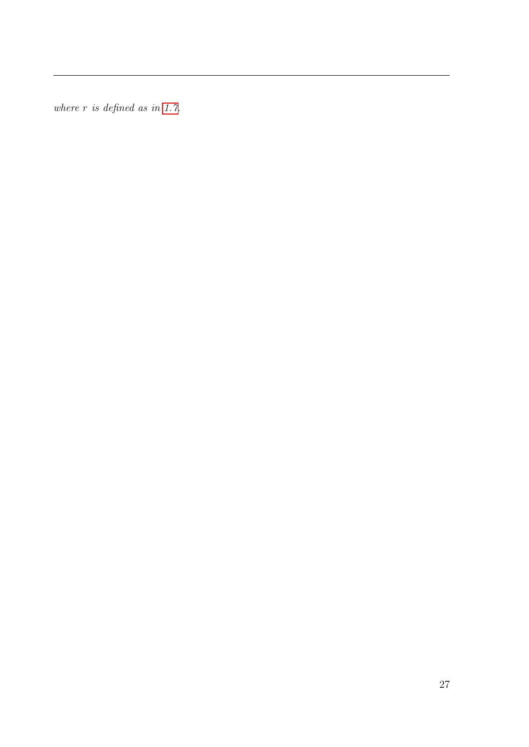where  $r$  is defined as in [1.7.](#page-24-1)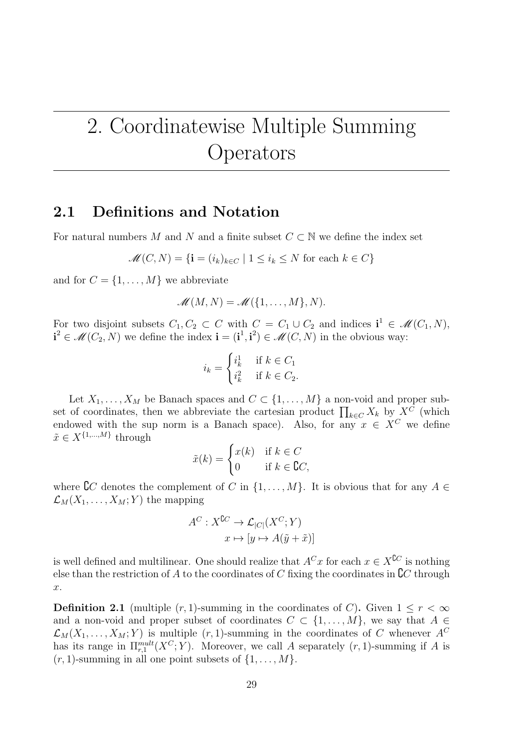## <span id="page-28-0"></span>2. Coordinatewise Multiple Summing Operators

### <span id="page-28-1"></span>2.1 Definitions and Notation

For natural numbers M and N and a finite subset  $C \subset \mathbb{N}$  we define the index set

$$
\mathcal{M}(C, N) = \{ \mathbf{i} = (i_k)_{k \in C} \mid 1 \le i_k \le N \text{ for each } k \in C \}
$$

and for  $C = \{1, \ldots, M\}$  we abbreviate

$$
\mathscr{M}(M,N)=\mathscr{M}(\{1,\ldots,M\},N).
$$

For two disjoint subsets  $C_1, C_2 \subset C$  with  $C = C_1 \cup C_2$  and indices  $\mathbf{i}^1 \in \mathcal{M}(C_1, N)$ ,  $i^2 \in \mathcal{M}(C_2, N)$  we define the index  $i = (i^1, i^2) \in \mathcal{M}(C, N)$  in the obvious way:

$$
i_k = \begin{cases} i_k^1 & \text{if } k \in C_1 \\ i_k^2 & \text{if } k \in C_2. \end{cases}
$$

Let  $X_1, \ldots, X_M$  be Banach spaces and  $C \subset \{1, \ldots, M\}$  a non-void and proper subset of coordinates, then we abbreviate the cartesian product  $\prod_{k\in\mathbb{C}} X_k$  by  $X^{\mathbb{C}}$  (which endowed with the sup norm is a Banach space). Also, for any  $x \in X^C$  we define  $\tilde{x} \in X^{\{1,\dots,M\}}$  through

$$
\tilde{x}(k) = \begin{cases} x(k) & \text{if } k \in C \\ 0 & \text{if } k \in \mathbb{C}C, \end{cases}
$$

where  $\mathcal{C}$  denotes the complement of C in  $\{1, \ldots, M\}$ . It is obvious that for any  $A \in$  $\mathcal{L}_M(X_1, \ldots, X_M; Y)$  the mapping

$$
A^{C}: X^{\complement C} \to \mathcal{L}_{|C|}(X^{C}; Y)
$$

$$
x \mapsto [y \mapsto A(\tilde{y} + \tilde{x})]
$$

is well defined and multilinear. One should realize that  $A^C x$  for each  $x \in X^{\complement C}$  is nothing else than the restriction of A to the coordinates of C fixing the coordinates in  ${\mathfrak C} C$  through x.

**Definition 2.1** (multiple  $(r, 1)$ -summing in the coordinates of C). Given  $1 \leq r < \infty$ and a non-void and proper subset of coordinates  $C \subset \{1, \ldots, M\}$ , we say that  $A \in$  $\mathcal{L}_M(X_1,\ldots,X_M;Y)$  is multiple  $(r,1)$ -summing in the coordinates of C whenever  $A^C$ has its range in  $\Pi_{r,1}^{mult}(X^C;Y)$ . Moreover, we call A separately  $(r,1)$ -summing if A is  $(r, 1)$ -summing in all one point subsets of  $\{1, \ldots, M\}$ .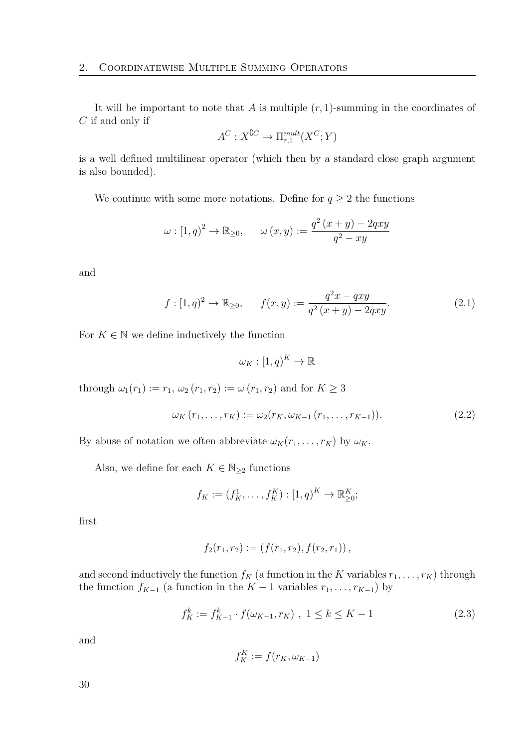It will be important to note that A is multiple  $(r, 1)$ -summing in the coordinates of  $C$  if and only if

$$
A^C: X^{\complement C} \to \Pi_{r,1}^{mult}(X^C;Y)
$$

is a well defined multilinear operator (which then by a standard close graph argument is also bounded).

We continue with some more notations. Define for  $q \geq 2$  the functions

$$
\omega : [1, q)^2 \to \mathbb{R}_{\geq 0}, \qquad \omega(x, y) := \frac{q^2 (x + y) - 2qxy}{q^2 - xy}
$$

and

$$
f: [1, q)^2 \to \mathbb{R}_{\geq 0}, \qquad f(x, y) := \frac{q^2x - qxy}{q^2(x + y) - 2qxy}.
$$
 (2.1)

For  $K \in \mathbb{N}$  we define inductively the function

<span id="page-29-0"></span>
$$
\omega_K : [1, q)^K \to \mathbb{R}
$$

through  $\omega_1(r_1) := r_1, \omega_2(r_1, r_2) := \omega(r_1, r_2)$  and for  $K \geq 3$ 

$$
\omega_K(r_1, \dots, r_K) := \omega_2(r_K, \omega_{K-1}(r_1, \dots, r_{K-1})).
$$
\n(2.2)

By abuse of notation we often abbreviate  $\omega_K(r_1, \ldots, r_K)$  by  $\omega_K$ .

Also, we define for each  $K \in \mathbb{N}_{\geq 2}$  functions

$$
f_K := (f_K^1, \dots, f_K^K) : [1, q)^K \to \mathbb{R}_{\geq 0}^K;
$$

first

$$
f_2(r_1,r_2):=(f(r_1,r_2),f(r_2,r_1)),
$$

and second inductively the function  $f_K$  (a function in the K variables  $r_1, \ldots, r_K$ ) through the function  $f_{K-1}$  (a function in the  $K-1$  variables  $r_1, \ldots, r_{K-1}$ ) by

<span id="page-29-1"></span>
$$
f_K^k := f_{K-1}^k \cdot f(\omega_{K-1}, r_K) \ , \ 1 \le k \le K - 1 \tag{2.3}
$$

and

$$
f_K^K := f(r_K, \omega_{K-1})
$$

30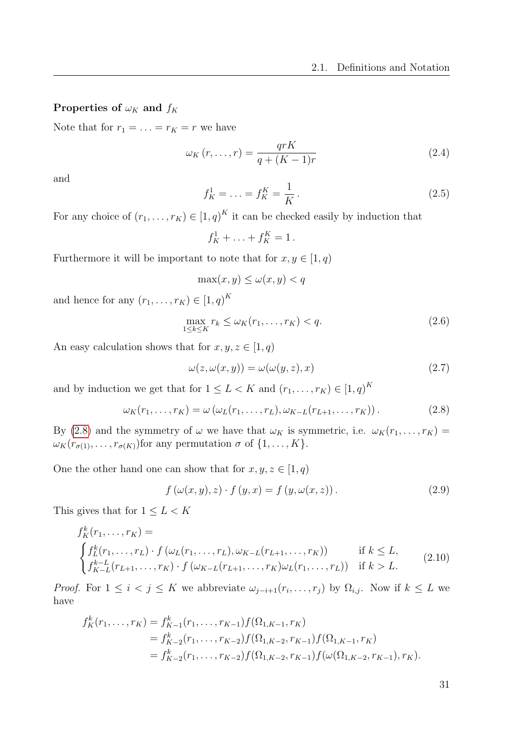#### Properties of  $\omega_K$  and  $f_K$

Note that for  $r_1 = \ldots = r_K = r$  we have

$$
\omega_K(r,\ldots,r) = \frac{qrK}{q + (K-1)r} \tag{2.4}
$$

and

$$
f_K^1 = \ldots = f_K^K = \frac{1}{K} \,. \tag{2.5}
$$

For any choice of  $(r_1, \ldots, r_K) \in [1, q)^K$  it can be checked easily by induction that

$$
f_K^1 + \ldots + f_K^K = 1.
$$

Furthermore it will be important to note that for  $x, y \in [1, q)$ 

$$
\max(x, y) \le \omega(x, y) < q
$$

and hence for any  $(r_1, \ldots, r_K) \in [1, q)^K$ 

$$
\max_{1 \le k \le K} r_k \le \omega_K(r_1, \dots, r_K) < q. \tag{2.6}
$$

An easy calculation shows that for  $x, y, z \in [1, q)$ 

$$
\omega(z, \omega(x, y)) = \omega(\omega(y, z), x) \tag{2.7}
$$

and by induction we get that for  $1 \leq L < K$  and  $(r_1, \ldots, r_K) \in [1, q)^K$ 

<span id="page-30-0"></span>
$$
\omega_K(r_1,\ldots,r_K) = \omega\left(\omega_L(r_1,\ldots,r_L),\omega_{K-L}(r_{L+1},\ldots,r_K)\right). \tag{2.8}
$$

By [\(2.8\)](#page-30-0) and the symmetry of  $\omega$  we have that  $\omega_K$  is symmetric, i.e.  $\omega_K(r_1, \ldots, r_K)$  =  $\omega_K(r_{\sigma(1)},\ldots,r_{\sigma(K)})$  for any permutation  $\sigma$  of  $\{1,\ldots,K\}$ .

One the other hand one can show that for  $x, y, z \in [1, q)$ 

<span id="page-30-1"></span>
$$
f(\omega(x, y), z) \cdot f(y, x) = f(y, \omega(x, z)). \tag{2.9}
$$

This gives that for  $1 \leq L < K$ 

$$
f_K^k(r_1, \ldots, r_K) =
$$
  
\n
$$
\begin{cases}\nf_L^k(r_1, \ldots, r_L) \cdot f(\omega_L(r_1, \ldots, r_L), \omega_{K-L}(r_{L+1}, \ldots, r_K)) & \text{if } k \le L, \\
f_{K-L}^{k-L}(r_{L+1}, \ldots, r_K) \cdot f(\omega_{K-L}(r_{L+1}, \ldots, r_K) \omega_L(r_1, \ldots, r_L)) & \text{if } k > L.\n\end{cases}
$$
\n(2.10)

*Proof.* For  $1 \leq i < j \leq K$  we abbreviate  $\omega_{j-i+1}(r_i,\ldots,r_j)$  by  $\Omega_{i,j}$ . Now if  $k \leq L$  we have

$$
f_K^k(r_1, \ldots, r_K) = f_{K-1}^k(r_1, \ldots, r_{K-1}) f(\Omega_{1,K-1}, r_K)
$$
  
=  $f_{K-2}^k(r_1, \ldots, r_{K-2}) f(\Omega_{1,K-2}, r_{K-1}) f(\Omega_{1,K-1}, r_K)$   
=  $f_{K-2}^k(r_1, \ldots, r_{K-2}) f(\Omega_{1,K-2}, r_{K-1}) f(\omega(\Omega_{1,K-2}, r_{K-1}), r_K).$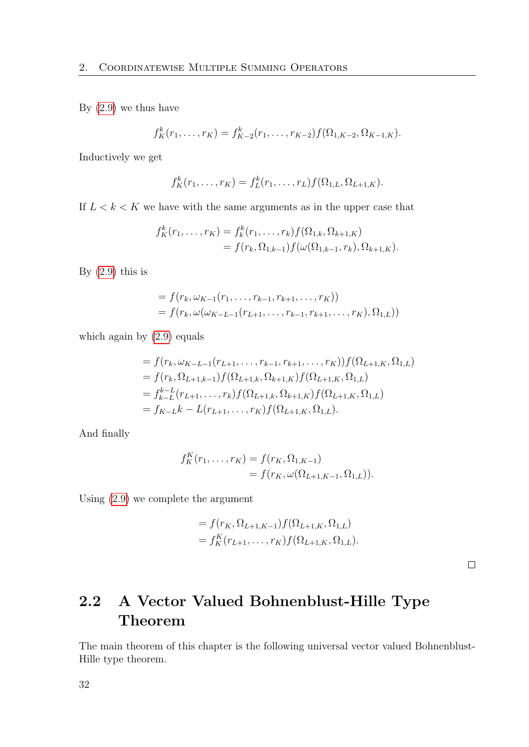By [\(2.9\)](#page-30-1) we thus have

$$
f_K^k(r_1,\ldots,r_K)=f_{K-2}^k(r_1,\ldots,r_{K-2})f(\Omega_{1,K-2},\Omega_{K-1,K}).
$$

Inductively we get

$$
f_K^k(r_1,\ldots,r_K) = f_L^k(r_1,\ldots,r_L)f(\Omega_{1,L},\Omega_{L+1,K}).
$$

If  $L < k < K$  we have with the same arguments as in the upper case that

$$
f_K^k(r_1, \ldots, r_K) = f_k^k(r_1, \ldots, r_k) f(\Omega_{1,k}, \Omega_{k+1,K})
$$
  
=  $f(r_k, \Omega_{1,k-1}) f(\omega(\Omega_{1,k-1}, r_k), \Omega_{k+1,K}).$ 

By  $(2.9)$  this is

$$
= f(r_k, \omega_{K-1}(r_1, \ldots, r_{k-1}, r_{k+1}, \ldots, r_K))
$$
  
=  $f(r_k, \omega(\omega_{K-L-1}(r_{L+1}, \ldots, r_{k-1}, r_{k+1}, \ldots, r_K), \Omega_{1,L}))$ 

which again by  $(2.9)$  equals

$$
= f(r_k, \omega_{K-L-1}(r_{L+1}, \ldots, r_{k-1}, r_{k+1}, \ldots, r_K)) f(\Omega_{L+1,K}, \Omega_{1,L})
$$
  
\n
$$
= f(r_k, \Omega_{L+1,k-1}) f(\Omega_{L+1,k}, \Omega_{k+1,K}) f(\Omega_{L+1,K}, \Omega_{1,L})
$$
  
\n
$$
= f_{k-L}^{k-L}(r_{L+1}, \ldots, r_k) f(\Omega_{L+1,k}, \Omega_{k+1,K}) f(\Omega_{L+1,K}, \Omega_{1,L})
$$
  
\n
$$
= f_{K-L} k - L(r_{L+1}, \ldots, r_K) f(\Omega_{L+1,K}, \Omega_{1,L}).
$$

And finally

$$
f_K^K(r_1, \ldots, r_K) = f(r_K, \Omega_{1,K-1})
$$
  
=  $f(r_K, \omega(\Omega_{L+1,K-1}, \Omega_{1,L})).$ 

Using [\(2.9\)](#page-30-1) we complete the argument

$$
= f(r_K, \Omega_{L+1,K-1}) f(\Omega_{L+1,K}, \Omega_{1,L})
$$
  
=  $f_K^K(r_{L+1}, \dots, r_K) f(\Omega_{L+1,K}, \Omega_{1,L}).$ 

 $\Box$ 

### <span id="page-31-0"></span>2.2 A Vector Valued Bohnenblust-Hille Type Theorem

The main theorem of this chapter is the following universal vector valued Bohnenblust-Hille type theorem.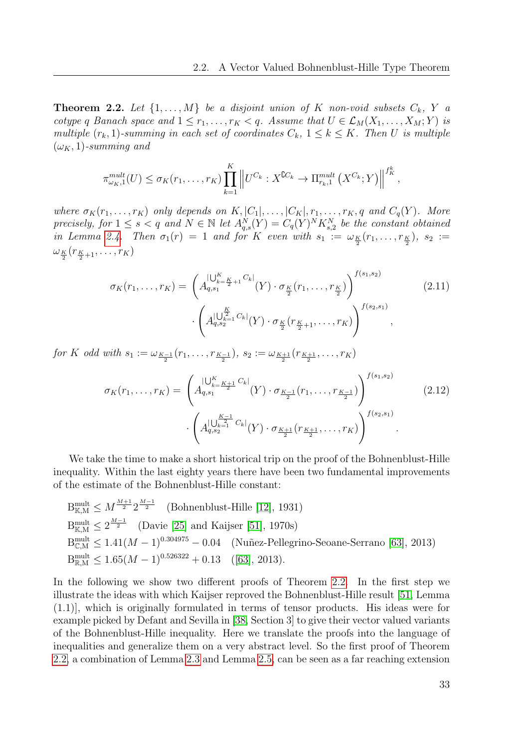<span id="page-32-0"></span>**Theorem 2.2.** Let  $\{1, \ldots, M\}$  be a disjoint union of K non-void subsets  $C_k$ , Y a cotype q Banach space and  $1 \leq r_1, \ldots, r_K < q$ . Assume that  $U \in \mathcal{L}_M(X_1, \ldots, X_M; Y)$  is multiple  $(r_k, 1)$ -summing in each set of coordinates  $C_k$ ,  $1 \leq k \leq K$ . Then U is multiple  $(\omega_K, 1)$ -summing and

$$
\pi_{\omega_K,1}^{mult}(U) \leq \sigma_K(r_1,\ldots,r_K) \prod_{k=1}^K \left\| U^{C_k} : X^{\complement C_k} \to \Pi_{r_k,1}^{mult}(X^{C_k};Y) \right\|^{f_K^k},
$$

where  $\sigma_K(r_1,\ldots,r_K)$  only depends on  $K, |C_1|,\ldots, |C_K|, r_1,\ldots,r_K, q$  and  $C_q(Y)$ . More precisely, for  $1 \leq s < q$  and  $N \in \mathbb{N}$  let  $A_{q,s}^N(Y) = C_q(Y)^N K_{s,2}^N$  be the constant obtained in Lemma [2.4.](#page-36-1) Then  $\sigma_1(r) = 1$  and for K even with  $s_1 := \omega_{\frac{K}{2}}(r_1, \ldots, r_{\frac{K}{2}})$ ,  $s_2 :=$  $\omega_{K \over 2}(r_{K \over 2+1}, \ldots, r_K)$ 

<span id="page-32-1"></span>
$$
\sigma_K(r_1, \dots, r_K) = \left(A_{q,s_1}^{\mid \bigcup_{k=1}^K C_k \mid} (Y) \cdot \sigma_{\frac{K}{2}}(r_1, \dots, r_{\frac{K}{2}})\right)^{f(s_1, s_2)} \cdot \left(A_{q,s_2}^{\mid \bigcup_{k=1}^K C_k \mid} (Y) \cdot \sigma_{\frac{K}{2}}(r_{\frac{K}{2}+1}, \dots, r_K)\right)^{f(s_2, s_1)},
$$
\n(2.11)

for K odd with  $s_1 := \omega_{\frac{K-1}{2}}(r_1, \ldots, r_{\frac{K-1}{2}}), s_2 := \omega_{\frac{K+1}{2}}(r_{\frac{K+1}{2}}, \ldots, r_K)$ 

<span id="page-32-2"></span>
$$
\sigma_K(r_1, \dots, r_K) = \left(A_{q,s_1}^{\mid \bigcup_{k=1}^K C_k \mid} (Y) \cdot \sigma_{\frac{K-1}{2}}(r_1, \dots, r_{\frac{K-1}{2}}) \right)^{f(s_1, s_2)} \cdot \left(A_{q,s_2}^{\mid \bigcup_{k=1}^{\frac{K-1}{2}} C_k \mid} (Y) \cdot \sigma_{\frac{K+1}{2}}(r_{\frac{K+1}{2}}, \dots, r_K)\right)^{f(s_2, s_1)}.
$$
\n(2.12)

We take the time to make a short historical trip on the proof of the Bohnenblust-Hille inequality. Within the last eighty years there have been two fundamental improvements of the estimate of the Bohnenblust-Hille constant:

B<sub>K,M</sub><sup>mult</sup> 
$$
\leq M^{\frac{M+1}{2}} 2^{\frac{M-1}{2}}
$$
 (Bohnenblust-Hille [12], 1931)  
\nB<sub>K,M</sub><sup>mult</sup>  $\leq 2^{\frac{M-1}{2}}$  (Davie [25] and Kaijser [51], 1970s)  
\nB<sub>C,M</sub><sup>mult</sup>  $\leq 1.41(M-1)^{0.304975} - 0.04$  (Nuñez-Pellegrino-Seoane-Serrano [63], 2013)  
\nB<sub>R,M</sub><sup>mult</sup>  $\leq 1.65(M-1)^{0.526322} + 0.13$  ([63], 2013).

In the following we show two different proofs of Theorem [2.2.](#page-32-0) In the first step we illustrate the ideas with which Kaijser reproved the Bohnenblust-Hille result [\[51,](#page-115-4) Lemma (1.1)], which is originally formulated in terms of tensor products. His ideas were for example picked by Defant and Sevilla in [\[38,](#page-114-3) Section 3] to give their vector valued variants of the Bohnenblust-Hille inequality. Here we translate the proofs into the language of inequalities and generalize them on a very abstract level. So the first proof of Theorem [2.2,](#page-32-0) a combination of Lemma [2.3](#page-34-1) and Lemma [2.5,](#page-36-2) can be seen as a far reaching extension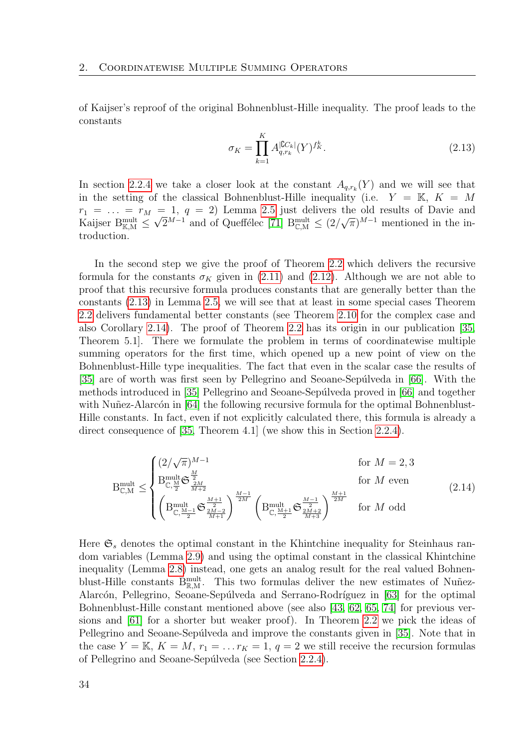of Kaijser's reproof of the original Bohnenblust-Hille inequality. The proof leads to the constants

<span id="page-33-0"></span>
$$
\sigma_K = \prod_{k=1}^K A_{q,r_k}^{|\mathbb{C}C_k|}(Y)^{f_K^k}.
$$
\n(2.13)

In section [2.2.4](#page-41-0) we take a closer look at the constant  $A_{q,r_k}(Y)$  and we will see that in the setting of the classical Bohnenblust-Hille inequality (i.e.  $Y = K, K = M$  $r_1 = \ldots = r_M = 1, q = 2$ ) Lemma [2.5](#page-36-2) just delivers the old results of Davie and Kaijser B<sup>mult</sup>  $\leq \sqrt{2}^{M-1}$  and of Queffélec [\[71\]](#page-116-0) B<sub>CM</sub>  $\leq (2/\sqrt{\pi})^{M-1}$  mentioned in the introduction.

In the second step we give the proof of Theorem [2.2](#page-32-0) which delivers the recursive formula for the constants  $\sigma_K$  given in [\(2.11\)](#page-32-1) and [\(2.12\)](#page-32-2). Although we are not able to proof that this recursive formula produces constants that are generally better than the constants [\(2.13\)](#page-33-0) in Lemma [2.5,](#page-36-2) we will see that at least in some special cases Theorem [2.2](#page-32-0) delivers fundamental better constants (see Theorem [2.10](#page-43-0) for the complex case and also Corollary [2.14\)](#page-47-0). The proof of Theorem [2.2](#page-32-0) has its origin in our publication [\[35,](#page-114-5) Theorem 5.1]. There we formulate the problem in terms of coordinatewise multiple summing operators for the first time, which opened up a new point of view on the Bohnenblust-Hille type inequalities. The fact that even in the scalar case the results of [\[35\]](#page-114-5) are of worth was first seen by Pellegrino and Seoane-Sepúlveda in [\[66\]](#page-116-1). With the methods introduced in [\[35\]](#page-114-5) Pellegrino and Seoane-Sepúlveda proved in [\[66\]](#page-116-1) and together with Nuñez-Alarcón in  $[64]$  the following recursive formula for the optimal Bohnenblust-Hille constants. In fact, even if not explicitly calculated there, this formula is already a direct consequence of [\[35,](#page-114-5) Theorem 4.1] (we show this in Section [2.2.4\)](#page-41-0).

$$
B_{C,M}^{\text{mult}} \leq \begin{cases} (2/\sqrt{\pi})^{M-1} & \text{for } M = 2, 3\\ B_{C,\frac{M}{2}}^{\text{mult}} \mathfrak{S}_{\frac{2M}{M+2}}^{\frac{M}{2}} & \text{for } M \text{ even} \\ \left( B_{C,\frac{M-1}{2}}^{\text{mult}} \mathfrak{S}_{\frac{2M-2}{M+1}}^{\frac{M-1}{2M}} \right)^{\frac{M-1}{2M}} \left( B_{C,\frac{M+1}{2}}^{\text{mult}} \mathfrak{S}_{\frac{2M+2}{M+3}}^{\frac{M-1}{2M}} \right)^{\frac{M+1}{2M}} & \text{for } M \text{ odd} \end{cases} \tag{2.14}
$$

Here  $\mathfrak{S}_s$  denotes the optimal constant in the Khintchine inequality for Steinhaus random variables (Lemma [2.9\)](#page-42-0) and using the optimal constant in the classical Khintchine inequality (Lemma [2.8\)](#page-41-1) instead, one gets an analog result for the real valued Bohnenblust-Hille constants  $B_{\mathbb{R},M}^{\text{mult}}$ . This two formulas deliver the new estimates of Nuñez-Alarcón, Pellegrino, Seoane-Sepúlveda and Serrano-Rodríguez in [\[63\]](#page-116-2) for the optimal Bohnenblust-Hille constant mentioned above (see also [\[43,](#page-114-9) [62,](#page-116-6) [65,](#page-116-7) [74\]](#page-116-8) for previous versions and [\[61\]](#page-116-3) for a shorter but weaker proof). In Theorem [2.2](#page-32-0) we pick the ideas of Pellegrino and Seoane-Sepúlveda and improve the constants given in [\[35\]](#page-114-5). Note that in the case  $Y = \mathbb{K}, K = M, r_1 = \ldots r_K = 1, q = 2$  we still receive the recursion formulas of Pellegrino and Seoane-Sepúlveda (see Section [2.2.4\)](#page-41-0).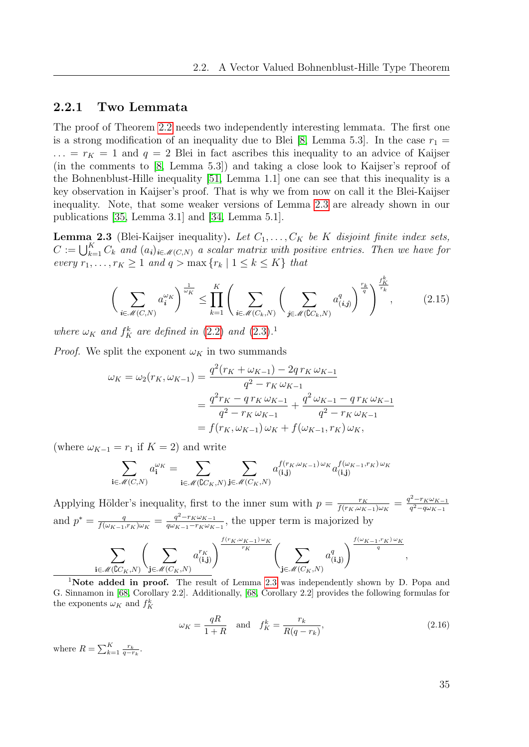### <span id="page-34-0"></span>2.2.1 Two Lemmata

The proof of Theorem [2.2](#page-32-0) needs two independently interesting lemmata. The first one is a strong modification of an inequality due to Blei [\[8,](#page-112-3) Lemma 5.3]. In the case  $r_1 =$  $\ldots = r_K = 1$  and  $q = 2$  Blei in fact ascribes this inequality to an advice of Kaijser (in the comments to [\[8,](#page-112-3) Lemma 5.3]) and taking a close look to Kaijser's reproof of the Bohnenblust-Hille inequality [\[51,](#page-115-4) Lemma 1.1] one can see that this inequality is a key observation in Kaijser's proof. That is why we from now on call it the Blei-Kaijser inequality. Note, that some weaker versions of Lemma [2.3](#page-34-1) are already shown in our publications [\[35,](#page-114-5) Lemma 3.1] and [\[34,](#page-114-6) Lemma 5.1].

<span id="page-34-1"></span>**Lemma 2.3** (Blei-Kaijser inequality). Let  $C_1, \ldots, C_K$  be K disjoint finite index sets,  $C := \bigcup_{k=1}^K C_k$  and  $(a_i)_{i \in \mathcal{M}(C,N)}$  a scalar matrix with positive entries. Then we have for every  $r_1, \ldots, r_K \geq 1$  and  $q > \max\{r_k \mid 1 \leq k \leq K\}$  that

<span id="page-34-2"></span>
$$
\left(\sum_{i \in \mathcal{M}(C,N)} a_i^{\omega_K}\right)^{\frac{1}{\omega_K}} \le \prod_{k=1}^K \left(\sum_{i \in \mathcal{M}(C_k,N)} \left(\sum_{j \in \mathcal{M}(C_k,N)} a_{(i,j)}^q\right)^{\frac{r_k}{q}}\right)^{\frac{f_K^k}{r_k}},\tag{2.15}
$$

where  $\omega_K$  and  $f_K^k$  are defined in [\(2.2\)](#page-29-0) and [\(2.3\)](#page-29-1).<sup>1</sup>

*Proof.* We split the exponent  $\omega_K$  in two summands

$$
\omega_K = \omega_2(r_K, \omega_{K-1}) = \frac{q^2(r_K + \omega_{K-1}) - 2q r_K \omega_{K-1}}{q^2 - r_K \omega_{K-1}}
$$

$$
= \frac{q^2 r_K - q r_K \omega_{K-1}}{q^2 - r_K \omega_{K-1}} + \frac{q^2 \omega_{K-1} - q r_K \omega_{K-1}}{q^2 - r_K \omega_{K-1}}
$$

$$
= f(r_K, \omega_{K-1}) \omega_K + f(\omega_{K-1}, r_K) \omega_K,
$$

(where  $\omega_{K-1} = r_1$  if  $K = 2$ ) and write

$$
\sum_{\mathbf{i}\in\mathcal{M}(C,N)} a_{\mathbf{i}}^{\omega_K} = \sum_{\mathbf{i}\in\mathcal{M}(\mathbb{C}C_K,N)} \sum_{\mathbf{j}\in\mathcal{M}(C_K,N)} a_{(\mathbf{i},\mathbf{j})}^{f(r_K,\omega_{K-1})\omega_K} a_{(\mathbf{i},\mathbf{j})}^{f(\omega_{K-1},r_K)\omega_K}
$$

Applying Hölder's inequality, first to the inner sum with  $p = \frac{r_K}{f(r_K) \omega_K}$  $\frac{r_K}{f(r_K,\omega_{K-1})\omega_K}=\frac{q^2-r_K\omega_{K-1}}{q^2-q\omega_{K-1}}$  $q^2-q\omega_{K-1}$ and  $p^* = \frac{q}{f(\omega x - 1)}$  $\frac{q}{f(\omega_{K-1},r_{K})\omega_{K}}=\frac{q^{2}-r_{K}\omega_{K-1}}{q\omega_{K-1}-r_{K}\omega_{K}}$  $\frac{q^{2-r}K\omega_{K-1}}{q\omega_{K-1}-r_{K}\omega_{K-1}}$ , the upper term is majorized by

$$
\sum_{\mathbf{i}\in\mathcal{M}(\mathbb{C}^{C_{K},N})}\left(\sum_{\mathbf{j}\in\mathcal{M}(C_{K},N)}a_{(\mathbf{i},\mathbf{j})}^{r_{K}}\right)^{\frac{f(r_{K},\omega_{K-1})\omega_{K}}{r_{K}}}\left(\sum_{\mathbf{j}\in\mathcal{M}(C_{K},N)}a_{(\mathbf{i},\mathbf{j})}^{q}\right)^{\frac{f(\omega_{K-1},r_{K})\omega_{K}}{q}}
$$

<sup>1</sup>Note added in proof. The result of Lemma [2.3](#page-34-1) was independently shown by D. Popa and G. Sinnamon in [\[68,](#page-116-9) Corollary 2.2]. Additionally, [\[68,](#page-116-9) Corollary 2.2] provides the following formulas for the exponents  $\omega_K$  and  $f_K^k$ 

$$
\omega_K = \frac{qR}{1+R} \quad \text{and} \quad f_K^k = \frac{r_k}{R(q-r_k)},\tag{2.16}
$$

where  $R = \sum_{k=1}^{K} \frac{r_k}{q - r_k}$ .

,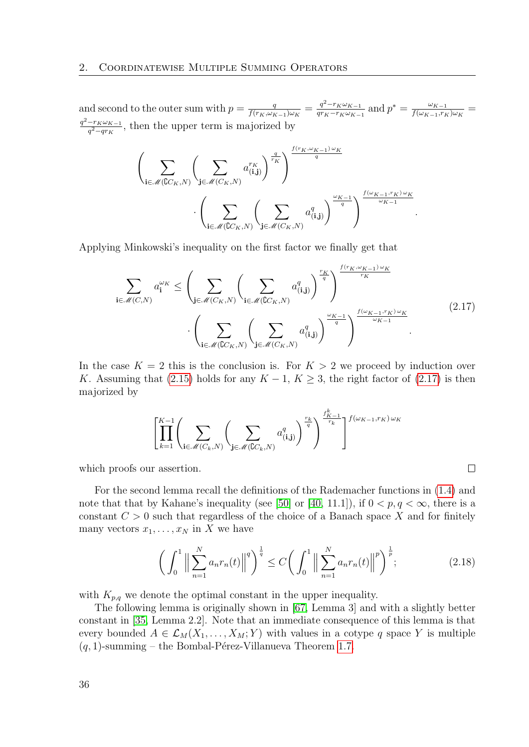and second to the outer sum with  $p = \frac{q}{f(r \kappa)dr}$  $\frac{q}{f(r_K,\omega_{K-1})\omega_K}=\frac{q^2-r_K\omega_{K-1}}{qr_K-r_K\omega_{K-1}}$  $\frac{q^2-r_K\omega_{K-1}}{qr_K-r_K\omega_{K-1}}$  and  $p^*=\frac{\omega_{K-1}}{f(\omega_{K-1},r_K)}$  $\frac{\omega_{K-1}}{f(\omega_{K-1},r_K)\omega_K}=$  $q^2-r_K\omega_{K-1}$  $\frac{-r_K\omega_{K-1}}{q^2-qr_K}$ , then the upper term is majorized by

$$
\left(\sum_{\mathbf{i}\in\mathscr{M}(\mathbb{C}C_K,N)}\left(\sum_{\mathbf{j}\in\mathscr{M}(C_K,N)}a_{(\mathbf{i},\mathbf{j})}^{r_K}\right)^{\frac{q}{r_K}}\right)^{\frac{f(r_K,\omega_{K-1})\omega_K}{q}}\cdot\left(\sum_{\mathbf{i}\in\mathscr{M}(\mathbb{C}C_K,N)}\left(\sum_{\mathbf{j}\in\mathscr{M}(C_K,N)}a_{(\mathbf{i},\mathbf{j})}^q\right)^{\frac{\omega_{K-1}}{q}}\right)^{\frac{f(\omega_{K-1},r_K)\omega_K}{\omega_{K-1}}}.
$$

Applying Minkowski's inequality on the first factor we finally get that

$$
\sum_{\mathbf{i}\in\mathcal{M}(C,N)} a_{\mathbf{i}}^{\omega_K} \leq \left(\sum_{\mathbf{j}\in\mathcal{M}(C_K,N)} \left(\sum_{\mathbf{i}\in\mathcal{M}(C_K,N)} a_{(\mathbf{i},\mathbf{j})}^q\right)^{\frac{r_K}{q}}\right)^{\frac{f(r_K,\omega_{K-1})\omega_K}{r_K}} \cdot \left(\sum_{\mathbf{i}\in\mathcal{M}(C_{C_K,N})} \left(\sum_{\mathbf{j}\in\mathcal{M}(C_K,N)} a_{(\mathbf{i},\mathbf{j})}^q\right)^{\frac{\omega_{K-1}}{q}}\right)^{\frac{f(\omega_{K-1},r_K)\omega_K}{\omega_{K-1}}}.
$$
\n(2.17)

In the case  $K = 2$  this is the conclusion is. For  $K > 2$  we proceed by induction over K. Assuming that [\(2.15\)](#page-34-2) holds for any  $K - 1$ ,  $K \geq 3$ , the right factor of [\(2.17\)](#page-35-1) is then majorized by

$$
\left[ \prod_{k=1}^{K-1} \left( \sum_{\mathbf{i} \in \mathcal{M}(C_k, N)} \left( \sum_{\mathbf{j} \in \mathcal{M}(\mathbb{C}C_k, N)} a_{(\mathbf{i}, \mathbf{j})}^q \right)^{\frac{r_k}{q}} \right)^{\frac{f_K^k}{r_k} - 1} \right]^{f(\omega_{K-1}, r_K) \omega_K}
$$

which proofs our assertion.

For the second lemma recall the definitions of the Rademacher functions in [\(1.4\)](#page-22-1) and note that that by Kahane's inequality (see [\[50\]](#page-115-9) or [\[40,](#page-114-10) 11.1]), if  $0 < p, q < \infty$ , there is a constant  $C > 0$  such that regardless of the choice of a Banach space X and for finitely many vectors  $x_1, \ldots, x_N$  in X we have

<span id="page-35-0"></span>
$$
\left(\int_{0}^{1} \left\|\sum_{n=1}^{N} a_{n} r_{n}(t)\right\|^{q}\right)^{\frac{1}{q}} \le C \left(\int_{0}^{1} \left\|\sum_{n=1}^{N} a_{n} r_{n}(t)\right\|^{p}\right)^{\frac{1}{p}}; \tag{2.18}
$$

<span id="page-35-1"></span> $\Box$ 

with  $K_{p,q}$  we denote the optimal constant in the upper inequality.

The following lemma is originally shown in [\[67,](#page-116-10) Lemma 3] and with a slightly better constant in [\[35,](#page-114-5) Lemma 2.2]. Note that an immediate consequence of this lemma is that every bounded  $A \in \mathcal{L}_M(X_1, \ldots, X_M; Y)$  with values in a cotype q space Y is multiple  $(q, 1)$ -summing – the Bombal-Pérez-Villanueva Theorem [1.7.](#page-23-3)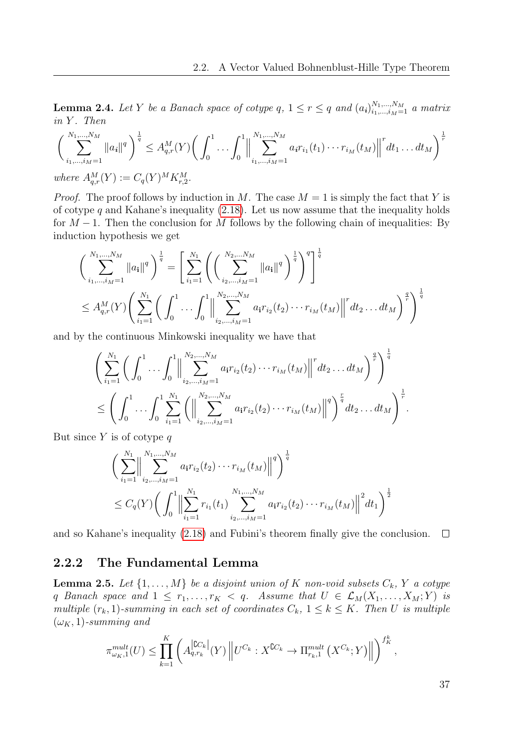<span id="page-36-0"></span>**Lemma 2.4.** Let Y be a Banach space of cotype q,  $1 \leq r \leq q$  and  $(a_i)_{i_1,\dots,i_M=1}^{N_1,\dots,N_M}$  a matrix  $in Y$ . Then

$$
\left(\sum_{i_1,\dots,i_M=1}^{N_1,\dots,N_M} ||a_i||^q\right)^{\frac{1}{q}} \leq A_{q,r}^M(Y) \bigg(\int_0^1 \dots \int_0^1 \left\|\sum_{i_1,\dots,i_M=1}^{N_1,\dots,N_M} a_i r_{i_1}(t_1) \dots r_{i_M}(t_M)\right\|^r dt_1 \dots dt_M\bigg)^{\frac{1}{r}}
$$
  
where  $A_{q,r}^M(Y) := C_q(Y)^M K_{r,2}^M$ .

*Proof.* The proof follows by induction in M. The case  $M = 1$  is simply the fact that Y is of cotype q and Kahane's inequality  $(2.18)$ . Let us now assume that the inequality holds for  $M-1$ . Then the conclusion for M follows by the following chain of inequalities: By induction hypothesis we get

$$
\left(\sum_{i_1,\dots,i_M=1}^{N_1,\dots,N_M} ||a_i||^q \right)^{\frac{1}{q}} = \left[ \sum_{i_1=1}^{N_1} \left( \left( \sum_{i_2,\dots,i_M=1}^{N_2,\dots,N_M} ||a_i||^q \right)^{\frac{1}{q}} \right)^{\frac{1}{q}} \right]^{\frac{1}{q}}
$$
  

$$
\leq A_{q,r}^M(Y) \left( \sum_{i_1=1}^{N_1} \left( \int_0^1 \dots \int_0^1 ||\sum_{i_2,\dots,i_M=1}^{N_2,\dots,N_M} a_i r_{i_2}(t_2) \dots r_{i_M}(t_M) ||^r dt_2 \dots dt_M \right)^{\frac{q}{r}} \right)^{\frac{1}{q}}
$$

and by the continuous Minkowski inequality we have that

$$
\left(\sum_{i_1=1}^{N_1}\left(\int_0^1\ldots\int_0^1\left\|\sum_{i_2,\ldots,i_M=1}^{N_2,\ldots,N_M}a_ir_{i_2}(t_2)\cdots r_{i_M}(t_M)\right\|^rdt_2\ldots dt_M\right)^{\frac{q}{r}}\right)^{\frac{1}{q}}
$$
  

$$
\leq \left(\int_0^1\ldots\int_0^1\sum_{i_1=1}^{N_1}\left(\left\|\sum_{i_2,\ldots,i_M=1}^{N_2,\ldots,N_M}a_ir_{i_2}(t_2)\cdots r_{i_M}(t_M)\right\|^q\right)^{\frac{r}{q}}dt_2\ldots dt_M\right)^{\frac{1}{r}}.
$$

But since  $Y$  is of cotype  $q$ 

$$
\left(\sum_{i_1=1}^{N_1}\Biggl\|\sum_{i_2,\dots,i_M=1}^{N_1,\dots,N_M}a_ir_{i_2}(t_2)\cdots r_{i_M}(t_M)\Biggr\|^q\right)^{\frac{1}{q}}
$$
  

$$
\leq C_q(Y)\left(\int_0^1\Biggl\|\sum_{i_1=1}^{N_1}r_{i_1}(t_1)\sum_{i_2,\dots,i_M=1}^{N_1,\dots,N_M}a_ir_{i_2}(t_2)\cdots r_{i_M}(t_M)\Biggr\|^2dt_1\right)^{\frac{1}{2}}
$$

and so Kahane's inequality [\(2.18\)](#page-35-0) and Fubini's theorem finally give the conclusion.  $\Box$ 

### 2.2.2 The Fundamental Lemma

<span id="page-36-1"></span>**Lemma 2.5.** Let  $\{1, \ldots, M\}$  be a disjoint union of K non-void subsets  $C_k$ , Y a cotype q Banach space and  $1 \leq r_1, \ldots, r_K < q$ . Assume that  $U \in \mathcal{L}_M(X_1, \ldots, X_M; Y)$  is multiple  $(r_k, 1)$ -summing in each set of coordinates  $C_k$ ,  $1 \leq k \leq K$ . Then U is multiple  $(\omega_K, 1)$ -summing and

$$
\pi_{\omega_K,1}^{mult}(U) \leq \prod_{k=1}^K \left( A_{q,r_k}^{\lfloor \text{CC}_k \rfloor}(Y) \left\| U^{C_k} : X^{\complement C_k} \to \Pi_{r_k,1}^{mult}(X^{C_k};Y) \right\| \right)^{f_K^k},
$$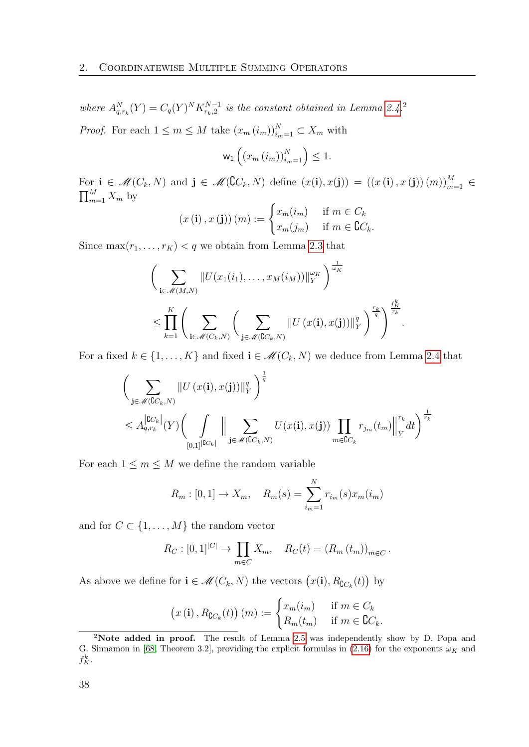where  $A_{q,r_k}^N(Y) = C_q(Y)^N K_{r_k,2}^{N-1}$  is the constant obtained in Lemma [2.4.](#page-36-0)<sup>2</sup> *Proof.* For each  $1 \leq m \leq M$  take  $(x_m(i_m))_{i_m=1}^N \subset X_m$  with

$$
\mathsf{w}_1\left(\left(x_m\left(i_m\right)\right)_{i_m=1}^N\right)\leq 1.
$$

For  $\mathbf{i} \in \mathcal{M}(C_k, N)$  and  $\mathbf{j} \in \mathcal{M}(\mathbb{C}C_k, N)$  define  $(x(\mathbf{i}), x(\mathbf{j})) = ((x(\mathbf{i}), x(\mathbf{j}))(m))_{m=1}^M \in$  $\prod_{m=1}^{M} X_m$  by

$$
(x (i), x (j)) (m) := \begin{cases} x_m(i_m) & \text{if } m \in C_k \\ x_m(j_m) & \text{if } m \in \mathbb{C}C_k. \end{cases}
$$

Since  $\max(r_1, \ldots, r_K) < q$  we obtain from Lemma [2.3](#page-34-0) that

$$
\left(\sum_{\mathbf{i}\in\mathcal{M}(M,N)}\|U(x_1(i_1),\ldots,x_M(i_M))\|_Y^{\omega_K}\right)^{\frac{1}{\omega_K}}\n\leq \prod_{k=1}^K\left(\sum_{\mathbf{i}\in\mathcal{M}(C_k,N)}\left(\sum_{\mathbf{j}\in\mathcal{M}(C_{k},N)}\|U(x(\mathbf{i}),x(\mathbf{j}))\|_Y^q\right)^{\frac{r_k}{q}}\right)^{\frac{r_k}{r_k}}.
$$

For a fixed  $k \in \{1, ..., K\}$  and fixed  $\mathbf{i} \in \mathcal{M}(C_k, N)$  we deduce from Lemma [2.4](#page-36-0) that

$$
\left(\sum_{\mathbf{j}\in\mathcal{M}(\mathbb{C}C_k,N)}\|U\left(x(\mathbf{i}),x(\mathbf{j})\right)\|_{Y}^{q}\right)^{\frac{1}{q}}\n\leq A_{q,r_k}^{|\mathbb{C}C_k|}\left(Y\right)\left(\int\limits_{[0,1]^{|\mathbb{C}C_k|}}\left\|\sum_{\mathbf{j}\in\mathcal{M}(\mathbb{C}C_k,N)}U(x(\mathbf{i}),x(\mathbf{j}))\prod_{m\in\mathbb{C}C_k}r_{j_m}(t_m)\right\|_{Y}^{r_k}dt\right)^{\frac{1}{r_k}}
$$

For each  $1 \leq m \leq M$  we define the random variable

$$
R_m : [0, 1] \to X_m
$$
,  $R_m(s) = \sum_{i_m=1}^{N} r_{i_m}(s) x_m(i_m)$ 

and for  $C \subset \{1, ..., M\}$  the random vector

$$
R_C : [0,1]^{|C|} \to \prod_{m \in C} X_m
$$
,  $R_C(t) = (R_m(t_m))_{m \in C}$ .

As above we define for  $\mathbf{i} \in \mathcal{M}(C_k, N)$  the vectors  $(x(\mathbf{i}), R_{\complement C_k}(t))$  by

$$
(x (i), R_{\complement C_k}(t)) (m) := \begin{cases} x_m(i_m) & \text{if } m \in C_k \\ R_m(t_m) & \text{if } m \in \complement C_k. \end{cases}
$$

<sup>&</sup>lt;sup>2</sup>Note added in proof. The result of Lemma [2.5](#page-36-1) was independently show by D. Popa and G. Sinnamon in [\[68,](#page-116-0) Theorem 3.2], providing the explicit formulas in [\(2.16\)](#page-34-1) for the exponents  $\omega_K$  and  $f_K^k$ .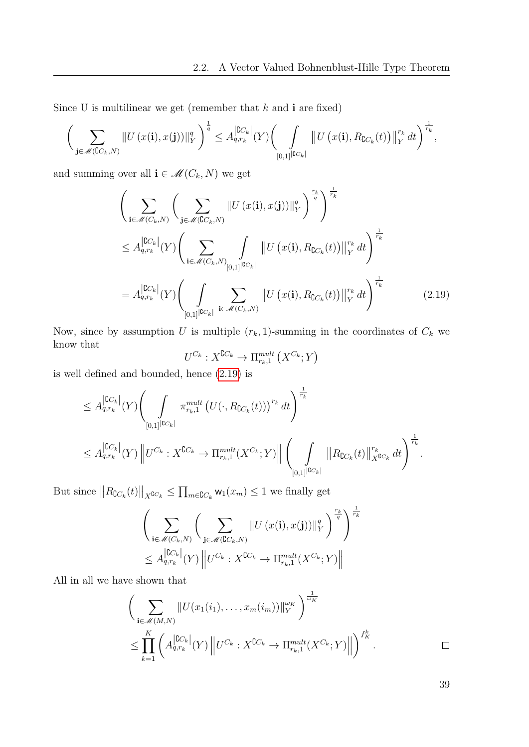Since U is multilinear we get (remember that  $k$  and  $\mathbf{i}$  are fixed)

$$
\bigg(\sum_{\mathbf{j}\in\mathscr{M}(\complement C_k,N)}\|U\left(x(\mathbf{i}),x(\mathbf{j})\right)\|_{Y}^{q}\bigg)^{\frac{1}{q}}\leq A_{q,r_k}^{\left|\complement C_k\right|}(Y)\bigg(\int\limits_{[0,1]}\|U\left(x(\mathbf{i}),R_{\complement C_k}(t)\right)\|_{Y}^{r_k}dt\bigg)^{\frac{1}{r_k}},
$$

and summing over all  $\mathbf{i}\in\mathscr{M}(C_{k},N)$  we get

$$
\left(\sum_{\mathbf{i}\in\mathcal{M}(C_k,N)}\left(\sum_{\mathbf{j}\in\mathcal{M}(C_k,N)}\|U(x(\mathbf{i}),x(\mathbf{j}))\|_{Y}^{q}\right)^{\frac{r_k}{q}}\right)^{\frac{1}{r_k}}
$$
\n
$$
\leq A_{q,r_k}^{\left|\mathbb{C}C_k\right|}(Y)\left(\sum_{\mathbf{i}\in\mathcal{M}(C_k,N)}\int_{[0,1]^{\left|\mathbb{C}C_k\right|}}\|U(x(\mathbf{i}),R_{\mathbb{C}C_k}(t))\|_{Y}^{r_k}dt\right)^{\frac{1}{r_k}}
$$
\n
$$
= A_{q,r_k}^{\left|\mathbb{C}C_k\right|}(Y)\left(\int_{[0,1]^{\left|\mathbb{C}C_k\right|}}\sum_{\mathbf{i}\in\mathcal{M}(C_k,N)}\|U(x(\mathbf{i}),R_{\mathbb{C}C_k}(t))\|_{Y}^{r_k}dt\right)^{\frac{1}{r_k}}
$$
\n(2.19)

Now, since by assumption U is multiple  $(r_k, 1)$ -summing in the coordinates of  $C_k$  we know that

<span id="page-38-0"></span>
$$
U^{C_k}: X^{\complement C_k} \to \Pi_{r_k,1}^{mult} (X^{C_k}; Y)
$$

is well defined and bounded, hence [\(2.19\)](#page-38-0) is

$$
\leq A_{q,r_k}^{\vert \mathbb{C}C_k \vert} (Y) \Biggl( \int\limits_{[0,1]^{ \vert \mathbb{C}C_k \vert}} \pi_{r_k,1}^{mult} \left( U(\cdot,R_{\mathbb{C}C_k}(t)) \right)^{r_k} dt \Biggr)^{\frac{1}{r_k}} \leq A_{q,r_k}^{\vert \mathbb{C}C_k \vert} (Y) \left\| U^{C_k} : X^{\mathbb{C}C_k} \to \Pi_{r_k,1}^{mult} (X^{C_k};Y) \right\| \Biggl( \int\limits_{[0,1]^{ \vert \mathbb{C}C_k \vert}} \left\| R_{\mathbb{C}C_k}(t) \right\|_{X^{\mathbb{C}C_k}}^{r_k} dt \Biggr)^{\frac{1}{r_k}}.
$$

But since  $||R_{\complement C_k}(t)||_{X^{\complement C_k}} \leq \prod_{m \in \complement C_k} \mathsf{w}_1(x_m) \leq 1$  we finally get

$$
\left(\sum_{\mathbf{i}\in\mathscr{M}(C_k,N)}\left(\sum_{\mathbf{j}\in\mathscr{M}(\mathbb{C}C_k,N)}\|U\left(x(\mathbf{i}),x(\mathbf{j})\right)\|_{Y}^{q}\right)^{\frac{r_k}{q}}\right)^{\frac{1}{r_k}}
$$
  

$$
\leq A_{q,r_k}^{\left|\mathbb{C}C_k\right|}(Y)\left\|U^{C_k}:X^{\mathbb{C}C_k}\to\Pi_{r_k,1}^{mult}(X^{C_k};Y)\right\|
$$

All in all we have shown that

$$
\left(\sum_{\mathbf{i}\in\mathscr{M}(M,N)}\|U(x_1(i_1),\ldots,x_m(i_m))\|_Y^{\omega_K}\right)^{\frac{1}{\omega_K}}
$$
\n
$$
\leq \prod_{k=1}^K \left(A_{q,r_k}^{\lfloor CC_k\rfloor}(Y)\left\|U^{C_k}:X^{CC_k}\to \Pi_{r_k,1}^{mult}(X^{C_k};Y)\right\|\right)^{f_K^k}.\quad \Box
$$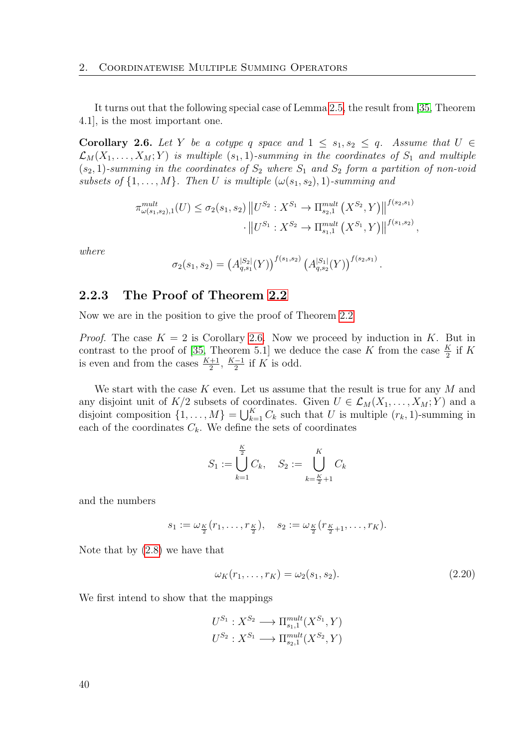It turns out that the following special case of Lemma [2.5,](#page-36-1) the result from [\[35,](#page-114-0) Theorem 4.1], is the most important one.

<span id="page-39-0"></span>Corollary 2.6. Let Y be a cotype q space and  $1 \leq s_1, s_2 \leq q$ . Assume that  $U \in$  $\mathcal{L}_M(X_1,\ldots,X_M;Y)$  is multiple  $(s_1,1)$ -summing in the coordinates of  $S_1$  and multiple  $(s_2, 1)$ -summing in the coordinates of  $S_2$  where  $S_1$  and  $S_2$  form a partition of non-void subsets of  $\{1, \ldots, M\}$ . Then U is multiple  $(\omega(s_1, s_2), 1)$ -summing and

$$
\pi_{\omega(s_1,s_2),1}^{mult}(U) \leq \sigma_2(s_1,s_2) \| U^{S_2} : X^{S_1} \to \Pi_{s_2,1}^{mult}(X^{S_2},Y) \|^{f(s_2,s_1)} \cdot \| U^{S_1} : X^{S_2} \to \Pi_{s_1,1}^{mult}(X^{S_1},Y) \|^{f(s_1,s_2)},
$$

where

$$
\sigma_2(s_1, s_2) = (A_{q,s_1}^{|S_2|}(Y))^{f(s_1, s_2)} (A_{q,s_2}^{|S_1|}(Y))^{f(s_2, s_1)}
$$

### 2.2.3 The Proof of Theorem [2.2](#page-32-0)

Now we are in the position to give the proof of Theorem [2.2](#page-32-0)

*Proof.* The case  $K = 2$  is Corollary [2.6.](#page-39-0) Now we proceed by induction in K. But in contrast to the proof of [\[35,](#page-114-0) Theorem 5.1] we deduce the case K from the case  $\frac{K}{2}$  if K is even and from the cases  $\frac{K+1}{2}$ ,  $\frac{K-1}{2}$  $\frac{-1}{2}$  if K is odd.

We start with the case  $K$  even. Let us assume that the result is true for any  $M$  and any disjoint unit of  $K/2$  subsets of coordinates. Given  $U \in \mathcal{L}_M(X_1, \ldots, X_M; Y)$  and a disjoint composition  $\{1, \ldots, M\} = \bigcup_{k=1}^{K} C_k$  such that U is multiple  $(r_k, 1)$ -summing in each of the coordinates  $C_k$ . We define the sets of coordinates

$$
S_1 := \bigcup_{k=1}^{\frac{K}{2}} C_k, \quad S_2 := \bigcup_{k=\frac{K}{2}+1}^{K} C_k
$$

and the numbers

$$
s_1 := \omega_{\frac{K}{2}}(r_1, \ldots, r_{\frac{K}{2}}), \quad s_2 := \omega_{\frac{K}{2}}(r_{\frac{K}{2}+1}, \ldots, r_K).
$$

Note that by [\(2.8\)](#page-30-0) we have that

<span id="page-39-1"></span>
$$
\omega_K(r_1,\ldots,r_K) = \omega_2(s_1,s_2). \tag{2.20}
$$

.

We first intend to show that the mappings

$$
U^{S_1}: X^{S_2} \longrightarrow \Pi_{s_1,1}^{mult}(X^{S_1}, Y)
$$

$$
U^{S_2}: X^{S_1} \longrightarrow \Pi_{s_2,1}^{mult}(X^{S_2}, Y)
$$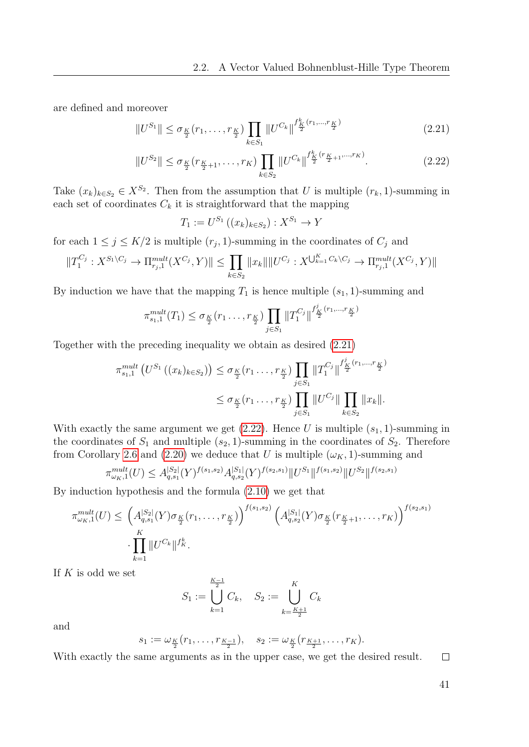are defined and moreover

$$
||U^{S_1}|| \leq \sigma_{\frac{K}{2}}(r_1, \dots, r_{\frac{K}{2}}) \prod_{k \in S_1} ||U^{C_k}||^{\frac{f^k_K}{2}(r_1, \dots, r_{\frac{K}{2}})} \tag{2.21}
$$

$$
||U^{S_2}|| \le \sigma_{\frac{K}{2}}(r_{\frac{K}{2}+1}, \dots, r_K) \prod_{k \in S_2} ||U^{C_k}||^{\frac{f_k^k}{2}(r_{\frac{K}{2}+1}, \dots, r_K)}.
$$
\n(2.22)

Take  $(x_k)_{k \in S_2} \in X^{S_2}$ . Then from the assumption that U is multiple  $(r_k, 1)$ -summing in each set of coordinates  $C_k$  it is straightforward that the mapping

<span id="page-40-1"></span><span id="page-40-0"></span>
$$
T_1 := U^{S_1}((x_k)_{k \in S_2}) : X^{S_1} \to Y
$$

for each  $1 \leq j \leq K/2$  is multiple  $(r_j, 1)$ -summing in the coordinates of  $C_j$  and

$$
||T_1^{C_j}: X^{S_1\setminus C_j} \to \Pi_{r_j,1}^{mult}(X^{C_j}, Y)|| \le \prod_{k \in S_2} ||x_k|| ||U^{C_j}: X^{\bigcup_{k=1}^K C_k\setminus C_j} \to \Pi_{r_j,1}^{mult}(X^{C_j}, Y)||
$$

By induction we have that the mapping  $T_1$  is hence multiple  $(s_1, 1)$ -summing and

$$
\pi_{s_1,1}^{mult}(T_1) \le \sigma_{\frac{K}{2}}(r_1 \ldots, r_{\frac{K}{2}}) \prod_{j \in S_1} ||T_1^{C_j}||^{\frac{f'_K}{2}(r_1,\ldots, r_{\frac{K}{2}})}
$$

Together with the preceding inequality we obtain as desired [\(2.21\)](#page-40-0)

$$
\pi_{s_1,1}^{mult} (U^{S_1}((x_k)_{k \in S_2})) \leq \sigma_{\frac{K}{2}}(r_1 \dots, r_{\frac{K}{2}}) \prod_{j \in S_1} ||T_1^{C_j}||^{\frac{f'_K}{2}(r_1, \dots, r_{\frac{K}{2}})} \leq \sigma_{\frac{K}{2}}(r_1 \dots, r_{\frac{K}{2}}) \prod_{j \in S_1} ||U^{C_j}|| \prod_{k \in S_2} ||x_k||.
$$

With exactly the same argument we get  $(2.22)$ . Hence U is multiple  $(s_1, 1)$ -summing in the coordinates of  $S_1$  and multiple  $(s_2, 1)$ -summing in the coordinates of  $S_2$ . Therefore from Corollary [2.6](#page-39-0) and [\(2.20\)](#page-39-1) we deduce that U is multiple  $(\omega_K, 1)$ -summing and

$$
\pi_{\omega_K,1}^{mult}(U) \leq A_{q,s_1}^{|S_2|}(Y)^{f(s_1,s_2)} A_{q,s_2}^{|S_1|}(Y)^{f(s_2,s_1)} \|U^{S_1}\|^{f(s_1,s_2)} \|U^{S_2}\|^{f(s_2,s_1)}
$$

By induction hypothesis and the formula [\(2.10\)](#page-30-1) we get that

$$
\pi_{\omega_K,1}^{mult}(U) \leq \left(A_{q,s_1}^{|S_2|}(Y)\sigma_{\frac{K}{2}}(r_1,\ldots,r_{\frac{K}{2}})\right)^{f(s_1,s_2)} \left(A_{q,s_2}^{|S_1|}(Y)\sigma_{\frac{K}{2}}(r_{\frac{K}{2}+1},\ldots,r_K)\right)^{f(s_2,s_1)} \cdot \prod_{k=1}^K \|U^{C_k}\|^{f_k^k}.
$$

If  $K$  is odd we set

$$
S_1 := \bigcup_{k=1}^{\frac{K-1}{2}} C_k, \quad S_2 := \bigcup_{k=\frac{K+1}{2}}^K C_k
$$

and

$$
s_1 := \omega_{\frac{K}{2}}(r_1, \ldots, r_{\frac{K-1}{2}}), \quad s_2 := \omega_{\frac{K}{2}}(r_{\frac{K+1}{2}}, \ldots, r_K).
$$

With exactly the same arguments as in the upper case, we get the desired result.  $\Box$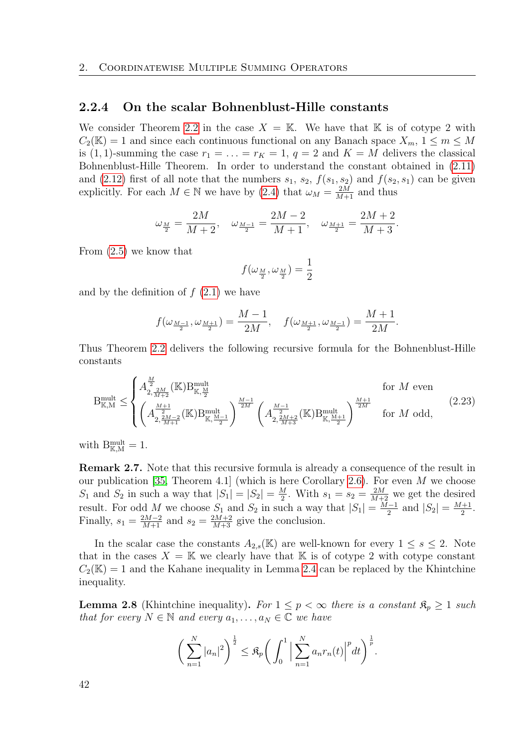### 2.2.4 On the scalar Bohnenblust-Hille constants

We consider Theorem [2.2](#page-32-0) in the case  $X = K$ . We have that K is of cotype 2 with  $C_2(\mathbb{K}) = 1$  and since each continuous functional on any Banach space  $X_m$ ,  $1 \leq m \leq M$ is (1, 1)-summing the case  $r_1 = \ldots = r_K = 1, q = 2$  and  $K = M$  delivers the classical Bohnenblust-Hille Theorem. In order to understand the constant obtained in [\(2.11\)](#page-32-1) and [\(2.12\)](#page-32-2) first of all note that the numbers  $s_1$ ,  $s_2$ ,  $f(s_1, s_2)$  and  $f(s_2, s_1)$  can be given explicitly. For each  $M \in \mathbb{N}$  we have by [\(2.4\)](#page-30-2) that  $\omega_M = \frac{2M}{M+1}$  and thus

$$
\omega_{\frac{M}{2}}=\frac{2M}{M+2},\quad \omega_{\frac{M-1}{2}}=\frac{2M-2}{M+1},\quad \omega_{\frac{M+1}{2}}=\frac{2M+2}{M+3}.
$$

From [\(2.5\)](#page-30-3) we know that

<span id="page-41-0"></span>
$$
f(\omega_{\frac{M}{2}}, \omega_{\frac{M}{2}}) = \frac{1}{2}
$$

and by the definition of  $f(2.1)$  $f(2.1)$  we have

$$
f(\omega_{\frac{M-1}{2}}, \omega_{\frac{M+1}{2}}) = \frac{M-1}{2M}, \quad f(\omega_{\frac{M+1}{2}}, \omega_{\frac{M-1}{2}}) = \frac{M+1}{2M}.
$$

Thus Theorem [2.2](#page-32-0) delivers the following recursive formula for the Bohnenblust-Hille constants

$$
B_{K,M}^{\text{mult}} \leq \begin{cases} A_{2, \frac{2M}{M+2}}^{\frac{M}{2}}(K)B_{K, \frac{M}{2}}^{\text{mult}} & \text{for } M \text{ even} \\ \left(A_{2, \frac{2M-2}{M+1}}^{\frac{M+1}{2}}(K)B_{K, \frac{M-1}{2}}^{\text{mult}}\right)^{\frac{M-1}{2M}} \left(A_{2, \frac{2M+2}{M+3}}^{\frac{M-1}{2M}}(K)B_{K, \frac{M+1}{2}}^{\text{mult}}\right)^{\frac{M+1}{2M}} & \text{for } M \text{ odd,} \end{cases} \tag{2.23}
$$

with  $B_{\mathbb{K},M}^{\text{mult}}=1$ .

Remark 2.7. Note that this recursive formula is already a consequence of the result in our publication [\[35,](#page-114-0) Theorem 4.1] (which is here Corollary [2.6\)](#page-39-0). For even  $M$  we choose  $S_1$  and  $S_2$  in such a way that  $|S_1| = |S_2| = \frac{M}{2}$  $\frac{M}{2}$ . With  $s_1 = s_2 = \frac{2M}{M+2}$  we get the desired result. For odd M we choose  $S_1$  and  $S_2$  in such a way that  $|S_1| = \frac{M-1}{2}$  $\frac{(-1)}{2}$  and  $|S_2| = \frac{M+1}{2}$  $\frac{1}{2}$ . Finally,  $s_1 = \frac{2M-2}{M+1}$  and  $s_2 = \frac{2M+2}{M+3}$  give the conclusion.

In the scalar case the constants  $A_{2,s}(\mathbb{K})$  are well-known for every  $1 \leq s \leq 2$ . Note that in the cases  $X = \mathbb{K}$  we clearly have that  $\mathbb{K}$  is of cotype 2 with cotype constant  $C_2(\mathbb{K}) = 1$  and the Kahane inequality in Lemma [2.4](#page-36-0) can be replaced by the Khintchine inequality.

**Lemma 2.8** (Khintchine inequality). For  $1 \leq p < \infty$  there is a constant  $\mathfrak{K}_p \geq 1$  such that for every  $N \in \mathbb{N}$  and every  $a_1, \ldots, a_N \in \mathbb{C}$  we have

$$
\left(\sum_{n=1}^{N}|a_n|^2\right)^{\frac{1}{2}} \leq \mathfrak{K}_p\bigg(\int_0^1 \Big|\sum_{n=1}^{N} a_n r_n(t)\Big|^p dt\bigg)^{\frac{1}{p}}.
$$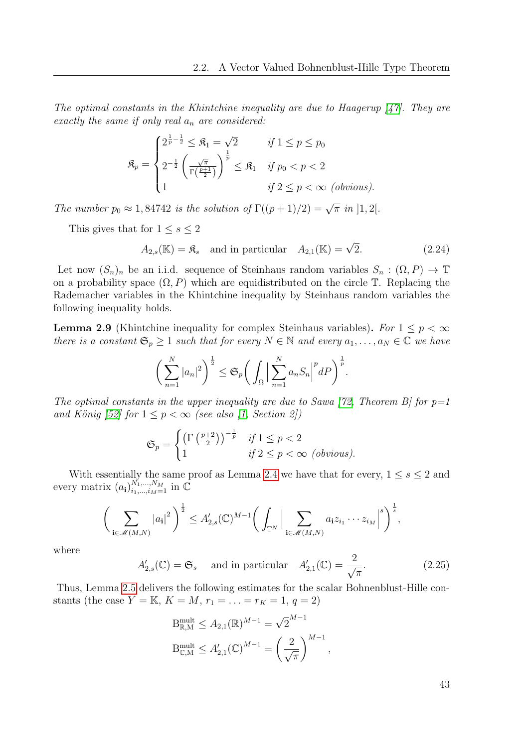The optimal constants in the Khintchine inequality are due to Haagerup  $\left[47\right]$ . They are exactly the same if only real  $a_n$  are considered:

$$
\mathfrak{K}_p = \begin{cases} 2^{\frac{1}{p} - \frac{1}{2}} \leq \mathfrak{K}_1 = \sqrt{2} & \text{if } 1 \leq p \leq p_0 \\ 2^{-\frac{1}{2}} \left( \frac{\sqrt{\pi}}{\Gamma(\frac{p+1}{2})} \right)^{\frac{1}{p}} \leq \mathfrak{K}_1 & \text{if } p_0 < p < 2 \\ 1 & \text{if } 2 \leq p < \infty \text{ (obvious)} \end{cases}
$$

The number  $p_0 \approx 1,84742$  is the solution of  $\Gamma((p+1)/2) = \sqrt{\pi}$  in  $]1,2[$ .

This gives that for  $1 \leq s \leq 2$ 

<span id="page-42-0"></span>
$$
A_{2,s}(\mathbb{K}) = \mathfrak{K}_s \quad \text{and in particular} \quad A_{2,1}(\mathbb{K}) = \sqrt{2}.\tag{2.24}
$$

Let now  $(S_n)_n$  be an i.i.d. sequence of Steinhaus random variables  $S_n : (\Omega, P) \to \mathbb{T}$ on a probability space  $(\Omega, P)$  which are equidistributed on the circle  $\mathbb T$ . Replacing the Rademacher variables in the Khintchine inequality by Steinhaus random variables the following inequality holds.

**Lemma 2.9** (Khintchine inequality for complex Steinhaus variables). For  $1 \leq p < \infty$ there is a constant  $\mathfrak{S}_p \geq 1$  such that for every  $N \in \mathbb{N}$  and every  $a_1, \ldots, a_N \in \mathbb{C}$  we have

$$
\bigg(\sum_{n=1}^N |a_n|^2\bigg)^{\frac{1}{2}} \leq \mathfrak{S}_p \bigg(\int_{\Omega} \bigg|\sum_{n=1}^N a_n S_n\bigg|^p dP\bigg)^{\frac{1}{p}}.
$$

The optimal constants in the upper inequality are due to Sawa [\[72,](#page-116-1) Theorem B] for  $p=1$ and König [\[52\]](#page-115-1) for  $1 \leq p < \infty$  (see also [\[1,](#page-112-0) Section 2])

$$
\mathfrak{S}_p = \begin{cases} \left(\Gamma\left(\frac{p+2}{2}\right)\right)^{-\frac{1}{p}} & \text{if } 1 \le p < 2\\ 1 & \text{if } 2 \le p < \infty \text{ (obvious).} \end{cases}
$$

With essentially the same proof as Lemma [2.4](#page-36-0) we have that for every,  $1 \leq s \leq 2$  and every matrix  $(a_i)_{i_1,\dots,i_M=1}^{N_1,\dots,N_M}$  in  $\mathbb C$ 

$$
\bigg(\sum_{\mathbf{i}\in\mathscr{M}(M,N)}|a_{\mathbf{i}}|^2\bigg)^{\frac{1}{2}}\leq A'_{2,s}(\mathbb{C})^{M-1}\bigg(\int_{\mathbb{T}^N}\Big|\sum_{\mathbf{i}\in\mathscr{M}(M,N)}a_{\mathbf{i}}z_{i_1}\cdots z_{i_M}\Big|^s\bigg)^{\frac{1}{s}},
$$

where

<span id="page-42-1"></span>
$$
A'_{2,s}(\mathbb{C}) = \mathfrak{S}_s \quad \text{and in particular} \quad A'_{2,1}(\mathbb{C}) = \frac{2}{\sqrt{\pi}}.
$$
 (2.25)

Thus, Lemma [2.5](#page-36-1) delivers the following estimates for the scalar Bohnenblust-Hille constants (the case  $Y = K$ ,  $K = M$ ,  $r_1 = \ldots = r_K = 1$ ,  $q = 2$ )

B<sub>R,M</sub><sup>mult</sup> 
$$
\leq A_{2,1}(\mathbb{R})^{M-1} = \sqrt{2}^{M-1}
$$
  
B<sub>C,M</sub><sup>mult</sup>  $\leq A'_{2,1}(\mathbb{C})^{M-1} = \left(\frac{2}{\sqrt{\pi}}\right)^{M-1}$ ,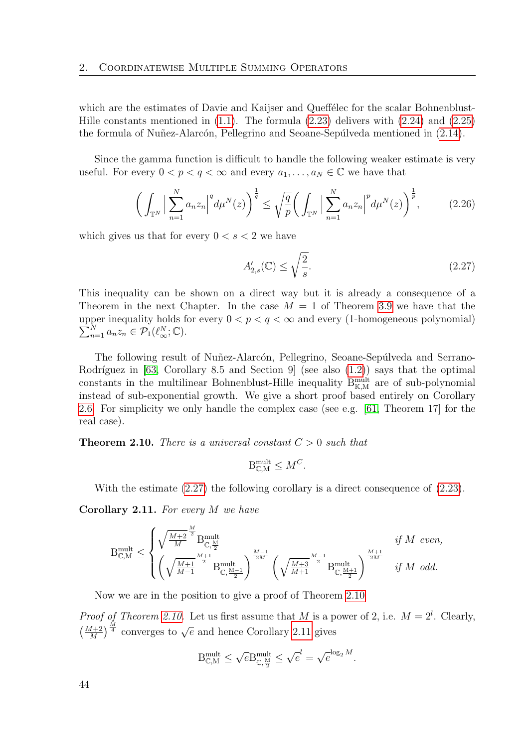which are the estimates of Davie and Kaijser and Queffelec for the scalar Bohnenblust-Hille constants mentioned in  $(1.1)$ . The formula  $(2.23)$  delivers with  $(2.24)$  and  $(2.25)$ the formula of Nuñez-Alarcón, Pellegrino and Seoane-Sepúlveda mentioned in  $(2.14)$ .

Since the gamma function is difficult to handle the following weaker estimate is very useful. For every  $0 < p < q < \infty$  and every  $a_1, \ldots, a_N \in \mathbb{C}$  we have that

<span id="page-43-3"></span>
$$
\left(\int_{\mathbb{T}^N} \Big|\sum_{n=1}^N a_n z_n\Big|^q d\mu^N(z)\right)^{\frac{1}{q}} \le \sqrt{\frac{q}{p}} \left(\int_{\mathbb{T}^N} \Big|\sum_{n=1}^N a_n z_n\Big|^p d\mu^N(z)\right)^{\frac{1}{p}},\tag{2.26}
$$

which gives us that for every  $0 < s < 2$  we have

<span id="page-43-0"></span>
$$
A'_{2,s}(\mathbb{C}) \le \sqrt{\frac{2}{s}}.\tag{2.27}
$$

This inequality can be shown on a direct way but it is already a consequence of a Theorem in the next Chapter. In the case  $M = 1$  of Theorem [3.9](#page-59-0) we have that the  $\sum_{n=1}^{N} a_n z_n \in \mathcal{P}_1(\ell_\infty^N;\mathbb{C}).$ upper inequality holds for every  $0 < p < q < \infty$  and every (1-homogeneous polynomial)

The following result of Nuñez-Alarcón, Pellegrino, Seoane-Sepúlveda and Serrano-Rodríguez in [\[63,](#page-116-2) Corollary 8.5 and Section 9] (see also  $(1.2)$ ) says that the optimal constants in the multilinear Bohnenblust-Hille inequality  $B_{\mathbb{K},M}^{\text{mult}}$  are of sub-polynomial instead of sub-exponential growth. We give a short proof based entirely on Corollary [2.6.](#page-39-0) For simplicity we only handle the complex case (see e.g. [\[61,](#page-116-3) Theorem 17] for the real case).

<span id="page-43-1"></span>**Theorem 2.10.** There is a universal constant  $C > 0$  such that

$$
\mathbf{B}_{\mathbb{C},\mathbf{M}}^{\text{mult}} \leq M^C.
$$

With the estimate  $(2.27)$  the following corollary is a direct consequence of  $(2.23)$ .

<span id="page-43-2"></span>Corollary 2.11. For every M we have

$$
\mathbf{B}_{\mathbb{C},\mathcal{M}}^{\text{mult}} \leq \begin{cases} \sqrt{\frac{M+2}{M}}^{\frac{M}{2}}\mathbf{B}_{\mathbb{C},\frac{\mathcal{M}}{2}}^{\text{mult}} & \text{if $M$ even,} \\ \left(\sqrt{\frac{M+1}{M-1}}^{\frac{M+1}{2}}\mathbf{B}_{\mathbb{C},\frac{\mathcal{M}-1}{2}}^{\text{mult}}\right)^{\frac{M-1}{2M}}\left(\sqrt{\frac{M+3}{M+1}}^{\frac{M-1}{2}}\mathbf{B}_{\mathbb{C},\frac{\mathcal{M}+1}{2}}^{\text{mult}}\right)^{\frac{M+1}{2M}} & \text{if $M$ odd.} \end{cases}
$$

Now we are in the position to give a proof of Theorem [2.10](#page-43-1)

*Proof of Theorem [2.10.](#page-43-1)* Let us first assume that M is a power of 2, i.e.  $M = 2^l$ . Clearly,  $\left(\frac{M+2}{M}\right)^{\frac{M}{4}}$  converges to  $\sqrt{e}$  and hence Corollary [2.11](#page-43-2) gives

$$
\mathbf{B}_{\mathbb{C},\mathbf{M}}^{\text{mult}} \leq \sqrt{e} \mathbf{B}_{\mathbb{C},\frac{\mathbf{M}}{2}}^{\text{mult}} \leq \sqrt{e}^{l} = \sqrt{e}^{\log_2 M}.
$$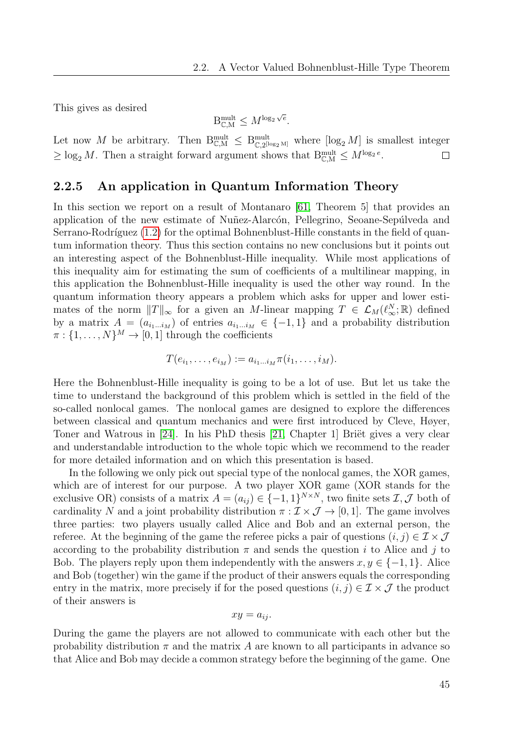This gives as desired

$$
\mathbf{B}_{\mathbb{C},\mathbf{M}}^{\text{mult}} \leq M^{\log_2 \sqrt{e}}.
$$

Let now M be arbitrary. Then  $B_{\mathbb{C},M}^{mult} \leq B_{\mathbb{C},2^{\lfloor \log_2 M \rfloor}}^{mult}$  where  $[\log_2 M]$  is smallest integer  $\geq \log_2 M$ . Then a straight forward argument shows that  $B_{\mathbb{C},M}^{mult} \leq M^{\log_2 e}$ .  $\Box$ 

## 2.2.5 An application in Quantum Information Theory

In this section we report on a result of Montanaro [\[61,](#page-116-3) Theorem 5] that provides an application of the new estimate of Nuñez-Alarcón, Pellegrino, Seoane-Sepúlveda and Serrano-Rodríguez  $(1.2)$  for the optimal Bohnenblust-Hille constants in the field of quantum information theory. Thus this section contains no new conclusions but it points out an interesting aspect of the Bohnenblust-Hille inequality. While most applications of this inequality aim for estimating the sum of coefficients of a multilinear mapping, in this application the Bohnenblust-Hille inequality is used the other way round. In the quantum information theory appears a problem which asks for upper and lower estimates of the norm  $||T||_{\infty}$  for a given an M-linear mapping  $T \in \mathcal{L}_M(\ell_{\infty}^N;\mathbb{R})$  defined by a matrix  $A = (a_{i_1...i_M})$  of entries  $a_{i_1...i_M} \in \{-1,1\}$  and a probability distribution  $\pi: \{1, \ldots, N\}^M \to [0, 1]$  through the coefficients

$$
T(e_{i_1},\ldots,e_{i_M}) := a_{i_1\ldots i_M}\pi(i_1,\ldots,i_M).
$$

Here the Bohnenblust-Hille inequality is going to be a lot of use. But let us take the time to understand the background of this problem which is settled in the field of the so-called nonlocal games. The nonlocal games are designed to explore the differences between classical and quantum mechanics and were first introduced by Cleve, Høyer, Toner and Watrous in  $[24]$ . In his PhD thesis  $[21,$  Chapter 1 Brief gives a very clear and understandable introduction to the whole topic which we recommend to the reader for more detailed information and on which this presentation is based.

In the following we only pick out special type of the nonlocal games, the XOR games, which are of interest for our purpose. A two player XOR game (XOR stands for the exclusive OR) consists of a matrix  $A = (a_{ij}) \in \{-1,1\}^{N \times N}$ , two finite sets  $\mathcal{I}, \mathcal{J}$  both of cardinality N and a joint probability distribution  $\pi : \mathcal{I} \times \mathcal{J} \to [0, 1]$ . The game involves three parties: two players usually called Alice and Bob and an external person, the referee. At the beginning of the game the referee picks a pair of questions  $(i, j) \in \mathcal{I} \times \mathcal{J}$ according to the probability distribution  $\pi$  and sends the question i to Alice and j to Bob. The players reply upon them independently with the answers  $x, y \in \{-1, 1\}$ . Alice and Bob (together) win the game if the product of their answers equals the corresponding entry in the matrix, more precisely if for the posed questions  $(i, j) \in \mathcal{I} \times \mathcal{J}$  the product of their answers is

$$
xy = a_{ij}.
$$

During the game the players are not allowed to communicate with each other but the probability distribution  $\pi$  and the matrix A are known to all participants in advance so that Alice and Bob may decide a common strategy before the beginning of the game. One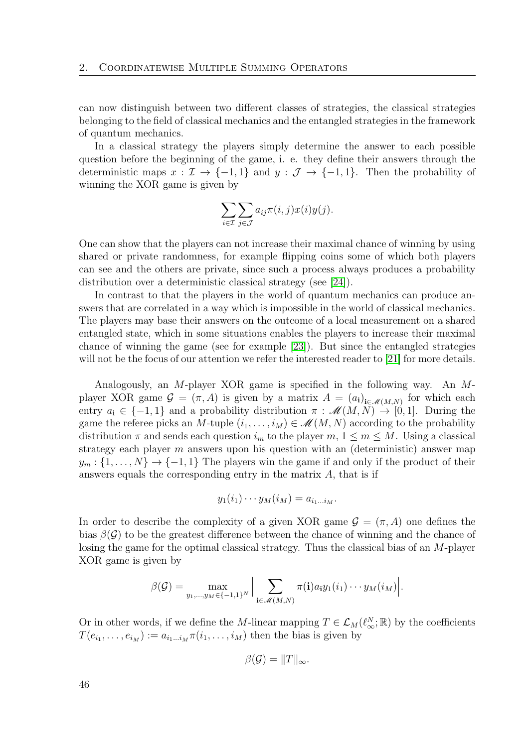can now distinguish between two different classes of strategies, the classical strategies belonging to the field of classical mechanics and the entangled strategies in the framework of quantum mechanics.

In a classical strategy the players simply determine the answer to each possible question before the beginning of the game, i. e. they define their answers through the deterministic maps  $x : \mathcal{I} \to \{-1,1\}$  and  $y : \mathcal{J} \to \{-1,1\}$ . Then the probability of winning the XOR game is given by

$$
\sum_{i\in\mathcal{I}}\sum_{j\in\mathcal{J}}a_{ij}\pi(i,j)x(i)y(j).
$$

One can show that the players can not increase their maximal chance of winning by using shared or private randomness, for example flipping coins some of which both players can see and the others are private, since such a process always produces a probability distribution over a deterministic classical strategy (see [\[24\]](#page-113-0)).

In contrast to that the players in the world of quantum mechanics can produce answers that are correlated in a way which is impossible in the world of classical mechanics. The players may base their answers on the outcome of a local measurement on a shared entangled state, which in some situations enables the players to increase their maximal chance of winning the game (see for example [\[23\]](#page-113-2)). But since the entangled strategies will not be the focus of our attention we refer the interested reader to [\[21\]](#page-113-1) for more details.

Analogously, an M-player XOR game is specified in the following way. An Mplayer XOR game  $\mathcal{G} = (\pi, A)$  is given by a matrix  $A = (a_i)_{i \in \mathcal{M}(M,N)}$  for which each entry  $a_i \in \{-1,1\}$  and a probability distribution  $\pi : \mathscr{M}(M,N) \to [0,1]$ . During the game the referee picks an M-tuple  $(i_1, \ldots, i_M) \in \mathcal{M}(M, N)$  according to the probability distribution  $\pi$  and sends each question  $i_m$  to the player  $m, 1 \leq m \leq M$ . Using a classical strategy each player m answers upon his question with an (deterministic) answer map  $y_m: \{1, \ldots, N\} \rightarrow \{-1, 1\}$  The players win the game if and only if the product of their answers equals the corresponding entry in the matrix  $A$ , that is if

$$
y_1(i_1)\cdots y_M(i_M)=a_{i_1\ldots i_M}.
$$

In order to describe the complexity of a given XOR game  $\mathcal{G} = (\pi, A)$  one defines the bias  $\beta(\mathcal{G})$  to be the greatest difference between the chance of winning and the chance of losing the game for the optimal classical strategy. Thus the classical bias of an M-player XOR game is given by

$$
\beta(\mathcal{G}) = \max_{y_1,\ldots,y_M \in \{-1,1\}^N} \Big| \sum_{\mathbf{i} \in \mathscr{M}(M,N)} \pi(\mathbf{i}) a_{\mathbf{i}} y_1(i_1) \cdots y_M(i_M) \Big|.
$$

Or in other words, if we define the M-linear mapping  $T \in \mathcal{L}_M(\ell_\infty^N;\mathbb{R})$  by the coefficients  $T(e_{i_1}, \ldots, e_{i_M}) := a_{i_1 \ldots i_M} \pi(i_1, \ldots, i_M)$  then the bias is given by

$$
\beta(\mathcal{G}) = ||T||_{\infty}.
$$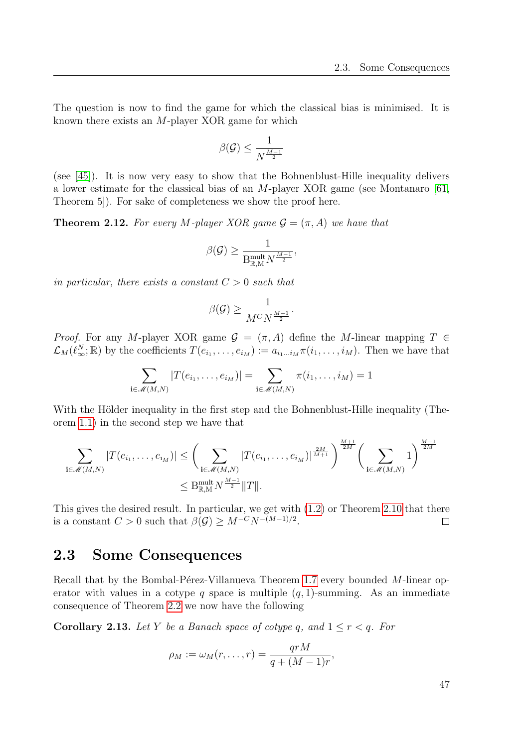The question is now to find the game for which the classical bias is minimised. It is known there exists an M-player XOR game for which

$$
\beta(\mathcal{G}) \leq \frac{1}{N^{\frac{M-1}{2}}}
$$

(see [\[45\]](#page-115-2)). It is now very easy to show that the Bohnenblust-Hille inequality delivers a lower estimate for the classical bias of an  $M$ -player XOR game (see Montanaro [\[61,](#page-116-3) Theorem 5]). For sake of completeness we show the proof here.

**Theorem 2.12.** For every M-player XOR game  $\mathcal{G} = (\pi, A)$  we have that

$$
\beta(\mathcal{G}) \ge \frac{1}{B_{\mathbb{R},M}^{\text{mult}} N^{\frac{M-1}{2}}},
$$

in particular, there exists a constant  $C > 0$  such that

$$
\beta(\mathcal{G}) \ge \frac{1}{M^C N^{\frac{M-1}{2}}}.
$$

*Proof.* For any M-player XOR game  $\mathcal{G} = (\pi, A)$  define the M-linear mapping  $T \in$  $\mathcal{L}_M(\ell_\infty^N;\mathbb{R})$  by the coefficients  $T(e_{i_1},\ldots,e_{i_M}) := a_{i_1\ldots i_M}\pi(i_1,\ldots,i_M)$ . Then we have that

$$
\sum_{\mathbf{i}\in\mathscr{M}(M,N)}|T(e_{i_1},\ldots,e_{i_M})|=\sum_{\mathbf{i}\in\mathscr{M}(M,N)}\pi(i_1,\ldots,i_M)=1
$$

With the Hölder inequality in the first step and the Bohnenblust-Hille inequality (Theorem [1.1\)](#page-20-1) in the second step we have that

$$
\sum_{\mathbf{i}\in\mathscr{M}(M,N)}|T(e_{i_1},\ldots,e_{i_M})|\leq \left(\sum_{\mathbf{i}\in\mathscr{M}(M,N)}|T(e_{i_1},\ldots,e_{i_M})|^{\frac{2M}{M+1}}\right)^{\frac{M+1}{2M}}\left(\sum_{\mathbf{i}\in\mathscr{M}(M,N)}1\right)^{\frac{M-1}{2M}}
$$

$$
\leq B_{\mathbb{R},M}^{\text{mult}}N^{\frac{M-1}{2}}\|T\|.
$$

This gives the desired result. In particular, we get with [\(1.2\)](#page-21-0) or Theorem [2.10](#page-43-1) that there is a constant  $C > 0$  such that  $\beta(\mathcal{G}) \geq M^{-C} N^{-(M-1)/2}$ .  $\Box$ 

# 2.3 Some Consequences

Recall that by the Bombal-Pérez-Villanueva Theorem [1.7](#page-23-0) every bounded  $M$ -linear operator with values in a cotype q space is multiple  $(q, 1)$ -summing. As an immediate consequence of Theorem [2.2](#page-32-0) we now have the following

<span id="page-46-0"></span>**Corollary 2.13.** Let Y be a Banach space of cotype q, and  $1 \leq r < q$ . For

$$
\rho_M := \omega_M(r, \ldots, r) = \frac{qrM}{q + (M-1)r},
$$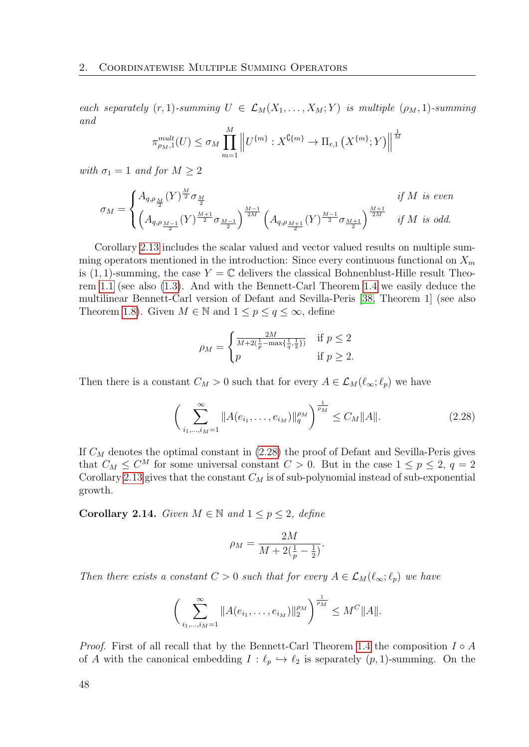each separately  $(r, 1)$ -summing  $U \in \mathcal{L}_M(X_1, \ldots, X_M; Y)$  is multiple  $(\rho_M, 1)$ -summing and

$$
\pi_{\rho_M,1}^{mult}(U) \le \sigma_M \prod_{m=1}^M \left\| U^{\{m\}} : X^{\mathbb{C}\{m\}} \to \Pi_{r,1} \left( X^{\{m\}}; Y \right) \right\|^{\frac{1}{M}}
$$

with  $\sigma_1 = 1$  and for  $M \geq 2$ 

$$
\sigma_M = \begin{cases} A_{q,\rho_{\frac{M}{2}}}(Y)^{\frac{M}{2}} \sigma_{\frac{M}{2}} & \text{if } M \text{ is even} \\ \left( A_{q,\rho_{\frac{M-1}{2}}}(Y)^{\frac{M+1}{2}} \sigma_{\frac{M-1}{2}} \right)^{\frac{M-1}{2M}} \left( A_{q,\rho_{\frac{M+1}{2}}} (Y)^{\frac{M-1}{2}} \sigma_{\frac{M+1}{2}} \right)^{\frac{M+1}{2M}} & \text{if } M \text{ is odd.} \end{cases}
$$

Corollary [2.13](#page-46-0) includes the scalar valued and vector valued results on multiple summing operators mentioned in the introduction: Since every continuous functional on  $X_m$ is (1, 1)-summing, the case  $Y = \mathbb{C}$  delivers the classical Bohnenblust-Hille result Theorem [1.1](#page-20-1) (see also [\(1.3\)](#page-22-0). And with the Bennett-Carl Theorem [1.4](#page-22-1) we easily deduce the multilinear Bennett-Carl version of Defant and Sevilla-Peris [\[38,](#page-114-1) Theorem 1] (see also Theorem [1.8\)](#page-23-1). Given  $M \in \mathbb{N}$  and  $1 \leq p \leq q \leq \infty$ , define

$$
\rho_M = \begin{cases} \frac{2M}{M + 2(\frac{1}{p} - \max\{\frac{1}{q}, \frac{1}{2}\})} & \text{if } p \le 2\\ p & \text{if } p \ge 2. \end{cases}
$$

Then there is a constant  $C_M > 0$  such that for every  $A \in \mathcal{L}_M(\ell_\infty; \ell_p)$  we have

<span id="page-47-0"></span>
$$
\left(\sum_{i_1,\dots,i_M=1}^{\infty} \|A(e_{i_1},\dots,e_{i_M})\|_{q}^{\rho_M}\right)^{\frac{1}{\rho_M}} \le C_M \|A\|.
$$
\n(2.28)

If  $C_M$  denotes the optimal constant in  $(2.28)$  the proof of Defant and Sevilla-Peris gives that  $C_M \leq C^M$  for some universal constant  $C > 0$ . But in the case  $1 \leq p \leq 2$ ,  $q = 2$ Corollary [2.13](#page-46-0) gives that the constant  $C_M$  is of sub-polynomial instead of sub-exponential growth.

Corollary 2.14. Given  $M \in \mathbb{N}$  and  $1 \leq p \leq 2$ , define

$$
\rho_M = \frac{2M}{M + 2(\frac{1}{p} - \frac{1}{2})}.
$$

Then there exists a constant  $C > 0$  such that for every  $A \in \mathcal{L}_M(\ell_\infty; \ell_p)$  we have

$$
\bigg(\sum_{i_1,\dots,i_M=1}^{\infty} \|A(e_{i_1},\dots,e_{i_M})\|_{2}^{\rho_M}\bigg)^{\frac{1}{\rho_M}} \leq M^C \|A\|.
$$

*Proof.* First of all recall that by the Bennett-Carl Theorem [1.4](#page-22-1) the composition  $I \circ A$ of A with the canonical embedding  $I : \ell_p \hookrightarrow \ell_2$  is separately  $(p, 1)$ -summing. On the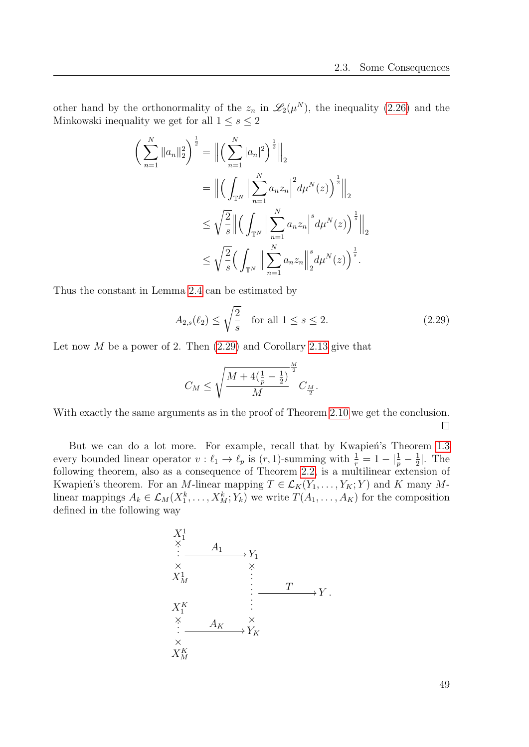other hand by the orthonormality of the  $z_n$  in  $\mathscr{L}_2(\mu^N)$ , the inequality [\(2.26\)](#page-43-3) and the Minkowski inequality we get for all  $1 \leq s \leq 2$ 

$$
\left(\sum_{n=1}^{N} ||a_{n}||_{2}^{2}\right)^{\frac{1}{2}} = \left\|\left(\sum_{n=1}^{N} |a_{n}|^{2}\right)^{\frac{1}{2}}\right\|_{2}
$$
  

$$
= \left\|\left(\int_{\mathbb{T}^{N}} \left|\sum_{n=1}^{N} a_{n} z_{n}\right|^{2} d\mu^{N}(z)\right)^{\frac{1}{2}}\right\|_{2}
$$
  

$$
\leq \sqrt{\frac{2}{s}} \left\|\left(\int_{\mathbb{T}^{N}} \left|\sum_{n=1}^{N} a_{n} z_{n}\right|^{s} d\mu^{N}(z)\right)^{\frac{1}{s}}\right\|_{2}
$$
  

$$
\leq \sqrt{\frac{2}{s}} \left(\int_{\mathbb{T}^{N}} \left\|\sum_{n=1}^{N} a_{n} z_{n}\right\|_{2}^{s} d\mu^{N}(z)\right)^{\frac{1}{s}}.
$$

Thus the constant in Lemma [2.4](#page-36-0) can be estimated by

<span id="page-48-0"></span>
$$
A_{2,s}(\ell_2) \le \sqrt{\frac{2}{s}} \quad \text{for all } 1 \le s \le 2. \tag{2.29}
$$

Let now  $M$  be a power of 2. Then  $(2.29)$  and Corollary [2.13](#page-46-0) give that

$$
C_M \le \sqrt{\frac{M + 4(\frac{1}{p} - \frac{1}{2})}{M}}^{\frac{M}{2}} C_{\frac{M}{2}}.
$$

With exactly the same arguments as in the proof of Theorem [2.10](#page-43-1) we get the conclusion.  $\Box$ 

But we can do a lot more. For example, recall that by Kwapien's Theorem [1.3](#page-21-1) every bounded linear operator  $v : \ell_1 \to \ell_p$  is  $(r, 1)$ -summing with  $\frac{1}{r} = 1 - |\frac{1}{p} - \frac{1}{2}|$  $\frac{1}{2}$ . The following theorem, also as a consequence of Theorem [2.2,](#page-32-0) is a multilinear extension of Kwapień's theorem. For an M-linear mapping  $T \in \mathcal{L}_K(Y_1, \ldots, Y_K; Y)$  and K many Mlinear mappings  $A_k \in \mathcal{L}_M(X_1^k, \ldots, X_M^k; Y_k)$  we write  $T(A_1, \ldots, A_K)$  for the composition defined in the following way

$$
X_1^1
$$
\n
$$
\begin{array}{ccc}\nX_1^1 & & & & & & & \\
\times & A_1 & & & & & & \\
X_M^1 & & & & & & & \\
X_1^1 & & & & & & & \\
X_1^K & & & & & & & \\
\hline\n& & & & & & & & \\
X_1^K & & & & & & & & \\
\hline\n& & & & & & & & & \\
X_M^K & & & & & & & & \\
X_M^K & & & & & & & & \\
\end{array}
$$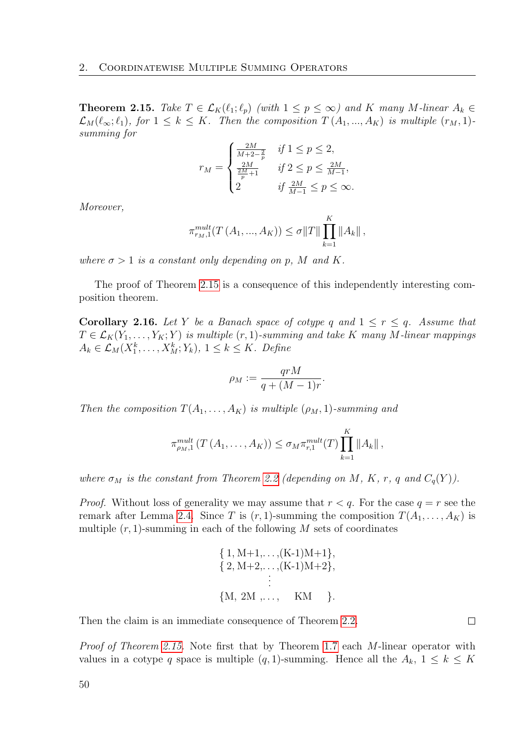<span id="page-49-0"></span>**Theorem 2.15.** Take  $T \in \mathcal{L}_K(\ell_1; \ell_p)$  (with  $1 \leq p \leq \infty$ ) and K many M-linear  $A_k \in$  $\mathcal{L}_M(\ell_\infty; \ell_1)$ , for  $1 \leq k \leq K$ . Then the composition  $T(A_1, ..., A_K)$  is multiple  $(r_M, 1)$ summing for

$$
r_M = \begin{cases} \frac{2M}{M+2-\frac{2}{p}} & \text{if } 1 \le p \le 2, \\ \frac{2M}{\frac{2M}{p}+1} & \text{if } 2 \le p \le \frac{2M}{M-1}, \\ 2 & \text{if } \frac{2M}{M-1} \le p \le \infty. \end{cases}
$$

Moreover,

$$
\pi_{r_M,1}^{mult}(T(A_1, ..., A_K)) \le \sigma ||T|| \prod_{k=1}^K ||A_k||,
$$

where  $\sigma > 1$  is a constant only depending on p, M and K.

The proof of Theorem [2.15](#page-49-0) is a consequence of this independently interesting composition theorem.

<span id="page-49-1"></span>**Corollary 2.16.** Let Y be a Banach space of cotype q and  $1 \leq r \leq q$ . Assume that  $T \in \mathcal{L}_K(Y_1, \ldots, Y_K; Y)$  is multiple  $(r, 1)$ -summing and take K many M-linear mappings  $A_k \in \mathcal{L}_M(X_1^k, \ldots, X_M^k; Y_k), 1 \leq k \leq K$ . Define

$$
\rho_M := \frac{qrM}{q + (M-1)r}
$$

.

 $\Box$ 

Then the composition  $T(A_1, \ldots, A_K)$  is multiple  $(\rho_M, 1)$ -summing and

$$
\pi_{\rho_M,1}^{mult}(T(A_1,\ldots,A_K)) \leq \sigma_M \pi_{r,1}^{mult}(T) \prod_{k=1}^K ||A_k||,
$$

where  $\sigma_M$  is the constant from Theorem [2.2](#page-32-0) (depending on M, K, r, q and  $C_q(Y)$ ).

*Proof.* Without loss of generality we may assume that  $r < q$ . For the case  $q = r$  see the remark after Lemma [2.4.](#page-36-0) Since T is  $(r, 1)$ -summing the composition  $T(A_1, \ldots, A_K)$  is multiple  $(r, 1)$ -summing in each of the following M sets of coordinates

$$
\{1, M+1, \ldots, (K-1)M+1\},\
$$

$$
\{2, M+2, \ldots, (K-1)M+2\},\
$$

$$
\vdots
$$

$$
\{M, 2M, \ldots, KM\}
$$
.

Then the claim is an immediate consequence of Theorem [2.2.](#page-32-0)

Proof of Theorem [2.15.](#page-49-0) Note first that by Theorem [1.7](#page-23-0) each M-linear operator with values in a cotype q space is multiple  $(q, 1)$ -summing. Hence all the  $A_k$ ,  $1 \leq k \leq K$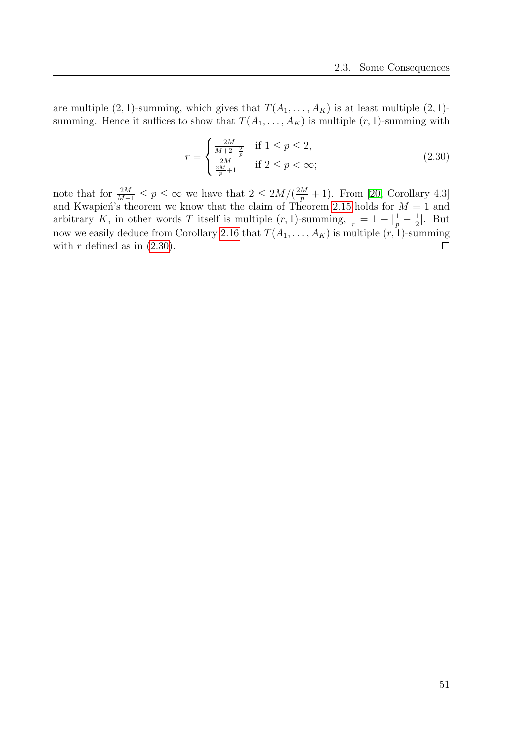are multiple  $(2, 1)$ -summing, which gives that  $T(A_1, \ldots, A_K)$  is at least multiple  $(2, 1)$ summing. Hence it suffices to show that  $T(A_1, \ldots, A_K)$  is multiple  $(r, 1)$ -summing with

<span id="page-50-0"></span>
$$
r = \begin{cases} \frac{2M}{M + 2 - \frac{2}{p}} & \text{if } 1 \le p \le 2, \\ \frac{2M}{\frac{2M}{p} + 1} & \text{if } 2 \le p < \infty; \end{cases}
$$
 (2.30)

note that for  $\frac{2M}{M-1} \le p \le \infty$  we have that  $2 \le 2M/(\frac{2M}{p}+1)$ . From [\[20,](#page-113-3) Corollary 4.3] and Kwapien's theorem we know that the claim of Theorem [2.15](#page-49-0) holds for  $M = 1$  and arbitrary K, in other words T itself is multiple  $(r, 1)$ -summing,  $\frac{1}{r} = 1 - \left|\frac{1}{p} - \frac{1}{2}\right|$  $\frac{1}{2}$ . But now we easily deduce from Corollary [2.16](#page-49-1) that  $T(A_1, \ldots, A_K)$  is multiple  $(r, 1)$ -summing with  $r$  defined as in  $(2.30)$ .  $\Box$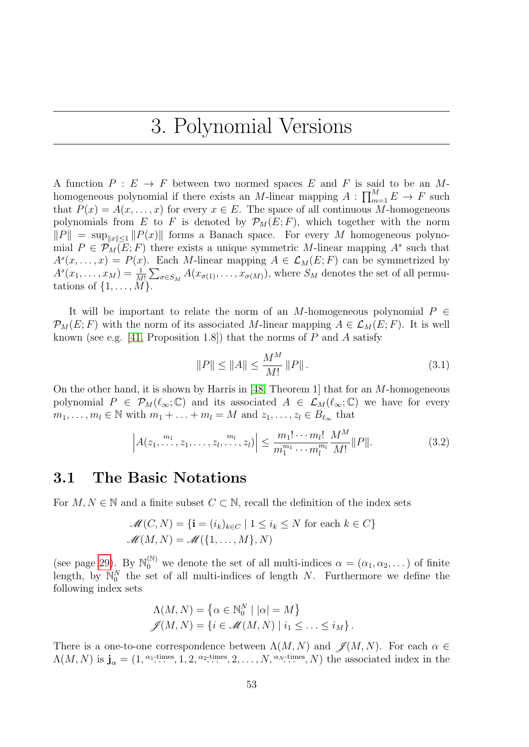# 3. Polynomial Versions

A function  $P : E \to F$  between two normed spaces E and F is said to be an Mhomogeneous polynomial if there exists an M-linear mapping  $A: \prod_{m=1}^{M} E \to F$  such that  $P(x) = A(x, \ldots, x)$  for every  $x \in E$ . The space of all continuous M-homogeneous polynomials from E to F is denoted by  $\mathcal{P}_M(E; F)$ , which together with the norm  $||P|| = \sup_{||x|| \leq 1} ||P(x)||$  forms a Banach space. For every M homogeneous polynomial  $P \in \mathcal{P}_M(E; F)$  there exists a unique symmetric M-linear mapping  $A^s$  such that  $A<sup>s</sup>(x,...,x) = P(x)$ . Each M-linear mapping  $A \in \mathcal{L}_M(E;F)$  can be symmetrized by  $A<sup>s</sup>(x_1,...,x_M) = \frac{1}{M!} \sum_{\sigma \in S_M} A(x_{\sigma(1)},...,x_{\sigma(M)})$ , where  $S_M$  denotes the set of all permutations of  $\{1, \ldots, M\}$ .

It will be important to relate the norm of an M-homogeneous polynomial  $P \in$  $\mathcal{P}_M(E; F)$  with the norm of its associated M-linear mapping  $A \in \mathcal{L}_M(E; F)$ . It is well known (see e.g. [\[41,](#page-114-2) Proposition 1.8]) that the norms of  $P$  and  $\overline{A}$  satisfy

<span id="page-52-0"></span>
$$
||P|| \le ||A|| \le \frac{M^M}{M!} ||P||. \tag{3.1}
$$

On the other hand, it is shown by Harris in [\[48,](#page-115-3) Theorem 1] that for an M-homogeneous polynomial  $P \in \mathcal{P}_M(\ell_\infty;\mathbb{C})$  and its associated  $A \in \mathcal{L}_M(\ell_\infty;\mathbb{C})$  we have for every  $m_1, \ldots, m_l \in \mathbb{N}$  with  $m_1 + \ldots + m_l = M$  and  $z_1, \ldots, z_l \in B_{\ell_\infty}$  that

<span id="page-52-1"></span>
$$
\left| A(z_1, \dots, z_1, \dots, z_l, \dots, z_l) \right| \le \frac{m_1! \dots m_l!}{m_1^{m_1} \dots m_l^{m_l}} \frac{M^M}{M!} \| P \|.
$$
 (3.2)

# 3.1 The Basic Notations

For  $M, N \in \mathbb{N}$  and a finite subset  $C \subset \mathbb{N}$ , recall the definition of the index sets

$$
\mathcal{M}(C, N) = \{ \mathbf{i} = (i_k)_{k \in C} \mid 1 \le i_k \le N \text{ for each } k \in C \}
$$

$$
\mathcal{M}(M, N) = \mathcal{M}(\{1, \dots, M\}, N)
$$

(see page [29\)](#page-28-0). By  $\mathbb{N}_0^{(\mathbb{N})}$  we denote the set of all multi-indices  $\alpha = (\alpha_1, \alpha_2, \dots)$  of finite length, by  $\mathbb{N}_0^N$  the set of all multi-indices of length N. Furthermore we define the following index sets

$$
\Lambda(M, N) = \{ \alpha \in \mathbb{N}_0^N \mid |\alpha| = M \}
$$
  

$$
\mathscr{J}(M, N) = \{ i \in \mathscr{M}(M, N) \mid i_1 \leq \ldots \leq i_M \}.
$$

There is a one-to-one correspondence between  $\Lambda(M, N)$  and  $\mathscr{J}(M, N)$ . For each  $\alpha \in$  $\Lambda(M, N)$  is  $\mathbf{j}_{\alpha} = (1, \alpha_1 \text{-times}, 1, 2, \alpha_2 \text{-times}, 2, \dots, N, \alpha_N \text{-times}, N)$  the associated index in the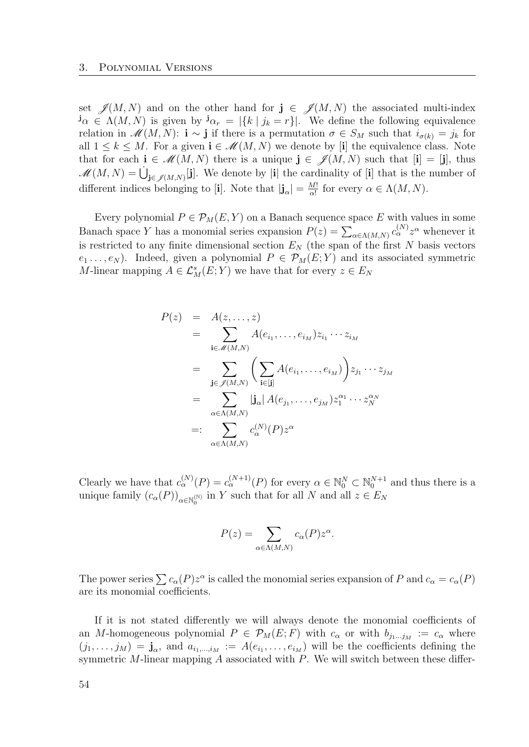set  $\mathscr{J}(M, N)$  and on the other hand for  $\mathbf{j} \in \mathscr{J}(M, N)$  the associated multi-index  $j_{\alpha} \in \Lambda(M, N)$  is given by  $j_{\alpha} = |\{k \mid j_k = r\}|$ . We define the following equivalence relation in  $\mathscr{M}(M, N)$ : **i** ~ **j** if there is a permutation  $\sigma \in S_M$  such that  $i_{\sigma(k)} = j_k$  for all  $1 \leq k \leq M$ . For a given  $i \in \mathcal{M}(M, N)$  we denote by [i] the equivalence class. Note that for each  $\mathbf{i} \in \mathcal{M}(M,N)$  there is a unique  $\mathbf{j} \in \mathcal{J}(M,N)$  such that  $[\mathbf{i}] = [\mathbf{j}]$ , thus  $\mathscr{M}(M,N) = \bigcup_{\mathbf{j} \in \mathscr{J}(M,N)} [\mathbf{j}]$ . We denote by  $|\mathbf{i}|$  the cardinality of  $[\mathbf{i}]$  that is the number of different indices belonging to [i]. Note that  $|\mathbf{j}_{\alpha}| = \frac{M!}{\alpha!}$  $\frac{M!}{\alpha!}$  for every  $\alpha \in \Lambda(M, N)$ .

Every polynomial  $P \in \mathcal{P}_M(E, Y)$  on a Banach sequence space E with values in some Banach space Y has a monomial series expansion  $P(z) = \sum_{\alpha \in \Lambda(M,N)} c_{\alpha}^{(N)} z^{\alpha}$  whenever it is restricted to any finite dimensional section  $E<sub>N</sub>$  (the span of the first N basis vectors  $e_1 \ldots, e_N$ ). Indeed, given a polynomial  $P \in \mathcal{P}_M(E;Y)$  and its associated symmetric M-linear mapping  $A \in \mathcal{L}^s_M(E;Y)$  we have that for every  $z \in E_N$ 

$$
P(z) = A(z, ..., z)
$$
  
\n
$$
= \sum_{\mathbf{i} \in \mathscr{M}(M,N)} A(e_{i_1}, ..., e_{i_M}) z_{i_1} \cdots z_{i_M}
$$
  
\n
$$
= \sum_{\mathbf{j} \in \mathscr{J}(M,N)} \left( \sum_{\mathbf{i} \in [\mathbf{j}]} A(e_{i_1}, ..., e_{i_M}) \right) z_{j_1} \cdots z_{j_M}
$$
  
\n
$$
= \sum_{\alpha \in \Lambda(M,N)} |\mathbf{j}_{\alpha}| A(e_{j_1}, ..., e_{j_M}) z_1^{\alpha_1} \cdots z_N^{\alpha_N}
$$
  
\n
$$
= \sum_{\alpha \in \Lambda(M,N)} c_{\alpha}^{(N)}(P) z^{\alpha}
$$

Clearly we have that  $c_{\alpha}^{(N)}(P) = c_{\alpha}^{(N+1)}(P)$  for every  $\alpha \in \mathbb{N}_0^N \subset \mathbb{N}_0^{N+1}$  and thus there is a unique family  $(c_{\alpha}(P))_{\alpha \in \mathbb{N}_{0}^{(\mathbb{N})}}$  in Y such that for all N and all  $z \in E_{N}$ 

$$
P(z) = \sum_{\alpha \in \Lambda(M,N)} c_{\alpha}(P) z^{\alpha}.
$$

The power series  $\sum c_{\alpha}(P)z^{\alpha}$  is called the monomial series expansion of P and  $c_{\alpha}=c_{\alpha}(P)$ are its monomial coefficients.

If it is not stated differently we will always denote the monomial coefficients of an M-homogeneous polynomial  $P \in \mathcal{P}_M(E; F)$  with  $c_{\alpha}$  or with  $b_{j_1...j_M} := c_{\alpha}$  where  $(j_1,\ldots,j_M) = \mathbf{j}_{\alpha}$ , and  $a_{i_1,\ldots,i_M} := A(e_{i_1},\ldots,e_{i_M})$  will be the coefficients defining the symmetric M-linear mapping  $A$  associated with  $P$ . We will switch between these differ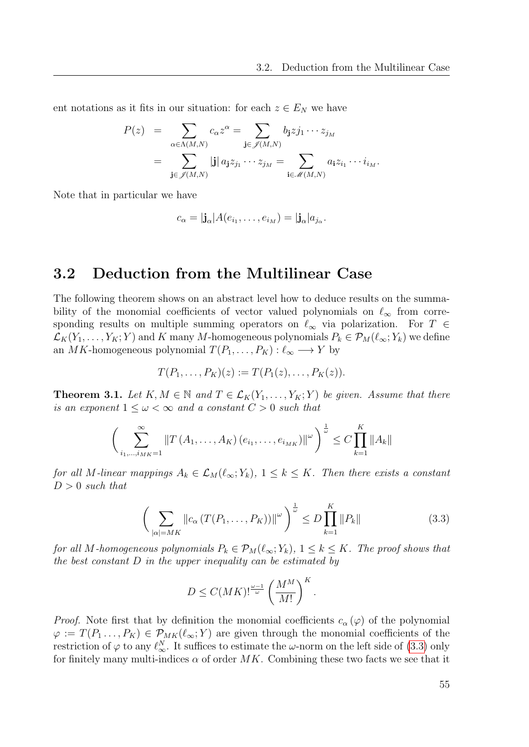ent notations as it fits in our situation: for each  $z \in E_N$  we have

$$
P(z) = \sum_{\alpha \in \Lambda(M,N)} c_{\alpha} z^{\alpha} = \sum_{\mathbf{j} \in \mathscr{J}(M,N)} b_{\mathbf{j}} z j_{1} \cdots z_{j_{M}}
$$
  
= 
$$
\sum_{\mathbf{j} \in \mathscr{J}(M,N)} |\mathbf{j}| a_{\mathbf{j}} z_{j_{1}} \cdots z_{j_{M}} = \sum_{\mathbf{i} \in \mathscr{M}(M,N)} a_{\mathbf{i}} z_{i_{1}} \cdots i_{i_{M}}.
$$

Note that in particular we have

$$
c_{\alpha} = |{\bf j}_{\alpha}| A(e_{i_1}, \ldots, e_{i_M}) = |{\bf j}_{\alpha}| a_{j_{\alpha}}.
$$

# 3.2 Deduction from the Multilinear Case

The following theorem shows on an abstract level how to deduce results on the summability of the monomial coefficients of vector valued polynomials on  $\ell_{\infty}$  from corresponding results on multiple summing operators on  $\ell_{\infty}$  via polarization. For T ∈  $\mathcal{L}_K(Y_1, \ldots, Y_K; Y)$  and K many M-homogeneous polynomials  $P_k \in \mathcal{P}_M(\ell_\infty; Y_k)$  we define an MK-homogeneous polynomial  $T(P_1, \ldots, P_K) : \ell_\infty \longrightarrow Y$  by

$$
T(P_1,\ldots,P_K)(z) := T(P_1(z),\ldots,P_K(z)).
$$

<span id="page-54-1"></span>**Theorem 3.1.** Let  $K, M \in \mathbb{N}$  and  $T \in \mathcal{L}_K(Y_1, \ldots, Y_K; Y)$  be given. Assume that there is an exponent  $1 \leq \omega < \infty$  and a constant  $C > 0$  such that

$$
\left(\sum_{i_1,\dots,i_{MK}=1}^{\infty} \|T(A_1,\dots,A_K)(e_{i_1},\dots,e_{i_{MK}})\|^{\omega}\right)^{\frac{1}{\omega}} \leq C \prod_{k=1}^{K} \|A_k\|
$$

for all M-linear mappings  $A_k \in \mathcal{L}_M(\ell_\infty; Y_k)$ ,  $1 \leq k \leq K$ . Then there exists a constant  $D > 0$  such that

<span id="page-54-0"></span>
$$
\left(\sum_{|\alpha|=MK} \|c_{\alpha}(T(P_1,\ldots,P_K))\|^{\omega}\right)^{\frac{1}{\omega}} \le D \prod_{k=1}^K \|P_k\| \tag{3.3}
$$

for all M-homogeneous polynomials  $P_k \in \mathcal{P}_M(\ell_\infty; Y_k)$ ,  $1 \leq k \leq K$ . The proof shows that the best constant  $D$  in the upper inequality can be estimated by

$$
D \le C(MK)!^{\frac{\omega - 1}{\omega}} \left(\frac{M^M}{M!}\right)^K.
$$

*Proof.* Note first that by definition the monomial coefficients  $c_{\alpha}(\varphi)$  of the polynomial  $\varphi := T(P_1, \ldots, P_K) \in \mathcal{P}_{MK}(\ell_\infty; Y)$  are given through the monomial coefficients of the restriction of  $\varphi$  to any  $\ell_{\infty}^N$ . It suffices to estimate the  $\omega$ -norm on the left side of [\(3.3\)](#page-54-0) only for finitely many multi-indices  $\alpha$  of order MK. Combining these two facts we see that it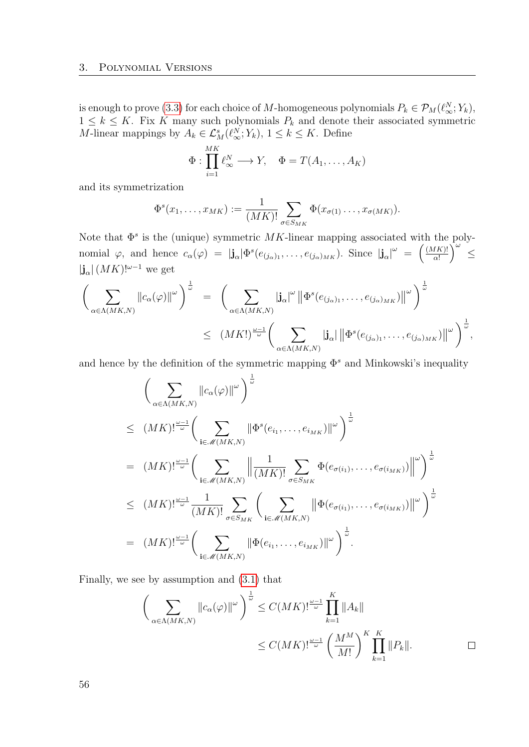is enough to prove [\(3.3\)](#page-54-0) for each choice of M-homogeneous polynomials  $P_k \in \mathcal{P}_M(\ell_\infty^N; Y_k)$ ,  $1 \leq k \leq K$ . Fix K many such polynomials  $P_k$  and denote their associated symmetric *M*-linear mappings by  $A_k \in \mathcal{L}^s_M(\ell^N_\infty; Y_k)$ ,  $1 \leq k \leq K$ . Define

$$
\Phi: \prod_{i=1}^{MK} \ell_{\infty}^N \longrightarrow Y, \quad \Phi = T(A_1, \dots, A_K)
$$

and its symmetrization

$$
\Phi^s(x_1,\ldots,x_{MK}) := \frac{1}{(MK)!} \sum_{\sigma \in S_{MK}} \Phi(x_{\sigma(1)}\ldots,x_{\sigma(MK)}).
$$

Note that  $\Phi^s$  is the (unique) symmetric MK-linear mapping associated with the polynomial  $\varphi$ , and hence  $c_{\alpha}(\varphi) = |\mathbf{j}_{\alpha}| \Phi^{s}(e_{(j_{\alpha})_{1}}, \ldots, e_{(j_{\alpha})_{MK}})$ . Since  $|\mathbf{j}_{\alpha}|^{\omega} = \left(\frac{(MK)!}{\alpha!}\right)$  $\frac{d(K)!}{\alpha!}$   $\Big)^{\omega}$   $\leq$  $|\mathbf{j}_{\alpha}| (MK)!^{\omega-1}$  we get

$$
\left(\sum_{\alpha\in\Lambda(MK,N)}\|c_{\alpha}(\varphi)\|_{\omega}\right)^{\frac{1}{\omega}}=\left(\sum_{\alpha\in\Lambda(MK,N)}|\mathbf{j}_{\alpha}|^{\omega}\left\|\Phi^{s}(e_{(j_{\alpha})_{1}},\ldots,e_{(j_{\alpha})_{MK}})\right\|^{\omega}\right)^{\frac{1}{\omega}}\right)^{\frac{1}{\omega}}
$$
\n
$$
\leq (MK!)^{\frac{\omega-1}{\omega}}\left(\sum_{\alpha\in\Lambda(MK,N)}|\mathbf{j}_{\alpha}|\left\|\Phi^{s}(e_{(j_{\alpha})_{1}},\ldots,e_{(j_{\alpha})_{MK}})\right\|^{\omega}\right)^{\frac{1}{\omega}},
$$

and hence by the definition of the symmetric mapping  $\Phi^s$  and Minkowski's inequality

$$
\left(\sum_{\alpha\in\Lambda(MK,N)}\|c_{\alpha}(\varphi)\|^{2}\right)^{\frac{1}{\omega}}
$$
\n
$$
\leq (MK)!^{\frac{\omega-1}{\omega}}\left(\sum_{\mathbf{i}\in\mathcal{M}(MK,N)}\|\Phi^{s}(e_{i_{1}},\ldots,e_{i_{MK}})\|^{2}\right)^{\frac{1}{\omega}}
$$
\n
$$
= (MK!)^{\frac{\omega-1}{\omega}}\left(\sum_{\mathbf{i}\in\mathcal{M}(MK,N)}\left\|\frac{1}{(MK)!}\sum_{\sigma\in S_{MK}}\Phi(e_{\sigma(i_{1})},\ldots,e_{\sigma(i_{MK})})\right\|^{2}\right)^{\frac{1}{\omega}}
$$
\n
$$
\leq (MK)!^{\frac{\omega-1}{\omega}}\frac{1}{(MK)!}\sum_{\sigma\in S_{MK}}\left(\sum_{\mathbf{i}\in\mathcal{M}(MK,N)}\left\|\Phi(e_{\sigma(i_{1})},\ldots,e_{\sigma(i_{MK})})\right\|^{2}\right)^{\frac{1}{\omega}}
$$
\n
$$
= (MK)!^{\frac{\omega-1}{\omega}}\left(\sum_{\mathbf{i}\in\mathcal{M}(MK,N)}\left\|\Phi(e_{i_{1}},\ldots,e_{i_{MK}})\right\|^{2}\right)^{\frac{1}{\omega}}.
$$

Finally, we see by assumption and [\(3.1\)](#page-52-0) that

$$
\left(\sum_{\alpha \in \Lambda(MK,N)} \left\|c_{\alpha}(\varphi)\right\|^{\omega}\right)^{\frac{1}{\omega}} \le C(MK)!^{\frac{\omega-1}{\omega}} \prod_{k=1}^{K} \left\|A_{k}\right\|
$$
  

$$
\le C(MK)!^{\frac{\omega-1}{\omega}} \left(\frac{M^{M}}{M!}\right)^{K} \prod_{k=1}^{K} \left\|P_{k}\right\|.
$$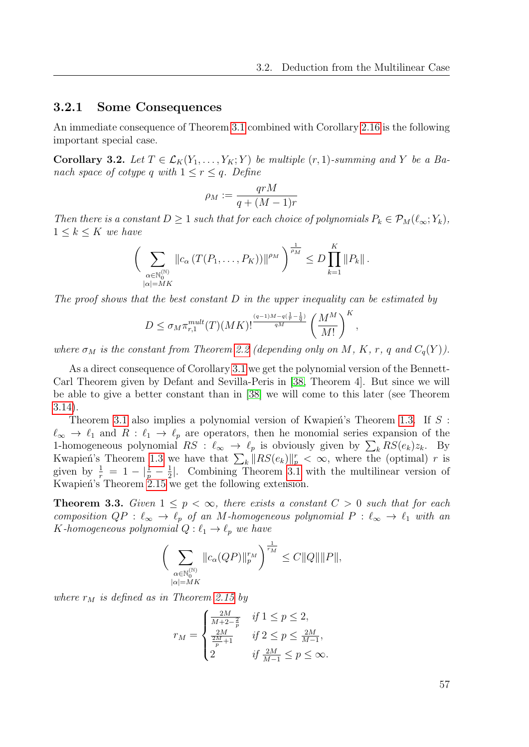### 3.2.1 Some Consequences

An immediate consequence of Theorem [3.1](#page-54-1) combined with Corollary [2.16](#page-49-1) is the following important special case.

<span id="page-56-0"></span>Corollary 3.2. Let  $T \in \mathcal{L}_K(Y_1, \ldots, Y_K; Y)$  be multiple  $(r, 1)$ -summing and Y be a Banach space of cotype q with  $1 \leq r \leq q$ . Define

$$
\rho_M := \frac{qrM}{q + (M-1)r}
$$

Then there is a constant  $D \geq 1$  such that for each choice of polynomials  $P_k \in \mathcal{P}_M(\ell_\infty; Y_k)$ ,  $1 \leq k \leq K$  we have

$$
\bigg(\sum_{\substack{\alpha\in\mathbb{N}_0^{(\mathbb{N})}\\|\alpha|=MK}}\|c_{\alpha}\left(T(P_1,\ldots,P_K)\right)\|^{\rho_M}\bigg)^{\frac{1}{\rho_M}}\leq D\prod_{k=1}^K\|P_k\|.
$$

The proof shows that the best constant  $D$  in the upper inequality can be estimated by

$$
D \leq \sigma_M \pi_{r,1}^{mult}(T)(MK)!^{\frac{(q-1)M-q(\frac{1}{r}-\frac{1}{q})}{qM}} \left(\frac{M^M}{M!}\right)^K,
$$

where  $\sigma_M$  is the constant from Theorem [2.2](#page-32-0) (depending only on M, K, r, q and  $C_q(Y)$ ).

As a direct consequence of Corollary [3.1](#page-54-1) we get the polynomial version of the Bennett-Carl Theorem given by Defant and Sevilla-Peris in [\[38,](#page-114-1) Theorem 4]. But since we will be able to give a better constant than in [\[38\]](#page-114-1) we will come to this later (see Theorem [3.14\)](#page-64-0).

Theorem [3.1](#page-54-1) also implies a polynomial version of Kwapien's Theorem [1.3.](#page-21-1) If  $S$ :  $\ell_{\infty} \to \ell_1$  and  $R : \ell_1 \to \ell_p$  are operators, then he monomial series expansion of the 1-homogeneous polynomial  $RS : \ell_{\infty} \to \ell_p$  is obviously given by  $\sum_k RS(e_k)z_k$ . By Kwapien's Theorem [1.3](#page-21-1) we have that  $\sum_{k} ||RS(e_k)||_p^r < \infty$ , where the (optimal) r is given by  $\frac{1}{r} = 1 - |\frac{1}{p} - \frac{1}{2}|$  $\frac{1}{2}$ . Combining Theorem [3.1](#page-54-1) with the multilinear version of Kwapień's Theorem [2.15](#page-49-0) we get the following extension.

**Theorem 3.3.** Given  $1 \leq p < \infty$ , there exists a constant  $C > 0$  such that for each composition  $QP : \ell_{\infty} \to \ell_p$  of an M-homogeneous polynomial  $P : \ell_{\infty} \to \ell_1$  with an K-homogeneous polynomial  $Q: \ell_1 \to \ell_p$  we have

$$
\bigg(\sum_{\substack{\alpha\in\mathbb{N}_0^{(\mathbb{N})}\\|\alpha|=MK}}\|c_{\alpha}(QP)\|_p^{r_M}\bigg)^{\frac{1}{r_M}}\leq C\|Q\|\|P\|,
$$

where  $r_M$  is defined as in Theorem [2.15](#page-49-0) by

$$
r_M = \begin{cases} \frac{2M}{M+2-\frac{2}{p}} & \text{if } 1 \le p \le 2, \\ \frac{2M}{\frac{2M}{p}+1} & \text{if } 2 \le p \le \frac{2M}{M-1}, \\ 2 & \text{if } \frac{2M}{M-1} \le p \le \infty. \end{cases}
$$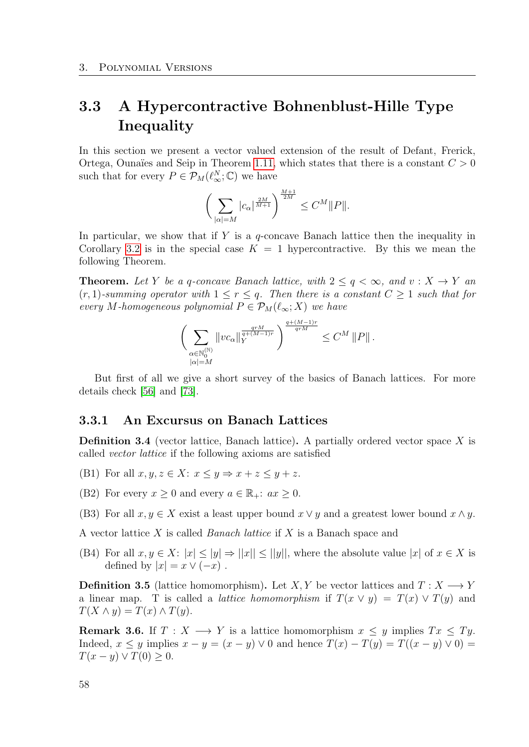# 3.3 A Hypercontractive Bohnenblust-Hille Type **Inequality**

In this section we present a vector valued extension of the result of Defant, Frerick, Ortega, Ounaïes and Seip in Theorem [1.11,](#page-24-0) which states that there is a constant  $C > 0$ such that for every  $P \in \mathcal{P}_M(\ell_\infty^N;\mathbb{C})$  we have

$$
\left(\sum_{|\alpha|=M} |c_{\alpha}|^{\frac{2M}{M+1}}\right)^{\frac{M+1}{2M}} \leq C^M \|P\|.
$$

In particular, we show that if Y is a  $q$ -concave Banach lattice then the inequality in Corollary [3.2](#page-56-0) is in the special case  $K = 1$  hypercontractive. By this we mean the following Theorem.

**Theorem.** Let Y be a q-concave Banach lattice, with  $2 \le q < \infty$ , and  $v: X \to Y$  and  $(r, 1)$ -summing operator with  $1 \leq r \leq q$ . Then there is a constant  $C \geq 1$  such that for every M-homogeneous polynomial  $P \in \mathcal{P}_M(\ell_\infty; X)$  we have

$$
\bigg(\sum_{\substack{\alpha\in\mathbb{N}_0^{(\mathbb{N})}\\|\alpha|=M}}\|vc_{\alpha}\|_Y^{\frac{qrM}{q+(M-1)r}}\bigg)^{\frac{q+(M-1)r}{qrM}}\leq C^M\,\|P\|\,.
$$

But first of all we give a short survey of the basics of Banach lattices. For more details check [\[56\]](#page-115-4) and [\[73\]](#page-116-4).

### 3.3.1 An Excursus on Banach Lattices

**Definition 3.4** (vector lattice, Banach lattice). A partially ordered vector space  $X$  is called vector lattice if the following axioms are satisfied

- (B1) For all  $x, y, z \in X: x \leq y \Rightarrow x + z \leq y + z$ .
- (B2) For every  $x > 0$  and every  $a \in \mathbb{R}_+$ :  $ax > 0$ .
- (B3) For all  $x, y \in X$  exist a least upper bound  $x \vee y$  and a greatest lower bound  $x \wedge y$ .

A vector lattice  $X$  is called *Banach lattice* if  $X$  is a Banach space and

(B4) For all  $x, y \in X: |x| \le |y| \Rightarrow ||x|| \le ||y||$ , where the absolute value  $|x|$  of  $x \in X$  is defined by  $|x| = x \vee (-x)$ .

**Definition 3.5** (lattice homomorphism). Let X, Y be vector lattices and  $T: X \longrightarrow Y$ a linear map. T is called a *lattice homomorphism* if  $T(x \vee y) = T(x) \vee T(y)$  and  $T(X \wedge y) = T(x) \wedge T(y).$ 

**Remark 3.6.** If  $T : X \longrightarrow Y$  is a lattice homomorphism  $x \leq y$  implies  $Tx \leq Ty$ . Indeed,  $x \leq y$  implies  $x - y = (x - y) \vee 0$  and hence  $T(x) - T(y) = T((x - y) \vee 0) =$  $T(x - y) \vee T(0) \geq 0.$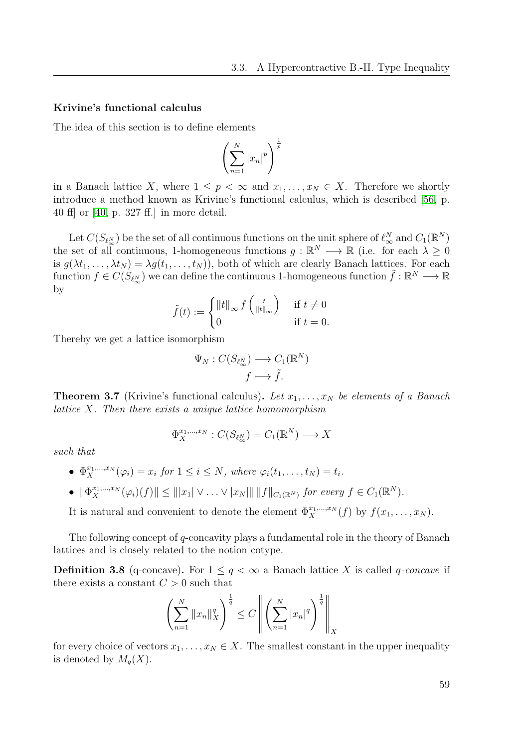#### Krivine's functional calculus

The idea of this section is to define elements

$$
\left(\sum_{n=1}^{N} |x_n|^p\right)^{\frac{1}{p}}
$$

in a Banach lattice X, where  $1 \leq p < \infty$  and  $x_1, \ldots, x_N \in X$ . Therefore we shortly introduce a method known as Krivine's functional calculus, which is described [\[56,](#page-115-4) p. 40 ff] or [\[40,](#page-114-3) p. 327 ff.] in more detail.

Let  $C(S_{\ell_{\infty}^{N}})$  be the set of all continuous functions on the unit sphere of  $\ell_{\infty}^{N}$  and  $C_{1}(\mathbb{R}^{N})$ the set of all continuous, 1-homogeneous functions  $g : \mathbb{R}^N \longrightarrow \mathbb{R}$  (i.e. for each  $\lambda \geq 0$ is  $g(\lambda t_1, \ldots, \lambda t_N) = \lambda g(t_1, \ldots, t_N)$ , both of which are clearly Banach lattices. For each function  $f \in C(S_{\ell_{\infty}^{N}})$  we can define the continuous 1-homogeneous function  $\tilde{f}: \mathbb{R}^{N} \longrightarrow \mathbb{R}$ by

$$
\tilde{f}(t) := \begin{cases}\n\|t\|_{\infty} f\left(\frac{t}{\|t\|_{\infty}}\right) & \text{if } t \neq 0 \\
0 & \text{if } t = 0.\n\end{cases}
$$

Thereby we get a lattice isomorphism

$$
\Psi_N : C(S_{\ell_\infty^N}) \longrightarrow C_1(\mathbb{R}^N)
$$

$$
f \longmapsto \tilde{f}.
$$

<span id="page-58-0"></span>**Theorem 3.7** (Krivine's functional calculus). Let  $x_1, \ldots, x_N$  be elements of a Banach lattice X. Then there exists a unique lattice homomorphism

$$
\Phi_X^{x_1,\dots,x_N}: C(S_{\ell_\infty^N}) = C_1(\mathbb{R}^N) \longrightarrow X
$$

such that

- $\Phi_X^{x_1,\dots,x_N}(\varphi_i) = x_i$  for  $1 \leq i \leq N$ , where  $\varphi_i(t_1,\dots,t_N) = t_i$ .
- $\|\Phi_X^{x_1,\dots,x_N}(\varphi_i)(f)\| \le \| |x_1| \vee \dots \vee |x_N| \| \|f\|_{C_1(\mathbb{R}^N)}$  for every  $f \in C_1(\mathbb{R}^N)$ .

It is natural and convenient to denote the element  $\Phi_X^{x_1,\dots,x_N}(f)$  by  $f(x_1,\dots,x_N)$ .

The following concept of q-concavity plays a fundamental role in the theory of Banach lattices and is closely related to the notion cotype.

**Definition 3.8** (q-concave). For  $1 \leq q \leq \infty$  a Banach lattice X is called q-concave if there exists a constant  $C > 0$  such that

$$
\left(\sum_{n=1}^{N} ||x_n||_X^q\right)^{\frac{1}{q}} \le C \left\| \left(\sum_{n=1}^{N} |x_n|^q\right)^{\frac{1}{q}} \right\|_X
$$

for every choice of vectors  $x_1, \ldots, x_N \in X$ . The smallest constant in the upper inequality is denoted by  $M_q(X)$ .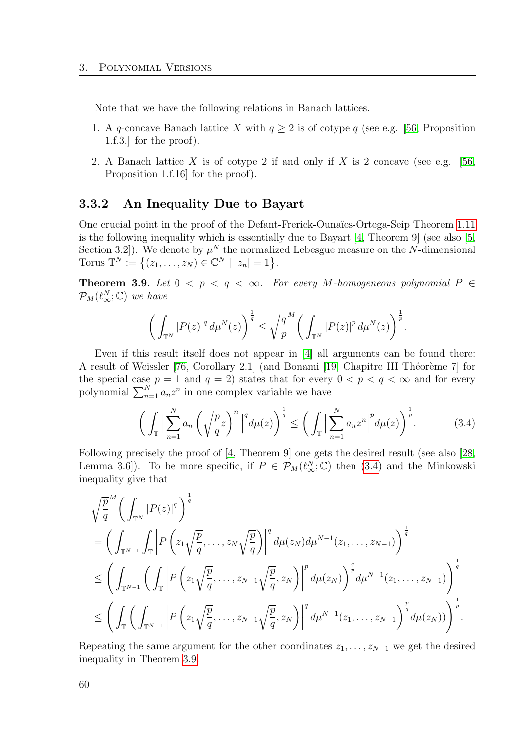Note that we have the following relations in Banach lattices.

- 1. A q-concave Banach lattice X with  $q \geq 2$  is of cotype q (see e.g. [\[56,](#page-115-4) Proposition 1.f.3.] for the proof).
- 2. A Banach lattice X is of cotype 2 if and only if X is 2 concave (see e.g. [\[56,](#page-115-4) Proposition 1.f.16] for the proof).

### 3.3.2 An Inequality Due to Bayart

One crucial point in the proof of the Defant-Frerick-Ounaïes-Ortega-Seip Theorem [1.11](#page-24-0) is the following inequality which is essentially due to Bayart [\[4,](#page-112-1) Theorem 9] (see also [\[5,](#page-112-2) Section 3.2]). We denote by  $\mu^N$  the normalized Lebesgue measure on the N-dimensional Torus  $\mathbb{T}^N := \{(z_1, ..., z_N) \in \mathbb{C}^N \mid |z_n| = 1\}.$ 

<span id="page-59-0"></span>Theorem 3.9. Let  $0 < p < q < \infty$ . For every M-homogeneous polynomial  $P \in$  $\mathcal{P}_M(\ell_\infty^N;\mathbb{C})$  we have

$$
\bigg(\int_{\mathbb{T}^N} |P(z)|^q \, d\mu^N(z)\bigg)^{\frac{1}{q}} \leq \sqrt{\frac{q}{p}}^M \bigg(\int_{\mathbb{T}^N} |P(z)|^p \, d\mu^N(z)\bigg)^{\frac{1}{p}}.
$$

Even if this result itself does not appear in [\[4\]](#page-112-1) all arguments can be found there: A result of Weissler [\[76,](#page-117-0) Corollary 2.1] (and Bonami [\[19,](#page-113-4) Chapitre III Théorème 7] for the special case  $p = 1$  and  $q = 2$ ) states that for every  $0 < p < q < \infty$  and for every polynomial  $\sum_{n=1}^{N} a_n z^n$  in one complex variable we have

<span id="page-59-1"></span>
$$
\left(\int_{\mathbb{T}}\Big|\sum_{n=1}^{N}a_n\left(\sqrt{\frac{p}{q}}z\right)^n\Big|^q d\mu(z)\right)^{\frac{1}{q}} \leq \left(\int_{\mathbb{T}}\Big|\sum_{n=1}^{N}a_nz^n\Big|^p d\mu(z)\right)^{\frac{1}{p}}.\tag{3.4}
$$

Following precisely the proof of [\[4,](#page-112-1) Theorem 9] one gets the desired result (see also [\[28,](#page-113-5) Lemma 3.6]). To be more specific, if  $P \in \mathcal{P}_M(\ell_\infty^N;\mathbb{C})$  then [\(3.4\)](#page-59-1) and the Minkowski inequality give that

$$
\sqrt{\frac{p}{q}}^{M} \left( \int_{\mathbb{T}^{N}} |P(z)|^{q} \right)^{\frac{1}{q}} \n= \left( \int_{\mathbb{T}^{N-1}} \int_{\mathbb{T}} \left| P\left(z_{1} \sqrt{\frac{p}{q}}, \ldots, z_{N} \sqrt{\frac{p}{q}} \right) \right|^{q} d\mu(z_{N}) d\mu^{N-1}(z_{1}, \ldots, z_{N-1}) \right)^{\frac{1}{q}} \n\leq \left( \int_{\mathbb{T}^{N-1}} \left( \int_{\mathbb{T}} \left| P\left(z_{1} \sqrt{\frac{p}{q}}, \ldots, z_{N-1} \sqrt{\frac{p}{q}}, z_{N} \right) \right|^{p} d\mu(z_{N}) \right)^{\frac{q}{p}} d\mu^{N-1}(z_{1}, \ldots, z_{N-1}) \right)^{\frac{1}{q}} \n\leq \left( \int_{\mathbb{T}} \left( \int_{\mathbb{T}^{N-1}} \left| P\left(z_{1} \sqrt{\frac{p}{q}}, \ldots, z_{N-1} \sqrt{\frac{p}{q}}, z_{N} \right) \right|^{q} d\mu^{N-1}(z_{1}, \ldots, z_{N-1}) \right)^{\frac{p}{q}} d\mu(z_{N})) \right)^{\frac{1}{p}}.
$$

Repeating the same argument for the other coordinates  $z_1, \ldots, z_{N-1}$  we get the desired inequality in Theorem [3.9.](#page-59-0)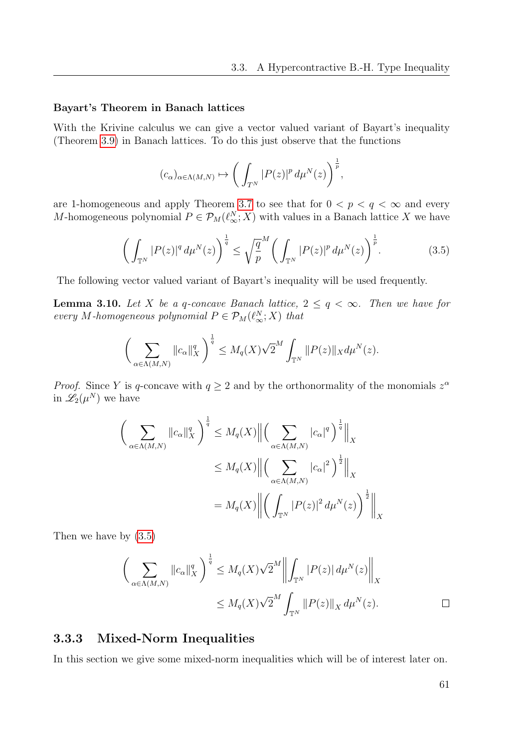#### Bayart's Theorem in Banach lattices

With the Krivine calculus we can give a vector valued variant of Bayart's inequality (Theorem [3.9\)](#page-59-0) in Banach lattices. To do this just observe that the functions

$$
(c_{\alpha})_{\alpha \in \Lambda(M,N)} \mapsto \left(\int_{T^N} |P(z)|^p \, d\mu^N(z)\right)^{\frac{1}{p}},
$$

are 1-homogeneous and apply Theorem [3.7](#page-58-0) to see that for  $0 < p < q < \infty$  and every M-homogeneous polynomial  $P \in \mathcal{P}_M(\ell^N_\infty;X)$  with values in a Banach lattice X we have

<span id="page-60-0"></span>
$$
\left(\int_{\mathbb{T}^N} |P(z)|^q \, d\mu^N(z)\right)^{\frac{1}{q}} \le \sqrt{\frac{q}{p}}^M \left(\int_{\mathbb{T}^N} |P(z)|^p \, d\mu^N(z)\right)^{\frac{1}{p}}.\tag{3.5}
$$

The following vector valued variant of Bayart's inequality will be used frequently.

<span id="page-60-1"></span>**Lemma 3.10.** Let X be a q-concave Banach lattice,  $2 \le q < \infty$ . Then we have for every M-homogeneous polynomial  $P \in \mathcal{P}_M(\ell_\infty^N;X)$  that

$$
\bigg(\sum_{\alpha\in\Lambda(M,N)}\|c_{\alpha}\|_{X}^{q}\bigg)^{\frac{1}{q}}\leq M_{q}(X)\sqrt{2}^{M}\int_{\mathbb{T}^{N}}\|P(z)\|_{X}d\mu^{N}(z).
$$

*Proof.* Since Y is q-concave with  $q \geq 2$  and by the orthonormality of the monomials  $z^{\alpha}$ in  $\mathscr{L}_2(\mu^N)$  we have

$$
\left(\sum_{\alpha \in \Lambda(M,N)} \|c_{\alpha}\|_{X}^{q}\right)^{\frac{1}{q}} \leq M_{q}(X) \left\| \left(\sum_{\alpha \in \Lambda(M,N)} |c_{\alpha}|^{q}\right)^{\frac{1}{q}} \right\|_{X}
$$
  

$$
\leq M_{q}(X) \left\| \left(\sum_{\alpha \in \Lambda(M,N)} |c_{\alpha}|^{2}\right)^{\frac{1}{2}} \right\|_{X}
$$
  

$$
= M_{q}(X) \left\| \left(\int_{\mathbb{T}^{N}} |P(z)|^{2} d\mu^{N}(z)\right)^{\frac{1}{2}} \right\|_{X}
$$

Then we have by [\(3.5\)](#page-60-0)

$$
\left(\sum_{\alpha \in \Lambda(M,N)} \|c_{\alpha}\|_{X}^{q}\right)^{\frac{1}{q}} \leq M_{q}(X)\sqrt{2}^{M}\left\|\int_{\mathbb{T}^{N}} |P(z)| d\mu^{N}(z)\right\|_{X}
$$

$$
\leq M_{q}(X)\sqrt{2}^{M}\int_{\mathbb{T}^{N}} \|P(z)\|_{X} d\mu^{N}(z).
$$

## 3.3.3 Mixed-Norm Inequalities

In this section we give some mixed-norm inequalities which will be of interest later on.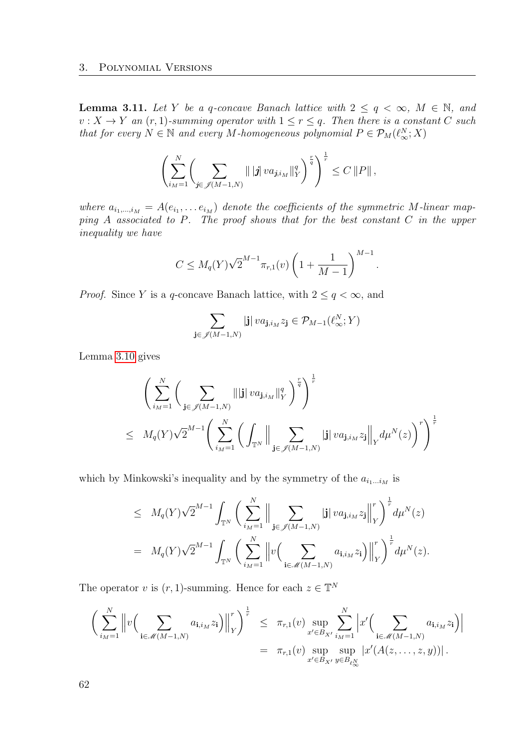<span id="page-61-0"></span>**Lemma 3.11.** Let Y be a q-concave Banach lattice with  $2 \le q < \infty$ ,  $M \in \mathbb{N}$ , and  $v: X \to Y$  an  $(r, 1)$ -summing operator with  $1 \le r \le q$ . Then there is a constant C such that for every  $N \in \mathbb{N}$  and every M-homogeneous polynomial  $P \in \mathcal{P}_M(\ell_{\infty}^N; X)$ 

$$
\left(\sum_{i_M=1}^N\left(\sum_{j\in\mathscr{J}(M-1,N)}\| |j| \, va_{j,i_M}\|_{Y}^q\right)^{\frac{r}{q}}\right)^{\frac{1}{r}} \leq C\, \|P\| \,,
$$

where  $a_{i_1,\dots,i_M} = A(e_{i_1},\dots e_{i_M})$  denote the coefficients of the symmetric M-linear mapping A associated to P. The proof shows that for the best constant C in the upper inequality we have

$$
C \le M_q(Y) \sqrt{2}^{M-1} \pi_{r,1}(v) \left( 1 + \frac{1}{M-1} \right)^{M-1}.
$$

*Proof.* Since Y is a q-concave Banach lattice, with  $2 \leq q < \infty$ , and

$$
\sum_{\mathbf{j} \in \mathscr{J}(M-1,N)} |\mathbf{j}| \, v a_{\mathbf{j},i_M} z_{\mathbf{j}} \in \mathcal{P}_{M-1}(\ell_\infty^N;Y)
$$

Lemma [3.10](#page-60-1) gives

$$
\left(\sum_{i_{M}=1}^{N}\left(\sum_{\mathbf{j}\in\mathscr{J}(M-1,N)}\|\|\mathbf{j}\| \, v a_{\mathbf{j},i_{M}}\|_{Y}^{q}\right)^{\frac{r}{q}}\right)^{\frac{1}{r}}\n\leq M_{q}(Y)\sqrt{2}^{M-1}\left(\sum_{i_{M}=1}^{N}\left(\int_{\mathbb{T}^{N}}\|\sum_{\mathbf{j}\in\mathscr{J}(M-1,N)}|\mathbf{j}\| \, v a_{\mathbf{j},i_{M}}z_{\mathbf{j}}\|_{Y} d\mu^{N}(z)\right)^{r}\right)^{\frac{1}{r}}
$$

which by Minkowski's inequality and by the symmetry of the  $a_{i_1...i_M}$  is

$$
\leq M_q(Y)\sqrt{2}^{M-1} \int_{\mathbb{T}^N} \bigg( \sum_{i_{M}=1}^N \Big\| \sum_{\mathbf{j} \in \mathscr{J}(M-1,N)} |\mathbf{j}| \, v a_{\mathbf{j},i_{M}} z_{\mathbf{j}} \Big\|_Y^r \bigg)^{\frac{1}{r}} d\mu^N(z)
$$
  
=  $M_q(Y)\sqrt{2}^{M-1} \int_{\mathbb{T}^N} \bigg( \sum_{i_{M}=1}^N \Big\| v \Big( \sum_{\mathbf{i} \in \mathscr{M}(M-1,N)} a_{\mathbf{i},i_{M}} z_{\mathbf{i}} \Big) \Big\|_Y^r \bigg)^{\frac{1}{r}} d\mu^N(z).$ 

The operator v is  $(r, 1)$ -summing. Hence for each  $z \in \mathbb{T}^N$ 

$$
\left(\sum_{i_{M}=1}^{N} \left\|v\Big(\sum_{\mathbf{i}\in\mathscr{M}(M-1,N)} a_{\mathbf{i},i_{M}}z_{\mathbf{i}}\Big)\right\|_{Y}^{r}\right)^{\frac{1}{r}} \leq \pi_{r,1}(v) \sup_{x'\in B_{X'}} \sum_{i_{M}=1}^{N} \left|x'\Big(\sum_{\mathbf{i}\in\mathscr{M}(M-1,N)} a_{\mathbf{i},i_{M}}z_{\mathbf{i}}\Big)\right|
$$

$$
= \pi_{r,1}(v) \sup_{x'\in B_{X'}} \sup_{y\in B_{\ell_{N}^{N}}} \left|x'(A(z,\ldots,z,y))\right|.
$$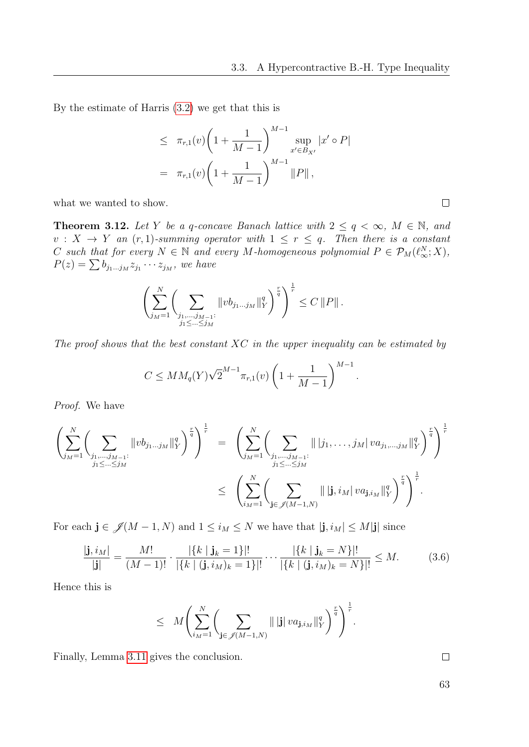.

By the estimate of Harris [\(3.2\)](#page-52-1) we get that this is

$$
\leq \pi_{r,1}(v) \left(1 + \frac{1}{M-1}\right) \sup_{x' \in B_{X'}} |x' \circ P|
$$
  
=  $\pi_{r,1}(v) \left(1 + \frac{1}{M-1}\right)^{M-1} ||P||,$ 

what we wanted to show.

**Theorem 3.12.** Let Y be a q-concave Banach lattice with  $2 \le q < \infty$ ,  $M \in \mathbb{N}$ , and  $v: X \to Y$  an  $(r, 1)$ -summing operator with  $1 \leq r \leq q$ . Then there is a constant C such that for every  $N \in \mathbb{N}$  and every M-homogeneous polynomial  $P \in \mathcal{P}_M(\ell_\infty^N;X)$ ,  $P(z) = \sum b_{j_1...j_M} z_{j_1} \cdots z_{j_M}$ , we have

$$
\left(\sum_{j_{M}=1}^{N}\left(\sum_{\substack{j_{1},\dots,j_{M-1}:\\j_{1}\leq\ldots\leq j_{M}}}\|vb_{j_{1}\dots j_{M}}\|_{Y}^{q}\right)^{\frac{r}{q}}\right)^{\frac{1}{r}}\leq C\left\|P\right\|.
$$

The proof shows that the best constant  $XC$  in the upper inequality can be estimated by

$$
C \le MM_q(Y) \sqrt{2}^{M-1} \pi_{r,1}(v) \left(1 + \frac{1}{M-1}\right)^{M-1}
$$

Proof. We have

$$
\left(\sum_{j_{M}=1}^{N}\left(\sum_{j_{1},\dots,j_{M-1}:}\|vb_{j_{1}\dots j_{M}}\|_{Y}^{q}\right)^{\frac{r}{q}}\right)^{\frac{1}{r}} = \left(\sum_{j_{M}=1}^{N}\left(\sum_{j_{1},\dots,j_{M-1}:}\|j_{1},\dots,j_{M}|va_{j_{1},\dots,j_{M}}\|_{Y}^{q}\right)^{\frac{r}{q}}\right)^{\frac{1}{r}}
$$
  

$$
\leq \left(\sum_{i_{M}=1}^{N}\left(\sum_{j\in\mathscr{J}(M-1,N)}\|j_{1},i_{M}|va_{j,i_{M}}\|_{Y}^{q}\right)^{\frac{r}{q}}\right)^{\frac{1}{r}}.
$$

For each  $\mathbf{j} \in \mathcal{J}(M-1,N)$  and  $1 \leq i_M \leq N$  we have that  $|\mathbf{j}, i_M| \leq M|\mathbf{j}|$  since

<span id="page-62-0"></span>
$$
\frac{|\mathbf{j}, i_M|}{|\mathbf{j}|} = \frac{M!}{(M-1)!} \cdot \frac{|\{k \mid \mathbf{j}_k = 1\}|!}{|\{k \mid (\mathbf{j}, i_M)_k = 1\}|!} \cdots \frac{|\{k \mid \mathbf{j}_k = N\}|!}{|\{k \mid (\mathbf{j}, i_M)_k = N\}|!} \le M. \tag{3.6}
$$

Hence this is

$$
\leq\ M\Biggl(\sum_{i_M=1}^N\Biggl(\sum_{\mathbf{j}\in\mathscr{J}(M-1,N)}\|\,|\mathbf{j}|\,va_{\mathbf{j},i_M}\|_Y^q\Biggr)^{\frac{r}{q}}\Biggr)^{\frac{1}{r}}.
$$

Finally, Lemma [3.11](#page-61-0) gives the conclusion.

 $\Box$ 

 $\Box$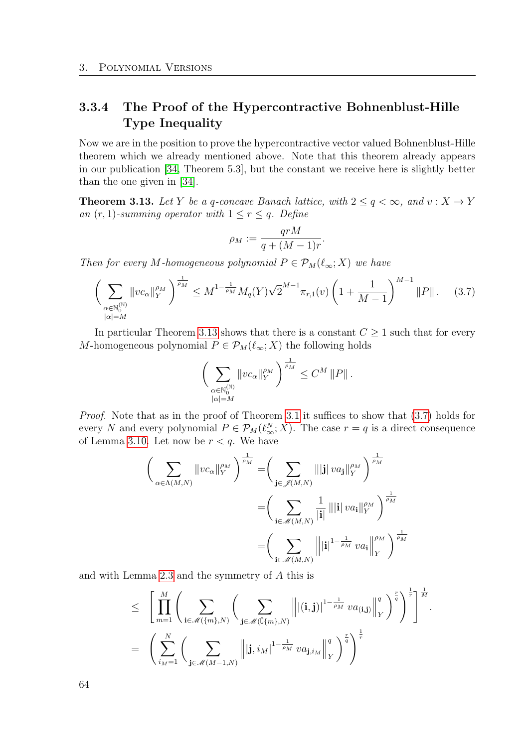# 3.3.4 The Proof of the Hypercontractive Bohnenblust-Hille Type Inequality

Now we are in the position to prove the hypercontractive vector valued Bohnenblust-Hille theorem which we already mentioned above. Note that this theorem already appears in our publication [\[34,](#page-114-4) Theorem 5.3], but the constant we receive here is slightly better than the one given in [\[34\]](#page-114-4).

<span id="page-63-0"></span>**Theorem 3.13.** Let Y be a q-concave Banach lattice, with  $2 \le q < \infty$ , and  $v : X \to Y$ an  $(r, 1)$ -summing operator with  $1 \leq r \leq q$ . Define

$$
\rho_M := \frac{qrM}{q + (M-1)r}.
$$

Then for every M-homogeneous polynomial  $P \in \mathcal{P}_M(\ell_\infty; X)$  we have

<span id="page-63-1"></span>
$$
\left(\sum_{\substack{\alpha \in \mathbb{N}_0^{(\mathbb{N})} \\ |\alpha| = M}} \|vc_{\alpha}\|_{Y}^{\rho_M}\right)^{\frac{1}{\rho_M}} \leq M^{1 - \frac{1}{\rho_M}} M_q(Y) \sqrt{2}^{M-1} \pi_{r,1}(v) \left(1 + \frac{1}{M-1}\right)^{M-1} \|P\|.
$$
 (3.7)

In particular Theorem [3.13](#page-63-0) shows that there is a constant  $C \geq 1$  such that for every M-homogeneous polynomial  $P \in \mathcal{P}_M(\ell_\infty; X)$  the following holds

$$
\bigg(\sum_{\substack{\alpha\in\mathbb{N}_0^{(\mathbb{N})}\\|\alpha|=M}}\|vc_{\alpha}\|_{Y}^{\rho_M}\bigg)^{\frac{1}{\rho_M}}\leq C^{M}\left\|P\right\|.
$$

Proof. Note that as in the proof of Theorem [3.1](#page-54-1) it suffices to show that [\(3.7\)](#page-63-1) holds for every N and every polynomial  $P \in \mathcal{P}_M(\ell_{\infty}^N; X)$ . The case  $r = q$  is a direct consequence of Lemma [3.10.](#page-60-1) Let now be  $r < q$ . We have

$$
\left(\sum_{\alpha \in \Lambda(M,N)} \|vc_{\alpha}\|_{Y}^{\rho_{M}}\right)^{\frac{1}{\rho_{M}}} = \left(\sum_{\mathbf{j} \in \mathscr{J}(M,N)} \|\mathbf{j}| \, va_{\mathbf{j}}\|_{Y}^{\rho_{M}}\right)^{\frac{1}{\rho_{M}}}
$$

$$
= \left(\sum_{\mathbf{i} \in \mathscr{M}(M,N)} \frac{1}{|\mathbf{i}|} \|\mathbf{i}| \, va_{\mathbf{i}}\|_{Y}^{\rho_{M}}\right)^{\frac{1}{\rho_{M}}}
$$

$$
= \left(\sum_{\mathbf{i} \in \mathscr{M}(M,N)} \|\mathbf{i}\|^{1-\frac{1}{\rho_{M}}} \, va_{\mathbf{i}}\|_{Y}^{\rho_{M}}\right)^{\frac{1}{\rho_{M}}}
$$

and with Lemma [2.3](#page-34-0) and the symmetry of A this is

$$
\leq \left[ \prod_{m=1}^{M} \left( \sum_{\mathbf{i} \in \mathcal{M}(\{m\}, N)} \left( \sum_{\mathbf{j} \in \mathcal{M}(\mathbb{G}\{m\}, N)} \left\| |(\mathbf{i}, \mathbf{j})|^{1-\frac{1}{\rho_M}} v a_{(\mathbf{i}, \mathbf{j})} \right\|_{Y}^{q} \right)^{\frac{r}{q}} \right]^{\frac{1}{r}} \right]^{\frac{1}{M}}.
$$
  

$$
= \left( \sum_{i_{M}=1}^{N} \left( \sum_{\mathbf{j} \in \mathcal{M}(M-1, N)} \left\| |\mathbf{j}, i_{M}|^{1-\frac{1}{\rho_M}} v a_{\mathbf{j}, i_{M}} \right\|_{Y}^{q} \right)^{\frac{r}{q}} \right)^{\frac{1}{r}}
$$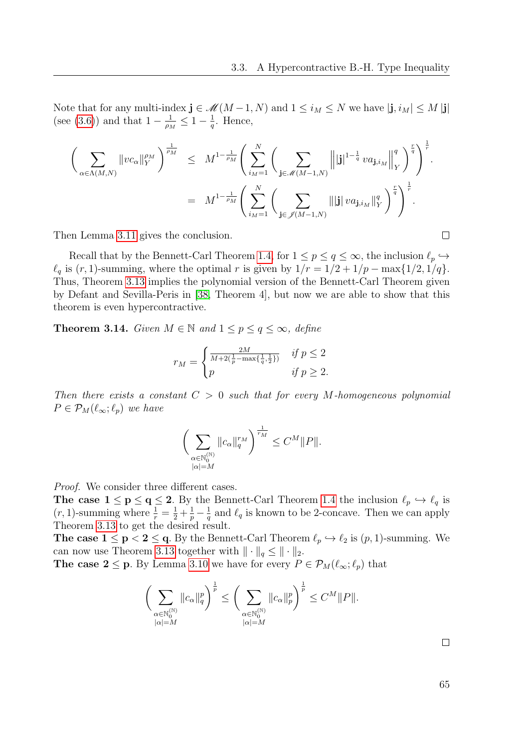Note that for any multi-index  $\mathbf{j} \in \mathcal{M}(M-1,N)$  and  $1 \leq i_M \leq N$  we have  $|\mathbf{j}, i_M| \leq M |\mathbf{j}|$ (see [\(3.6\)](#page-62-0)) and that  $1 - \frac{1}{a}$  $\frac{1}{\rho_M} \leq 1 - \frac{1}{q}$  $\frac{1}{q}$ . Hence,

$$
\begin{array}{lcl} \displaystyle \bigg(\sum_{\alpha \in \Lambda(M,N)} \Vert vc_{\alpha}\Vert_{Y}^{\rho_{M}}\bigg)^{\frac{1}{\rho_{M}}} & \displaystyle \leq & \displaystyle M^{1-\frac{1}{\rho_{M}}} \Bigg(\sum_{i_{M}=1}^{N} \bigg(\sum_{\mathbf{j} \in \mathscr{M}(M-1,N)} \Big\Vert \vert \mathbf{j} \vert^{1-\frac{1}{q}} \, va_{\mathbf{j},i_{M}}\Big\Vert_{Y}^q\bigg)^{\frac{r}{q}}\Bigg)^{\frac{1}{r}}. \\ \\ & = & \displaystyle M^{1-\frac{1}{\rho_{M}}} \Bigg(\sum_{i_{M}=1}^{N} \bigg(\sum_{\mathbf{j} \in \mathscr{J}(M-1,N)} \Vert \vert \mathbf{j} \Vert \, va_{\mathbf{j},i_{M}}\Vert_{Y}^q\bigg)^{\frac{r}{q}}\Bigg)^{\frac{1}{r}}. \end{array}
$$

Then Lemma [3.11](#page-61-0) gives the conclusion.

Recall that by the Bennett-Carl Theorem [1.4,](#page-22-1) for  $1 \le p \le q \le \infty$ , the inclusion  $\ell_p \hookrightarrow$  $\ell_q$  is  $(r, 1)$ -summing, where the optimal r is given by  $1/r = 1/2 + 1/p - \max\{1/2, 1/q\}.$ Thus, Theorem [3.13](#page-63-0) implies the polynomial version of the Bennett-Carl Theorem given by Defant and Sevilla-Peris in [\[38,](#page-114-1) Theorem 4], but now we are able to show that this theorem is even hypercontractive.

<span id="page-64-0"></span>**Theorem 3.14.** Given  $M \in \mathbb{N}$  and  $1 \leq p \leq q \leq \infty$ , define

$$
r_M = \begin{cases} \frac{2M}{M + 2(\frac{1}{p} - \max\{\frac{1}{q}, \frac{1}{2}\})} & \text{if } p \le 2\\ p & \text{if } p \ge 2. \end{cases}
$$

Then there exists a constant  $C > 0$  such that for every M-homogeneous polynomial  $P \in \mathcal{P}_M(\ell_\infty; \ell_p)$  we have

$$
\bigg(\sum_{\substack{\alpha\in\mathbb{N}_0^{(\mathbb{N})}\\|\alpha|=M}}\|c_\alpha\|_q^{r_M}\bigg)^{\frac{1}{r_M}}\leq C^M\|P\|.
$$

Proof. We consider three different cases.

**The case**  $1 \le p \le q \le 2$ **.** By the Bennett-Carl Theorem [1.4](#page-22-1) the inclusion  $\ell_p \hookrightarrow \ell_q$  is  $(r, 1)$ -summing where  $\frac{1}{r} = \frac{1}{2} + \frac{1}{p} - \frac{1}{q}$  $\frac{1}{q}$  and  $\ell_q$  is known to be 2-concave. Then we can apply Theorem [3.13](#page-63-0) to get the desired result.

The case  $1 \le p < 2 \le q$ . By the Bennett-Carl Theorem  $\ell_p \hookrightarrow \ell_2$  is  $(p, 1)$ -summing. We can now use Theorem [3.13](#page-63-0) together with  $\|\cdot\|_q \leq \|\cdot\|_2$ .

**The case 2** ≤ **p**. By Lemma [3.10](#page-60-1) we have for every  $P \in \mathcal{P}_M(\ell_\infty; \ell_p)$  that

$$
\bigg(\sum_{\substack{\alpha\in\mathbb{N}_0^{(\mathbb{N})}\\|\alpha|=M}}\|c_{\alpha}\|_q^p\bigg)^{\frac{1}{p}}\leq \bigg(\sum_{\substack{\alpha\in\mathbb{N}_0^{(\mathbb{N})}\\|\alpha|=M}}\|c_{\alpha}\|_p^p\bigg)^{\frac{1}{p}}\leq C^M\|P\|.
$$

 $\Box$ 

 $\Box$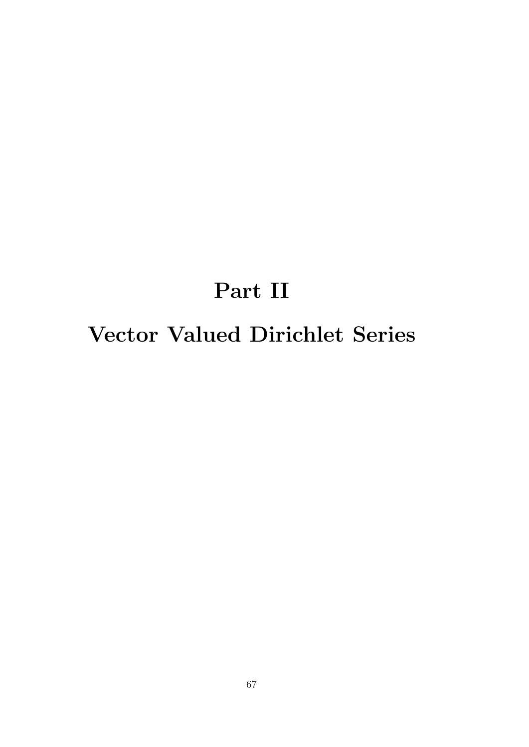# Part II Vector Valued Dirichlet Series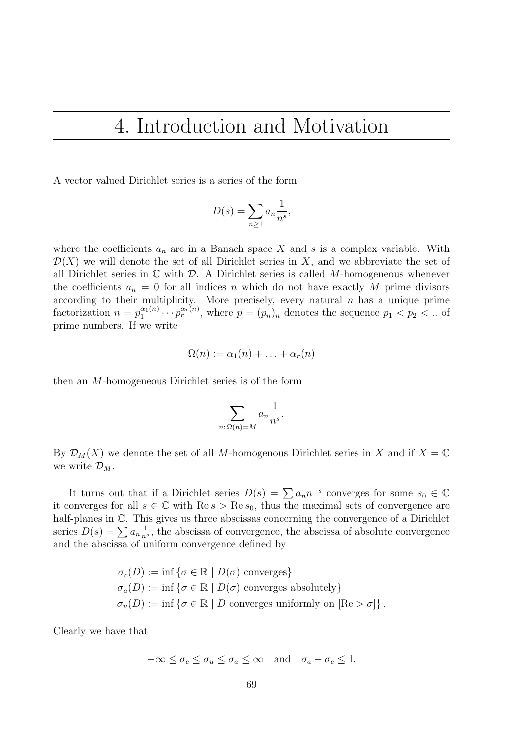# 4. Introduction and Motivation

A vector valued Dirichlet series is a series of the form

$$
D(s) = \sum_{n\geq 1} a_n \frac{1}{n^s},
$$

where the coefficients  $a_n$  are in a Banach space X and s is a complex variable. With  $\mathcal{D}(X)$  we will denote the set of all Dirichlet series in X, and we abbreviate the set of all Dirichlet series in  $\mathbb C$  with  $\mathcal D$ . A Dirichlet series is called M-homogeneous whenever the coefficients  $a_n = 0$  for all indices n which do not have exactly M prime divisors according to their multiplicity. More precisely, every natural  $n$  has a unique prime factorization  $n = p_1^{\alpha_1(n)}$  $\hat{p}_1^{\alpha_1(n)} \cdots \hat{p}_r^{\alpha_r(n)}$ , where  $p = (p_n)_n$  denotes the sequence  $p_1 < p_2 < \dots$  of prime numbers. If we write

$$
\Omega(n) := \alpha_1(n) + \ldots + \alpha_r(n)
$$

then an M-homogeneous Dirichlet series is of the form

$$
\sum_{n:\Omega(n)=M} a_n \frac{1}{n^s}.
$$

By  $\mathcal{D}_M(X)$  we denote the set of all M-homogenous Dirichlet series in X and if  $X = \mathbb{C}$ we write  $\mathcal{D}_M$ .

It turns out that if a Dirichlet series  $D(s) = \sum a_n n^{-s}$  converges for some  $s_0 \in \mathbb{C}$ it converges for all  $s \in \mathbb{C}$  with  $\text{Re } s > \text{Re } s_0$ , thus the maximal sets of convergence are half-planes in  $\mathbb{C}$ . This gives us three abscissas concerning the convergence of a Dirichlet series  $D(s) = \sum a_n \frac{1}{n^s}$  $\frac{1}{n^s}$ , the abscissa of convergence, the abscissa of absolute convergence and the abscissa of uniform convergence defined by

$$
\sigma_c(D) := \inf \{ \sigma \in \mathbb{R} \mid D(\sigma) \text{ converges} \}
$$
  
\n
$$
\sigma_a(D) := \inf \{ \sigma \in \mathbb{R} \mid D(\sigma) \text{ converges absolutely} \}
$$
  
\n
$$
\sigma_u(D) := \inf \{ \sigma \in \mathbb{R} \mid D \text{ converges uniformly on } [\text{Re} > \sigma] \}.
$$

Clearly we have that

$$
-\infty \le \sigma_c \le \sigma_u \le \sigma_a \le \infty \quad \text{and} \quad \sigma_a - \sigma_c \le 1.
$$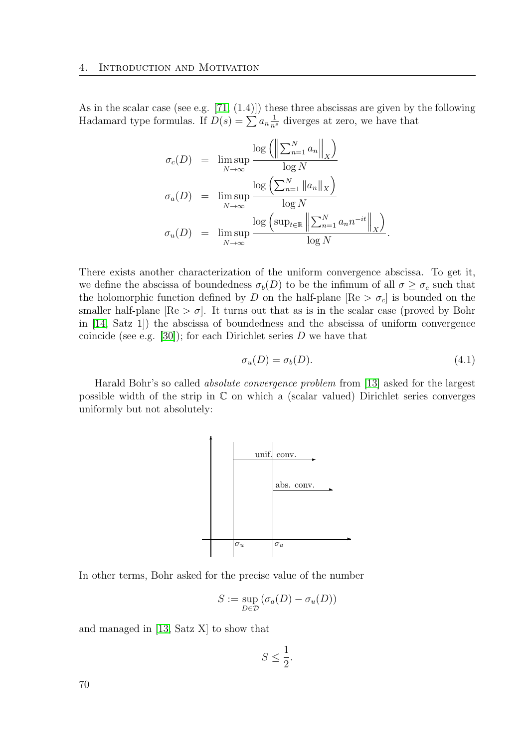As in the scalar case (see e.g. [\[71,](#page-116-5) (1.4)]) these three abscissas are given by the following Hadamard type formulas. If  $D(s) = \sum a_n \frac{1}{n^s}$  diverges at zero, we have that

$$
\sigma_c(D) = \limsup_{N \to \infty} \frac{\log \left( \left\| \sum_{n=1}^N a_n \right\|_X \right)}{\log N}
$$

$$
\sigma_a(D) = \limsup_{N \to \infty} \frac{\log \left( \sum_{n=1}^N \|a_n\|_X \right)}{\log N}
$$

$$
\sigma_u(D) = \limsup_{N \to \infty} \frac{\log \left( \sup_{t \in \mathbb{R}} \left\| \sum_{n=1}^N a_n n^{-it} \right\|_X \right)}{\log N}.
$$

There exists another characterization of the uniform convergence abscissa. To get it, we define the abscissa of boundedness  $\sigma_b(D)$  to be the infimum of all  $\sigma \geq \sigma_c$  such that the holomorphic function defined by D on the half-plane  $[Re > \sigma_c]$  is bounded on the smaller half-plane  $[Re > \sigma]$ . It turns out that as is in the scalar case (proved by Bohr in [\[14,](#page-113-6) Satz 1]) the abscissa of boundedness and the abscissa of uniform convergence coincide (see e.g. [\[30\]](#page-114-5)); for each Dirichlet series  $D$  we have that

$$
\sigma_u(D) = \sigma_b(D). \tag{4.1}
$$

Harald Bohr's so called absolute convergence problem from [\[13\]](#page-112-3) asked for the largest possible width of the strip in C on which a (scalar valued) Dirichlet series converges uniformly but not absolutely:



In other terms, Bohr asked for the precise value of the number

$$
S := \sup_{D \in \mathcal{D}} (\sigma_a(D) - \sigma_u(D))
$$

and managed in [\[13,](#page-112-3) Satz X] to show that

$$
S \le \frac{1}{2}.
$$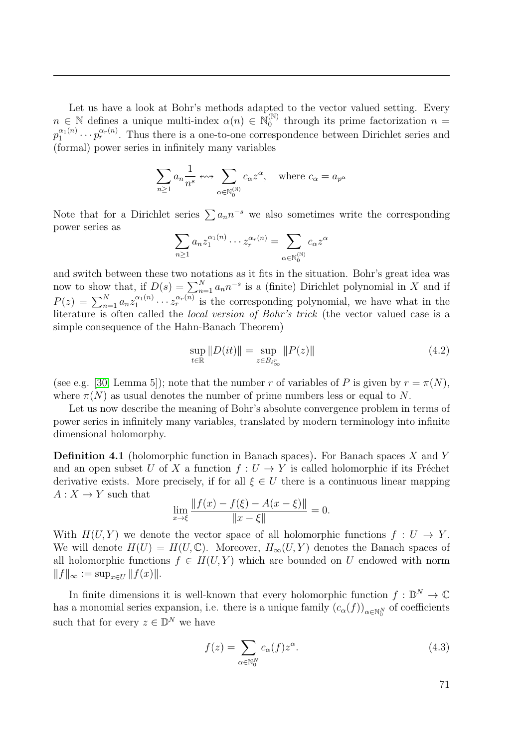Let us have a look at Bohr's methods adapted to the vector valued setting. Every  $n \in \mathbb{N}$  defines a unique multi-index  $\alpha(n) \in \mathbb{N}_0^{(\mathbb{N})}$  $_0^{\text{\tiny{(N)}}}$  through its prime factorization  $n =$  $p_1^{\alpha_1(n)}$  $\alpha_1^{(\alpha_1)} \cdots \alpha_r^{(\alpha_r)}$ . Thus there is a one-to-one correspondence between Dirichlet series and (formal) power series in infinitely many variables

$$
\sum_{n\geq 1} a_n \frac{1}{n^s} \leftrightsquigarrow \sum_{\alpha \in \mathbb{N}_0^{(\mathbb{N})}} c_\alpha z^\alpha, \quad \text{where } c_\alpha = a_{p^\alpha}
$$

Note that for a Dirichlet series  $\sum a_n n^{-s}$  we also sometimes write the corresponding power series as

$$
\sum_{n\geq 1} a_n z_1^{\alpha_1(n)} \cdots z_r^{\alpha_r(n)} = \sum_{\alpha \in \mathbb{N}_0^{(\mathbb{N})}} c_\alpha z^\alpha
$$

and switch between these two notations as it fits in the situation. Bohr's great idea was now to show that, if  $D(s) = \sum_{n=1}^{N} a_n n^{-s}$  is a (finite) Dirichlet polynomial in X and if  $P(z) = \sum_{n=1}^{N} a_n z_1^{\alpha_1(n)}$  $\frac{\alpha_1(n)}{1} \cdots \frac{\alpha_r(n)}{r}$  is the corresponding polynomial, we have what in the literature is often called the local version of Bohr's trick (the vector valued case is a simple consequence of the Hahn-Banach Theorem)

$$
\sup_{t \in \mathbb{R}} \|D(it)\| = \sup_{z \in B_{\ell_{\infty}^r}} \|P(z)\| \tag{4.2}
$$

(see e.g. [\[30,](#page-114-5) Lemma 5]); note that the number r of variables of P is given by  $r = \pi(N)$ , where  $\pi(N)$  as usual denotes the number of prime numbers less or equal to N.

Let us now describe the meaning of Bohr's absolute convergence problem in terms of power series in infinitely many variables, translated by modern terminology into infinite dimensional holomorphy.

**Definition 4.1** (holomorphic function in Banach spaces). For Banach spaces  $X$  and  $Y$ and an open subset U of X a function  $f: U \to Y$  is called holomorphic if its Fréchet derivative exists. More precisely, if for all  $\xi \in U$  there is a continuous linear mapping  $A: X \to Y$  such that

$$
\lim_{x \to \xi} \frac{\|f(x) - f(\xi) - A(x - \xi)\|}{\|x - \xi\|} = 0.
$$

With  $H(U, Y)$  we denote the vector space of all holomorphic functions  $f: U \to Y$ . We will denote  $H(U) = H(U, \mathbb{C})$ . Moreover,  $H_{\infty}(U, Y)$  denotes the Banach spaces of all holomorphic functions  $f \in H(U, Y)$  which are bounded on U endowed with norm  $||f||_{\infty} := \sup_{x \in U} ||f(x)||.$ 

In finite dimensions it is well-known that every holomorphic function  $f: \mathbb{D}^N \to \mathbb{C}$ has a monomial series expansion, i.e. there is a unique family  $(c_{\alpha}(f))_{\alpha \in \mathbb{N}_0^N}$  of coefficients such that for every  $z \in \mathbb{D}^N$  we have

<span id="page-70-0"></span>
$$
f(z) = \sum_{\alpha \in \mathbb{N}_0^N} c_{\alpha}(f) z^{\alpha}.
$$
 (4.3)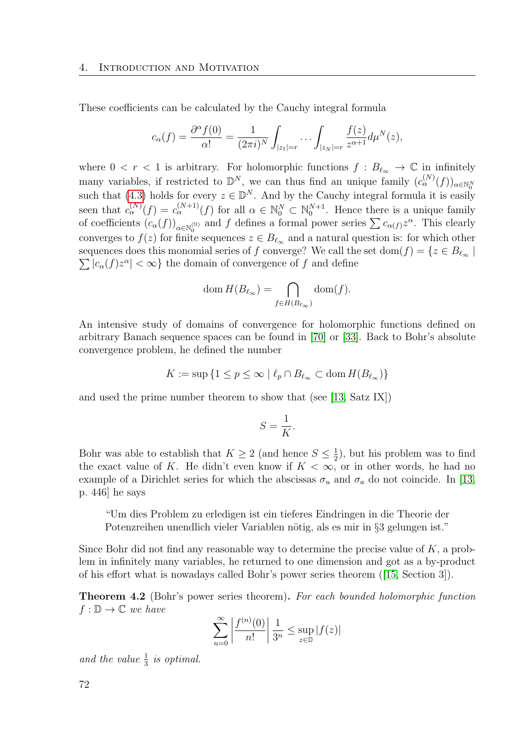These coefficients can be calculated by the Cauchy integral formula

$$
c_{\alpha}(f) = \frac{\partial^{\alpha} f(0)}{\alpha!} = \frac{1}{(2\pi i)^N} \int_{|z_1|=r} \cdots \int_{|z_N|=r} \frac{f(z)}{z^{\alpha+1}} d\mu^N(z),
$$

where  $0 < r < 1$  is arbitrary. For holomorphic functions  $f : B_{\ell_{\infty}} \to \mathbb{C}$  in infinitely many variables, if restricted to  $\mathbb{D}^N$ , we can thus find an unique family  $(c_{\alpha}^{(N)}(f))_{\alpha\in\mathbb{N}_0^N}$ such that [\(4.3\)](#page-70-0) holds for every  $z \in \mathbb{D}^N$ . And by the Cauchy integral formula it is easily seen that  $c_{\alpha}^{(N)}(f) = c_{\alpha}^{(N+1)}(f)$  for all  $\alpha \in \mathbb{N}_{0}^{N} \subset \mathbb{N}_{0}^{N+1}$ . Hence there is a unique family of coefficients  $(c_{\alpha}(f))_{\alpha \in \mathbb{N}_{0}^{(\mathbb{N})}}$  and f defines a formal power series  $\sum c_{\alpha(f)} z^{\alpha}$ . This clearly converges to  $f(z)$  for finite sequences  $z \in B_{\ell_{\infty}}$  and a natural question is: for which other  $\sum |c_{\alpha}(f)z^{\alpha}| < \infty$  the domain of convergence of f and define sequences does this monomial series of f converge? We call the set dom(f) = { $z \in B_{\ell_{\infty}}$ 

$$
\operatorname{dom} H(B_{\ell_{\infty}}) = \bigcap_{f \in H(B_{\ell_{\infty}})} \operatorname{dom}(f).
$$

An intensive study of domains of convergence for holomorphic functions defined on arbitrary Banach sequence spaces can be found in [\[70\]](#page-116-6) or [\[33\]](#page-114-6). Back to Bohr's absolute convergence problem, he defined the number

$$
K := \sup\left\{1 \le p \le \infty \mid \ell_p \cap B_{\ell_\infty} \subset \text{dom}\, H(B_{\ell_\infty})\right\}
$$

and used the prime number theorem to show that (see [\[13,](#page-112-3) Satz IX])

$$
S = \frac{1}{K}.
$$

Bohr was able to establish that  $K \geq 2$  (and hence  $S \leq \frac{1}{2}$ )  $(\frac{1}{2})$ , but his problem was to find the exact value of K. He didn't even know if  $K < \infty$ , or in other words, he had no example of a Dirichlet series for which the abscissas  $\sigma_u$  and  $\sigma_a$  do not coincide. In [\[13,](#page-112-3) p. 446] he says

"Um dies Problem zu erledigen ist ein tieferes Eindringen in die Theorie der Potenzreihen unendlich vieler Variablen nötig, als es mir in §3 gelungen ist."

Since Bohr did not find any reasonable way to determine the precise value of  $K$ , a problem in infinitely many variables, he returned to one dimension and got as a by-product of his effort what is nowadays called Bohr's power series theorem([\[15,](#page-113-7) Section 3]).

Theorem 4.2 (Bohr's power series theorem). For each bounded holomorphic function  $f : \mathbb{D} \to \mathbb{C}$  we have

$$
\sum_{n=0}^{\infty} \left| \frac{f^{(n)}(0)}{n!} \right| \frac{1}{3^n} \le \sup_{z \in \mathbb{D}} |f(z)|
$$

and the value  $\frac{1}{3}$  is optimal.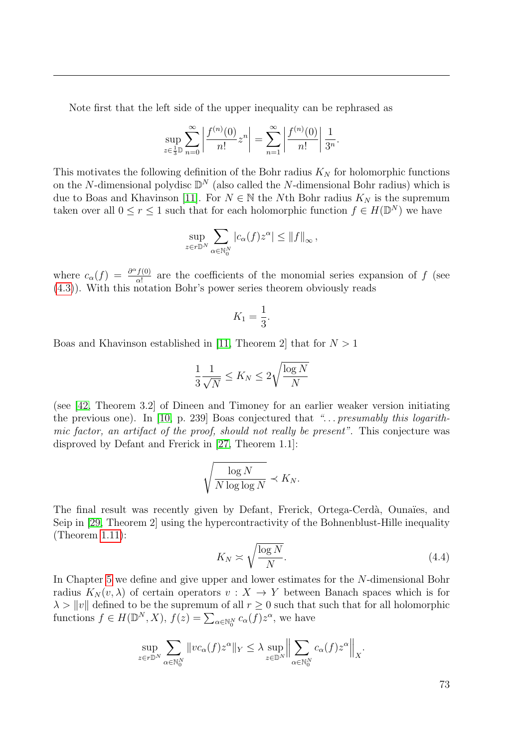Note first that the left side of the upper inequality can be rephrased as

$$
\sup_{z \in \frac{1}{3}\mathbb{D}} \sum_{n=0}^{\infty} \left| \frac{f^{(n)}(0)}{n!} z^n \right| = \sum_{n=1}^{\infty} \left| \frac{f^{(n)}(0)}{n!} \right| \frac{1}{3^n}.
$$

This motivates the following definition of the Bohr radius  $K_N$  for holomorphic functions on the N-dimensional polydisc  $\mathbb{D}^N$  (also called the N-dimensional Bohr radius) which is due to Boas and Khavinson [\[11\]](#page-112-0). For  $N \in \mathbb{N}$  the Nth Bohr radius  $K_N$  is the supremum taken over all  $0 \leq r \leq 1$  such that for each holomorphic function  $f \in H(\mathbb{D}^N)$  we have

$$
\sup_{z \in r\mathbb{D}^N} \sum_{\alpha \in \mathbb{N}_0^N} |c_{\alpha}(f)z^{\alpha}| \leq ||f||_{\infty},
$$

where  $c_{\alpha}(f) = \frac{\partial^{\alpha} f(0)}{\partial x^{i}}$  $\frac{f(0)}{\alpha!}$  are the coefficients of the monomial series expansion of f (see [\(4.3\)](#page-70-0)). With this notation Bohr's power series theorem obviously reads

$$
K_1 = \frac{1}{3}.
$$

Boas and Khavinson established in [\[11,](#page-112-0) Theorem 2] that for  $N > 1$ 

$$
\frac{1}{3}\frac{1}{\sqrt{N}} \le K_N \le 2\sqrt{\frac{\log N}{N}}
$$

(see [\[42,](#page-114-0) Theorem 3.2] of Dineen and Timoney for an earlier weaker version initiating the previous one). In [\[10,](#page-112-1) p. 239] Boas conjectured that " $\ldots$  presumably this logarithmic factor, an artifact of the proof, should not really be present". This conjecture was disproved by Defant and Frerick in [\[27,](#page-113-0) Theorem 1.1]:

$$
\sqrt{\frac{\log N}{N \log \log N}} \prec K_N.
$$

The final result was recently given by Defant, Frerick, Ortega-Cerdà, Ounaïes, and Seip in [\[29,](#page-113-1) Theorem 2] using the hypercontractivity of the Bohnenblust-Hille inequality (Theorem [1.11\)](#page-24-0):

<span id="page-72-0"></span>
$$
K_N \asymp \sqrt{\frac{\log N}{N}}.\tag{4.4}
$$

In Chapter [5](#page-78-0) we define and give upper and lower estimates for the N-dimensional Bohr radius  $K_N(v, \lambda)$  of certain operators  $v : X \to Y$  between Banach spaces which is for  $\lambda > ||v||$  defined to be the supremum of all  $r \geq 0$  such that such that for all holomorphic functions  $f \in H(\mathbb{D}^N, X), f(z) = \sum_{\alpha \in \mathbb{N}_0^N} c_{\alpha}(f) z^{\alpha}$ , we have

$$
\sup_{z \in r\mathbb{D}^N} \sum_{\alpha \in \mathbb{N}_0^N} \|vc_{\alpha}(f)z^{\alpha}\|_{Y} \leq \lambda \sup_{z \in \mathbb{D}^N} \Big\| \sum_{\alpha \in \mathbb{N}_0^N} c_{\alpha}(f)z^{\alpha} \Big\|_{X}.
$$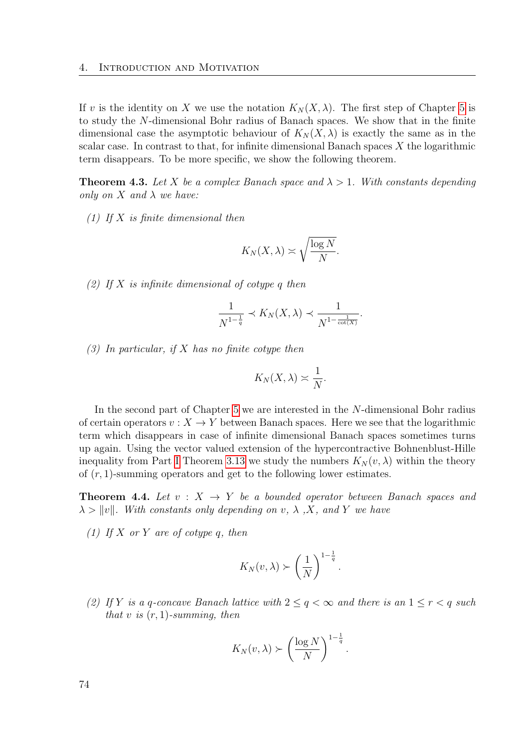If v is the identity on X we use the notation  $K_N(X, \lambda)$ . The first step of Chapter [5](#page-78-0) is to study the N-dimensional Bohr radius of Banach spaces. We show that in the finite dimensional case the asymptotic behaviour of  $K_N(X, \lambda)$  is exactly the same as in the scalar case. In contrast to that, for infinite dimensional Banach spaces  $X$  the logarithmic term disappears. To be more specific, we show the following theorem.

**Theorem 4.3.** Let X be a complex Banach space and  $\lambda > 1$ . With constants depending only on  $X$  and  $\lambda$  we have:

(1) If  $X$  is finite dimensional then

$$
K_N(X,\lambda) \asymp \sqrt{\frac{\log N}{N}}.
$$

(2) If X is infinite dimensional of cotype q then

$$
\frac{1}{N^{1-\frac{1}{q}}} \prec K_N(X, \lambda) \prec \frac{1}{N^{1-\frac{1}{\cot(X)}}}.
$$

 $(3)$  In particular, if X has no finite cotype then

$$
K_N(X,\lambda)\asymp \frac{1}{N}.
$$

In the second part of Chapter [5](#page-78-0) we are interested in the N-dimensional Bohr radius of certain operators  $v: X \to Y$  between Banach spaces. Here we see that the logarithmic term which disappears in case of infinite dimensional Banach spaces sometimes turns up again. Using the vector valued extension of the hypercontractive Bohnenblust-Hille inequality from Part [I](#page-18-0) Theorem [3.13](#page-63-0) we study the numbers  $K_N(v, \lambda)$  within the theory of  $(r, 1)$ -summing operators and get to the following lower estimates.

**Theorem 4.4.** Let  $v: X \rightarrow Y$  be a bounded operator between Banach spaces and  $\lambda > ||v||$ . With constants only depending on v,  $\lambda$ , X, and Y we have

(1) If X or Y are of cotype q, then

$$
K_N(v,\lambda) \succ \left(\frac{1}{N}\right)^{1-\frac{1}{q}}.
$$

(2) If Y is a q-concave Banach lattice with  $2 \le q < \infty$  and there is an  $1 \le r < q$  such that v is  $(r, 1)$ -summing, then

$$
K_N(v,\lambda) \succ \left(\frac{\log N}{N}\right)^{1-\frac{1}{q}}.
$$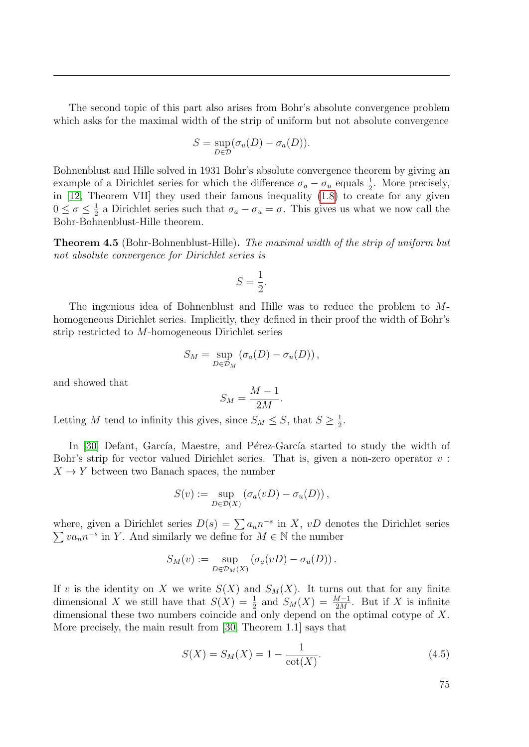The second topic of this part also arises from Bohr's absolute convergence problem which asks for the maximal width of the strip of uniform but not absolute convergence

$$
S = \sup_{D \in \mathcal{D}} (\sigma_u(D) - \sigma_a(D)).
$$

Bohnenblust and Hille solved in 1931 Bohr's absolute convergence theorem by giving an example of a Dirichlet series for which the difference  $\sigma_a - \sigma_u$  equals  $\frac{1}{2}$ . More precisely, in [\[12,](#page-112-2) Theorem VII] they used their famous inequality [\(1.8\)](#page-24-1) to create for any given  $0 \leq \sigma \leq \frac{1}{2}$  $\frac{1}{2}$  a Dirichlet series such that  $\sigma_a - \sigma_u = \sigma$ . This gives us what we now call the Bohr-Bohnenblust-Hille theorem.

Theorem 4.5 (Bohr-Bohnenblust-Hille). The maximal width of the strip of uniform but not absolute convergence for Dirichlet series is

$$
S=\frac{1}{2}.
$$

The ingenious idea of Bohnenblust and Hille was to reduce the problem to Mhomogeneous Dirichlet series. Implicitly, they defined in their proof the width of Bohr's strip restricted to M-homogeneous Dirichlet series

$$
S_M = \sup_{D \in \mathcal{D}_M} (\sigma_a(D) - \sigma_u(D)),
$$

and showed that

$$
S_M = \frac{M-1}{2M}.
$$

Letting M tend to infinity this gives, since  $S_M \leq S$ , that  $S \geq \frac{1}{2}$  $\frac{1}{2}$ .

In [\[30\]](#page-114-1) Defant, García, Maestre, and Pérez-García started to study the width of Bohr's strip for vector valued Dirichlet series. That is, given a non-zero operator  $v$ :  $X \to Y$  between two Banach spaces, the number

$$
S(v) := \sup_{D \in \mathcal{D}(X)} (\sigma_a(vD) - \sigma_u(D)),
$$

where, given a Dirichlet series  $D(s) = \sum a_n n^{-s}$  in X, vD denotes the Dirichlet series  $\sum va_n n^{-s}$  in Y. And similarly we define for  $M \in \mathbb{N}$  the number

$$
S_M(v) := \sup_{D \in \mathcal{D}_M(X)} (\sigma_a(vD) - \sigma_u(D)).
$$

If v is the identity on X we write  $S(X)$  and  $S_M(X)$ . It turns out that for any finite dimensional X we still have that  $S(X) = \frac{1}{2}$  and  $S_M(X) = \frac{M-1}{2M}$ . But if X is infinite dimensional these two numbers coincide and only depend on the optimal cotype of X. More precisely, the main result from [\[30,](#page-114-1) Theorem 1.1] says that

<span id="page-74-0"></span>
$$
S(X) = S_M(X) = 1 - \frac{1}{\cot(X)}.\tag{4.5}
$$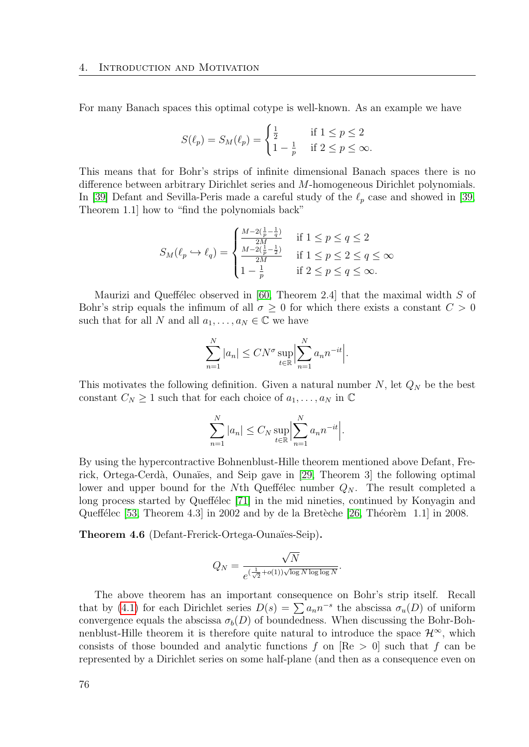For many Banach spaces this optimal cotype is well-known. As an example we have

$$
S(\ell_p) = S_M(\ell_p) = \begin{cases} \frac{1}{2} & \text{if } 1 \le p \le 2\\ 1 - \frac{1}{p} & \text{if } 2 \le p \le \infty. \end{cases}
$$

This means that for Bohr's strips of infinite dimensional Banach spaces there is no difference between arbitrary Dirichlet series and M-homogeneous Dirichlet polynomials. In [\[39\]](#page-114-2) Defant and Sevilla-Peris made a careful study of the  $\ell_p$  case and showed in [\[39,](#page-114-2) Theorem 1.1] how to "find the polynomials back"

$$
S_M(\ell_p \hookrightarrow \ell_q) = \begin{cases} \frac{M-2(\frac{1}{p}-\frac{1}{q})}{2M} & \text{if } 1 \le p \le q \le 2\\ \frac{M-2(\frac{1}{p}-\frac{1}{2})}{2M} & \text{if } 1 \le p \le 2 \le q \le \infty\\ 1-\frac{1}{p} & \text{if } 2 \le p \le q \le \infty. \end{cases}
$$

Maurizi and Queffélec observed in [\[60,](#page-115-0) Theorem 2.4] that the maximal width  $S$  of Bohr's strip equals the infimum of all  $\sigma \geq 0$  for which there exists a constant  $C > 0$ such that for all N and all  $a_1, \ldots, a_N \in \mathbb{C}$  we have

$$
\sum_{n=1}^{N} |a_n| \leq C N^{\sigma} \sup_{t \in \mathbb{R}} \Big| \sum_{n=1}^{N} a_n n^{-it} \Big|.
$$

This motivates the following definition. Given a natural number  $N$ , let  $Q_N$  be the best constant  $C_N \geq 1$  such that for each choice of  $a_1, \ldots, a_N$  in  $\mathbb C$ 

$$
\sum_{n=1}^{N} |a_n| \le C_N \sup_{t \in \mathbb{R}} \Big| \sum_{n=1}^{N} a_n n^{-it} \Big|.
$$

By using the hypercontractive Bohnenblust-Hille theorem mentioned above Defant, Fre-rick, Ortega-Cerdà, Ounaïes, and Seip gave in [\[29,](#page-113-1) Theorem 3] the following optimal lower and upper bound for the Nth Queffelec number  $Q_N$ . The result completed a long process started by Queffélec [\[71\]](#page-116-0) in the mid nineties, continued by Konyagin and Queffélec  $[53,$  Theorem 4.3] in 2002 and by de la Bretèche  $[26,$  Théorèm 1.1] in 2008.

Theorem 4.6 (Defant-Frerick-Ortega-Ounaïes-Seip).

$$
Q_N = \frac{\sqrt{N}}{e^{(\frac{1}{\sqrt{2}}+o(1))\sqrt{\log N \log \log N}}}.
$$

The above theorem has an important consequence on Bohr's strip itself. Recall that by [\(4.1\)](#page-69-0) for each Dirichlet series  $D(s) = \sum a_n n^{-s}$  the abscissa  $\sigma_u(D)$  of uniform convergence equals the abscissa  $\sigma_b(D)$  of boundedness. When discussing the Bohr-Bohnenblust-Hille theorem it is therefore quite natural to introduce the space  $\mathcal{H}^{\infty}$ , which consists of those bounded and analytic functions f on  $[Re > 0]$  such that f can be represented by a Dirichlet series on some half-plane (and then as a consequence even on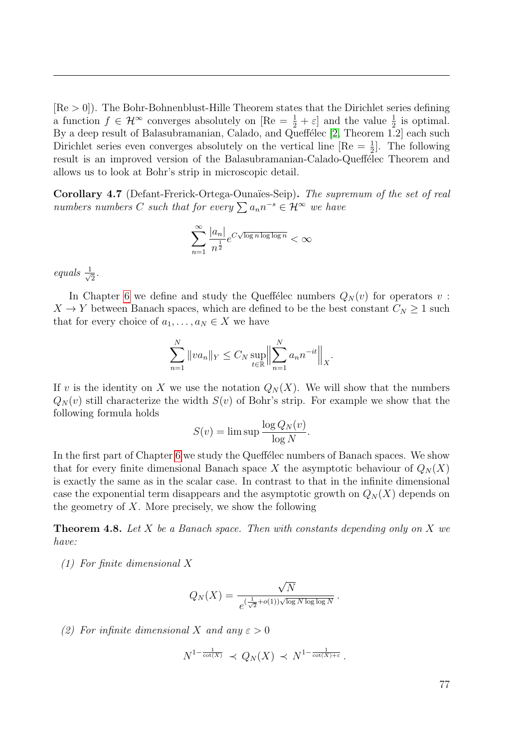$[Re > 0]$ . The Bohr-Bohnenblust-Hille Theorem states that the Dirichlet series defining a function  $f \in \mathcal{H}^{\infty}$  converges absolutely on  $[\text{Re} = \frac{1}{2} + \varepsilon]$  and the value  $\frac{1}{2}$  is optimal. By a deep result of Balasubramanian, Calado, and Queffélec [\[2,](#page-112-3) Theorem 1.2] each such Dirichlet series even converges absolutely on the vertical line  $[Re = \frac{1}{2}]$ . The following result is an improved version of the Balasubramanian-Calado-Queffélec Theorem and allows us to look at Bohr's strip in microscopic detail.

<span id="page-76-0"></span>Corollary 4.7 (Defant-Frerick-Ortega-Ounaïes-Seip). The supremum of the set of real numbers numbers C such that for every  $\sum a_n n^{-s} \in \mathcal{H}^\infty$  we have

$$
\sum_{n=1}^{\infty} \frac{|a_n|}{n^{\frac{1}{2}}} e^{C\sqrt{\log n \log \log n}} < \infty
$$

equals  $\frac{1}{\sqrt{2}}$  $\frac{1}{2}$ .

In Chapter [6](#page-92-0) we define and study the Queffelec numbers  $Q_N(v)$  for operators v:  $X \to Y$  between Banach spaces, which are defined to be the best constant  $C_N \geq 1$  such that for every choice of  $a_1, \ldots, a_N \in X$  we have

$$
\sum_{n=1}^{N} ||va_n||_Y \le C_N \sup_{t \in \mathbb{R}} \Big\| \sum_{n=1}^{N} a_n n^{-it} \Big\|_X.
$$

If v is the identity on X we use the notation  $Q_N(X)$ . We will show that the numbers  $Q_N(v)$  still characterize the width  $S(v)$  of Bohr's strip. For example we show that the following formula holds

$$
S(v) = \limsup \frac{\log Q_N(v)}{\log N}.
$$

In the first part of Chapter [6](#page-92-0) we study the Queffelec numbers of Banach spaces. We show that for every finite dimensional Banach space X the asymptotic behaviour of  $Q_N(X)$ is exactly the same as in the scalar case. In contrast to that in the infinite dimensional case the exponential term disappears and the asymptotic growth on  $Q_N(X)$  depends on the geometry of  $X$ . More precisely, we show the following

**Theorem 4.8.** Let X be a Banach space. Then with constants depending only on X we have:

(1) For finite dimensional X

$$
Q_N(X) = \frac{\sqrt{N}}{e^{(\frac{1}{\sqrt{2}}+o(1))\sqrt{\log N \log \log N}}}.
$$

(2) For infinite dimensional X and any  $\varepsilon > 0$ 

$$
N^{1-\frac{1}{\cot(X)}} \prec Q_N(X) \prec N^{1-\frac{1}{\cot(X)+\varepsilon}}.
$$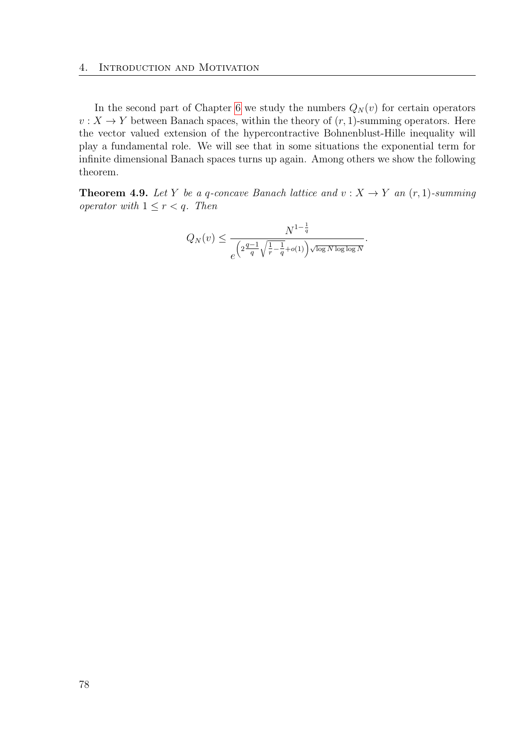In the second part of Chapter [6](#page-92-0) we study the numbers  $Q_N(v)$  for certain operators  $v: X \to Y$  between Banach spaces, within the theory of  $(r, 1)$ -summing operators. Here the vector valued extension of the hypercontractive Bohnenblust-Hille inequality will play a fundamental role. We will see that in some situations the exponential term for infinite dimensional Banach spaces turns up again. Among others we show the following theorem.

**Theorem 4.9.** Let Y be a q-concave Banach lattice and  $v: X \to Y$  an  $(r, 1)$ -summing operator with  $1 \leq r < q$ . Then

$$
Q_N(v) \le \frac{N^{1-\frac{1}{q}}}{e^{\left(2\frac{q-1}{q}\sqrt{\frac{1}{r}-\frac{1}{q}}+o(1)\right)\sqrt{\log N \log\log N}}}.
$$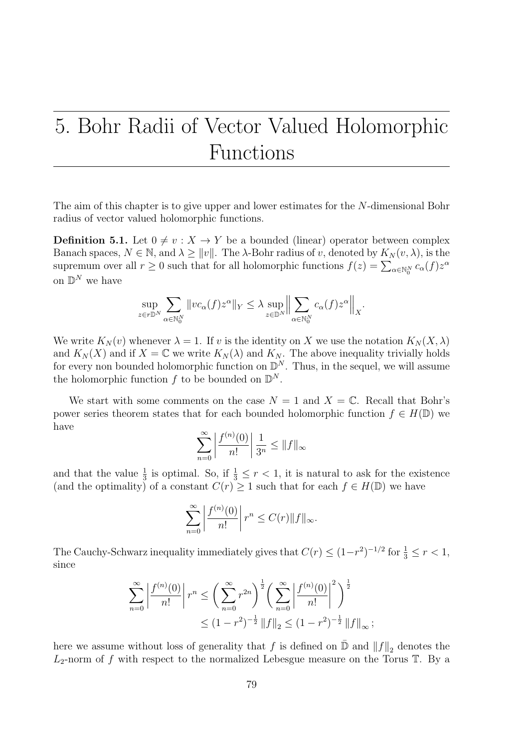# <span id="page-78-0"></span>5. Bohr Radii of Vector Valued Holomorphic Functions

The aim of this chapter is to give upper and lower estimates for the N-dimensional Bohr radius of vector valued holomorphic functions.

<span id="page-78-1"></span>**Definition 5.1.** Let  $0 \neq v : X \rightarrow Y$  be a bounded (linear) operator between complex Banach spaces,  $N \in \mathbb{N}$ , and  $\lambda \geq ||v||$ . The  $\lambda$ -Bohr radius of v, denoted by  $K_N(v, \lambda)$ , is the supremum over all  $r \ge 0$  such that for all holomorphic functions  $f(z) = \sum_{\alpha \in \mathbb{N}_0^N} c_{\alpha}(f) z^{\alpha}$ on  $\mathbb{D}^N$  we have

$$
\sup_{z \in r\mathbb{D}^N} \sum_{\alpha \in \mathbb{N}_0^N} \|vc_{\alpha}(f)z^{\alpha}\|_{Y} \leq \lambda \sup_{z \in \mathbb{D}^N} \Big\| \sum_{\alpha \in \mathbb{N}_0^N} c_{\alpha}(f)z^{\alpha} \Big\|_{X}.
$$

We write  $K_N(v)$  whenever  $\lambda = 1$ . If v is the identity on X we use the notation  $K_N(X, \lambda)$ and  $K_N(X)$  and if  $X = \mathbb{C}$  we write  $K_N(\lambda)$  and  $K_N$ . The above inequality trivially holds for every non bounded holomorphic function on  $\mathbb{D}^N$ . Thus, in the sequel, we will assume the holomorphic function  $f$  to be bounded on  $\mathbb{D}^N$ .

We start with some comments on the case  $N = 1$  and  $X = \mathbb{C}$ . Recall that Bohr's power series theorem states that for each bounded holomorphic function  $f \in H(\mathbb{D})$  we have

$$
\sum_{n=0}^{\infty} \left| \frac{f^{(n)}(0)}{n!} \right| \frac{1}{3^n} \le ||f||_{\infty}
$$

and that the value  $\frac{1}{3}$  is optimal. So, if  $\frac{1}{3} \leq r < 1$ , it is natural to ask for the existence (and the optimality) of a constant  $C(r) \geq 1$  such that for each  $f \in H(\mathbb{D})$  we have

$$
\sum_{n=0}^{\infty} \left| \frac{f^{(n)}(0)}{n!} \right| r^n \le C(r) \|f\|_{\infty}.
$$

The Cauchy-Schwarz inequality immediately gives that  $C(r) \leq (1-r^2)^{-1/2}$  for  $\frac{1}{3} \leq r < 1$ , since

$$
\sum_{n=0}^{\infty} \left| \frac{f^{(n)}(0)}{n!} \right| r^n \le \left( \sum_{n=0}^{\infty} r^{2n} \right)^{\frac{1}{2}} \left( \sum_{n=0}^{\infty} \left| \frac{f^{(n)}(0)}{n!} \right|^2 \right)^{\frac{1}{2}}
$$
  

$$
\le (1 - r^2)^{-\frac{1}{2}} ||f||_2 \le (1 - r^2)^{-\frac{1}{2}} ||f||_{\infty};
$$

here we assume without loss of generality that  $f$  is defined on  $\bar{\mathbb{D}}$  and  $||f||_2$  denotes the  $L_2$ -norm of f with respect to the normalized Lebesgue measure on the Torus  $\mathbb T$ . By a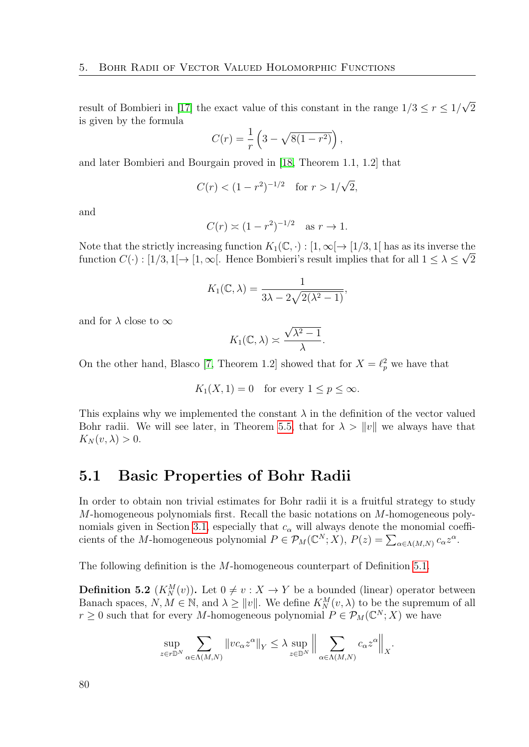result of Bombieri in [\[17\]](#page-113-3) the exact value of this constant in the range  $1/3 \le r \le 1/2$ √  $\overline{2}$ is given by the formula

$$
C(r) = \frac{1}{r} \left( 3 - \sqrt{8(1 - r^2)} \right),
$$

and later Bombieri and Bourgain proved in [\[18,](#page-113-4) Theorem 1.1, 1.2] that

$$
C(r) < (1 - r^2)^{-1/2}
$$
 for  $r > 1/\sqrt{2}$ ,

and

$$
C(r) \asymp (1 - r^2)^{-1/2}
$$
 as  $r \to 1$ .

Note that the strictly increasing function  $K_1(\mathbb{C}, \cdot) : [1, \infty) \to [1/3, 1]$  has as its inverse the function  $C(\cdot) : [1/3, 1] \to [1, \infty]$ . Hence Bombieri's result implies that for all  $1 \leq \lambda \leq \sqrt{2}$ 

$$
K_1(\mathbb{C}, \lambda) = \frac{1}{3\lambda - 2\sqrt{2(\lambda^2 - 1)}},
$$

and for  $\lambda$  close to  $\infty$ 

$$
K_1(\mathbb{C}, \lambda) \asymp \frac{\sqrt{\lambda^2 - 1}}{\lambda}.
$$

On the other hand, Blasco [\[7,](#page-112-4) Theorem 1.2] showed that for  $X = \ell_p^2$  we have that

$$
K_1(X, 1) = 0
$$
 for every  $1 \le p \le \infty$ .

This explains why we implemented the constant  $\lambda$  in the definition of the vector valued Bohr radii. We will see later, in Theorem [5.5,](#page-81-0) that for  $\lambda > ||v||$  we always have that  $K_N(v, \lambda) > 0.$ 

#### 5.1 Basic Properties of Bohr Radii

In order to obtain non trivial estimates for Bohr radii it is a fruitful strategy to study M-homogeneous polynomials first. Recall the basic notations on M-homogeneous poly-nomials given in Section [3.1,](#page-52-0) especially that  $c_{\alpha}$  will always denote the monomial coefficients of the *M*-homogeneous polynomial  $P \in \mathcal{P}_M(\mathbb{C}^N;X)$ ,  $P(z) = \sum_{\alpha \in \Lambda(M,N)} c_{\alpha} z^{\alpha}$ .

The following definition is the M-homogeneous counterpart of Definition [5.1.](#page-78-1)

<span id="page-79-0"></span>**Definition 5.2**  $(K_N^M(v))$ . Let  $0 \neq v : X \to Y$  be a bounded (linear) operator between Banach spaces,  $N, M \in \mathbb{N}$ , and  $\lambda \geq ||v||$ . We define  $K_N^M(v, \lambda)$  to be the supremum of all  $r \geq 0$  such that for every M-homogeneous polynomial  $P \in \mathcal{P}_M(\mathbb{C}^N;X)$  we have

$$
\sup_{z \in r\mathbb{D}^N} \sum_{\alpha \in \Lambda(M,N)} \|vc_{\alpha}z^{\alpha}\|_{Y} \leq \lambda \sup_{z \in \mathbb{D}^N} \Big\| \sum_{\alpha \in \Lambda(M,N)} c_{\alpha}z^{\alpha} \Big\|_{X}.
$$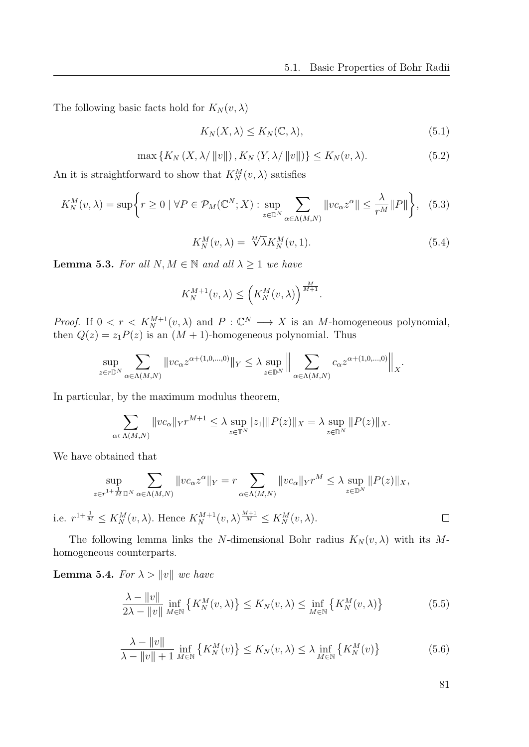The following basic facts hold for  $K_N(v, \lambda)$ 

<span id="page-80-3"></span>
$$
K_N(X, \lambda) \le K_N(\mathbb{C}, \lambda),\tag{5.1}
$$

<span id="page-80-4"></span>
$$
\max\left\{K_N\left(X,\lambda/\left\|v\right\|\right),K_N\left(Y,\lambda/\left\|v\right\|\right)\right\}\le K_N(v,\lambda). \tag{5.2}
$$

An it is straightforward to show that  $K_N^M(v, \lambda)$  satisfies

<span id="page-80-2"></span>
$$
K_N^M(v,\lambda) = \sup \bigg\{ r \ge 0 \mid \forall P \in \mathcal{P}_M(\mathbb{C}^N;X) : \sup_{z \in \mathbb{D}^N} \sum_{\alpha \in \Lambda(M,N)} \|v c_{\alpha} z^{\alpha}\| \le \frac{\lambda}{r^M} \|P\| \bigg\}, \tag{5.3}
$$

<span id="page-80-5"></span>
$$
K_N^M(v,\lambda) = \sqrt[M]{\lambda} K_N^M(v,1). \tag{5.4}
$$

**Lemma 5.3.** For all  $N, M \in \mathbb{N}$  and all  $\lambda \geq 1$  we have

$$
K_N^{M+1}(v,\lambda) \le \left(K_N^M(v,\lambda)\right)^{\frac{M}{M+1}}.
$$

*Proof.* If  $0 \lt r \lt K_N^{M+1}(v, \lambda)$  and  $P : \mathbb{C}^N \longrightarrow X$  is an M-homogeneous polynomial, then  $Q(z) = z_1 P(z)$  is an  $(M + 1)$ -homogeneous polynomial. Thus

$$
\sup_{z \in r\mathbb{D}^N} \sum_{\alpha \in \Lambda(M,N)} \|v c_{\alpha} z^{\alpha + (1,0,\dots,0)}\|_{Y} \leq \lambda \sup_{z \in \mathbb{D}^N} \Big\| \sum_{\alpha \in \Lambda(M,N)} c_{\alpha} z^{\alpha + (1,0,\dots,0)} \Big\|_{X}.
$$

In particular, by the maximum modulus theorem,

$$
\sum_{\alpha \in \Lambda(M,N)} \|vc_{\alpha}\|_{Y} r^{M+1} \leq \lambda \sup_{z \in \mathbb{T}^{N}} |z_{1}| \|P(z)\|_{X} = \lambda \sup_{z \in \mathbb{D}^{N}} \|P(z)\|_{X}.
$$

We have obtained that

$$
\sup_{z \in r^{1+\frac{1}{M}} \mathbb{D}^N} \sum_{\alpha \in \Lambda(M,N)} \|v c_{\alpha} z^{\alpha}\|_{Y} = r \sum_{\alpha \in \Lambda(M,N)} \|v c_{\alpha}\|_{Y} r^{M} \leq \lambda \sup_{z \in \mathbb{D}^N} \|P(z)\|_{X},
$$

i.e.  $r^{1+\frac{1}{M}} \leq K_N^M(v, \lambda)$ . Hence  $K_N^{M+1}(v, \lambda)^{\frac{M+1}{M}} \leq K_N^M(v, \lambda)$ .

The following lemma links the N-dimensional Bohr radius  $K_N(v, \lambda)$  with its Mhomogeneous counterparts.

<span id="page-80-6"></span>**Lemma 5.4.** For  $\lambda > ||v||$  we have

$$
\frac{\lambda - \|v\|}{2\lambda - \|v\|} \inf_{M \in \mathbb{N}} \left\{ K_N^M(v, \lambda) \right\} \le K_N(v, \lambda) \le \inf_{M \in \mathbb{N}} \left\{ K_N^M(v, \lambda) \right\} \tag{5.5}
$$

$$
\frac{\lambda - \|v\|}{\lambda - \|v\| + 1} \inf_{M \in \mathbb{N}} \left\{ K_N^M(v) \right\} \le K_N(v, \lambda) \le \lambda \inf_{M \in \mathbb{N}} \left\{ K_N^M(v) \right\} \tag{5.6}
$$

<span id="page-80-1"></span>81

<span id="page-80-0"></span> $\Box$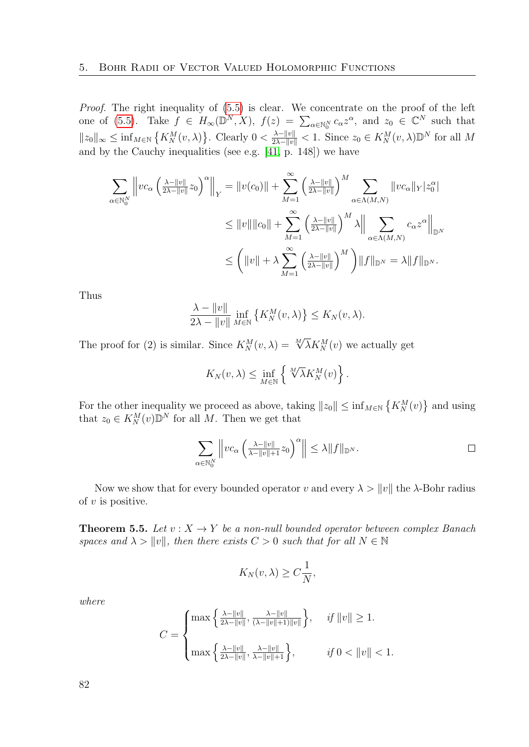Proof. The right inequality of  $(5.5)$  is clear. We concentrate on the proof of the left one of [\(5.5\)](#page-80-0). Take  $f \in H_{\infty}(\mathbb{D}^N, X)$ ,  $f(z) = \sum_{\alpha \in \mathbb{N}_0^N} c_{\alpha} z^{\alpha}$ , and  $z_0 \in \mathbb{C}^N$  such that  $||z_0||_{\infty} \leq \inf_{M \in \mathbb{N}} \left\{ K_N^M(v, \lambda) \right\}$ . Clearly  $0 < \frac{\lambda - ||v||}{2\lambda - ||v||} < 1$ . Since  $z_0 \in K_N^M(v, \lambda) \mathbb{D}^N$  for all M and by the Cauchy inequalities (see e.g. [\[41,](#page-114-3) p. 148]) we have

$$
\sum_{\alpha \in \mathbb{N}_0^N} \left\| v c_\alpha \left( \frac{\lambda - \|v\|}{2\lambda - \|v\|} z_0 \right)^\alpha \right\|_Y = \|v(c_0)\| + \sum_{M=1}^\infty \left( \frac{\lambda - \|v\|}{2\lambda - \|v\|} \right)^M \sum_{\alpha \in \Lambda(M,N)} \|v c_\alpha\|_Y |z_0^\alpha|
$$
  

$$
\leq \|v\| \|c_0\| + \sum_{M=1}^\infty \left( \frac{\lambda - \|v\|}{2\lambda - \|v\|} \right)^M \lambda \Big\| \sum_{\alpha \in \Lambda(M,N)} c_\alpha z^\alpha \Big\|_{\mathbb{D}^N}
$$
  

$$
\leq \left( \|v\| + \lambda \sum_{M=1}^\infty \left( \frac{\lambda - \|v\|}{2\lambda - \|v\|} \right)^M \right) \|f\|_{\mathbb{D}^N} = \lambda \|f\|_{\mathbb{D}^N}.
$$

Thus

$$
\frac{\lambda - \|v\|}{2\lambda - \|v\|} \inf_{M \in \mathbb{N}} \left\{ K_N^M(v, \lambda) \right\} \le K_N(v, \lambda).
$$

The proof for (2) is similar. Since  $K_N^M(v, \lambda) = \sqrt[M]{\lambda} K_N^M(v)$  we actually get

$$
K_N(v, \lambda) \leq \inf_{M \in \mathbb{N}} \left\{ \sqrt[M]{\lambda} K_N^M(v) \right\}.
$$

For the other inequality we proceed as above, taking  $||z_0|| \leq \inf_{M \in \mathbb{N}} \{ K_N^M(v) \}$  and using that  $z_0 \in K_N^M(v) \mathbb{D}^N$  for all M. Then we get that

$$
\sum_{\alpha \in \mathbb{N}_0^N} \left\| v c_\alpha \left( \frac{\lambda - \|v\|}{\lambda - \|v\| + 1} z_0 \right)^\alpha \right\| \leq \lambda \|f\|_{\mathbb{D}^N}.
$$

Now we show that for every bounded operator v and every  $\lambda > ||v||$  the  $\lambda$ -Bohr radius of  $v$  is positive.

<span id="page-81-0"></span>**Theorem 5.5.** Let  $v: X \to Y$  be a non-null bounded operator between complex Banach spaces and  $\lambda > ||v||$ , then there exists  $C > 0$  such that for all  $N \in \mathbb{N}$ 

$$
K_N(v,\lambda) \ge C\frac{1}{N},
$$

where

$$
C = \begin{cases} \max\left\{ \frac{\lambda - ||v||}{2\lambda - ||v||}, \frac{\lambda - ||v||}{(\lambda - ||v|| + 1)||v||} \right\}, & \text{if } ||v|| \ge 1. \\ \max\left\{ \frac{\lambda - ||v||}{2\lambda - ||v||}, \frac{\lambda - ||v||}{\lambda - ||v|| + 1} \right\}, & \text{if } 0 < ||v|| < 1. \end{cases}
$$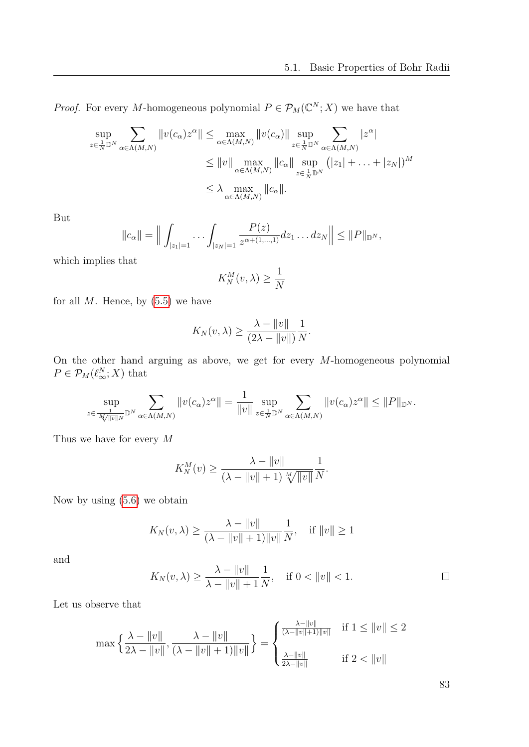*Proof.* For every M-homogeneous polynomial  $P \in \mathcal{P}_M(\mathbb{C}^N;X)$  we have that

$$
\sup_{z \in \frac{1}{N} \mathbb{D}^N} \sum_{\alpha \in \Lambda(M,N)} \|v(c_{\alpha})z^{\alpha}\| \le \max_{\alpha \in \Lambda(M,N)} \|v(c_{\alpha})\| \sup_{z \in \frac{1}{N} \mathbb{D}^N} \sum_{\alpha \in \Lambda(M,N)} |z^{\alpha}|
$$
  

$$
\le \|v\| \max_{\alpha \in \Lambda(M,N)} \|c_{\alpha}\| \sup_{z \in \frac{1}{N} \mathbb{D}^N} (|z_1| + \ldots + |z_N|)^M
$$
  

$$
\le \lambda \max_{\alpha \in \Lambda(M,N)} \|c_{\alpha}\|.
$$

But

$$
||c_{\alpha}|| = \Big\| \int_{|z_1|=1} \cdots \int_{|z_N|=1} \frac{P(z)}{z^{\alpha+(1,\ldots,1)}} dz_1 \ldots dz_N \Big\| \leq ||P||_{\mathbb{D}^N},
$$

which implies that

$$
K_N^M(v,\lambda) \ge \frac{1}{N}
$$

for all  $M$ . Hence, by  $(5.5)$  we have

$$
K_N(v,\lambda) \ge \frac{\lambda - \|v\|}{(2\lambda - \|v\|)} \frac{1}{N}.
$$

On the other hand arguing as above, we get for every  $M$ -homogeneous polynomial  $P \in \mathcal{P}_M(\ell_\infty^N;X)$  that

$$
\sup_{z\in \frac{1}{M\sqrt{\|v\|_N}}\mathbb{D}^N}\sum_{\alpha\in \Lambda(M,N)}\|v(c_\alpha)z^\alpha\|=\frac{1}{\|v\|}\sup_{z\in \frac{1}{N}\mathbb{D}^N}\sum_{\alpha\in \Lambda(M,N)}\|v(c_\alpha)z^\alpha\|\leq \|P\|_{\mathbb{D}^N}.
$$

Thus we have for every M

$$
K_N^M(v) \ge \frac{\lambda - \|v\|}{(\lambda - \|v\| + 1) \sqrt[M]{\|v\|}} \frac{1}{N}.
$$

Now by using [\(5.6\)](#page-80-1) we obtain

$$
K_N(v, \lambda) \ge \frac{\lambda - \|v\|}{(\lambda - \|v\| + 1)\|v\|} \frac{1}{N}, \quad \text{if } \|v\| \ge 1
$$

and

$$
K_N(v, \lambda) \ge \frac{\lambda - \|v\|}{\lambda - \|v\| + 1} \frac{1}{N}, \quad \text{if } 0 < \|v\| < 1.
$$

Let us observe that

$$
\max\left\{\frac{\lambda - \|v\|}{2\lambda - \|v\|}, \frac{\lambda - \|v\|}{(\lambda - \|v\| + 1)\|v\|}\right\} = \begin{cases} \frac{\lambda - \|v\|}{(\lambda - \|v\| + 1)\|v\|} & \text{if } 1 \le \|v\| \le 2\\ \frac{\lambda - \|v\|}{2\lambda - \|v\|} & \text{if } 2 < \|v\| \end{cases}
$$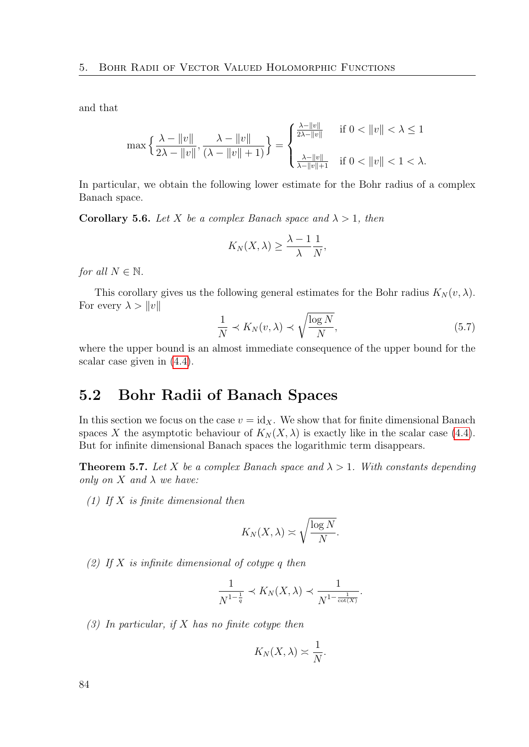and that

$$
\max\left\{\frac{\lambda - \|v\|}{2\lambda - \|v\|}, \frac{\lambda - \|v\|}{(\lambda - \|v\| + 1)}\right\} = \begin{cases} \frac{\lambda - \|v\|}{2\lambda - \|v\|} & \text{if } 0 < \|v\| < \lambda \le 1\\ \frac{\lambda - \|v\|}{\lambda - \|v\| + 1} & \text{if } 0 < \|v\| < 1 < \lambda. \end{cases}
$$

In particular, we obtain the following lower estimate for the Bohr radius of a complex Banach space.

<span id="page-83-0"></span>**Corollary 5.6.** Let X be a complex Banach space and  $\lambda > 1$ , then

$$
K_N(X,\lambda) \geq \frac{\lambda - 1}{\lambda} \frac{1}{N},
$$

for all  $N \in \mathbb{N}$ .

This corollary gives us the following general estimates for the Bohr radius  $K_N(v, \lambda)$ . For every  $\lambda > ||v||$ 

<span id="page-83-2"></span>
$$
\frac{1}{N} \prec K_N(v, \lambda) \prec \sqrt{\frac{\log N}{N}},\tag{5.7}
$$

where the upper bound is an almost immediate consequence of the upper bound for the scalar case given in [\(4.4\)](#page-72-0).

### 5.2 Bohr Radii of Banach Spaces

In this section we focus on the case  $v = id_X$ . We show that for finite dimensional Banach spaces X the asymptotic behaviour of  $K_N(X, \lambda)$  is exactly like in the scalar case [\(4.4\)](#page-72-0). But for infinite dimensional Banach spaces the logarithmic term disappears.

<span id="page-83-1"></span>**Theorem 5.7.** Let X be a complex Banach space and  $\lambda > 1$ . With constants depending only on  $X$  and  $\lambda$  we have:

(1) If  $X$  is finite dimensional then

$$
K_N(X,\lambda) \asymp \sqrt{\frac{\log N}{N}}.
$$

(2) If  $X$  is infinite dimensional of cotype q then

$$
\frac{1}{N^{1-\frac{1}{q}}} \prec K_N(X, \lambda) \prec \frac{1}{N^{1-\frac{1}{\cot(X)}}}.
$$

 $(3)$  In particular, if X has no finite cotype then

$$
K_N(X,\lambda)\asymp \frac{1}{N}.
$$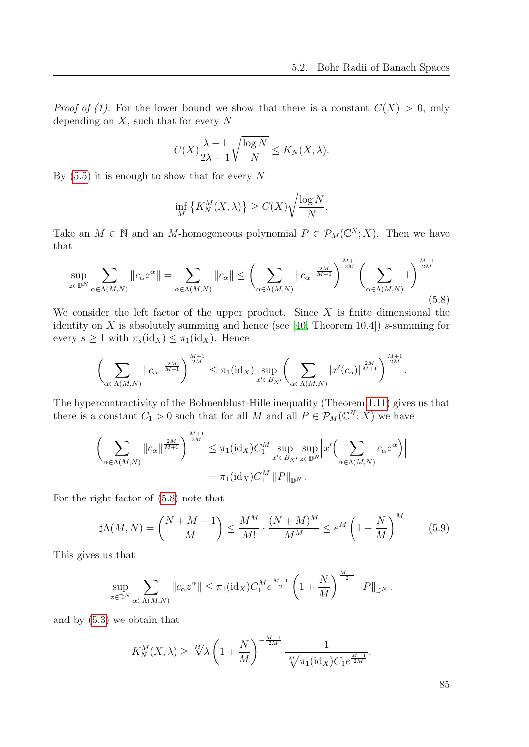*Proof of (1).* For the lower bound we show that there is a constant  $C(X) > 0$ , only depending on  $X$ , such that for every  $N$ 

$$
C(X)\frac{\lambda - 1}{2\lambda - 1}\sqrt{\frac{\log N}{N}} \le K_N(X, \lambda).
$$

By  $(5.5)$  it is enough to show that for every N

$$
\inf_{M} \left\{ K_{N}^{M}(X,\lambda) \right\} \ge C(X) \sqrt{\frac{\log N}{N}}.
$$

Take an  $M \in \mathbb{N}$  and an M-homogeneous polynomial  $P \in \mathcal{P}_M(\mathbb{C}^N;X)$ . Then we have that

<span id="page-84-0"></span>
$$
\sup_{z \in \mathbb{D}^N} \sum_{\alpha \in \Lambda(M,N)} \|c_{\alpha} z^{\alpha}\| = \sum_{\alpha \in \Lambda(M,N)} \|c_{\alpha}\| \le \left(\sum_{\alpha \in \Lambda(M,N)} \|c_{\alpha}\|^{\frac{2M}{M+1}}\right)^{\frac{M+1}{2M}} \left(\sum_{\alpha \in \Lambda(M,N)} 1\right)^{\frac{M-1}{2M}}
$$
(5.8)

We consider the left factor of the upper product. Since  $X$  is finite dimensional the identity on X is absolutely summing and hence (see [\[40,](#page-114-4) Theorem 10.4]) s-summing for every  $s \geq 1$  with  $\pi_s(\text{id}_X) \leq \pi_1(\text{id}_X)$ . Hence

$$
\left(\sum_{\alpha\in\Lambda(M,N)}\|c_\alpha\|^{\frac{2M}{M+1}}\right)^{\frac{M+1}{2M}}\leq \pi_1(\mathrm{id}_X)\sup_{x'\in B_{X'}}\left(\sum_{\alpha\in\Lambda(M,N)}|x'(c_\alpha)|^{\frac{2M}{M+1}}\right)^{\frac{M+1}{2M}}.
$$

The hypercontractivity of the Bohnenblust-Hille inequality (Theorem [1.11\)](#page-24-0) gives us that there is a constant  $C_1 > 0$  such that for all M and all  $P \in \mathcal{P}_M(\mathbb{C}^N; X)$  we have

$$
\left(\sum_{\alpha \in \Lambda(M,N)} \|c_{\alpha}\|^{\frac{2M}{M+1}}\right)^{\frac{M+1}{2M}} \leq \pi_1(\mathrm{id}_X)C_1^M \sup_{x' \in B_{X'}} \sup_{z \in \mathbb{D}^N} \left| x'\left(\sum_{\alpha \in \Lambda(M,N)} c_{\alpha} z^{\alpha}\right) \right|
$$
  
=  $\pi_1(\mathrm{id}_X)C_1^M \|P\|_{\mathbb{D}^N}.$ 

For the right factor of [\(5.8\)](#page-84-0) note that

<span id="page-84-1"></span>
$$
\sharp \Lambda(M,N) = \binom{N+M-1}{M} \le \frac{M^M}{M!} \cdot \frac{(N+M)^M}{M^M} \le e^M \left(1 + \frac{N}{M}\right)^M \tag{5.9}
$$

This gives us that

$$
\sup_{z \in \mathbb{D}^N} \sum_{\alpha \in \Lambda(M,N)} \|c_{\alpha} z^{\alpha}\| \le \pi_1(\mathrm{id}_X) C_1^M e^{\frac{M-1}{2}} \left(1 + \frac{N}{M}\right)^{\frac{M-1}{2}} \|P\|_{\mathbb{D}^N}.
$$

and by [\(5.3\)](#page-80-2) we obtain that

$$
K_N^M(X, \lambda) \ge \sqrt[M]{\lambda} \left(1 + \frac{N}{M}\right)^{-\frac{M-1}{2M}} \frac{1}{\sqrt[M]{\pi_1(\text{id}_X)} C_1 e^{\frac{M-1}{2M}}}.
$$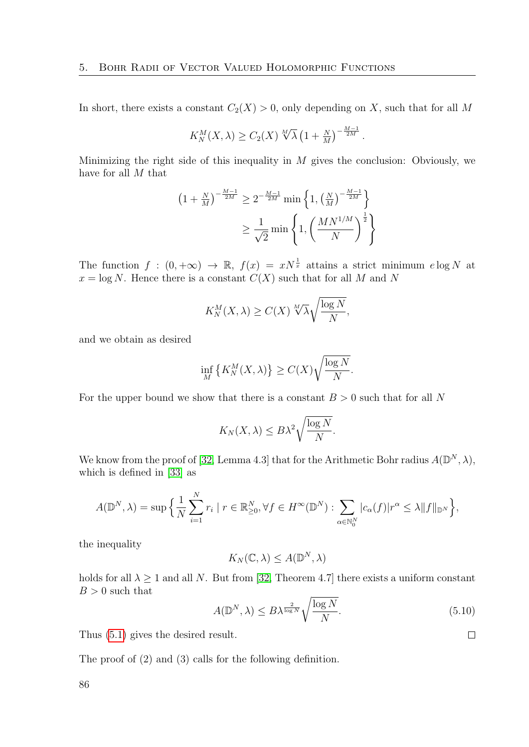In short, there exists a constant  $C_2(X) > 0$ , only depending on X, such that for all M

$$
K_N^M(X,\lambda) \ge C_2(X) \sqrt[M]{\lambda} \left(1 + \frac{N}{M}\right)^{-\frac{M-1}{2M}}.
$$

Minimizing the right side of this inequality in  $M$  gives the conclusion: Obviously, we have for all M that

$$
(1 + \frac{N}{M})^{-\frac{M-1}{2M}} \ge 2^{-\frac{M-1}{2M}} \min\left\{1, \left(\frac{N}{M}\right)^{-\frac{M-1}{2M}}\right\}
$$

$$
\ge \frac{1}{\sqrt{2}} \min\left\{1, \left(\frac{MN^{1/M}}{N}\right)^{\frac{1}{2}}\right\}
$$

The function  $f:(0,+\infty) \to \mathbb{R}$ ,  $f(x) = xN^{\frac{1}{x}}$  attains a strict minimum elog N at  $x = \log N$ . Hence there is a constant  $C(X)$  such that for all M and N

$$
K_N^M(X, \lambda) \ge C(X) \sqrt[M]{\lambda} \sqrt{\frac{\log N}{N}},
$$

and we obtain as desired

$$
\inf_{M} \left\{ K_N^M(X, \lambda) \right\} \ge C(X) \sqrt{\frac{\log N}{N}}.
$$

For the upper bound we show that there is a constant  $B > 0$  such that for all N

$$
K_N(X,\lambda) \leq B\lambda^2 \sqrt{\frac{\log N}{N}}.
$$

We know from the proof of [\[32,](#page-114-5) Lemma 4.3] that for the Arithmetic Bohr radius  $A(\mathbb{D}^N, \lambda)$ , which is defined in [\[33\]](#page-114-6) as

$$
A(\mathbb{D}^N, \lambda) = \sup \Big\{ \frac{1}{N} \sum_{i=1}^N r_i \mid r \in \mathbb{R}^N_{\geq 0}, \forall f \in H^\infty(\mathbb{D}^N) : \sum_{\alpha \in \mathbb{N}_0^N} |c_\alpha(f)| r^\alpha \leq \lambda \|f\|_{\mathbb{D}^N} \Big\},\
$$

the inequality

$$
K_N(\mathbb{C}, \lambda) \le A(\mathbb{D}^N, \lambda)
$$

holds for all  $\lambda \geq 1$  and all N. But from [\[32,](#page-114-5) Theorem 4.7] there exists a uniform constant  $B > 0$  such that

$$
A(\mathbb{D}^N, \lambda) \le B\lambda^{\frac{2}{\log N}} \sqrt{\frac{\log N}{N}}.
$$
\n(5.10)

 $\Box$ 

Thus [\(5.1\)](#page-80-3) gives the desired result.

The proof of (2) and (3) calls for the following definition.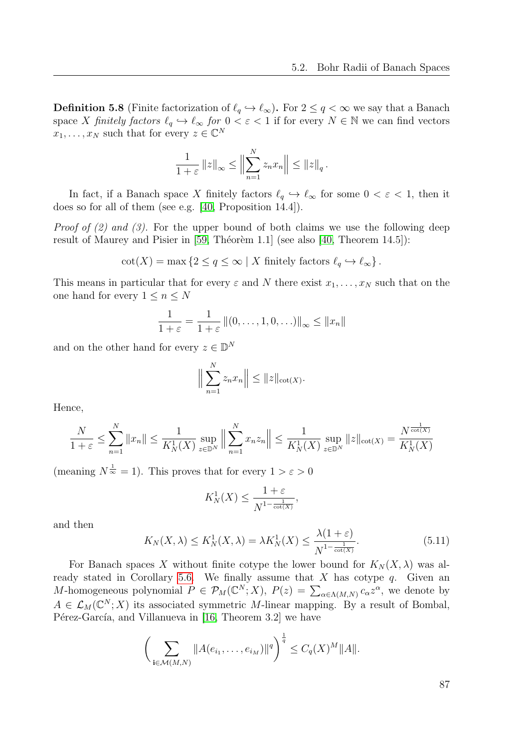**Definition 5.8** (Finite factorization of  $\ell_q \hookrightarrow \ell_\infty$ ). For  $2 \le q < \infty$  we say that a Banach space X finitely factors  $\ell_q \hookrightarrow \ell_\infty$  for  $0 < \varepsilon < 1$  if for every  $N \in \mathbb{N}$  we can find vectors  $x_1, \ldots, x_N$  such that for every  $z \in \mathbb{C}^N$ 

$$
\frac{1}{1+\varepsilon} ||z||_{\infty} \le \Big\|\sum_{n=1}^{N} z_n x_n\Big\| \le ||z||_q.
$$

In fact, if a Banach space X finitely factors  $\ell_q \hookrightarrow \ell_\infty$  for some  $0 < \varepsilon < 1$ , then it does so for all of them (see e.g. [\[40,](#page-114-4) Proposition 14.4]).

*Proof of (2) and (3)*. For the upper bound of both claims we use the following deep result of Maurey and Pisier in  $[59, Théorèm 1.1]$  (see also  $[40, Theorem 14.5]$ ):

$$
\cot(X) = \max\left\{2 \le q \le \infty \mid X \text{ finitely factors } \ell_q \hookrightarrow \ell_\infty\right\}.
$$

This means in particular that for every  $\varepsilon$  and N there exist  $x_1, \ldots, x_N$  such that on the one hand for every  $1 \leq n \leq N$ 

$$
\frac{1}{1+\varepsilon} = \frac{1}{1+\varepsilon} ||(0,\ldots,1,0,\ldots)||_{\infty} \le ||x_n||
$$

and on the other hand for every  $z \in \mathbb{D}^N$ 

$$
\Big\|\sum_{n=1}^N z_n x_n\Big\| \le \|z\|_{\cot(X)}.
$$

Hence,

$$
\frac{N}{1+\varepsilon} \le \sum_{n=1}^N \|x_n\| \le \frac{1}{K_N^1(X)} \sup_{z \in \mathbb{D}^N} \left\| \sum_{n=1}^N x_n z_n \right\| \le \frac{1}{K_N^1(X)} \sup_{z \in \mathbb{D}^N} \|z\|_{\text{cot}(X)} = \frac{N^{\frac{1}{\text{cot}(X)}}}{K_N^1(X)}
$$

(meaning  $N^{\frac{1}{\infty}} = 1$ ). This proves that for every  $1 > \varepsilon > 0$ 

$$
K_N^1(X) \le \frac{1+\varepsilon}{N^{1-\frac{1}{\cot(X)}}},
$$

and then

<span id="page-86-0"></span>
$$
K_N(X,\lambda) \le K_N^1(X,\lambda) = \lambda K_N^1(X) \le \frac{\lambda(1+\varepsilon)}{N^{1-\frac{1}{\cot(X)}}}.
$$
\n(5.11)

For Banach spaces X without finite cotype the lower bound for  $K_N(X, \lambda)$  was al-ready stated in Corollary [5.6.](#page-83-0) We finally assume that  $X$  has cotype  $q$ . Given an M-homogeneous polynomial  $P \in \mathcal{P}_M(\mathbb{C}^N;X)$ ,  $P(z) = \sum_{\alpha \in \Lambda(M,N)} c_{\alpha} z^{\alpha}$ , we denote by  $A \in \mathcal{L}_M(\mathbb{C}^N;X)$  its associated symmetric M-linear mapping. By a result of Bombal, Pérez-García, and Villanueva in [\[16,](#page-113-5) Theorem 3.2] we have

$$
\bigg(\sum_{\mathbf{i}\in\mathcal{M}(M,N)}\|A(e_{i_1},\ldots,e_{i_M})\|^q\bigg)^{\frac{1}{q}}\leq C_q(X)^M\|A\|.
$$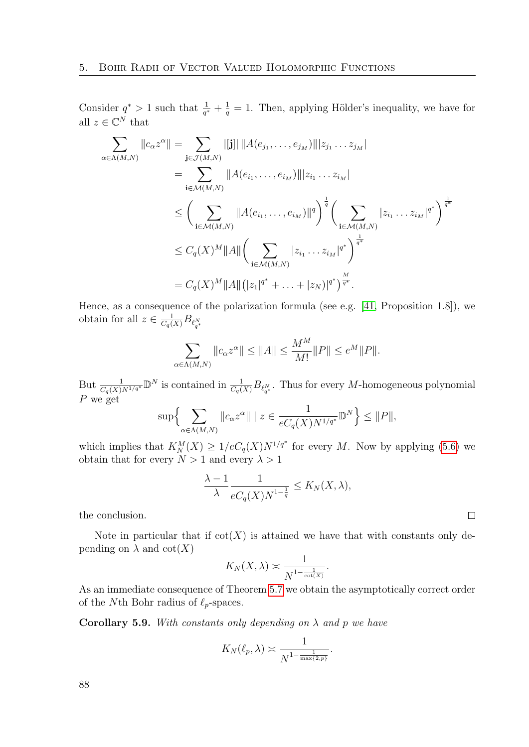Consider  $q^* > 1$  such that  $\frac{1}{q^*} + \frac{1}{q} = 1$ . Then, applying Hölder's inequality, we have for all  $z \in \mathbb{C}^N$  that

$$
\sum_{\alpha \in \Lambda(M,N)} ||c_{\alpha} z^{\alpha}|| = \sum_{\mathbf{j} \in \mathcal{J}(M,N)} |[\mathbf{j}]| ||A(e_{j_1}, \dots, e_{j_M})|| |z_{j_1} \dots z_{j_M}|
$$
\n
$$
= \sum_{\mathbf{i} \in \mathcal{M}(M,N)} ||A(e_{i_1}, \dots, e_{i_M})|| |z_{i_1} \dots z_{i_M}|
$$
\n
$$
\leq \left( \sum_{\mathbf{i} \in \mathcal{M}(M,N)} ||A(e_{i_1}, \dots, e_{i_M})||^q \right)^{\frac{1}{q}} \left( \sum_{\mathbf{i} \in \mathcal{M}(M,N)} |z_{i_1} \dots z_{i_M}|^{q^*} \right)^{\frac{1}{q^*}}
$$
\n
$$
\leq C_q(X)^M ||A|| \left( \sum_{\mathbf{i} \in \mathcal{M}(M,N)} |z_{i_1} \dots z_{i_M}|^{q^*} \right)^{\frac{1}{q^*}}
$$
\n
$$
= C_q(X)^M ||A|| (|z_1|^{q^*} + \dots + |z_N)|^{q^*} \right)^{\frac{M}{q^*}}.
$$

Hence, as a consequence of the polarization formula (see e.g. [\[41,](#page-114-3) Proposition 1.8]), we obtain for all  $z \in \frac{1}{C_q(X)} B_{\ell_{q^*}^N}$ 

$$
\sum_{\alpha \in \Lambda(M,N)} \|c_{\alpha} z^{\alpha}\| \le \|A\| \le \frac{M^M}{M!} \|P\| \le e^M \|P\|.
$$

But  $\frac{1}{C_q(X)N^{1/q^*}} \mathbb{D}^N$  is contained in  $\frac{1}{C_q(X)} B_{\ell_q^N}$ . Thus for every M-homogeneous polynomial  $P$  we get

$$
\sup \Big\{ \sum_{\alpha \in \Lambda(M,N)} \|c_{\alpha} z^{\alpha}\| \mid z \in \frac{1}{eC_q(X)N^{1/q^*}} \mathbb{D}^N \Big\} \leq ||P||,
$$

which implies that  $K_N^M(X) \geq 1/eC_q(X)N^{1/q^*}$  for every M. Now by applying [\(5.6\)](#page-80-1) we obtain that for every  $N > 1$  and every  $\lambda > 1$ 

$$
\frac{\lambda - 1}{\lambda} \frac{1}{eC_q(X)N^{1 - \frac{1}{q}}} \le K_N(X, \lambda),
$$

 $\Box$ 

the conclusion.

Note in particular that if  $cot(X)$  is attained we have that with constants only depending on  $\lambda$  and  $\cot(X)$ 

$$
K_N(X,\lambda) \asymp \frac{1}{N^{1-\frac{1}{\cot(X)}}}.
$$

As an immediate consequence of Theorem [5.7](#page-83-1) we obtain the asymptotically correct order of the Nth Bohr radius of  $\ell_p$ -spaces.

<span id="page-87-0"></span>**Corollary 5.9.** With constants only depending on  $\lambda$  and p we have

$$
K_N(\ell_p,\lambda) \asymp \frac{1}{N^{1-\frac{1}{\max\{2,p\}}}}.
$$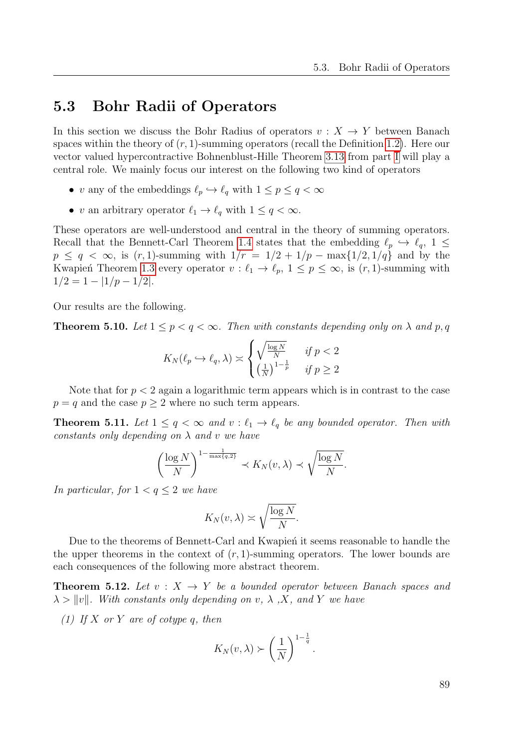### 5.3 Bohr Radii of Operators

In this section we discuss the Bohr Radius of operators  $v : X \to Y$  between Banach spaces within the theory of  $(r, 1)$ -summing operators (recall the Definition [1.2\)](#page-21-0). Here our vector valued hypercontractive Bohnenblust-Hille Theorem [3.13](#page-63-0) from part [I](#page-18-0) will play a central role. We mainly focus our interest on the following two kind of operators

- v any of the embeddings  $\ell_p \hookrightarrow \ell_q$  with  $1 \leq p \leq q < \infty$
- v an arbitrary operator  $\ell_1 \to \ell_q$  with  $1 \le q < \infty$ .

These operators are well-understood and central in the theory of summing operators. Recall that the Bennett-Carl Theorem [1.4](#page-22-0) states that the embedding  $\ell_p \leftrightarrow \ell_q$ , 1  $\leq$  $p \le q < \infty$ , is  $(r, 1)$ -summing with  $1/r = 1/2 + 1/p - \max\{1/2, 1/q\}$  and by the Kwapień Theorem [1.3](#page-21-1) every operator  $v : \ell_1 \to \ell_p$ ,  $1 \leq p \leq \infty$ , is  $(r, 1)$ -summing with  $1/2 = 1 - |1/p - 1/2|$ .

Our results are the following.

<span id="page-88-0"></span>**Theorem 5.10.** Let  $1 \leq p < q < \infty$ . Then with constants depending only on  $\lambda$  and  $p, q$ 

$$
K_N(\ell_p \hookrightarrow \ell_q, \lambda) \asymp \begin{cases} \sqrt{\frac{\log N}{N}} & \text{if } p < 2\\ \left(\frac{1}{N}\right)^{1-\frac{1}{p}} & \text{if } p \ge 2 \end{cases}
$$

Note that for  $p < 2$  again a logarithmic term appears which is in contrast to the case  $p = q$  and the case  $p \geq 2$  where no such term appears.

<span id="page-88-1"></span>**Theorem 5.11.** Let  $1 \leq q < \infty$  and  $v : \ell_1 \to \ell_q$  be any bounded operator. Then with constants only depending on  $\lambda$  and v we have

$$
\left(\frac{\log N}{N}\right)^{1-\frac{1}{\max\{q,2\}}}\prec K_N(v,\lambda)\prec \sqrt{\frac{\log N}{N}}.
$$

In particular, for  $1 < q \leq 2$  we have

$$
K_N(v,\lambda) \asymp \sqrt{\frac{\log N}{N}}.
$$

Due to the theorems of Bennett-Carl and Kwapien it seems reasonable to handle the the upper theorems in the context of  $(r, 1)$ -summing operators. The lower bounds are each consequences of the following more abstract theorem.

<span id="page-88-2"></span>**Theorem 5.12.** Let  $v: X \rightarrow Y$  be a bounded operator between Banach spaces and  $\lambda > ||v||$ . With constants only depending on v,  $\lambda$ , X, and Y we have

(1) If X or Y are of cotype q, then

$$
K_N(v,\lambda) \succ \left(\frac{1}{N}\right)^{1-\frac{1}{q}}.
$$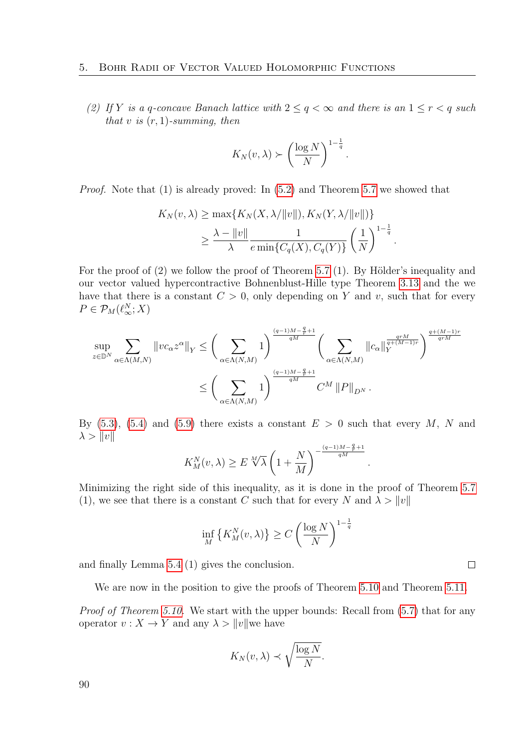(2) If Y is a q-concave Banach lattice with  $2 \le q < \infty$  and there is an  $1 \le r < q$  such that v is  $(r, 1)$ -summing, then

$$
K_N(v,\lambda) \succ \left(\frac{\log N}{N}\right)^{1-\frac{1}{q}}.
$$

Proof. Note that (1) is already proved: In [\(5.2\)](#page-80-4) and Theorem [5.7](#page-83-1) we showed that

$$
K_N(v, \lambda) \ge \max\{K_N(X, \lambda/\|v\|), K_N(Y, \lambda/\|v\|)\}
$$
  
 
$$
\ge \frac{\lambda - \|v\|}{\lambda} \frac{1}{e \min\{C_q(X), C_q(Y)\}} \left(\frac{1}{N}\right)^{1-\frac{1}{q}}.
$$

For the proof of  $(2)$  we follow the proof of Theorem [5.7](#page-83-1)  $(1)$ . By Hölder's inequality and our vector valued hypercontractive Bohnenblust-Hille type Theorem [3.13](#page-63-0) and the we have that there is a constant  $C > 0$ , only depending on Y and v, such that for every  $P \in \mathcal{P}_M(\ell_\infty^N;X)$ 

$$
\sup_{z \in \mathbb{D}^N} \sum_{\alpha \in \Lambda(M,N)} \|vc_{\alpha}z^{\alpha}\|_{Y} \leq \left(\sum_{\alpha \in \Lambda(N,M)} 1\right)^{\frac{(q-1)M - \frac{q}{r} + 1}{qM}} \left(\sum_{\alpha \in \Lambda(N,M)} \|c_{\alpha}\|_{Y}^{\frac{qrM}{q + (M-1)r}}\right)^{\frac{q + (M-1)r}{qrM}}
$$

$$
\leq \left(\sum_{\alpha \in \Lambda(N,M)} 1\right)^{\frac{(q-1)M - \frac{q}{r} + 1}{qM}} C^M \|P\|_{D^N}.
$$

By [\(5.3\)](#page-80-2), [\(5.4\)](#page-80-5) and [\(5.9\)](#page-84-1) there exists a constant  $E > 0$  such that every M, N and  $\lambda > ||v||$ 

$$
K_M^N(v, \lambda) \ge E \sqrt[M]{\lambda} \left( 1 + \frac{N}{M} \right)^{-\frac{(q-1)M - \frac{q}{r} + 1}{qM}}
$$

.

 $\Box$ 

Minimizing the right side of this inequality, as it is done in the proof of Theorem [5.7](#page-83-1) (1), we see that there is a constant C such that for every N and  $\lambda > ||v||$ 

$$
\inf_{M} \left\{ K_M^N(v, \lambda) \right\} \ge C \left( \frac{\log N}{N} \right)^{1 - \frac{1}{q}}
$$

and finally Lemma [5.4](#page-80-6) (1) gives the conclusion.

We are now in the position to give the proofs of Theorem [5.10](#page-88-0) and Theorem [5.11.](#page-88-1)

Proof of Theorem [5.10.](#page-88-0) We start with the upper bounds: Recall from  $(5.7)$  that for any operator  $v: X \to Y$  and any  $\lambda > ||v||$  we have

$$
K_N(v,\lambda) \prec \sqrt{\frac{\log N}{N}}.
$$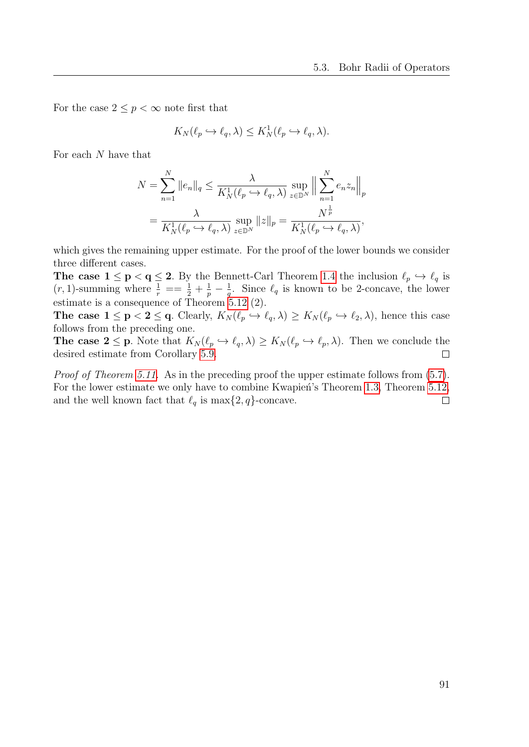For the case  $2 \leq p < \infty$  note first that

$$
K_N(\ell_p \hookrightarrow \ell_q, \lambda) \le K_N^1(\ell_p \hookrightarrow \ell_q, \lambda).
$$

For each N have that

$$
N = \sum_{n=1}^{N} ||e_n||_q \le \frac{\lambda}{K_N^1(\ell_p \hookrightarrow \ell_q, \lambda)} \sup_{z \in \mathbb{D}^N} \Big\| \sum_{n=1}^{N} e_n z_n \Big\|_p
$$
  
=  $\frac{\lambda}{K_N^1(\ell_p \hookrightarrow \ell_q, \lambda)} \sup_{z \in \mathbb{D}^N} ||z||_p = \frac{N^{\frac{1}{p}}}{K_N^1(\ell_p \hookrightarrow \ell_q, \lambda)},$ 

which gives the remaining upper estimate. For the proof of the lower bounds we consider three different cases.

**The case**  $1 \le p < q \le 2$ **.** By the Bennett-Carl Theorem [1.4](#page-22-0) the inclusion  $\ell_p \hookrightarrow \ell_q$  is  $(r, 1)$ -summing where  $\frac{1}{r} = \frac{1}{2} + \frac{1}{p} - \frac{1}{q}$  $\frac{1}{q}$ . Since  $\ell_q$  is known to be 2-concave, the lower estimate is a consequence of Theorem [5.12](#page-88-2) (2).

The case  $1 \le p < 2 \le q$ . Clearly,  $K_N(\ell_p \hookrightarrow \ell_q, \lambda) \ge K_N(\ell_p \hookrightarrow \ell_2, \lambda)$ , hence this case follows from the preceding one.

**The case 2**  $\leq$  **p**. Note that  $K_N(\ell_p \hookrightarrow \ell_q, \lambda) \geq K_N(\ell_p \hookrightarrow \ell_p, \lambda)$ . Then we conclude the desired estimate from Corollary [5.9.](#page-87-0)  $\Box$ 

Proof of Theorem [5.11.](#page-88-1) As in the preceding proof the upper estimate follows from  $(5.7)$ . For the lower estimate we only have to combine Kwapień's Theorem [1.3,](#page-21-1) Theorem [5.12,](#page-88-2) and the well known fact that  $\ell_q$  is max $\{2, q\}$ -concave.  $\Box$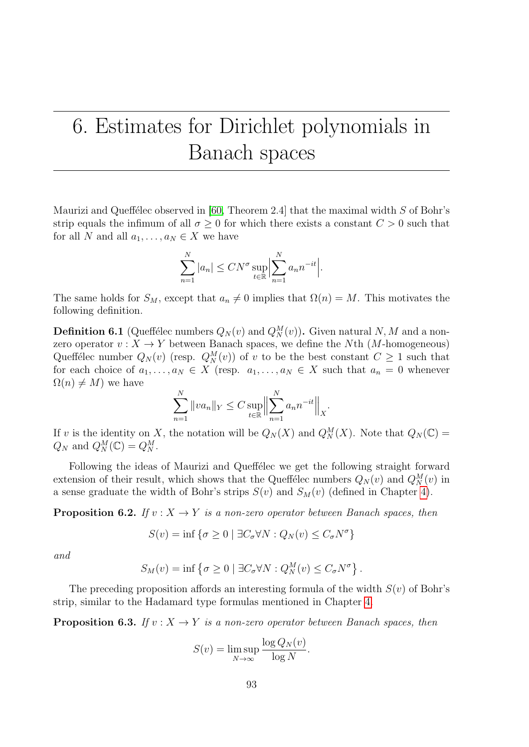# <span id="page-92-0"></span>6. Estimates for Dirichlet polynomials in Banach spaces

Maurizi and Queffélec observed in [\[60,](#page-115-0) Theorem 2.4] that the maximal width  $S$  of Bohr's strip equals the infimum of all  $\sigma \geq 0$  for which there exists a constant  $C > 0$  such that for all N and all  $a_1, \ldots, a_N \in X$  we have

$$
\sum_{n=1}^{N} |a_n| \leq C N^{\sigma} \sup_{t \in \mathbb{R}} \left| \sum_{n=1}^{N} a_n n^{-it} \right|.
$$

The same holds for  $S_M$ , except that  $a_n \neq 0$  implies that  $\Omega(n) = M$ . This motivates the following definition.

**Definition 6.1** (Queffélec numbers  $Q_N(v)$  and  $Q_N^M(v)$ ). Given natural N, M and a nonzero operator  $v: X \to Y$  between Banach spaces, we define the Nth (M-homogeneous) Queffélec number  $Q_N(v)$  (resp.  $Q_N^M(v)$ ) of v to be the best constant  $C \geq 1$  such that for each choice of  $a_1, \ldots, a_N \in X$  (resp.  $a_1, \ldots, a_N \in X$  such that  $a_n = 0$  whenever  $\Omega(n) \neq M$ ) we have

$$
\sum_{n=1}^{N} \|va_n\|_{Y} \le C \sup_{t \in \mathbb{R}} \left\| \sum_{n=1}^{N} a_n n^{-it} \right\|_{X}.
$$

If v is the identity on X, the notation will be  $Q_N(X)$  and  $Q_N^M(X)$ . Note that  $Q_N(\mathbb{C}) =$  $Q_N$  and  $Q_N^M(\mathbb{C}) = Q_N^M$ .

Following the ideas of Maurizi and Queffélec we get the following straight forward extension of their result, which shows that the Queffélec numbers  $Q_N(v)$  and  $Q_N^M(v)$  in a sense graduate the width of Bohr's strips  $S(v)$  and  $S_M(v)$  (defined in Chapter [4\)](#page-68-0).

<span id="page-92-1"></span>**Proposition 6.2.** If  $v: X \to Y$  is a non-zero operator between Banach spaces, then

$$
S(v) = \inf \{ \sigma \ge 0 \mid \exists C_{\sigma} \forall N : Q_N(v) \le C_{\sigma} N^{\sigma} \}
$$

and

$$
S_M(v) = \inf \left\{ \sigma \ge 0 \mid \exists C_{\sigma} \forall N : Q_N^M(v) \le C_{\sigma} N^{\sigma} \right\}.
$$

The preceding proposition affords an interesting formula of the width  $S(v)$  of Bohr's strip, similar to the Hadamard type formulas mentioned in Chapter [4.](#page-68-0)

**Proposition 6.3.** If  $v: X \to Y$  is a non-zero operator between Banach spaces, then

$$
S(v) = \limsup_{N \to \infty} \frac{\log Q_N(v)}{\log N}.
$$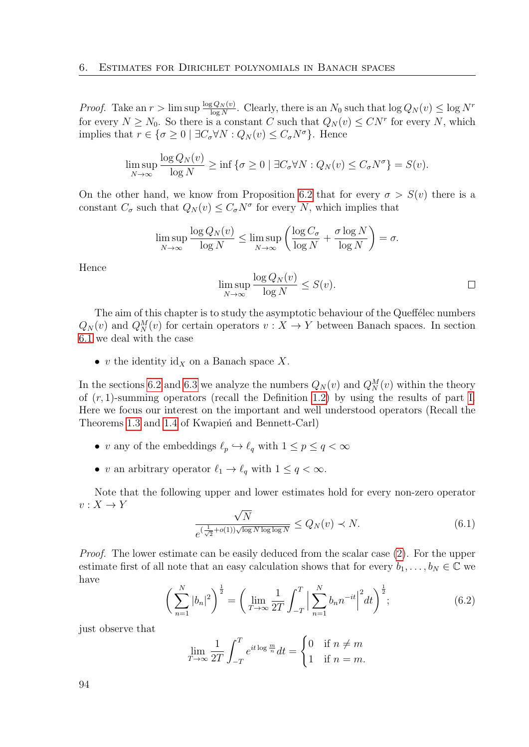*Proof.* Take an  $r > \limsup \frac{\log Q_N(v)}{\log N}$ . Clearly, there is an  $N_0$  such that  $\log Q_N(v) \le \log N^r$ for every  $N \ge N_0$ . So there is a constant C such that  $Q_N(v) \le CN^r$  for every N, which implies that  $r \in {\sigma \geq 0 \mid \exists C_{\sigma} \forall N : Q_N(v) \leq C_{\sigma} N^{\sigma}}$ . Hence

$$
\limsup_{N \to \infty} \frac{\log Q_N(v)}{\log N} \ge \inf \{ \sigma \ge 0 \mid \exists C_{\sigma} \forall N : Q_N(v) \le C_{\sigma} N^{\sigma} \} = S(v).
$$

On the other hand, we know from Proposition [6.2](#page-92-1) that for every  $\sigma > S(v)$  there is a constant  $C_{\sigma}$  such that  $Q_N(v) \leq C_{\sigma} N^{\sigma}$  for every N, which implies that

$$
\limsup_{N \to \infty} \frac{\log Q_N(v)}{\log N} \le \limsup_{N \to \infty} \left( \frac{\log C_{\sigma}}{\log N} + \frac{\sigma \log N}{\log N} \right) = \sigma.
$$

Hence

$$
\limsup_{N \to \infty} \frac{\log Q_N(v)}{\log N} \le S(v).
$$

The aim of this chapter is to study the asymptotic behaviour of the Queffélec numbers  $Q_N(v)$  and  $Q_N^M(v)$  for certain operators  $v: X \to Y$  between Banach spaces. In section [6.1](#page-94-0) we deal with the case

• v the identity  $\mathrm{id}_X$  on a Banach space X.

In the sections [6.2](#page-96-0) and [6.3](#page-102-0) we analyze the numbers  $Q_N(v)$  and  $Q_N^M(v)$  within the theory of  $(r, 1)$ -summing operators (recall the Definition [1.2\)](#page-21-0) by using the results of part [I.](#page-18-0) Here we focus our interest on the important and well understood operators (Recall the Theorems [1.3](#page-21-1) and [1.4](#page-22-0) of Kwapien and Bennett-Carl)

- v any of the embeddings  $\ell_p \hookrightarrow \ell_q$  with  $1 \leq p \leq q < \infty$
- v an arbitrary operator  $\ell_1 \to \ell_q$  with  $1 \le q < \infty$ .

Note that the following upper and lower estimates hold for every non-zero operator  $v: X \to Y$ √

<span id="page-93-0"></span>
$$
\frac{\sqrt{N}}{e^{\left(\frac{1}{\sqrt{2}} + o(1)\right)\sqrt{\log N \log \log N}}} \le Q_N(v) \prec N. \tag{6.1}
$$

*Proof.* The lower estimate can be easily deduced from the scalar case [\(2\)](#page-16-0). For the upper estimate first of all note that an easy calculation shows that for every  $b_1, \ldots, b_N \in \mathbb{C}$  we have

<span id="page-93-1"></span>
$$
\left(\sum_{n=1}^{N} |b_n|^2\right)^{\frac{1}{2}} = \left(\lim_{T \to \infty} \frac{1}{2T} \int_{-T}^{T} \left|\sum_{n=1}^{N} b_n n^{-it}\right|^2 dt\right)^{\frac{1}{2}}; \tag{6.2}
$$

just observe that

$$
\lim_{T \to \infty} \frac{1}{2T} \int_{-T}^{T} e^{it \log \frac{m}{n}} dt = \begin{cases} 0 & \text{if } n \neq m \\ 1 & \text{if } n = m. \end{cases}
$$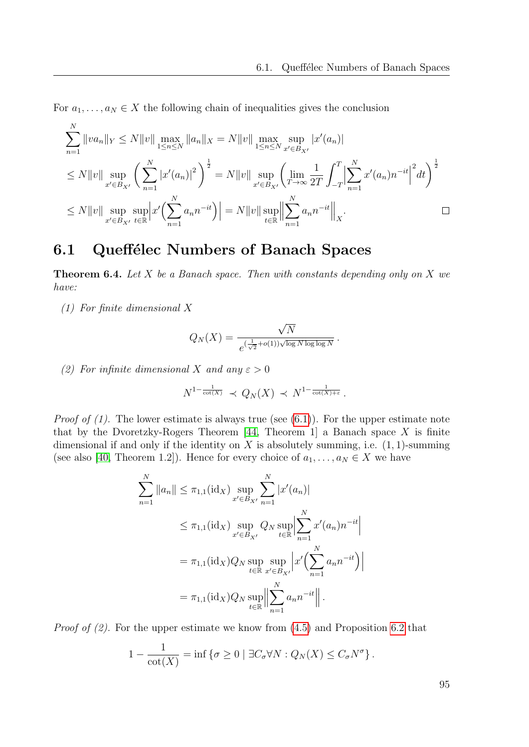For  $a_1, \ldots, a_N \in X$  the following chain of inequalities gives the conclusion

$$
\sum_{n=1}^{N} ||va_{n}||_{Y} \le N ||v|| \max_{1 \le n \le N} ||a_{n}||_{X} = N ||v|| \max_{1 \le n \le N} \sup_{x' \in B_{X'}} |x'(a_{n})|
$$
\n
$$
\le N ||v|| \sup_{x' \in B_{X'}} \left( \sum_{n=1}^{N} |x'(a_{n})|^{2} \right)^{\frac{1}{2}} = N ||v|| \sup_{x' \in B_{X'}} \left( \lim_{T \to \infty} \frac{1}{2T} \int_{-T}^{T} \left| \sum_{n=1}^{N} x'(a_{n}) n^{-it} \right|^{2} dt \right)^{\frac{1}{2}}
$$
\n
$$
\le N ||v|| \sup_{x' \in B_{X'}} \sup_{t \in \mathbb{R}} \left| x' \left( \sum_{n=1}^{N} a_{n} n^{-it} \right) \right| = N ||v|| \sup_{t \in \mathbb{R}} \left\| \sum_{n=1}^{N} a_{n} n^{-it} \right\|_{X}.
$$

## <span id="page-94-0"></span>6.1 Queffélec Numbers of Banach Spaces

<span id="page-94-1"></span>**Theorem 6.4.** Let  $X$  be a Banach space. Then with constants depending only on  $X$  we have:

(1) For finite dimensional X

 $\overline{N}$ 

$$
Q_N(X) = \frac{\sqrt{N}}{e^{(\frac{1}{\sqrt{2}}+o(1))\sqrt{\log N \log \log N}}}
$$

(2) For infinite dimensional X and any  $\varepsilon > 0$ 

$$
N^{1-\frac{1}{\cot(X)}} \prec Q_N(X) \prec N^{1-\frac{1}{\cot(X)+\varepsilon}}.
$$

*Proof of (1).* The lower estimate is always true (see  $(6.1)$ ). For the upper estimate note that by the Dvoretzky-Rogers Theorem  $[44,$  Theorem 1 a Banach space X is finite dimensional if and only if the identity on  $X$  is absolutely summing, i.e.  $(1, 1)$ -summing (see also [\[40,](#page-114-4) Theorem 1.2]). Hence for every choice of  $a_1, \ldots, a_N \in X$  we have

$$
\sum_{n=1}^{N} ||a_n|| \leq \pi_{1,1}(\text{id}_X) \sup_{x' \in B_{X'}} \sum_{n=1}^{N} |x'(a_n)|
$$
  
\n
$$
\leq \pi_{1,1}(\text{id}_X) \sup_{x' \in B_{X'}} Q_N \sup_{t \in \mathbb{R}} \left| \sum_{n=1}^{N} x'(a_n) n^{-it} \right|
$$
  
\n
$$
= \pi_{1,1}(\text{id}_X) Q_N \sup_{t \in \mathbb{R}} \sup_{x' \in B_{X'}} \left| x' \left( \sum_{n=1}^{N} a_n n^{-it} \right) \right|
$$
  
\n
$$
= \pi_{1,1}(\text{id}_X) Q_N \sup_{t \in \mathbb{R}} \left| \sum_{n=1}^{N} a_n n^{-it} \right|.
$$

*Proof of (2).* For the upper estimate we know from  $(4.5)$  and Proposition [6.2](#page-92-1) that

$$
1 - \frac{1}{\cot(X)} = \inf \{ \sigma \ge 0 \mid \exists C_{\sigma} \forall N : Q_N(X) \le C_{\sigma} N^{\sigma} \}.
$$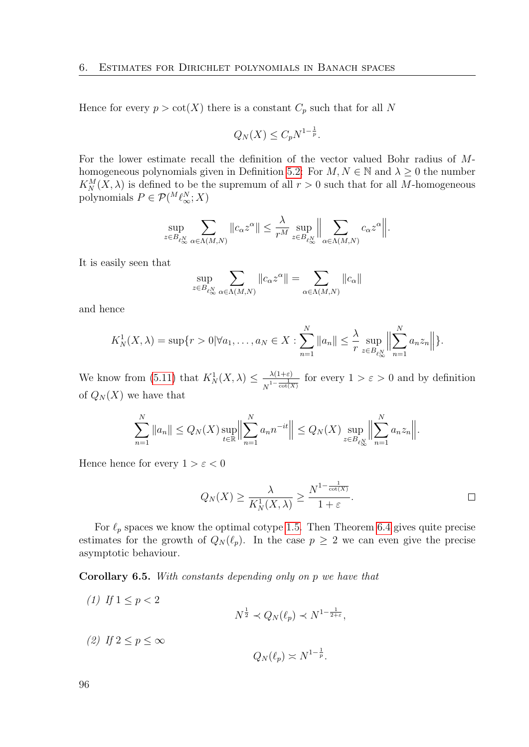Hence for every  $p > \cot(X)$  there is a constant  $C_p$  such that for all N

$$
Q_N(X) \le C_p N^{1-\frac{1}{p}}.
$$

For the lower estimate recall the definition of the vector valued Bohr radius of M-homogeneous polynomials given in Definition [5.2:](#page-79-0) For  $M, N \in \mathbb{N}$  and  $\lambda \geq 0$  the number  $K_N^M(X, \lambda)$  is defined to be the supremum of all  $r > 0$  such that for all M-homogeneous polynomials  $P \in \mathcal{P}(^M \ell^N_{\infty}; X)$ 

$$
\sup_{z \in B_{\ell_{\infty}^{N}}}\sum_{\alpha \in \Lambda(M,N)}\|c_{\alpha}z^{\alpha}\|\leq \frac{\lambda}{r^{M}}\sup_{z \in B_{\ell_{\infty}^{N}}}\Big\|\sum_{\alpha \in \Lambda(M,N)}c_{\alpha}z^{\alpha}\Big\|.
$$

It is easily seen that

$$
\sup_{z \in B_{\ell_{\infty}^N}} \sum_{\alpha \in \Lambda(M,N)} \|c_{\alpha} z^{\alpha}\| = \sum_{\alpha \in \Lambda(M,N)} \|c_{\alpha}\|
$$

and hence

$$
K_N^1(X, \lambda) = \sup \{ r > 0 | \forall a_1, \dots, a_N \in X : \sum_{n=1}^N \|a_n\| \leq \frac{\lambda}{r} \sup_{z \in B_{\ell_{\infty}^N}} \Big\| \sum_{n=1}^N a_n z_n \Big\| \Big\}.
$$

We know from [\(5.11\)](#page-86-0) that  $K^1_N(X, \lambda) \leq \frac{\lambda(1+\varepsilon)}{1-\frac{1}{\varepsilon}$  $\frac{\lambda(1+\varepsilon)}{N^{1-\frac{1}{\cot(X)}}}$  for every  $1 > \varepsilon > 0$  and by definition of  $Q_N(X)$  we have that

$$
\sum_{n=1}^{N} ||a_n|| \leq Q_N(X) \sup_{t \in \mathbb{R}} \Big\| \sum_{n=1}^{N} a_n n^{-it} \Big\| \leq Q_N(X) \sup_{z \in B_{\ell_{\infty}} \atop z \in B_{\ell_{\infty}} \infty} \Big\| \sum_{n=1}^{N} a_n z_n \Big\|.
$$

Hence hence for every  $1 > \varepsilon < 0$ 

$$
Q_N(X) \ge \frac{\lambda}{K_N^1(X,\lambda)} \ge \frac{N^{1-\frac{1}{\cot(X)}}}{1+\varepsilon}.
$$

For  $\ell_p$  spaces we know the optimal cotype [1.5.](#page-23-0) Then Theorem [6.4](#page-94-1) gives quite precise estimates for the growth of  $Q_N(\ell_p)$ . In the case  $p \geq 2$  we can even give the precise asymptotic behaviour.

<span id="page-95-0"></span>Corollary 6.5. With constants depending only on p we have that

(1) If  $1 \le p < 2$  $N^{\frac{1}{2}} \prec Q_N(\ell_p) \prec N^{1-\frac{1}{2+\varepsilon}},$ (2) If  $2 \leq p \leq \infty$ 

$$
Q_N(\ell_p) \asymp N^{1-\frac{1}{p}}.
$$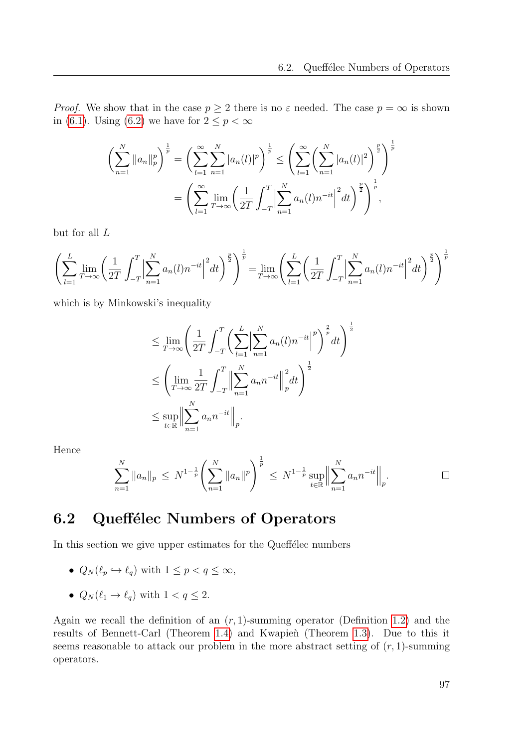*Proof.* We show that in the case  $p \geq 2$  there is no  $\varepsilon$  needed. The case  $p = \infty$  is shown in [\(6.1\)](#page-93-0). Using [\(6.2\)](#page-93-1) we have for  $2 \leq p < \infty$ 

$$
\left(\sum_{n=1}^{N} ||a_n||_p^p\right)^{\frac{1}{p}} = \left(\sum_{l=1}^{\infty} \sum_{n=1}^{N} |a_n(l)|^p\right)^{\frac{1}{p}} \le \left(\sum_{l=1}^{\infty} \left(\sum_{n=1}^{N} |a_n(l)|^2\right)^{\frac{p}{2}}\right)^{\frac{1}{p}}
$$

$$
= \left(\sum_{l=1}^{\infty} \lim_{T \to \infty} \left(\frac{1}{2T} \int_{-T}^{T} \left|\sum_{n=1}^{N} a_n(l) n^{-it}\right|^2 dt\right)^{\frac{p}{2}}\right)^{\frac{1}{p}},
$$

but for all L

$$
\left(\sum_{l=1}^{L} \lim_{T \to \infty} \left(\frac{1}{2T} \int_{-T}^{T} \left| \sum_{n=1}^{N} a_n(l) n^{-it} \right|^2 dt\right)^{\frac{p}{2}} \right)^{\frac{1}{p}} = \lim_{T \to \infty} \left(\sum_{l=1}^{L} \left(\frac{1}{2T} \int_{-T}^{T} \left| \sum_{n=1}^{N} a_n(l) n^{-it} \right|^2 dt\right)^{\frac{p}{2}} \right)^{\frac{1}{p}}
$$

which is by Minkowski's inequality

$$
\leq \lim_{T \to \infty} \left( \frac{1}{2T} \int_{-T}^{T} \left( \sum_{l=1}^{L} \left| \sum_{n=1}^{N} a_n(l) n^{-it} \right|^p \right)^{\frac{2}{p}} dt \right)^{\frac{1}{2}}
$$
  

$$
\leq \left( \lim_{T \to \infty} \frac{1}{2T} \int_{-T}^{T} \left\| \sum_{n=1}^{N} a_n n^{-it} \right\|_{p}^{2} dt \right)^{\frac{1}{2}}
$$
  

$$
\leq \sup_{t \in \mathbb{R}} \left\| \sum_{n=1}^{N} a_n n^{-it} \right\|_{p}.
$$

Hence

$$
\sum_{n=1}^N \|a_n\|_p \le N^{1-\frac{1}{p}} \left( \sum_{n=1}^N \|a_n\|^p \right)^{\frac{1}{p}} \le N^{1-\frac{1}{p}} \sup_{t \in \mathbb{R}} \left\| \sum_{n=1}^N a_n n^{-it} \right\|_p.
$$

### <span id="page-96-0"></span>6.2 Queffélec Numbers of Operators

In this section we give upper estimates for the Queffelec numbers

- $Q_N(\ell_p \hookrightarrow \ell_q)$  with  $1 \leq p < q \leq \infty$ ,
- $Q_N(\ell_1 \to \ell_q)$  with  $1 < q \leq 2$ .

Again we recall the definition of an  $(r, 1)$ -summing operator (Definition [1.2\)](#page-21-0) and the results of Bennett-Carl (Theorem [1.4\)](#page-22-0) and Kwapien (Theorem [1.3\)](#page-21-1). Due to this it seems reasonable to attack our problem in the more abstract setting of  $(r, 1)$ -summing operators.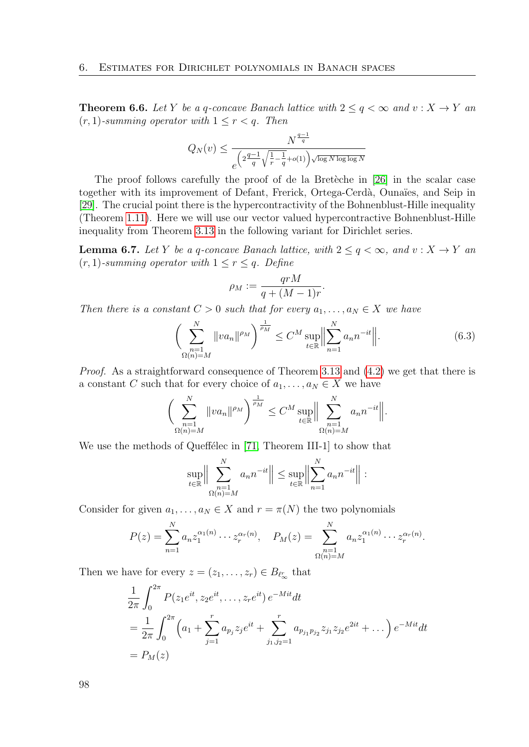<span id="page-97-0"></span>**Theorem 6.6.** Let Y be a q-concave Banach lattice with  $2 \le q < \infty$  and  $v : X \to Y$  and  $(r, 1)$ -summing operator with  $1 \leq r < q$ . Then

$$
Q_N(v) \leq \frac{N^{\frac{q-1}{q}}}{e^{\left(2\frac{q-1}{q}\sqrt{\frac{1}{r}-\frac{1}{q}}+o(1)\right)\sqrt{\log N\log\log N}}}
$$

The proof follows carefully the proof of de la Bretèche in [\[26\]](#page-113-2) in the scalar case together with its improvement of Defant, Frerick, Ortega-Cerdà, Ounaïes, and Seip in [\[29\]](#page-113-1). The crucial point there is the hypercontractivity of the Bohnenblust-Hille inequality (Theorem [1.11\)](#page-24-0). Here we will use our vector valued hypercontractive Bohnenblust-Hille inequality from Theorem [3.13](#page-63-0) in the following variant for Dirichlet series.

**Lemma 6.7.** Let Y be a q-concave Banach lattice, with  $2 \le q \le \infty$ , and  $v: X \to Y$  and  $(r, 1)$ -summing operator with  $1 \leq r \leq q$ . Define

$$
\rho_M := \frac{qrM}{q + (M-1)r}.
$$

Then there is a constant  $C > 0$  such that for every  $a_1, \ldots, a_N \in X$  we have

<span id="page-97-1"></span>
$$
\left(\sum_{\substack{n=1\\ \Omega(n)=M}}^N \|va_n\|^{\rho_M}\right)^{\frac{1}{\rho_M}} \le C^M \sup_{t \in \mathbb{R}} \left\|\sum_{n=1}^N a_n n^{-it}\right\|. \tag{6.3}
$$

Proof. As a straightforward consequence of Theorem [3.13](#page-63-0) and [\(4.2\)](#page-70-1) we get that there is a constant C such that for every choice of  $a_1, \ldots, a_N \in X$  we have

$$
\bigg(\sum_{\substack{n=1\\ \Omega(n)=M}}^N \|va_n\|^{\rho_M}\bigg)^{\frac{1}{\rho_M}} \le C^M \sup_{t \in \mathbb{R}} \bigg\|\sum_{\substack{n=1\\ \Omega(n)=M}}^N a_n n^{-it}\bigg\|.
$$

We use the methods of Queffélec in [\[71,](#page-116-0) Theorem III-1] to show that

$$
\sup_{t \in \mathbb{R}} \Big\| \sum_{\substack{n=1 \\ \Omega(n)=M}}^N a_n n^{-it} \Big\| \le \sup_{t \in \mathbb{R}} \Big\| \sum_{n=1}^N a_n n^{-it} \Big\| :
$$

Consider for given  $a_1, \ldots, a_N \in X$  and  $r = \pi(N)$  the two polynomials

$$
P(z) = \sum_{n=1}^{N} a_n z_1^{\alpha_1(n)} \cdots z_r^{\alpha_r(n)}, \quad P_M(z) = \sum_{\substack{n=1 \ \Omega(n)=M}}^{N} a_n z_1^{\alpha_1(n)} \cdots z_r^{\alpha_r(n)}.
$$

Then we have for every  $z = (z_1, \ldots, z_r) \in B_{\ell_{\infty}^r}$  that

$$
\frac{1}{2\pi} \int_0^{2\pi} P(z_1 e^{it}, z_2 e^{it}, \dots, z_r e^{it}) e^{-Mit} dt
$$
\n
$$
= \frac{1}{2\pi} \int_0^{2\pi} \left( a_1 + \sum_{j=1}^r a_{p_j} z_j e^{it} + \sum_{j_1, j_2 = 1}^r a_{p_{j_1} p_{j_2}} z_{j_1} z_{j_2} e^{2it} + \dots \right) e^{-Mit} dt
$$
\n
$$
= P_M(z)
$$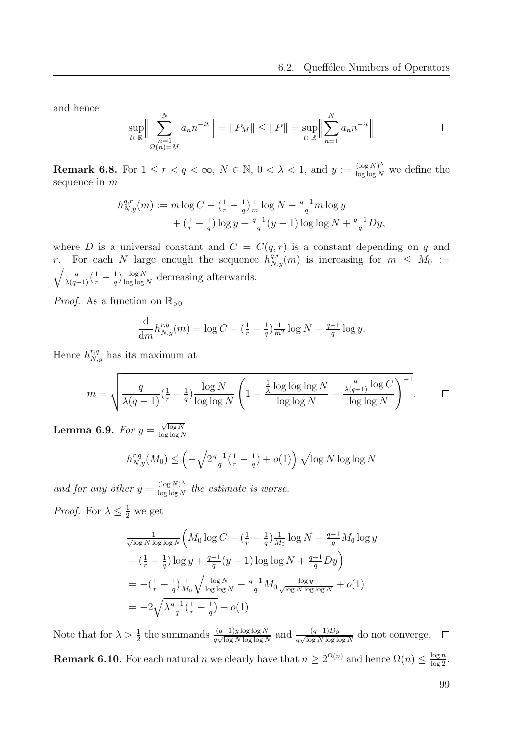and hence

$$
\sup_{t \in \mathbb{R}} \Big\| \sum_{\substack{n=1 \ n \in \mathbb{N} \ n \text{ odd}}}^N a_n n^{-it} \Big\| = \|P_M\| \le \|P\| = \sup_{t \in \mathbb{R}} \Big\| \sum_{n=1}^N a_n n^{-it} \Big\|
$$

<span id="page-98-0"></span>**Remark 6.8.** For  $1 \leq r < q < \infty$ ,  $N \in \mathbb{N}$ ,  $0 < \lambda < 1$ , and  $y := \frac{(\log N)^{\lambda}}{\log \log N}$  we define the sequence in m

$$
h_{N,y}^{q,r}(m) := m \log C - \left(\frac{1}{r} - \frac{1}{q}\right) \frac{1}{m} \log N - \frac{q-1}{q} m \log y
$$
  
+ 
$$
\left(\frac{1}{r} - \frac{1}{q}\right) \log y + \frac{q-1}{q}(y-1) \log \log N + \frac{q-1}{q} Dy,
$$

where D is a universal constant and  $C = C(q, r)$  is a constant depending on q and r. For each N large enough the sequence  $h_{N,y}^{q,r}(m)$  is increasing for  $m \leq M_0 :=$  $\sqrt{\frac{q}{\lambda(q-1)}(\frac{1}{r}-\frac{1}{q})}$  $\frac{1}{q}$ )  $\frac{\log N}{\log \log n}$  $\frac{\log N}{\log \log N}$  decreasing afterwards.

*Proof.* As a function on  $\mathbb{R}_{>0}$ 

$$
\frac{d}{dm}h_{N,y}^{r,q}(m) = \log C + \left(\frac{1}{r} - \frac{1}{q}\right)\frac{1}{m^2}\log N - \frac{q-1}{q}\log y.
$$

Hence  $h_{N,y}^{r,q}$  has its maximum at

$$
m = \sqrt{\frac{q}{\lambda(q-1)} \left(\frac{1}{r} - \frac{1}{q}\right) \frac{\log N}{\log \log N} \left(1 - \frac{\frac{1}{\lambda} \log \log \log N}{\log \log N} - \frac{\frac{q}{\lambda(q-1)} \log C}{\log \log N}\right)^{-1}}.
$$

<span id="page-98-1"></span>Lemma 6.9. For  $y =$  $\sqrt{\log N}$ log log N

$$
h_{N,y}^{r,q}(M_0) \le \left(-\sqrt{2\frac{q-1}{q}(\frac{1}{r} - \frac{1}{q})} + o(1)\right) \sqrt{\log N \log \log N}
$$

and for any other  $y = \frac{(\log N)^{\lambda}}{\log \log N}$  $\frac{\log N}{\log \log N}$  the estimate is worse.

*Proof.* For  $\lambda \leq \frac{1}{2}$  we get

$$
\frac{1}{\sqrt{\log N \log \log N}} \left( M_0 \log C - \left( \frac{1}{r} - \frac{1}{q} \right) \frac{1}{M_0} \log N - \frac{q-1}{q} M_0 \log y \n+ \left( \frac{1}{r} - \frac{1}{q} \right) \log y + \frac{q-1}{q} (y-1) \log \log N + \frac{q-1}{q} Dy \right) \n= - \left( \frac{1}{r} - \frac{1}{q} \right) \frac{1}{M_0} \sqrt{\frac{\log N}{\log \log N}} - \frac{q-1}{q} M_0 \frac{\log y}{\sqrt{\log N \log \log N}} + o(1) \n= -2 \sqrt{\lambda \frac{q-1}{q} \left( \frac{1}{r} - \frac{1}{q} \right)} + o(1)
$$

<span id="page-98-2"></span>Note that for  $\lambda > \frac{1}{2}$  the summands  $\frac{(q-1)y \log \log N}{q \sqrt{\log N \log \log N}}$  and  $\frac{(q-1)Dy}{q \sqrt{\log N \log \log N}}$  do not converge. **Remark 6.10.** For each natural *n* we clearly have that  $n \geq 2^{\Omega(n)}$  and hence  $\Omega(n) \leq \frac{\log n}{\log 2}$ .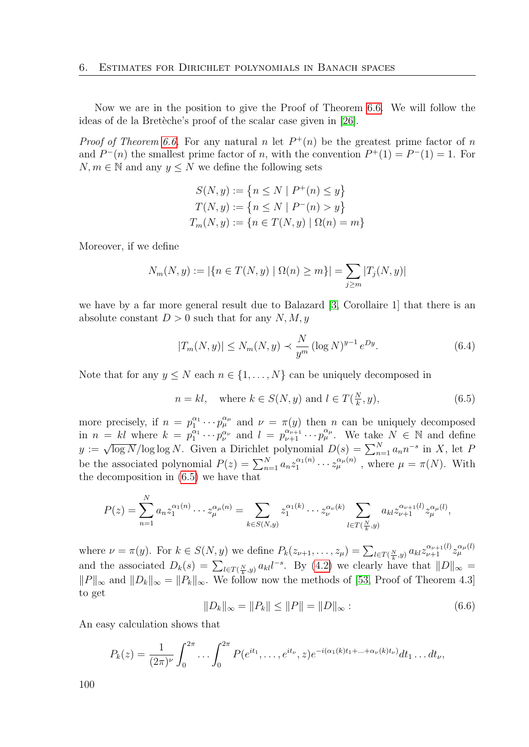Now we are in the position to give the Proof of Theorem [6.6.](#page-97-0) We will follow the ideas of de la Bretèche's proof of the scalar case given in [\[26\]](#page-113-2).

*Proof of Theorem [6.6.](#page-97-0)* For any natural n let  $P^+(n)$  be the greatest prime factor of n and  $P^-(n)$  the smallest prime factor of n, with the convention  $P^+(1) = P^-(1) = 1$ . For  $N, m \in \mathbb{N}$  and any  $y \leq N$  we define the following sets

$$
S(N, y) := \{ n \le N \mid P^+(n) \le y \}
$$
  
\n
$$
T(N, y) := \{ n \le N \mid P^-(n) > y \}
$$
  
\n
$$
T_m(N, y) := \{ n \in T(N, y) \mid \Omega(n) = m \}
$$

Moreover, if we define

$$
N_m(N, y) := |\{ n \in T(N, y) \mid \Omega(n) \ge m \}| = \sum_{j \ge m} |T_j(N, y)|
$$

we have by a far more general result due to Balazard [\[3,](#page-112-5) Corollaire 1] that there is an absolute constant  $D > 0$  such that for any N, M, y

<span id="page-99-2"></span>
$$
|T_m(N, y)| \le N_m(N, y) \prec \frac{N}{y^m} (\log N)^{y-1} e^{Dy}.
$$
 (6.4)

Note that for any  $y \leq N$  each  $n \in \{1, \ldots, N\}$  can be uniquely decomposed in

<span id="page-99-0"></span>
$$
n = kl, \quad \text{where } k \in S(N, y) \text{ and } l \in T(\frac{N}{k}, y), \tag{6.5}
$$

more precisely, if  $n = p_1^{\alpha_1} \cdots p_{\mu}^{\alpha_{\mu}}$  and  $\nu = \pi(y)$  then n can be uniquely decomposed in  $n = kl$  where  $k = p_1^{\alpha_1} \cdots p_{\nu}^{\alpha_{\nu}}$  and  $l = p_{\nu+1}^{\alpha_{\nu+1}} \cdots p_{\mu}^{\alpha_{\mu}}$ . We take  $N \in \mathbb{N}$  and define  $y := \sqrt{\log N}/\log \log N$ . Given a Dirichlet polynomial  $D(s) = \sum_{n=1}^{N} a_n n^{-s}$  in X, let P be the associated polynomial  $P(z) = \sum_{n=1}^{N} a_n z_1^{\alpha_1(n)}$  $\tilde{u}_1^{(\alpha_1(n)} \cdots z_{\mu}^{\alpha_{\mu}(n)}$ , where  $\mu = \pi(N)$ . With the decomposition in [\(6.5\)](#page-99-0) we have that

$$
P(z) = \sum_{n=1}^{N} a_n z_1^{\alpha_1(n)} \cdots z_{\mu}^{\alpha_{\mu}(n)} = \sum_{k \in S(N,y)} z_1^{\alpha_1(k)} \cdots z_{\nu}^{\alpha_{\nu}(k)} \sum_{l \in T(\frac{N}{k},y)} a_{kl} z_{\nu+1}^{\alpha_{\nu+1}(l)} z_{\mu}^{\alpha_{\mu}(l)},
$$

where  $\nu = \pi(y)$ . For  $k \in S(N, y)$  we define  $P_k(z_{\nu+1}, \ldots, z_{\mu}) = \sum_{l \in T(\frac{N}{k}, y)} a_{kl} z_{\nu+1}^{\alpha_{\nu+1}(l)} z_{\mu}^{\alpha_{\mu}(l)}$ and the associated  $D_k(s) = \sum_{l \in T(\frac{N}{k},y)} a_{kl} l^{-s}$ . By [\(4.2\)](#page-70-1) we clearly have that  $||D||_{\infty} =$  $||P||_{\infty}$  and  $||D_k||_{\infty} = ||P_k||_{\infty}$ . We follow now the methods of [\[53,](#page-115-1) Proof of Theorem 4.3] to get

<span id="page-99-1"></span>
$$
||D_k||_{\infty} = ||P_k|| \le ||P|| = ||D||_{\infty} : \tag{6.6}
$$

An easy calculation shows that

$$
P_k(z) = \frac{1}{(2\pi)^{\nu}} \int_0^{2\pi} \dots \int_0^{2\pi} P(e^{it_1}, \dots, e^{it_{\nu}}, z) e^{-i(\alpha_1(k)t_1 + \dots + \alpha_{\nu}(k)t_{\nu})} dt_1 \dots dt_{\nu},
$$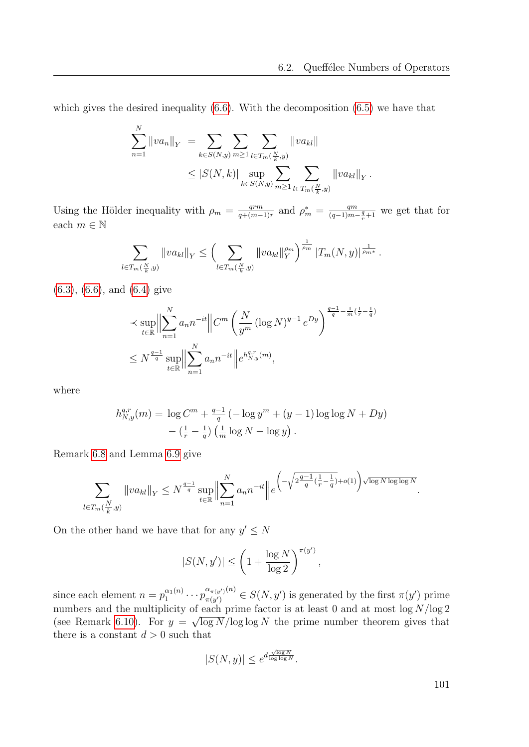which gives the desired inequality  $(6.6)$ . With the decomposition  $(6.5)$  we have that

$$
\sum_{n=1}^{N} ||va_n||_Y = \sum_{k \in S(N,y)} \sum_{m \geq 1} \sum_{l \in T_m(\frac{N}{k},y)} ||va_{kl}||
$$
  

$$
\leq |S(N,k)| \sup_{k \in S(N,y)} \sum_{m \geq 1} \sum_{l \in T_m(\frac{N}{k},y)} ||va_{kl}||_Y.
$$

Using the Hölder inequality with  $\rho_m = \frac{qrm}{q + (m-1)}$  $\frac{qrm}{q+(m-1)r}$  and  $\rho_m^* = \frac{qm}{(q-1)m}$  $\frac{qm}{(q-1)m-\frac{q}{r}+1}$  we get that for each $m\in\mathbb{N}$ 

$$
\sum_{l \in T_m(\frac{N}{k},y)} \|va_{kl}\|_Y \le \left(\sum_{l \in T_m(\frac{N}{k},y)} \|va_{kl}\|_Y^{\rho_m}\right)^{\frac{1}{\rho_m}} |T_m(N,y)|^{\frac{1}{\rho_m*}}.
$$

[\(6.3\)](#page-97-1), [\(6.6\)](#page-99-1), and [\(6.4\)](#page-99-2) give

$$
\leq \sup_{t \in \mathbb{R}} \Big\| \sum_{n=1}^{N} a_n n^{-it} \Big\| C^m \left( \frac{N}{y^m} (\log N)^{y-1} e^{Dy} \right)^{\frac{q-1}{q} - \frac{1}{m}(\frac{1}{r} - \frac{1}{q})} \leq N^{\frac{q-1}{q}} \sup_{t \in \mathbb{R}} \Big\| \sum_{n=1}^{N} a_n n^{-it} \Big\| e^{h_{N,y}^{q,r}(m)},
$$

where

$$
h_{N,y}^{q,r}(m) = \log C^m + \frac{q-1}{q} \left( -\log y^m + (y-1)\log \log N + Dy \right) - \left( \frac{1}{r} - \frac{1}{q} \right) \left( \frac{1}{m} \log N - \log y \right).
$$

Remark [6.8](#page-98-0) and Lemma [6.9](#page-98-1) give

$$
\sum_{l\in T_m(\frac{N}{k},y)}\|va_{kl}\|_Y\leq N^{\frac{q-1}{q}}\sup_{t\in\mathbb{R}}\Bigl\|\sum_{n=1}^N a_nn^{-it}\Bigr\|e^{\left(-\sqrt{2^{\frac{q-1}{q}(\frac{1}{r}-\frac{1}{q})}+o(1)}\right)\sqrt{\log N\log\log N}}.
$$

On the other hand we have that for any  $y' \leq N$ 

$$
|S(N, y')| \le \left(1 + \frac{\log N}{\log 2}\right)^{\pi(y')},
$$

since each element  $n = p_1^{\alpha_1(n)}$  $\frac{\alpha_1(n)}{1} \cdots p_{\pi(y')}^{\alpha_{\pi(y')}(n)}$  $\pi_{\pi(y')}^{(\alpha_{\pi(y')}(n))} \in S(N, y')$  is generated by the first  $\pi(y')$  prime numbers and the multiplicity of each prime factor is at least 0 and at most  $\log N / \log 2$ (see Remark [6.10\)](#page-98-2). For  $y = \sqrt{\log N}/\log \log N$  the prime number theorem gives that there is a constant  $d > 0$  such that

$$
|S(N,y)| \leq e^{d \frac{\sqrt{\log N}}{\log \log N}}.
$$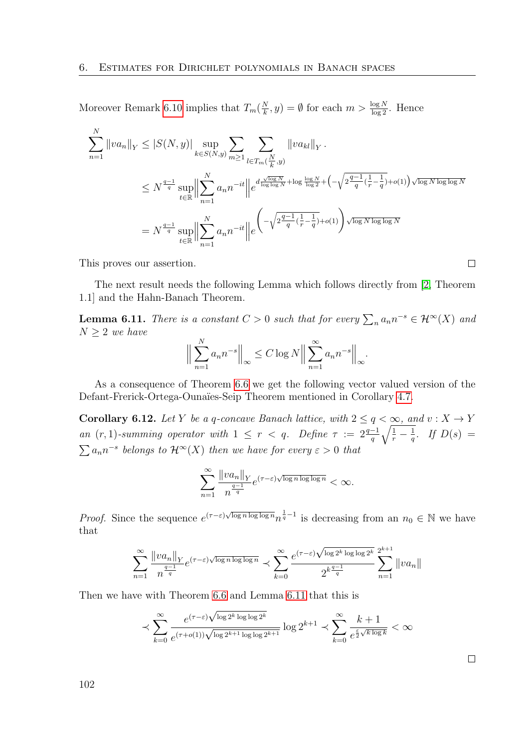Moreover Remark [6.10](#page-98-2) implies that  $T_m(\frac{N}{k})$  $(\frac{N}{k}, y) = \emptyset$  for each  $m > \frac{\log N}{\log 2}$ . Hence

$$
\sum_{n=1}^{N} ||va_n||_Y \leq |S(N, y)| \sup_{k \in S(N, y)} \sum_{m \geq 1} \sum_{l \in T_m(\frac{N}{k}, y)} ||va_{kl}||_Y.
$$
  

$$
\leq N^{\frac{q-1}{q}} \sup_{t \in \mathbb{R}} \Big\| \sum_{n=1}^{N} a_n n^{-it} \Big\| e^{d \frac{\sqrt{\log N}}{\log \log N} + \log \frac{\log N}{\log 2} + \left(-\sqrt{2^{\frac{q-1}{q}}(\frac{1}{r} - \frac{1}{q})} + o(1)\right) \sqrt{\log N \log \log N}}
$$
  

$$
= N^{\frac{q-1}{q}} \sup_{t \in \mathbb{R}} \Big\| \sum_{n=1}^{N} a_n n^{-it} \Big\| e^{-\sqrt{2^{\frac{q-1}{q}}(\frac{1}{r} - \frac{1}{q})} + o(1)} \Big\| \sqrt{\log N \log \log N}
$$

This proves our assertion.

The next result needs the following Lemma which follows directly from [\[2,](#page-112-3) Theorem 1.1] and the Hahn-Banach Theorem.

<span id="page-101-0"></span>**Lemma 6.11.** There is a constant  $C > 0$  such that for every  $\sum_{n} a_n n^{-s} \in \mathcal{H}^{\infty}(X)$  and  $N \geq 2$  we have

$$
\Big\|\sum_{n=1}^N a_n n^{-s}\Big\|_{\infty} \le C \log N \Big\|\sum_{n=1}^\infty a_n n^{-s}\Big\|_{\infty}.
$$

As a consequence of Theorem [6.6](#page-97-0) we get the following vector valued version of the Defant-Frerick-Ortega-Ounaïes-Seip Theorem mentioned in Corollary [4.7.](#page-76-0)

**Corollary 6.12.** Let Y be a q-concave Banach lattice, with  $2 \le q < \infty$ , and  $v: X \to Y$ an  $(r, 1)$ -summing operator with  $1 \leq r < q$ . Define  $\tau := 2\frac{q-1}{q}\sqrt{\frac{1}{r} - \frac{1}{q}}$  $rac{1}{q}$ . If  $D(s) =$  $\sum a_n n^{-s}$  belongs to  $\mathcal{H}^{\infty}(X)$  then we have for every  $\varepsilon > 0$  that

$$
\sum_{n=1}^{\infty} \frac{\|va_n\|_Y}{n^{\frac{q-1}{q}}} e^{(\tau-\varepsilon)\sqrt{\log n \log \log n}} < \infty.
$$

*Proof.* Since the sequence  $e^{(\tau-\varepsilon)\sqrt{\log n \log \log n}} n^{\frac{1}{q}-1}$  is decreasing from an  $n_0 \in \mathbb{N}$  we have that

$$
\sum_{n=1}^{\infty} \frac{\|va_n\|_Y}{n^{\frac{q-1}{q}}} e^{(\tau-\varepsilon)\sqrt{\log n \log \log n}} \prec \sum_{k=0}^{\infty} \frac{e^{(\tau-\varepsilon)\sqrt{\log 2^k \log \log 2^k}}}{2^{k\frac{q-1}{q}}} \sum_{n=1}^{2^{k+1}} \|va_n\|
$$

Then we have with Theorem [6.6](#page-97-0) and Lemma [6.11](#page-101-0) that this is

$$
\prec \sum_{k=0}^\infty \frac{e^{(\tau-\varepsilon)\sqrt{\log 2^k\log\log 2^k}}}{e^{(\tau+o(1))\sqrt{\log 2^{k+1}\log\log 2^{k+1}}}}\log 2^{k+1} \prec \sum_{k=0}^\infty \frac{k+1}{e^{\frac{\varepsilon}{2}\sqrt{k\log k}}} < \infty
$$

 $\Box$ 

 $\Box$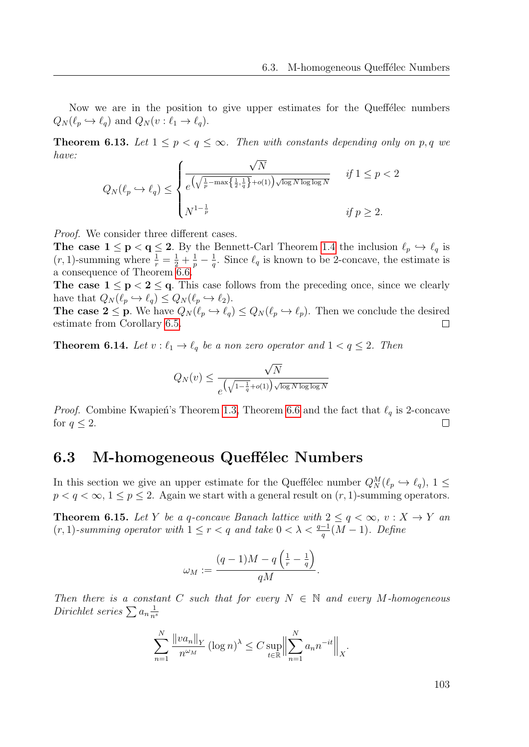Now we are in the position to give upper estimates for the Queffelec numbers  $Q_N(\ell_p \hookrightarrow \ell_q)$  and  $Q_N(v : \ell_1 \to \ell_q)$ .

**Theorem 6.13.** Let  $1 \leq p < q \leq \infty$ . Then with constants depending only on p, q we have: √

$$
Q_N(\ell_p \hookrightarrow \ell_q) \le \begin{cases} \frac{\sqrt{N}}{e^{\left(\sqrt{\frac{1}{p} - \max\left\{\frac{1}{2}, \frac{1}{q}\right\} + o(1)\right)\sqrt{\log N \log \log N}}} & \text{if } 1 \le p < 2\\ N^{1 - \frac{1}{p}} & \text{if } p \ge 2. \end{cases}
$$

Proof. We consider three different cases.

**The case**  $1 \le p < q \le 2$ **.** By the Bennett-Carl Theorem [1.4](#page-22-0) the inclusion  $\ell_p \hookrightarrow \ell_q$  is  $(r, 1)$ -summing where  $\frac{1}{r} = \frac{1}{2} + \frac{1}{p} - \frac{1}{q}$  $\frac{1}{q}$ . Since  $\ell_q$  is known to be 2-concave, the estimate is a consequence of Theorem [6.6.](#page-97-0)

The case  $1 \le p < 2 \le q$ . This case follows from the preceding once, since we clearly have that  $Q_N(\ell_p \hookrightarrow \ell_q) \leq Q_N(\ell_p \hookrightarrow \ell_2).$ 

**The case 2**  $\leq$  **p**. We have  $Q_N(\ell_p \leftrightarrow \ell_q) \leq Q_N(\ell_p \leftrightarrow \ell_p)$ . Then we conclude the desired estimate from Corollary [6.5.](#page-95-0)  $\Box$ 

**Theorem 6.14.** Let  $v : \ell_1 \to \ell_q$  be a non zero operator and  $1 < q \leq 2$ . Then

$$
Q_N(v) \le \frac{\sqrt{N}}{e^{\left(\sqrt{1-\frac{1}{q}}+o(1)\right)\sqrt{\log N \log \log N}}}
$$

*Proof.* Combine Kwapien's Theorem [1.3,](#page-21-1) Theorem [6.6](#page-97-0) and the fact that  $\ell_q$  is 2-concave for  $q \leq 2$ .  $\Box$ 

#### <span id="page-102-0"></span>6.3 M-homogeneous Queffélec Numbers

In this section we give an upper estimate for the Queffélec number  $Q_N^M(\ell_p \hookrightarrow \ell_q)$ ,  $1 \leq$  $p < q < \infty$ ,  $1 \le p \le 2$ . Again we start with a general result on  $(r, 1)$ -summing operators.

<span id="page-102-1"></span>**Theorem 6.15.** Let Y be a q-concave Banach lattice with  $2 \leq q < \infty$ ,  $v: X \to Y$  and  $(r, 1)$ -summing operator with  $1 \leq r < q$  and take  $0 < \lambda < \frac{q-1}{q}(M-1)$ . Define

$$
\omega_M:=\frac{(q-1)M-q\left(\frac{1}{r}-\frac{1}{q}\right)}{qM}.
$$

Then there is a constant C such that for every  $N \in \mathbb{N}$  and every M-homogeneous Dirichlet series  $\sum a_n \frac{1}{n^3}$  $\overline{n^s}$ 

$$
\sum_{n=1}^{N} \frac{\|va_n\|_Y}{n^{\omega_M}} (\log n)^{\lambda} \le C \sup_{t \in \mathbb{R}} \Big\| \sum_{n=1}^{N} a_n n^{-it} \Big\|_X.
$$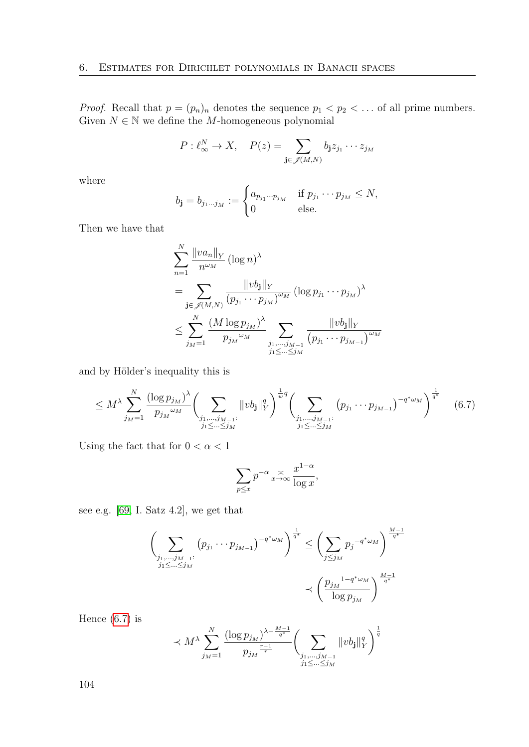*Proof.* Recall that  $p = (p_n)_n$  denotes the sequence  $p_1 < p_2 < \dots$  of all prime numbers. Given  $N \in \mathbb{N}$  we define the M-homogeneous polynomial

$$
P: \ell_{\infty}^N \to X, \quad P(z) = \sum_{\mathbf{j} \in \mathscr{J}(M,N)} b_{\mathbf{j}} z_{j_1} \cdots z_{j_M}
$$

where

$$
b_{\mathbf{j}} = b_{j_1 \dots j_M} := \begin{cases} a_{p_{j_1} \dots p_{j_M}} & \text{if } p_{j_1} \dots p_{j_M} \le N, \\ 0 & \text{else.} \end{cases}
$$

Then we have that

$$
\sum_{n=1}^{N} \frac{\|va_n\|_{Y}}{n^{\omega_M}} (\log n)^{\lambda}
$$
\n
$$
= \sum_{\mathbf{j} \in \mathscr{J}(M,N)} \frac{\|vb_{\mathbf{j}}\|_{Y}}{(p_{j_1} \cdots p_{j_M})^{\omega_M}} (\log p_{j_1} \cdots p_{j_M})^{\lambda}
$$
\n
$$
\leq \sum_{j_M=1}^{N} \frac{(M \log p_{j_M})^{\lambda}}{p_{j_M}^{\omega_M}} \sum_{\substack{j_1, \dots, j_{M-1} \\ j_1 \leq \dots \leq j_M}} \frac{\|vb_{\mathbf{j}}\|_{Y}}{(p_{j_1} \cdots p_{j_{M-1}})^{\omega_M}}
$$

and by Hölder's inequality this is

<span id="page-103-0"></span>
$$
\leq M^{\lambda} \sum_{j_{M}=1}^{N} \frac{(\log p_{j_{M}})^{\lambda}}{p_{j_{M}} \omega_{M}} \left( \sum_{\substack{j_{1},...,j_{M-1}: \\ j_{1} \leq ... \leq j_{M}}} \|vb_{j}\|_{Y}^{q} \right)^{\frac{1}{w}q} \left( \sum_{\substack{j_{1},...,j_{M-1}: \\ j_{1} \leq ... \leq j_{M}}} \left( p_{j_{1}} \cdots p_{j_{M-1}} \right)^{-q^{*} \omega_{M}} \right)^{\frac{1}{q^{*}}} \tag{6.7}
$$

Using the fact that for  $0 < \alpha < 1$ 

$$
\sum_{p\leq x} p^{-\alpha} \underset{x\to\infty}{\asymp} \frac{x^{1-\alpha}}{\log x},
$$

see e.g. [\[69,](#page-116-1) I. Satz 4.2], we get that

$$
\left(\sum_{\substack{j_1,\dots,j_{M-1}:\\j_1\leq \dots \leq j_M}} (p_{j_1} \cdots p_{j_{M-1}})^{-q^* \omega_M}\right)^{\frac{1}{q^*}} \leq \left(\sum_{j\leq j_M} p_j^{-q^* \omega_M}\right)^{\frac{M-1}{q^*}}
$$

$$
\prec \left(\frac{p_{j_M}^{1-q^* \omega_M}}{\log p_{j_M}}\right)^{\frac{M-1}{q^*}}
$$

Hence  $(6.7)$  is

$$
\prec M^{\lambda}\sum_{j_{M}=1}^{N}\frac{(\log p_{j_{M}})^{\lambda-\frac{M-1}{q^{*}}}}{p_{j_{M}}}\biggl(\sum_{\substack{j_{1},\ldots,j_{M-1}\\j_{1}\leq\ldots\leq j_{M}}}\|vb_{\mathbf{j}}\|_{Y}^{q}\biggr)^{\frac{1}{q}}
$$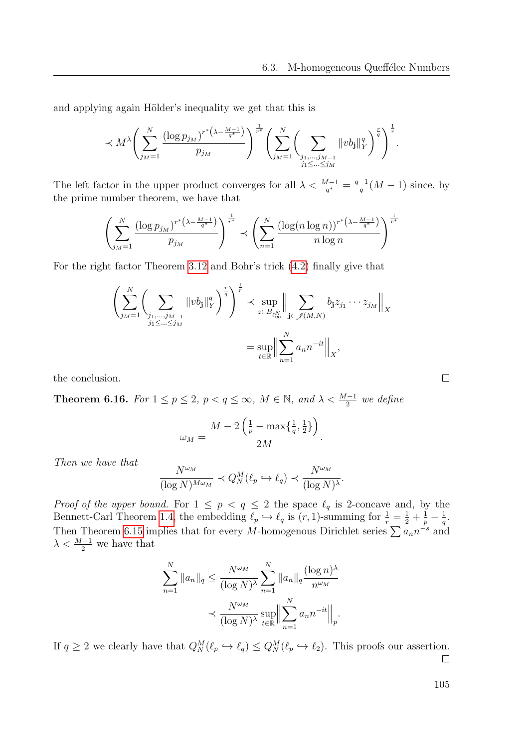and applying again Hölder's inequality we get that this is

$$
\prec M^{\lambda} \left( \sum_{j_{M}=1}^{N} \frac{(\log p_{j_{M}})^{r^{*}\left(\lambda - \frac{M-1}{q^{*}}\right)}}{p_{j_{M}}}\right)^{\frac{1}{r^{*}}} \left( \sum_{j_{M}=1}^{N} \left( \sum_{\substack{j_{1},...,j_{M-1} \\ j_{1} \leq ... \leq j_{M}}} \|vb_{\mathbf{j}}\|_{Y}^{q} \right)^{\frac{r}{q}} \right)^{\frac{1}{r}}.
$$

The left factor in the upper product converges for all  $\lambda < \frac{M-1}{q^*} = \frac{q-1}{q}$  $\frac{-1}{q}(M-1)$  since, by the prime number theorem, we have that

$$
\left(\sum_{j_M=1}^N \frac{(\log p_{j_M})^{r^*(\lambda - \frac{M-1}{q^*})}}{p_{j_M}}\right)^{\frac{1}{r^*}} \prec \left(\sum_{n=1}^N \frac{(\log (n \log n))^{r^*(\lambda - \frac{M-1}{q^*})}}{n \log n}\right)^{\frac{1}{r^*}}
$$

For the right factor Theorem [3.12](#page-62-0) and Bohr's trick [\(4.2\)](#page-70-1) finally give that

$$
\left(\sum_{j_{M}=1}^{N}\left(\sum_{\substack{j_{1},\dots,j_{M-1}\\j_{1}\leq\ldots\leq j_{M}}}\|vb_{j}\|_{Y}^{q}\right)^{\frac{r}{q}}\right)^{\frac{1}{r}}\prec \sup_{z\in B_{\ell_{\infty}^{N}}}\left\|\sum_{\substack{j\in\mathscr{J}(M,N)\\j_{1}\leq\ldots\leq j_{M}}}\right\|_{X}
$$

$$
=\sup_{t\in\mathbb{R}}\left\|\sum_{n=1}^{N}a_{n}n^{-it}\right\|_{X},
$$

the conclusion.

<span id="page-104-0"></span>**Theorem 6.16.** For  $1 \leq p \leq 2$ ,  $p < q \leq \infty$ ,  $M \in \mathbb{N}$ , and  $\lambda < \frac{M-1}{2}$  we define

$$
\omega_M = \frac{M - 2\left(\frac{1}{p} - \max\{\frac{1}{q}, \frac{1}{2}\}\right)}{2M}.
$$

Then we have that

$$
\frac{N^{\omega_M}}{(\log N)^{M\omega_M}} \prec Q_N^M(\ell_p \hookrightarrow \ell_q) \prec \frac{N^{\omega_M}}{(\log N)^\lambda}.
$$

*Proof of the upper bound.* For  $1 \leq p \leq q \leq 2$  the space  $\ell_q$  is 2-concave and, by the Bennett-Carl Theorem [1.4,](#page-22-0) the embedding  $\ell_p \hookrightarrow \ell_q$  is  $(r, 1)$ -summing for  $\frac{1}{r} = \frac{1}{2} + \frac{1}{p} - \frac{1}{q}$  $\frac{1}{q}$ . Then Theorem [6.15](#page-102-1) implies that for every M-homogenous Dirichlet series  $\sum a_n n^{-s}$  and  $\lambda < \frac{M-1}{2}$  we have that

$$
\sum_{n=1}^{N} ||a_n||_q \le \frac{N^{\omega_M}}{(\log N)^{\lambda}} \sum_{n=1}^{N} ||a_n||_q \frac{(\log n)^{\lambda}}{n^{\omega_M}}
$$

$$
\le \frac{N^{\omega_M}}{(\log N)^{\lambda}} \sup_{t \in \mathbb{R}} \Big\| \sum_{n=1}^{N} a_n n^{-it} \Big\|_p.
$$

If  $q \ge 2$  we clearly have that  $Q_N^M(\ell_p \hookrightarrow \ell_q) \le Q_N^M(\ell_p \hookrightarrow \ell_2)$ . This proofs our assertion.  $\Box$ 

 $\Box$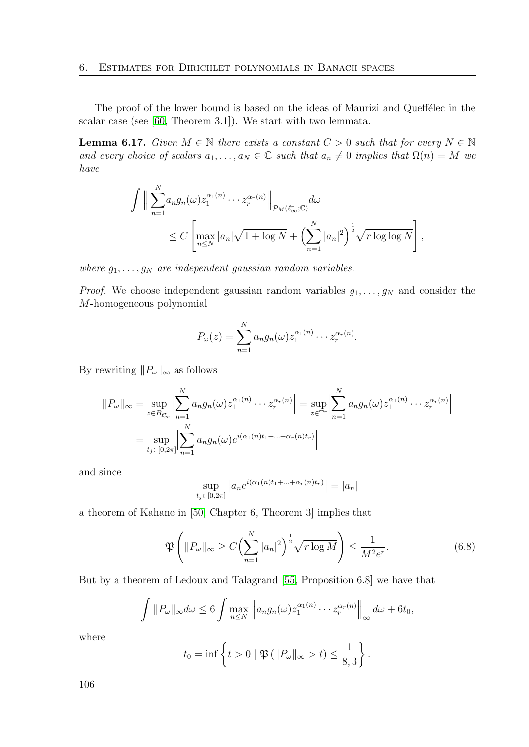The proof of the lower bound is based on the ideas of Maurizi and Queffélec in the scalar case (see [\[60,](#page-115-0) Theorem 3.1]). We start with two lemmata.

<span id="page-105-1"></span>**Lemma 6.17.** Given  $M \in \mathbb{N}$  there exists a constant  $C > 0$  such that for every  $N \in \mathbb{N}$ and every choice of scalars  $a_1, \ldots, a_N \in \mathbb{C}$  such that  $a_n \neq 0$  implies that  $\Omega(n) = M$  we have

$$
\int \Big\| \sum_{n=1}^N a_n g_n(\omega) z_1^{\alpha_1(n)} \cdots z_r^{\alpha_r(n)} \Big\|_{\mathcal{P}_M(\ell_\infty^r; \mathbb{C})} d\omega
$$
  
\n
$$
\leq C \left[ \max_{n \leq N} |a_n| \sqrt{1 + \log N} + \left( \sum_{n=1}^N |a_n|^2 \right)^{\frac{1}{2}} \sqrt{r \log \log N} \right],
$$

where  $g_1, \ldots, g_N$  are independent gaussian random variables.

*Proof.* We choose independent gaussian random variables  $g_1, \ldots, g_N$  and consider the M-homogeneous polynomial

$$
P_{\omega}(z) = \sum_{n=1}^{N} a_n g_n(\omega) z_1^{\alpha_1(n)} \cdots z_r^{\alpha_r(n)}.
$$

By rewriting  $||P_\omega||_\infty$  as follows

$$
||P_{\omega}||_{\infty} = \sup_{z \in B_{\ell_{\infty}^r}} \left| \sum_{n=1}^N a_n g_n(\omega) z_1^{\alpha_1(n)} \cdots z_r^{\alpha_r(n)} \right| = \sup_{z \in \mathbb{T}^r} \left| \sum_{n=1}^N a_n g_n(\omega) z_1^{\alpha_1(n)} \cdots z_r^{\alpha_r(n)} \right|
$$
  
= 
$$
\sup_{t_j \in [0,2\pi]} \left| \sum_{n=1}^N a_n g_n(\omega) e^{i(\alpha_1(n)t_1 + \dots + \alpha_r(n)t_r)} \right|
$$

and since

$$
\sup_{t_j\in[0,2\pi]}\left|a_ne^{i(\alpha_1(n)t_1+\ldots+\alpha_r(n)t_r)}\right|=|a_n|
$$

a theorem of Kahane in [\[50,](#page-115-3) Chapter 6, Theorem 3] implies that

<span id="page-105-0"></span>
$$
\mathfrak{P}\left(\|P_{\omega}\|_{\infty}\geq C\Big(\sum_{n=1}^{N}|a_n|^2\Big)^{\frac{1}{2}}\sqrt{r\log M}\right)\leq \frac{1}{M^2e^r}.\tag{6.8}
$$

But by a theorem of Ledoux and Talagrand [\[55,](#page-115-4) Proposition 6.8] we have that

$$
\int ||P_{\omega}||_{\infty} d\omega \leq 6 \int \max_{n \leq N} \left\| a_n g_n(\omega) z_1^{\alpha_1(n)} \cdots z_r^{\alpha_r(n)} \right\|_{\infty} d\omega + 6t_0,
$$

where

$$
t_0 = \inf \left\{ t > 0 \mid \mathfrak{P}(\|P_\omega\|_\infty > t) \le \frac{1}{8,3} \right\}.
$$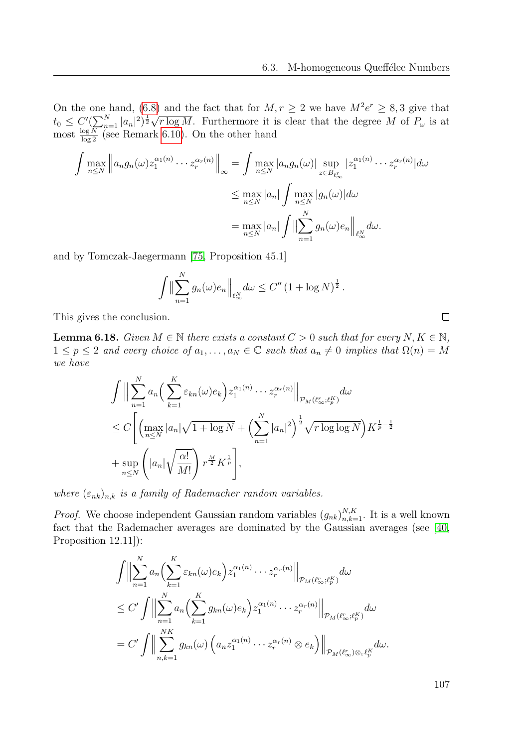On the one hand, [\(6.8\)](#page-105-0) and the fact that for  $M, r \geq 2$  we have  $M^2e^r \geq 8,3$  give that On the one hand,  $(0.8)$ <br>  $t_0 \leq C'(\sum_{n=1}^N |a_n|^2)^{\frac{1}{2}} \sqrt{2\pi}$  $r \log M$ . Furthermore it is clear that the degree M of  $P_{\omega}$  is at most  $\frac{\log N}{\log 2}$  (see Remark [6.10\)](#page-98-2). On the other hand

$$
\int \max_{n \leq N} \left\| a_n g_n(\omega) z_1^{\alpha_1(n)} \cdots z_r^{\alpha_r(n)} \right\|_{\infty} = \int \max_{n \leq N} |a_n g_n(\omega)| \sup_{z \in B_{\ell_{\infty}^r}} |z_1^{\alpha_1(n)} \cdots z_r^{\alpha_r(n)}| d\omega
$$

$$
\leq \max_{n \leq N} |a_n| \int \max_{n \leq N} |g_n(\omega)| d\omega
$$

$$
= \max_{n \leq N} |a_n| \int \left\| \sum_{n=1}^N g_n(\omega) e_n \right\|_{\ell_{\infty}^N} d\omega.
$$

and by Tomczak-Jaegermann [\[75,](#page-117-0) Proposition 45.1]

$$
\int \Bigl\|\sum_{n=1}^N g_n(\omega) e_n\Bigr\|_{\ell_\infty^N} d\omega \leq C'' (1 + \log N)^{\frac{1}{2}}.
$$

This gives the conclusion.

**Lemma 6.18.** Given  $M \in \mathbb{N}$  there exists a constant  $C > 0$  such that for every  $N, K \in \mathbb{N}$ ,  $1 \leq p \leq 2$  and every choice of  $a_1, \ldots, a_N \in \mathbb{C}$  such that  $a_n \neq 0$  implies that  $\Omega(n) = M$ we have

$$
\int \Big\| \sum_{n=1}^N a_n \Big( \sum_{k=1}^K \varepsilon_{kn}(\omega) e_k \Big) z_1^{\alpha_1(n)} \cdots z_r^{\alpha_r(n)} \Big\|_{\mathcal{P}_M(\ell_\infty^r; \ell_p^K)} d\omega
$$
  
\n
$$
\leq C \Bigg[ \Big( \max_{n \leq N} |a_n| \sqrt{1 + \log N} + \Big( \sum_{n=1}^N |a_n|^2 \Big)^{\frac{1}{2}} \sqrt{r \log \log N} \Big) K^{\frac{1}{p} - \frac{1}{2}}
$$
  
\n
$$
+ \sup_{n \leq N} \Big( |a_n| \sqrt{\frac{\alpha!}{M!}} \Big) r^{\frac{M}{2}} K^{\frac{1}{p}} \Bigg],
$$

where  $(\varepsilon_{nk})_{n,k}$  is a family of Rademacher random variables.

*Proof.* We choose independent Gaussian random variables  $(g_{nk})_{n,k=1}^{N,K}$ . It is a well known fact that the Rademacher averages are dominated by the Gaussian averages (see [\[40,](#page-114-4) Proposition 12.11]):

$$
\int \Big\| \sum_{n=1}^{N} a_n \Big( \sum_{k=1}^{K} \varepsilon_{kn}(\omega) e_k \Big) z_1^{\alpha_1(n)} \cdots z_r^{\alpha_r(n)} \Big\|_{\mathcal{P}_M(\ell_{\infty}^r; \ell_p^K)} d\omega
$$
  
\n
$$
\leq C' \int \Big\| \sum_{n=1}^{N} a_n \Big( \sum_{k=1}^{K} g_{kn}(\omega) e_k \Big) z_1^{\alpha_1(n)} \cdots z_r^{\alpha_r(n)} \Big\|_{\mathcal{P}_M(\ell_{\infty}^r; \ell_p^K)} d\omega
$$
  
\n
$$
= C' \int \Big\| \sum_{n,k=1}^{NK} g_{kn}(\omega) \Big( a_n z_1^{\alpha_1(n)} \cdots z_r^{\alpha_r(n)} \otimes e_k \Big) \Big\|_{\mathcal{P}_M(\ell_{\infty}^r) \otimes \varepsilon \ell_p^K} d\omega.
$$

107

 $\Box$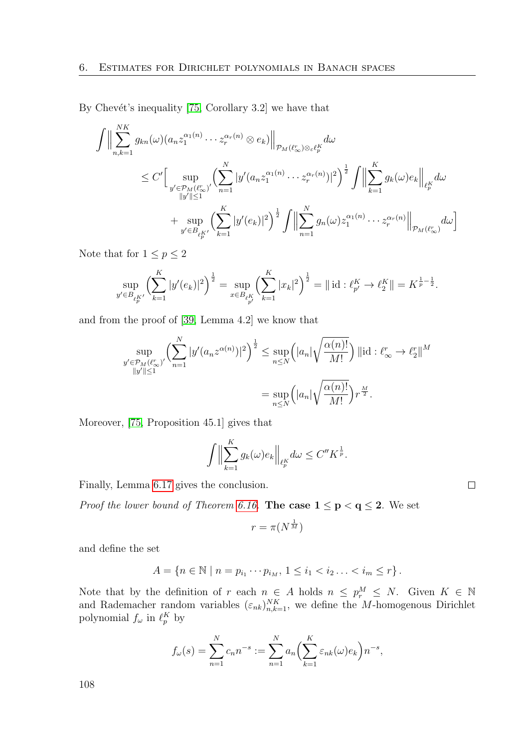By Chevét's inequality  $[75, Corollary 3.2]$  we have that

$$
\int \Big\| \sum_{n,k=1}^{NK} g_{kn}(\omega) (a_n z_1^{\alpha_1(n)} \cdots z_r^{\alpha_r(n)} \otimes e_k) \Big\|_{\mathcal{P}_M(\ell_\infty^n) \otimes_{\varepsilon} \ell_p^K} d\omega \n\leq C' \Big[ \sup_{\substack{y' \in \mathcal{P}_M(\ell_\infty^n) \\ \|y'\| \leq 1}} \left( \sum_{n=1}^N |y'(a_n z_1^{\alpha_1(n)} \cdots z_r^{\alpha_r(n)})|^2 \right)^{\frac{1}{2}} \int \Big\| \sum_{k=1}^K g_k(\omega) e_k \Big\|_{\ell_p^K} d\omega \n+ \sup_{y' \in B_{\ell_p^K}} \left( \sum_{k=1}^K |y'(e_k)|^2 \right)^{\frac{1}{2}} \int \Big\| \sum_{n=1}^N g_n(\omega) z_1^{\alpha_1(n)} \cdots z_r^{\alpha_r(n)} \Big\|_{\mathcal{P}_M(\ell_\infty^n)} d\omega \Big]
$$

Note that for  $1 \le p \le 2$ 

$$
\sup_{y' \in B_{\ell_p^K'}} \left( \sum_{k=1}^K |y'(e_k)|^2 \right)^{\frac{1}{2}} = \sup_{x \in B_{\ell_p^K}} \left( \sum_{k=1}^K |x_k|^2 \right)^{\frac{1}{2}} = || \mathrm{id} : \ell_{p'}^K \to \ell_2^K || = K^{\frac{1}{p} - \frac{1}{2}}.
$$

and from the proof of [\[39,](#page-114-2) Lemma 4.2] we know that

$$
\sup_{\substack{y' \in \mathcal{P}_M(\ell_\infty^r)' \\ \|y'\| \le 1}} \left( \sum_{n=1}^N |y'(a_n z^{\alpha(n)})|^2 \right)^{\frac{1}{2}} \le \sup_{n \le N} \left( |a_n| \sqrt{\frac{\alpha(n)!}{M!}} \right) ||\mathrm{id} : \ell_\infty^r \to \ell_2^r||^M
$$

$$
= \sup_{n \le N} \left( |a_n| \sqrt{\frac{\alpha(n)!}{M!}} \right) r^{\frac{M}{2}}.
$$

Moreover, [\[75,](#page-117-0) Proposition 45.1] gives that

$$
\int \Big\| \sum_{k=1}^K g_k(\omega) e_k \Big\|_{\ell_p^K} d\omega \le C'' K^{\frac{1}{p}}.
$$

 $\Box$ 

Finally, Lemma [6.17](#page-105-1) gives the conclusion.

*Proof the lower bound of Theorem [6.16.](#page-104-0)* The case  $1 \le p < q \le 2$ . We set

$$
r=\pi(N^{\frac{1}{M}})
$$

and define the set

$$
A = \{ n \in \mathbb{N} \mid n = p_{i_1} \cdots p_{i_M}, \ 1 \leq i_1 < i_2 \ldots < i_m \leq r \}.
$$

Note that by the definition of r each  $n \in A$  holds  $n \leq p_r^M \leq N$ . Given  $K \in \mathbb{N}$ and Rademacher random variables  $(\varepsilon_{nk})_{n,k=1}^{NK}$ , we define the *M*-homogenous Dirichlet polynomial  $f_{\omega}$  in  $\ell_p^K$  by

$$
f_{\omega}(s) = \sum_{n=1}^{N} c_n n^{-s} := \sum_{n=1}^{N} a_n \left( \sum_{k=1}^{K} \varepsilon_{nk}(\omega) e_k \right) n^{-s},
$$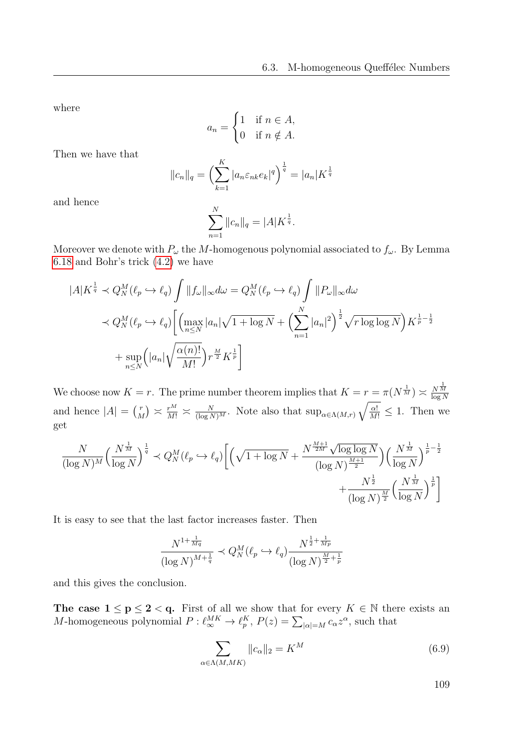where

$$
a_n = \begin{cases} 1 & \text{if } n \in A, \\ 0 & \text{if } n \notin A. \end{cases}
$$

Then we have that

$$
||c_n||_q = \left(\sum_{k=1}^K |a_n \varepsilon_{nk} e_k|^q\right)^{\frac{1}{q}} = |a_n| K^{\frac{1}{q}}
$$

and hence

$$
\sum_{n=1}^{N} ||c_n||_q = |A| K^{\frac{1}{q}}.
$$

Moreover we denote with  $P_{\omega}$  the M-homogenous polynomial associated to  $f_{\omega}$ . By Lemma [6.18](#page-106-0) and Bohr's trick [\(4.2\)](#page-70-0) we have

$$
|A|K^{\frac{1}{q}} \prec Q_N^M(\ell_p \hookrightarrow \ell_q) \int ||f_{\omega}||_{\infty} d\omega = Q_N^M(\ell_p \hookrightarrow \ell_q) \int ||P_{\omega}||_{\infty} d\omega
$$
  
\$\prec Q\_N^M(\ell\_p \hookrightarrow \ell\_q) \left[ \left( \max\_{n \le N} |a\_n| \sqrt{1 + \log N} + \left( \sum\_{n=1}^N |a\_n|^2 \right)^{\frac{1}{2}} \sqrt{r \log \log N} \right) K^{\frac{1}{p} - \frac{1}{2}} \right] \$  
\$+ \sup\_{n \le N} \left( |a\_n| \sqrt{\frac{\alpha(n)!}{M!}} \right) r^{\frac{M}{2}} K^{\frac{1}{p}} \right]

We choose now  $K = r$ . The prime number theorem implies that  $K = r = \pi(N^{\frac{1}{M}}) \approx \frac{N^{\frac{1}{M}}}{\log N}$  $log N$ and hence  $|A| = \binom{r}{k}$  $\binom{r}{M} \asymp \frac{N}{M!} \asymp \frac{N}{(\log N)^M}$ . Note also that  $\sup_{\alpha \in \Lambda(M,r)} \sqrt{\frac{\alpha!}{M!}} \leq 1$ . Then we get

$$
\frac{N}{(\log N)^M} \Big(\frac{N^{\frac{1}{M}}}{\log N}\Big)^{\frac{1}{q}} \prec Q_N^M(\ell_p \hookrightarrow \ell_q) \bigg[ \Big( \sqrt{1+\log N} + \frac{N^{\frac{M+1}{2M}}\sqrt{\log\log N}}{(\log N)^{\frac{M+1}{2}}} \Big) \Big( \frac{N^{\frac{1}{M}}}{\log N} \Big)^{\frac{1}{p} - \frac{1}{2}} \newline + \frac{N^{\frac{1}{2}}}{(\log N)^{\frac{M}{2}}} \Big( \frac{N^{\frac{1}{M}}}{\log N} \Big)^{\frac{1}{p}} \bigg]
$$

It is easy to see that the last factor increases faster. Then

$$
\frac{N^{1+\frac{1}{Mq}}}{(\log N)^{M+\frac{1}{q}}} \prec Q_N^M(\ell_p \hookrightarrow \ell_q) \frac{N^{\frac{1}{2}+\frac{1}{Mp}}}{(\log N)^{\frac{M}{2}+\frac{1}{p}}}
$$

and this gives the conclusion.

The case  $1 \le p \le 2 < q$ . First of all we show that for every  $K \in \mathbb{N}$  there exists an M-homogeneous polynomial  $P: \ell_{\infty}^{MK} \to \ell_{p}^{K}, P(z) = \sum_{|\alpha|=M} c_{\alpha} z^{\alpha}$ , such that

<span id="page-108-0"></span>
$$
\sum_{\alpha \in \Lambda(M,MK)} \|c_{\alpha}\|_2 = K^M \tag{6.9}
$$

109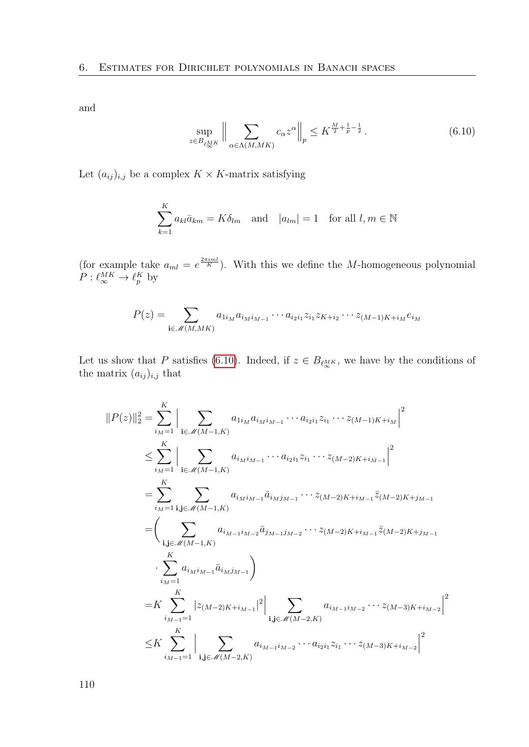and

<span id="page-109-0"></span>
$$
\sup_{z \in B_{\ell_{\infty}^{MK}}} \left\| \sum_{\alpha \in \Lambda(M,MK)} c_{\alpha} z^{\alpha} \right\|_{p} \leq K^{\frac{M}{2} + \frac{1}{p} - \frac{1}{2}}.
$$
\n(6.10)

Let  $(a_{ij})_{i,j}$  be a complex  $K \times K$ -matrix satisfying

$$
\sum_{k=1}^{K} a_{kl} \bar{a}_{km} = K \delta_{lm} \quad \text{and} \quad |a_{lm}| = 1 \quad \text{for all } l, m \in \mathbb{N}
$$

(for example take  $a_{ml} = e^{\frac{2\pi iml}{K}}$ ). With this we define the M-homogeneous polynomial  $P: \ell_{\infty}^{MK} \to \ell_{p}^{K}$  by

$$
P(z) = \sum_{\mathbf{i} \in \mathcal{M}(M, MK)} a_{i_M} a_{i_M i_{M-1}} \cdots a_{i_2 i_1} z_{i_1} z_{K+i_2} \cdots z_{(M-1)K+i_M} e_{i_M}
$$

Let us show that P satisfies [\(6.10\)](#page-109-0). Indeed, if  $z \in B_{\ell_{\infty}^{MK}}$ , we have by the conditions of the matrix  $(a_{ij})_{i,j}$  that

$$
||P(z)||_2^2 = \sum_{i_M=1}^K \Big| \sum_{\mathbf{i} \in \mathcal{M}(M-1,K)} a_{i_{M}i_{M-1}} \cdots a_{i_{2}i_{1}} z_{i_{1}} \cdots z_{(M-1)K+i_{M}} \Big|^2
$$
  
\n
$$
\leq \sum_{i_M=1}^K \Big| \sum_{\mathbf{i} \in \mathcal{M}(M-1,K)} a_{i_{M}i_{M-1}} \cdots a_{i_{2}i_{1}} z_{i_{1}} \cdots z_{(M-2)K+i_{M-1}} \Big|^2
$$
  
\n
$$
= \sum_{i_M=1}^K \sum_{\mathbf{i}, \mathbf{j} \in \mathcal{M}(M-1,K)} a_{i_{M}i_{M-1}} \overline{a}_{i_{M}j_{M-1}} \cdots z_{(M-2)K+i_{M-1}} \overline{z}_{(M-2)K+j_{M-1}}
$$
  
\n
$$
= \Big( \sum_{\mathbf{i}, \mathbf{j} \in \mathcal{M}(M-1,K)} a_{i_{M-1}i_{M-2}} \overline{a}_{j_{M-1}j_{M-2}} \cdots z_{(M-2)K+i_{M-1}} \overline{z}_{(M-2)K+j_{M-1}}
$$
  
\n
$$
\cdot \sum_{i_M=1}^K a_{i_Mi_{M-1}} \overline{a}_{i_Mj_{M-1}} \Big)
$$
  
\n
$$
= K \sum_{i_{M-1}=1}^K \Big| z_{(M-2)K+i_{M-1}}|^2 \Big| \sum_{\mathbf{i}, \mathbf{j} \in \mathcal{M}(M-2,K)} a_{i_{M-1}i_{M-2}} \cdots z_{(M-3)K+i_{M-2}} \Big|^2
$$
  
\n
$$
\leq K \sum_{i_{M-1}=1}^K \Big| \sum_{\mathbf{i}, \mathbf{j} \in \mathcal{M}(M-2,K)} a_{i_{M-1}i_{M-2}} \cdots a_{i_{2}i_{1}} z_{i_{1}} \cdots z_{(M-3)K+i_{M-2}} \Big|^2
$$

110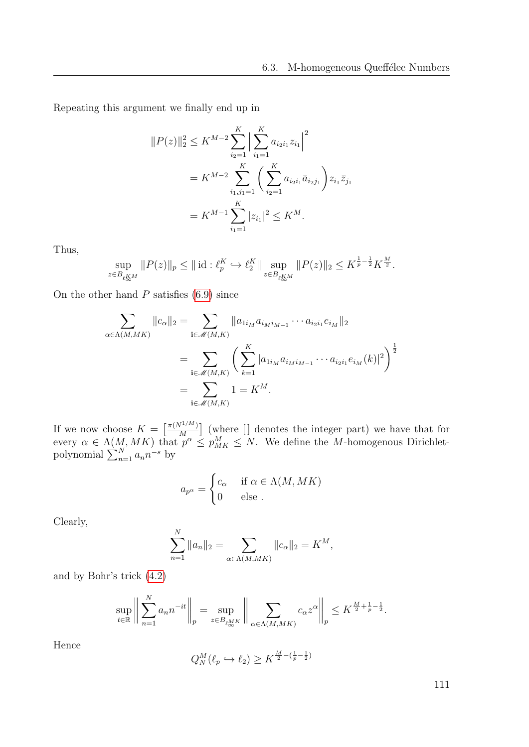Repeating this argument we finally end up in

$$
||P(z)||_2^2 \le K^{M-2} \sum_{i_2=1}^K \Big| \sum_{i_1=1}^K a_{i_2 i_1} z_{i_1} \Big|^2
$$
  
=  $K^{M-2} \sum_{i_1,j_1=1}^K \Big( \sum_{i_2=1}^K a_{i_2 i_1} \bar{a}_{i_2 j_1} \Big) z_{i_1} \bar{z}_{j_1}$   
=  $K^{M-1} \sum_{i_1=1}^K |z_{i_1}|^2 \le K^M.$ 

Thus,

$$
\sup_{z \in B_{\ell_{\infty}^{KM}}} \|P(z)\|_{p} \leq \|\operatorname{id} : \ell_p^K \hookrightarrow \ell_2^K\| \sup_{z \in B_{\ell_{\infty}^{KM}}} \|P(z)\|_{2} \leq K^{\frac{1}{p}-\frac{1}{2}} K^{\frac{M}{2}}.
$$

On the other hand  $P$  satisfies  $(6.9)$  since

$$
\sum_{\alpha \in \Lambda(M,MK)} ||c_{\alpha}||_2 = \sum_{\mathbf{i} \in \mathcal{M}(M,K)} ||a_{1i_M} a_{i_M i_{M-1}} \cdots a_{i_2 i_1} e_{i_M}||_2
$$
  
= 
$$
\sum_{\mathbf{i} \in \mathcal{M}(M,K)} \left( \sum_{k=1}^K |a_{1i_M} a_{i_M i_{M-1}} \cdots a_{i_2 i_1} e_{i_M}(k)|^2 \right)^{\frac{1}{2}}
$$
  
= 
$$
\sum_{\mathbf{i} \in \mathcal{M}(M,K)} 1 = K^M.
$$

If we now choose  $K = \left[\frac{\pi(N^{1/M})}{M}\right]$  $\left[\frac{M^{1/M}}{M}\right]$  (where  $\left[\right]$  denotes the integer part) we have that for every  $\alpha \in \Lambda(M, MK)$  that  $p^{\alpha} \leq p_{MK}^{M} \leq N$ . We define the M-homogenous Dirichletpolynomial  $\sum_{n=1}^{N} a_n n^{-s}$  by

$$
a_{p^{\alpha}} = \begin{cases} c_{\alpha} & \text{if } \alpha \in \Lambda(M, MK) \\ 0 & \text{else}. \end{cases}
$$

Clearly,

$$
\sum_{n=1}^{N} ||a_n||_2 = \sum_{\alpha \in \Lambda(M,MK)} ||c_{\alpha}||_2 = K^M,
$$

and by Bohr's trick [\(4.2\)](#page-70-0)

$$
\sup_{t \in \mathbb{R}} \left\| \sum_{n=1}^N a_n n^{-it} \right\|_p = \sup_{z \in B_{\ell_{\infty}^{MK}} \left\| \sum_{\alpha \in \Lambda(M, MK)} c_{\alpha} z^{\alpha} \right\|_p \leq K^{\frac{M}{2} + \frac{1}{p} - \frac{1}{2}}.
$$

Hence

$$
Q_N^M(\ell_p \hookrightarrow \ell_2) \ge K^{\frac{M}{2} - (\frac{1}{p} - \frac{1}{2})}
$$

111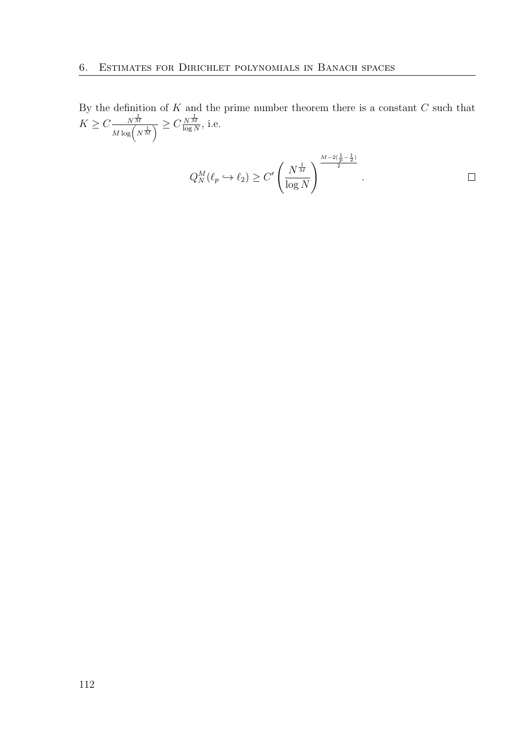By the definition of  $K$  and the prime number theorem there is a constant  $C$  such that  $K \geq C \frac{N^{\frac{1}{M}}}{M \log(N^{\frac{1}{M}})} \geq C \frac{N^{\frac{1}{M}}}{\log N}$  $\frac{N M}{\log N}$ , i.e.

$$
Q_N^M(\ell_p \hookrightarrow \ell_2) \ge C' \left(\frac{N^{\frac{1}{M}}}{\log N}\right)^{\frac{M-2(\frac{1}{p}-\frac{1}{2})}{2}}.
$$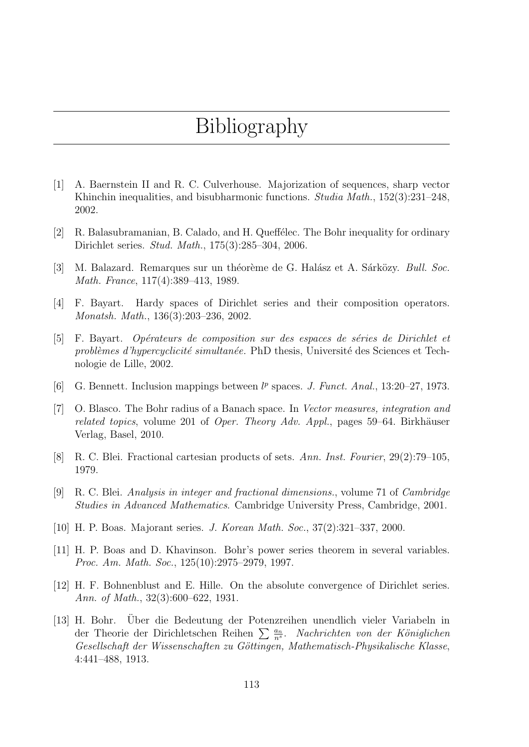## Bibliography

- [1] A. Baernstein II and R. C. Culverhouse. Majorization of sequences, sharp vector Khinchin inequalities, and bisubharmonic functions. *Studia Math.*, 152(3):231–248, 2002.
- [2] R. Balasubramanian, B. Calado, and H. Queffélec. The Bohr inequality for ordinary Dirichlet series. Stud. Math., 175(3):285–304, 2006.
- [3] M. Balazard. Remarques sur un théorème de G. Halász et A. Sárközy. *Bull. Soc.* Math. France, 117(4):389–413, 1989.
- [4] F. Bayart. Hardy spaces of Dirichlet series and their composition operators. Monatsh. Math., 136(3):203–236, 2002.
- [5] F. Bayart. Opérateurs de composition sur des espaces de séries de Dirichlet et  $prob\acute{e}mes d'hypercyclicit\'e simultan\'ee. PhD thesis, Université des Sciences et Tech$ nologie de Lille, 2002.
- [6] G. Bennett. Inclusion mappings between  $l^p$  spaces. J. Funct. Anal., 13:20–27, 1973.
- [7] O. Blasco. The Bohr radius of a Banach space. In Vector measures, integration and related topics, volume 201 of Oper. Theory Adv. Appl., pages 59–64. Birkhäuser Verlag, Basel, 2010.
- [8] R. C. Blei. Fractional cartesian products of sets. Ann. Inst. Fourier, 29(2):79–105, 1979.
- [9] R. C. Blei. Analysis in integer and fractional dimensions., volume 71 of Cambridge Studies in Advanced Mathematics. Cambridge University Press, Cambridge, 2001.
- [10] H. P. Boas. Majorant series. J. Korean Math. Soc., 37(2):321–337, 2000.
- [11] H. P. Boas and D. Khavinson. Bohr's power series theorem in several variables. Proc. Am. Math. Soc., 125(10):2975–2979, 1997.
- [12] H. F. Bohnenblust and E. Hille. On the absolute convergence of Dirichlet series. Ann. of Math., 32(3):600–622, 1931.
- [13] H. Bohr. Uber die Bedeutung der Potenzreihen unendlich vieler Variabeln in ¨ der Theorie der Dirichletschen Reihen  $\sum_{n=1}^{\infty} \frac{a_n}{n^s}$ . Nachrichten von der Königlichen Gesellschaft der Wissenschaften zu Göttingen, Mathematisch-Physikalische Klasse, 4:441–488, 1913.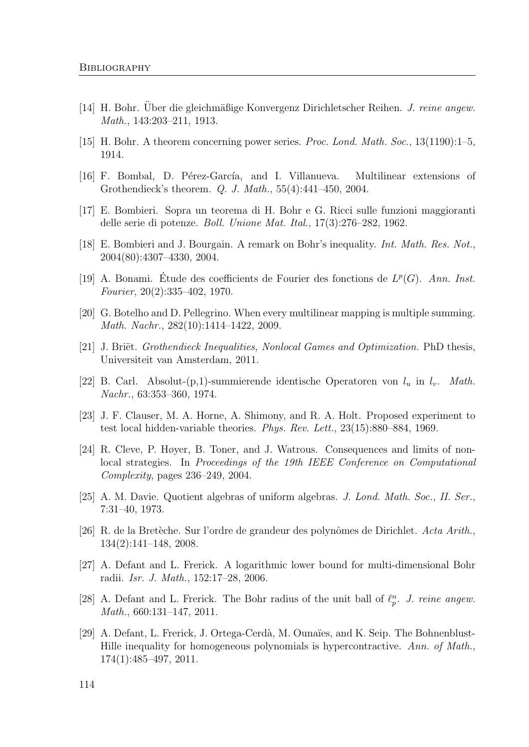- [14] H. Bohr. Über die gleichmäßige Konvergenz Dirichletscher Reihen. J. reine angew. Math., 143:203–211, 1913.
- [15] H. Bohr. A theorem concerning power series. Proc. Lond. Math. Soc., 13(1190):1–5, 1914.
- [16] F. Bombal, D. Pérez-García, and I. Villanueva. Multilinear extensions of Grothendieck's theorem. Q. J. Math., 55(4):441–450, 2004.
- [17] E. Bombieri. Sopra un teorema di H. Bohr e G. Ricci sulle funzioni maggioranti delle serie di potenze. Boll. Unione Mat. Ital., 17(3):276–282, 1962.
- [18] E. Bombieri and J. Bourgain. A remark on Bohr's inequality. Int. Math. Res. Not., 2004(80):4307–4330, 2004.
- [19] A. Bonami. Étude des coefficients de Fourier des fonctions de  $L^p(G)$ . Ann. Inst. Fourier, 20(2):335–402, 1970.
- [20] G. Botelho and D. Pellegrino. When every multilinear mapping is multiple summing. Math. Nachr., 282(10):1414–1422, 2009.
- [21] J. Briët. Grothendieck Inequalities, Nonlocal Games and Optimization. PhD thesis, Universiteit van Amsterdam, 2011.
- [22] B. Carl. Absolut-(p,1)-summierende identische Operatoren von  $l_u$  in  $l_v$ . Math. Nachr., 63:353–360, 1974.
- [23] J. F. Clauser, M. A. Horne, A. Shimony, and R. A. Holt. Proposed experiment to test local hidden-variable theories. Phys. Rev. Lett., 23(15):880–884, 1969.
- [24] R. Cleve, P. Høyer, B. Toner, and J. Watrous. Consequences and limits of nonlocal strategies. In Proceedings of the 19th IEEE Conference on Computational Complexity, pages 236–249, 2004.
- [25] A. M. Davie. Quotient algebras of uniform algebras. J. Lond. Math. Soc., II. Ser., 7:31–40, 1973.
- [26] R. de la Bretèche. Sur l'ordre de grandeur des polynômes de Dirichlet. Acta Arith., 134(2):141–148, 2008.
- [27] A. Defant and L. Frerick. A logarithmic lower bound for multi-dimensional Bohr radii. Isr. J. Math., 152:17–28, 2006.
- [28] A. Defant and L. Frerick. The Bohr radius of the unit ball of  $\ell_p^n$ . J. reine angew. Math., 660:131–147, 2011.
- [29] A. Defant, L. Frerick, J. Ortega-Cerdà, M. Ounaïes, and K. Seip. The Bohnenblust-Hille inequality for homogeneous polynomials is hypercontractive. Ann. of Math., 174(1):485–497, 2011.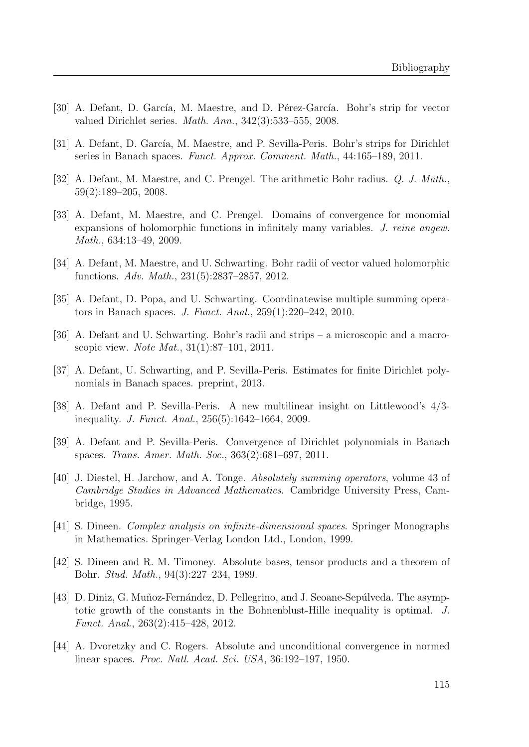- [30] A. Defant, D. García, M. Maestre, and D. Pérez-García. Bohr's strip for vector valued Dirichlet series. Math. Ann., 342(3):533–555, 2008.
- [31] A. Defant, D. García, M. Maestre, and P. Sevilla-Peris. Bohr's strips for Dirichlet series in Banach spaces. Funct. Approx. Comment. Math., 44:165–189, 2011.
- [32] A. Defant, M. Maestre, and C. Prengel. The arithmetic Bohr radius. Q. J. Math., 59(2):189–205, 2008.
- [33] A. Defant, M. Maestre, and C. Prengel. Domains of convergence for monomial expansions of holomorphic functions in infinitely many variables. J. reine angew. Math., 634:13–49, 2009.
- [34] A. Defant, M. Maestre, and U. Schwarting. Bohr radii of vector valued holomorphic functions. Adv. Math., 231(5):2837–2857, 2012.
- [35] A. Defant, D. Popa, and U. Schwarting. Coordinatewise multiple summing operators in Banach spaces. J. Funct. Anal., 259(1):220–242, 2010.
- [36] A. Defant and U. Schwarting. Bohr's radii and strips a microscopic and a macroscopic view. Note Mat., 31(1):87–101, 2011.
- [37] A. Defant, U. Schwarting, and P. Sevilla-Peris. Estimates for finite Dirichlet polynomials in Banach spaces. preprint, 2013.
- [38] A. Defant and P. Sevilla-Peris. A new multilinear insight on Littlewood's 4/3 inequality. J. Funct. Anal., 256(5):1642–1664, 2009.
- [39] A. Defant and P. Sevilla-Peris. Convergence of Dirichlet polynomials in Banach spaces. Trans. Amer. Math. Soc., 363(2):681–697, 2011.
- [40] J. Diestel, H. Jarchow, and A. Tonge. Absolutely summing operators, volume 43 of Cambridge Studies in Advanced Mathematics. Cambridge University Press, Cambridge, 1995.
- [41] S. Dineen. Complex analysis on infinite-dimensional spaces. Springer Monographs in Mathematics. Springer-Verlag London Ltd., London, 1999.
- [42] S. Dineen and R. M. Timoney. Absolute bases, tensor products and a theorem of Bohr. Stud. Math., 94(3):227–234, 1989.
- [43] D. Diniz, G. Muñoz-Fernández, D. Pellegrino, and J. Seoane-Sepúlveda. The asymptotic growth of the constants in the Bohnenblust-Hille inequality is optimal. J. Funct. Anal., 263(2):415–428, 2012.
- [44] A. Dvoretzky and C. Rogers. Absolute and unconditional convergence in normed linear spaces. Proc. Natl. Acad. Sci. USA, 36:192–197, 1950.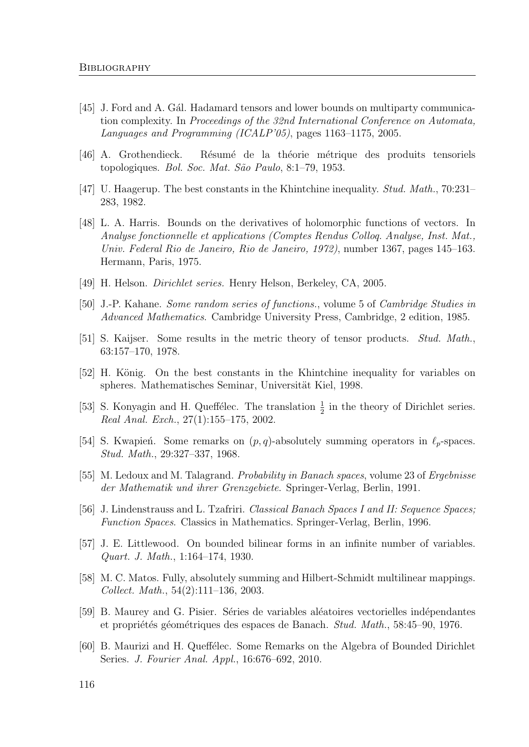- [45] J. Ford and A. Gál. Hadamard tensors and lower bounds on multiparty communication complexity. In Proceedings of the 32nd International Conference on Automata, Languages and Programming (ICALP'05), pages 1163–1175, 2005.
- [46] A. Grothendieck. R´esum´e de la th´eorie m´etrique des produits tensoriels topologiques. Bol. Soc. Mat. São Paulo, 8:1-79, 1953.
- [47] U. Haagerup. The best constants in the Khintchine inequality. Stud. Math., 70:231– 283, 1982.
- [48] L. A. Harris. Bounds on the derivatives of holomorphic functions of vectors. In Analyse fonctionnelle et applications (Comptes Rendus Colloq. Analyse, Inst. Mat., Univ. Federal Rio de Janeiro, Rio de Janeiro, 1972), number 1367, pages 145–163. Hermann, Paris, 1975.
- [49] H. Helson. Dirichlet series. Henry Helson, Berkeley, CA, 2005.
- [50] J.-P. Kahane. Some random series of functions., volume 5 of Cambridge Studies in Advanced Mathematics. Cambridge University Press, Cambridge, 2 edition, 1985.
- [51] S. Kaijser. Some results in the metric theory of tensor products. Stud. Math., 63:157–170, 1978.
- [52] H. König. On the best constants in the Khintchine inequality for variables on spheres. Mathematisches Seminar, Universität Kiel, 1998.
- [53] S. Konyagin and H. Queffélec. The translation  $\frac{1}{2}$  in the theory of Dirichlet series. Real Anal. Exch., 27(1):155–175, 2002.
- [54] S. Kwapień. Some remarks on  $(p, q)$ -absolutely summing operators in  $\ell_p$ -spaces. Stud. Math., 29:327–337, 1968.
- [55] M. Ledoux and M. Talagrand. Probability in Banach spaces, volume 23 of Ergebnisse der Mathematik und ihrer Grenzgebiete. Springer-Verlag, Berlin, 1991.
- [56] J. Lindenstrauss and L. Tzafriri. Classical Banach Spaces I and II: Sequence Spaces; Function Spaces. Classics in Mathematics. Springer-Verlag, Berlin, 1996.
- [57] J. E. Littlewood. On bounded bilinear forms in an infinite number of variables. Quart. J. Math., 1:164–174, 1930.
- [58] M. C. Matos. Fully, absolutely summing and Hilbert-Schmidt multilinear mappings. Collect. Math., 54(2):111–136, 2003.
- [59] B. Maurey and G. Pisier. Séries de variables aléatoires vectorielles indépendantes et propriétés géométriques des espaces de Banach. Stud. Math., 58:45–90, 1976.
- [60] B. Maurizi and H. Queffélec. Some Remarks on the Algebra of Bounded Dirichlet Series. J. Fourier Anal. Appl., 16:676–692, 2010.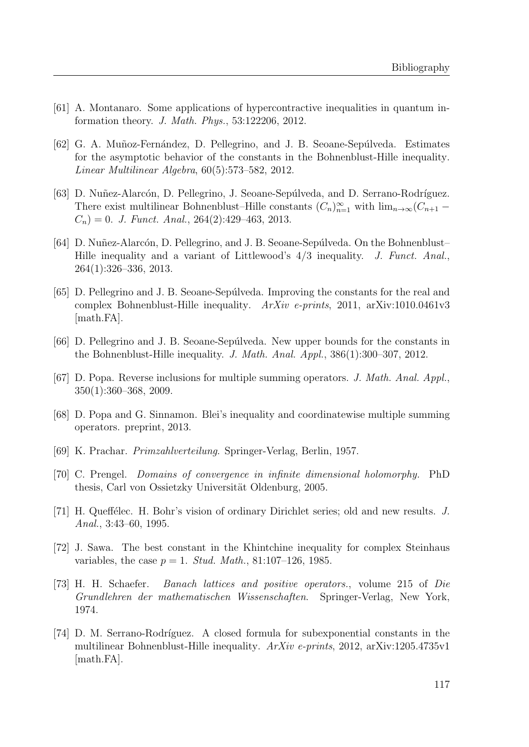- [61] A. Montanaro. Some applications of hypercontractive inequalities in quantum information theory. J. Math. Phys., 53:122206, 2012.
- [62] G. A. Muñoz-Fernández, D. Pellegrino, and J. B. Seoane-Sepúlveda. Estimates for the asymptotic behavior of the constants in the Bohnenblust-Hille inequality. Linear Multilinear Algebra, 60(5):573–582, 2012.
- [63] D. Nuñez-Alarcón, D. Pellegrino, J. Seoane-Sepúlveda, and D. Serrano-Rodríguez. There exist multilinear Bohnenblust–Hille constants  $(C_n)_{n=1}^{\infty}$  with  $\lim_{n\to\infty}$   $(C_{n+1}$  –  $C_n$  = 0. J. Funct. Anal., 264(2):429-463, 2013.
- [64] D. Nuñez-Alarcón, D. Pellegrino, and J. B. Seoane-Sepúlveda. On the Bohnenblust– Hille inequality and a variant of Littlewood's  $4/3$  inequality. J. Funct. Anal., 264(1):326–336, 2013.
- [65] D. Pellegrino and J. B. Seoane-Sep´ulveda. Improving the constants for the real and complex Bohnenblust-Hille inequality. ArXiv e-prints, 2011, arXiv:1010.0461v3 [math.FA].
- [66] D. Pellegrino and J. B. Seoane-Sepúlveda. New upper bounds for the constants in the Bohnenblust-Hille inequality. J. Math. Anal. Appl., 386(1):300–307, 2012.
- [67] D. Popa. Reverse inclusions for multiple summing operators. J. Math. Anal. Appl., 350(1):360–368, 2009.
- [68] D. Popa and G. Sinnamon. Blei's inequality and coordinatewise multiple summing operators. preprint, 2013.
- [69] K. Prachar. Primzahlverteilung. Springer-Verlag, Berlin, 1957.
- [70] C. Prengel. Domains of convergence in infinite dimensional holomorphy. PhD thesis, Carl von Ossietzky Universität Oldenburg, 2005.
- [71] H. Queffélec. H. Bohr's vision of ordinary Dirichlet series; old and new results. J. Anal., 3:43–60, 1995.
- [72] J. Sawa. The best constant in the Khintchine inequality for complex Steinhaus variables, the case  $p = 1$ . *Stud. Math.*, 81:107-126, 1985.
- [73] H. H. Schaefer. Banach lattices and positive operators., volume 215 of Die Grundlehren der mathematischen Wissenschaften. Springer-Verlag, New York, 1974.
- [74] D. M. Serrano-Rodríguez. A closed formula for subexponential constants in the multilinear Bohnenblust-Hille inequality.  $ArXiv$  e-prints, 2012, arXiv:1205.4735v1 [math.FA].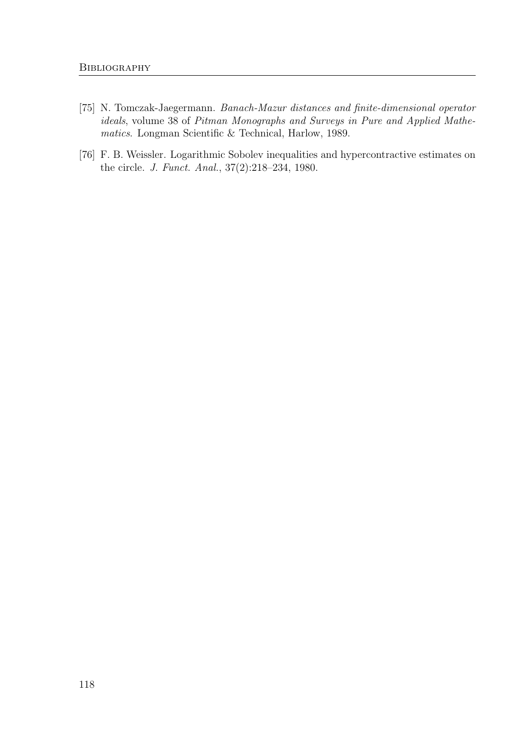- [75] N. Tomczak-Jaegermann. Banach-Mazur distances and finite-dimensional operator ideals, volume 38 of Pitman Monographs and Surveys in Pure and Applied Mathematics. Longman Scientific & Technical, Harlow, 1989.
- [76] F. B. Weissler. Logarithmic Sobolev inequalities and hypercontractive estimates on the circle. J. Funct. Anal., 37(2):218–234, 1980.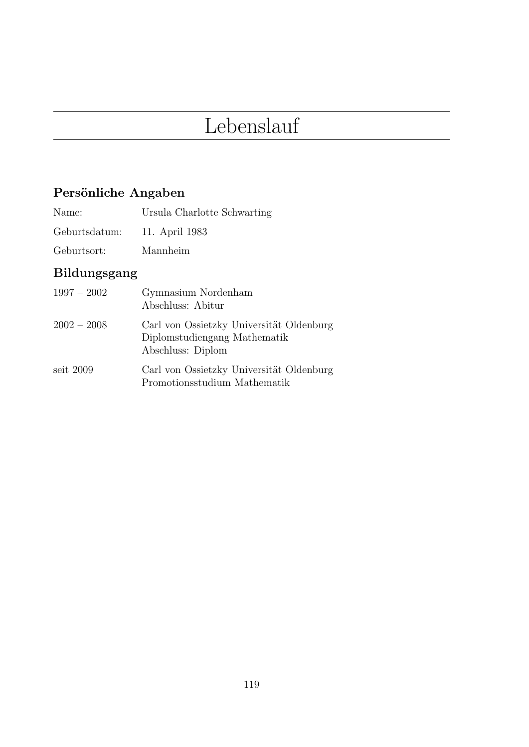## Lebenslauf

## Persönliche Angaben

Geburtsdatum: 11. April 1983

Geburtsort: Mannheim

## Bildungsgang

| $1997 - 2002$ | Gymnasium Nordenham<br>Abschluss: Abitur                                                      |
|---------------|-----------------------------------------------------------------------------------------------|
| $2002 - 2008$ | Carl von Ossietzky Universität Oldenburg<br>Diplomstudiengang Mathematik<br>Abschluss: Diplom |
| seit $2009$   | Carl von Ossietzky Universität Oldenburg<br>Promotionsstudium Mathematik                      |